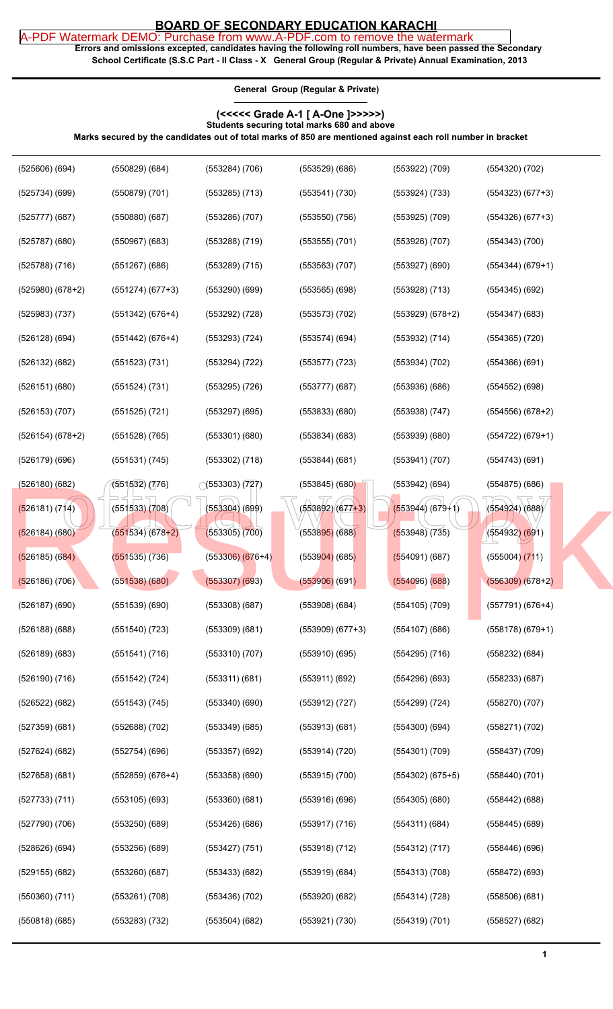## **BOARD OF SECONDARY EDUCATION KARACHI**

**Errors and omissions excepted, candidates having the following roll numbers, have been passed the Secondary School Certificate (S.S.C Part - II Class - X General Group (Regular & Private) Annual Examination, 2013** [A-PDF Watermark DEMO: Purchase from www.A-PDF.com to remove the watermark](http://www.a-pdf.com/?wm-demo)

**General Group (Regular & Private)**

## **(<<<<< Grade A-1 [ A-One ]>>>>>) Students securing total marks 680 and above**

**Marks secured by the candidates out of total marks of 850 are mentioned against each roll number in bracket**

| $(525606)$ $(694)$   | $(550829)$ $(684)$   | $(553284)$ $(706)$     | (553529)(686)                | (553922) (709)       | $(554320)$ $(702)$   |
|----------------------|----------------------|------------------------|------------------------------|----------------------|----------------------|
| (525734)(699)        | (550879) (701)       | $(553285)$ $(713)$     | (553541) (730)               | (553924) (733)       | $(554323) (677+3)$   |
| (525777)(687)        | (550880)(687)        | (553286) (707)         | $(553550)$ $(756)$           | $(553925)$ $(709)$   | $(554326)$ $(677+3)$ |
| (525787)(680)        | $(550967)$ $(683)$   | (553288) (719)         | $(553555)$ $(701)$           | $(553926)$ $(707)$   | $(554343)$ $(700)$   |
| (525788) (716)       | (551267)(686)        | $(553289)$ $(715)$     | $(553563)$ $(707)$           | $(553927)$ $(690)$   | $(554344) (679+1)$   |
| $(525980)$ $(678+2)$ | $(551274) (677+3)$   | (553290)(699)          | $(553565)$ $(698)$           | $(553928)$ $(713)$   | $(554345)$ $(692)$   |
| (525983) (737)       | $(551342) (676+4)$   | $(553292)$ $(728)$     | $(553573)$ $(702)$           | $(553929)(678+2)$    | $(554347)$ $(683)$   |
| $(526128)$ (694)     | $(551442)$ (676+4)   | $(553293)$ $(724)$     | (553574)(694)                | (553932) (714)       | $(554365)$ $(720)$   |
| (526132) (682)       | (551523) (731)       | (553294) (722)         | $(553577)$ $(723)$           | (553934) (702)       | $(554366)$ $(691)$   |
| (526151)(680)        | (551524) (731)       | (553295) (726)         | (553777)(687)                | (553936)(686)        | $(554552)$ (698)     |
| $(526153)$ $(707)$   | $(551525)$ $(721)$   | $(553297)$ $(695)$     | $(553833)$ $(680)$           | (553938) (747)       | $(554556)$ $(678+2)$ |
| $(526154) (678+2)$   | $(551528)$ $(765)$   | $(553301)$ $(680)$     | $(553834)$ $(683)$           | (553939)(680)        | $(554722) (679+1)$   |
| (526179) (696)       | (551531) (745)       | $(553302)$ $(718)$     | $(553844)$ $(681)$           | (553941) (707)       | (554743)(691)        |
| (526180)(682)        | (551,532) (776)      | $\circ$ (553303) (727) | $(553845)$ $(680)$           | $(553942)$ (694)     | $(554875)$ $(686)$   |
| (526181) (714)       | $(551533)$ $(708)$   | $(553304)$ (699)       | $(553892)(677+3)$            | $(553944) (679+1)$   | (554924)(688)        |
|                      |                      |                        |                              |                      |                      |
| (526184)(680)        | $(551534)(678+2)$    | $(553305)$ $(700)$     | (5538 <mark>95)</mark> (688) | (553948)(735)        | $(554932)$ $(691)$   |
| (526185) (684)       | $(551535)$ $(736)$   | $(553306)$ $(676+4)$   | $(553904)$ (685)             | $(554091)$ (687)     | $(555004)$ $(711)$   |
| (526186) (706)       | (551538)(680)        | $(553307)$ $(693)$     | $(553906)$ (691)             | $(554096)$ (688)     | $(556309)$ $(678+2)$ |
| $(526187)$ $(690)$   | (551539)(690)        | (553308)(687)          | $(553908)$ $(684)$           | $(554105)$ $(709)$   | $(557791)(676+4)$    |
| $(526188)$ $(688)$   | $(551540)$ $(723)$   | $(553309)$ $(681)$     | $(553909) (677+3)$           | (554107)(686)        | $(558178)$ (679+1)   |
| $(526189)$ $(683)$   | (551541) (716)       | $(553310)$ $(707)$     | (553910)(695)                | $(554295)$ $(716)$   | $(558232)$ $(684)$   |
| $(526190)$ $(716)$   | (551542) (724)       | $(553311)$ $(681)$     | (553911)(692)                | (554296)(693)        | $(558233)$ $(687)$   |
| $(526522)$ $(682)$   | $(551543)$ $(745)$   | $(553340)$ $(690)$     | $(553912)$ $(727)$           | (554299) (724)       | $(558270)$ $(707)$   |
| $(527359)$ $(681)$   | (552688) (702)       | $(553349)$ $(685)$     | (553913)(681)                | (554300)(694)        | (558271) (702)       |
| $(527624)$ $(682)$   | (552754)(696)        | $(553357)$ $(692)$     | (553914) (720)               | (554301) (709)       | $(558437)$ $(709)$   |
| $(527658)$ $(681)$   | $(552859)$ $(676+4)$ | (553358)(690)          | $(553915)$ $(700)$           | $(554302)$ $(675+5)$ | $(558440)$ $(701)$   |
| (527733) (711)       | $(553105)$ $(693)$   | (553360)(681)          | $(553916)$ $(696)$           | $(554305)$ $(680)$   | (558442) (688)       |
| $(527790)$ $(706)$   | $(553250)$ $(689)$   | (553426)(686)          | (553917) (716)               | (554311)(684)        | $(558445)$ (689)     |
| (528626)(694)        | $(553256)$ $(689)$   | (553427) (751)         | (553918) (712)               | (554312) (717)       | $(558446)$ (696)     |
| $(529155)$ $(682)$   | $(553260)$ $(687)$   | $(553433)$ $(682)$     | $(553919)$ $(684)$           | (554313) (708)       | $(558472)$ (693)     |
| $(550360)$ $(711)$   | $(553261)$ $(708)$   | $(553436)$ $(702)$     | (553920)(682)                | (554314) (728)       | (558506)(681)        |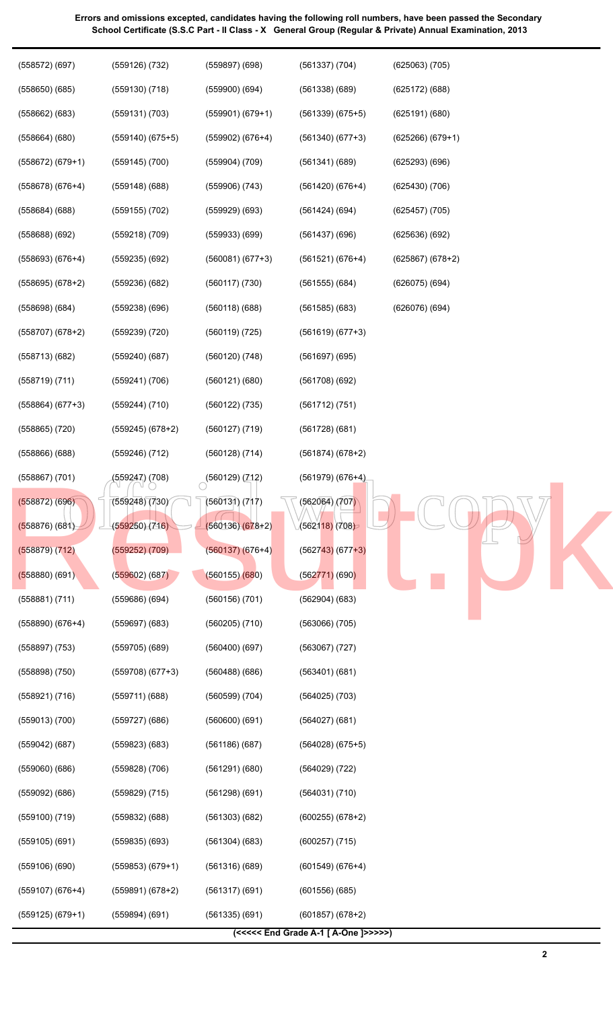| (558572)(697)                      | (559126) (732)                  | $(559897)$ $(698)$                  | $(561337)$ $(704)$              | $(625063)$ $(705)$ |
|------------------------------------|---------------------------------|-------------------------------------|---------------------------------|--------------------|
| (558650)(685)                      | $(559130)$ $(718)$              | (559900)(694)                       | $(561338)$ $(689)$              | $(625172)$ $(688)$ |
| $(558662)$ $(683)$                 | (559131) (703)                  | $(559901) (679+1)$                  | $(561339)$ $(675+5)$            | (625191)(680)      |
| $(558664)$ $(680)$                 | $(559140)$ $(675+5)$            | $(559902) (676+4)$                  | $(561340)$ $(677+3)$            | $(625266)(679+1)$  |
| $(558672) (679+1)$                 | $(559145)$ $(700)$              | $(559904)$ $(709)$                  | (561341)(689)                   | (625293)(696)      |
| $(558678)$ $(676+4)$               | $(559148)$ $(688)$              | $(559906)$ $(743)$                  | $(561420)$ $(676+4)$            | (625430)(706)      |
| $(558684)$ $(688)$                 | $(559155)$ $(702)$              | $(559929)$ $(693)$                  | (561424)(694)                   | $(625457)$ $(705)$ |
| $(558688)$ $(692)$                 | $(559218)$ $(709)$              | $(559933)$ $(699)$                  | (561437)(696)                   | (625636)(692)      |
| $(558693) (676+4)$                 | $(559235)$ $(692)$              | $(560081) (677+3)$                  | $(561521) (676+4)$              | $(625867) (678+2)$ |
| $(558695)$ $(678+2)$               | (559236)(682)                   | (560117) (730)                      | $(561555)$ $(684)$              | (626075)(694)      |
| (558698)(684)                      | (559238) (696)                  | (560118)(688)                       | $(561585)$ $(683)$              | (626076)(694)      |
| $(558707)$ $(678+2)$               | $(559239)$ $(720)$              | (560119) (725)                      | $(561619) (677+3)$              |                    |
| (558713) (682)                     | (559240)(687)                   | $(560120)$ $(748)$                  | $(561697)$ (695)                |                    |
| (558719) (711)                     | (559241) (706)                  | (560121)(680)                       | (561708)(692)                   |                    |
| $(558864) (677+3)$                 | (559244) (710)                  | (560122) (735)                      | (561712) (751)                  |                    |
| (558865) (720)                     | (559245) (678+2)                | (560127) (719)                      | (561728)(681)                   |                    |
| $(558866)$ $(688)$                 | $(559246)$ $(712)$              | (560128) (714)                      | $(561874)(678+2)$               |                    |
| (558867) (701)                     | (559247) (708)<br>VU            | (560129) (712)                      | $(561979) (676+4)$              |                    |
| (558872) (696)<br>$(558876)$ (681) | (559248) (730)<br>(559250)(716) | (560131) (717)<br>$(560136)(678+2)$ | (562064)/(707)<br>(562118)(708) |                    |
| (558879) (712)                     | $(559252)$ $(709)$              | $(560137) (676+4)$                  | $(562743)$ (677+3)              |                    |
| $(558880)$ (691)                   | $(559602)$ $(687)$              | (560155)(680)                       | $(562771)$ (690)                |                    |
| (558881) (711)                     | (559686) (694)                  | $(560156)$ $(701)$                  | $(562904)$ $(683)$              |                    |
| $(558890)$ $(676+4)$               | $(559697)$ $(683)$              | $(560205)$ $(710)$                  | $(563066)$ $(705)$              |                    |
| (558897) (753)                     | $(559705)$ $(689)$              | (560400)(697)                       | $(563067)$ $(727)$              |                    |
| (558898) (750)                     | $(559708)$ $(677+3)$            | (560488)(686)                       | (563401)(681)                   |                    |
| (558921) (716)                     | (559711)(688)                   | (560599) (704)                      | $(564025)$ $(703)$              |                    |
| $(559013)$ $(700)$                 | $(559727)$ $(686)$              | (560600)(691)                       | $(564027)$ $(681)$              |                    |
| $(559042)$ $(687)$                 | $(559823)$ $(683)$              | (561186)(687)                       | $(564028)$ $(675+5)$            |                    |
| $(559060)$ $(686)$                 | (559828) (706)                  | (561291)(680)                       | $(564029)$ $(722)$              |                    |
| (559092) (686)                     | (559829) (715)                  | (561298)(691)                       | (564031) (710)                  |                    |
| (559100) (719)                     | $(559832)$ $(688)$              | $(561303)$ $(682)$                  | $(600255) (678+2)$              |                    |
| $(559105)$ $(691)$                 | $(559835)$ $(693)$              | $(561304)$ $(683)$                  | $(600257)$ $(715)$              |                    |
| $(559106)$ $(690)$                 | $(559853) (679+1)$              | (561316)(689)                       | $(601549) (676+4)$              |                    |
| $(559107)$ $(676+4)$               | $(559891) (678+2)$              | (561317)(691)                       | (601556)(685)                   |                    |
| $(559125)$ $(679+1)$               | (559894) (691)                  | (561335)(691)                       | $(601857) (678+2)$              |                    |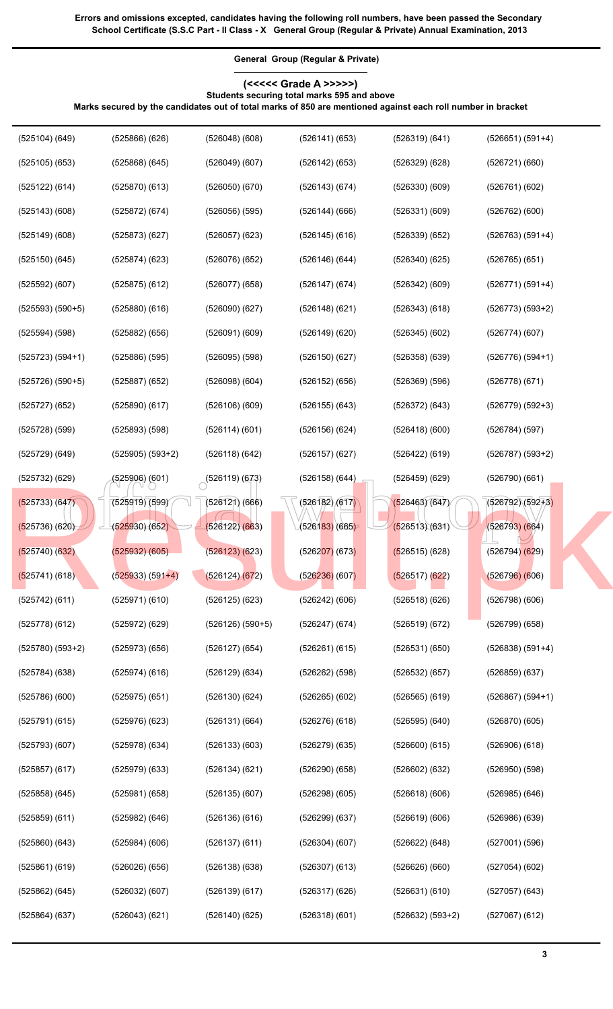**General Group (Regular & Private) (<<<<< Grade A >>>>>)**

**Students securing total marks 595 and above**

**Marks secured by the candidates out of total marks of 850 are mentioned against each roll number in bracket**

| $(525104)$ $(649)$   | $(525866)$ $(626)$              | (526048)(608)             | $(526141)$ $(653)$           | (526319)(641)      | $(526651) (591+4)$ |
|----------------------|---------------------------------|---------------------------|------------------------------|--------------------|--------------------|
| $(525105)$ $(653)$   | $(525868)$ $(645)$              | $(526049)$ $(607)$        | $(526142)$ $(653)$           | (526329)(628)      | (526721)(660)      |
| (525122) (614)       | (525870)(613)                   | (526050)(670)             | (526143)(674)                | (526330)(609)      | (526761)(602)      |
| $(525143)$ $(608)$   | (525872) (674)                  | $(526056)$ $(595)$        | $(526144)$ (666)             | (526331)(609)      | $(526762)$ $(600)$ |
| $(525149)$ $(608)$   | (525873)(627)                   | $(526057)$ $(623)$        | $(526145)$ (616)             | (526339)(652)      | $(526763) (591+4)$ |
| (525150)(645)        | (525874)(623)                   | $(526076)$ $(652)$        | (526146)(644)                | (526340)(625)      | $(526765)$ $(651)$ |
| $(525592)$ $(607)$   | $(525875)$ $(612)$              | (526077)(658)             | $(526147)$ (674)             | $(526342)$ $(609)$ | $(526771) (591+4)$ |
| $(525593) (590+5)$   | (525880)(616)                   | $(526090)$ $(627)$        | $(526148)$ $(621)$           | (526343)(618)      | $(526773) (593+2)$ |
| (525594) (598)       | $(525882)$ $(656)$              | $(526091)$ $(609)$        | $(526149)$ $(620)$           | $(526345)$ $(602)$ | (526774)(607)      |
| $(525723) (594+1)$   | $(525886)$ $(595)$              | $(526095)$ $(598)$        | (526150)(627)                | $(526358)$ $(639)$ | $(526776) (594+1)$ |
| $(525726) (590+5)$   | $(525887)$ $(652)$              | $(526098)$ $(604)$        | $(526152)$ (656)             | (526369) (596)     | (526778)(671)      |
| (525727)(652)        | $(525890)$ $(617)$              | $(526106)$ (609)          | $(526155)$ $(643)$           | (526372) (643)     | $(526779) (592+3)$ |
| $(525728)$ (599)     | $(525893)$ $(598)$              | $(526114)$ (601)          | $(526156)$ $(624)$           | (526418)(600)      | (526784) (597)     |
| $(525729)$ $(649)$   | $(525905) (593+2)$              | $(526118)$ $(642)$        | $(526157)$ (627)             | $(526422)$ (619)   | $(526787) (593+2)$ |
| (525732) (629)       | (525906) (601)                  | $\bigcirc$ (526119) (673) | $(526158)$ $(644)$           | (526459)(629)      | (526790)(661)      |
| (525733) (647)       | (525919) (599)                  | $(526121)$ $(666)$        | (526182)(617)                | (526463)(647)      | $(526792)(592+3)$  |
| $(525736)$ (620)     | (525930) (652)                  | (526122)(663)             | (5261 <mark>83)</mark> (665) | (526513)(631)      | (526793)(664)      |
| (525740)(632)        | $(525932)$ $(605)$              | $(526123)$ $(623)$        | $(526207)$ (673)             | $(526515)$ (628)   | (526794)(629)      |
| (525741) (618)       | ( <mark>5259</mark> 33) (591+4) | (526124)(672)             | (526236) (607)               | $(526517)$ (622)   | $(526796)$ (606)   |
| $(525742)$ $(611)$   | (525971)(610)                   | $(526125)$ $(623)$        | $(526242)$ $(606)$           | (526518)(626)      | $(526798)$ $(606)$ |
| (525778) (612)       | $(525972)$ $(629)$              | $(526126) (590+5)$        | $(526247)$ $(674)$           | (526519)(672)      | $(526799)$ $(658)$ |
| $(525780)$ $(593+2)$ | (525973)(656)                   | $(526127)$ $(654)$        | $(526261)$ $(615)$           | (526531)(650)      | $(526838) (591+4)$ |
| (525784)(638)        | $(525974)$ $(616)$              | $(526129)$ $(634)$        | $(526262)$ $(598)$           | $(526532)$ $(657)$ | $(526859)$ $(637)$ |
| (525786)(600)        | $(525975)$ $(651)$              | (526130)(624)             | $(526265)$ $(602)$           | $(526565)$ $(619)$ | $(526867) (594+1)$ |
| (525791)(615)        | $(525976)$ $(623)$              | (526131)(664)             | $(526276)$ $(618)$           | (526595)(640)      | (526870)(605)      |
| (525793)(607)        | $(525978)$ $(634)$              | (526133)(603)             | $(526279)$ $(635)$           | (526600)(615)      | $(526906)$ $(618)$ |
| $(525857)$ $(617)$   | $(525979)$ $(633)$              | (526134)(621)             | (526290)(658)                | $(526602)$ $(632)$ | $(526950)$ $(598)$ |
| $(525858)$ $(645)$   | (525981) (658)                  | (526135)(607)             | $(526298)$ $(605)$           | (526618)(606)      | $(526985)$ $(646)$ |
| $(525859)$ $(611)$   | (525982) (646)                  | (526136)(616)             | $(526299)$ $(637)$           | (526619)(606)      | $(526986)$ $(639)$ |
| $(525860)$ $(643)$   | $(525984)$ $(606)$              | $(526137)$ $(611)$        | $(526304)$ $(607)$           | $(526622)$ $(648)$ | $(527001)$ $(596)$ |
| $(525861)$ (619)     | (526026)(656)                   | $(526138)$ $(638)$        | $(526307)$ $(613)$           | (526626)(660)      | (527054)(602)      |
| $(525862)$ $(645)$   | $(526032)$ $(607)$              | (526139)(617)             | $(526317)$ $(626)$           | (526631)(610)      | $(527057)$ $(643)$ |
| $(525864)$ $(637)$   | (526043)(621)                   | (526140)(625)             | (526318)(601)                | $(526632) (593+2)$ | $(527067)$ $(612)$ |
|                      |                                 |                           |                              |                    |                    |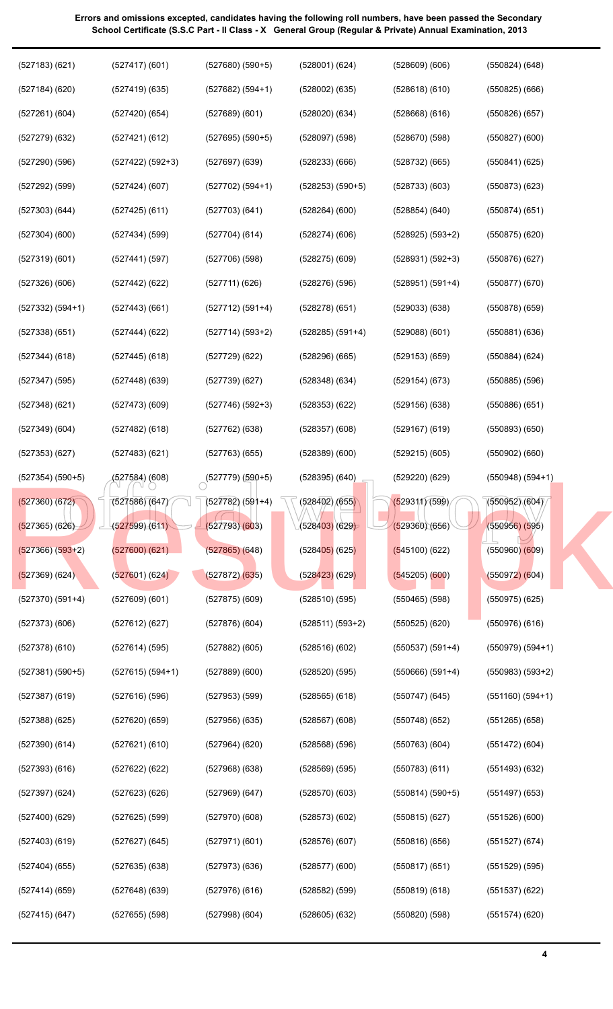| (527183)(621)        | (527417)(601)      | $(527680)$ $(590+5)$                | $(528001)$ $(624)$           | $(528609)$ $(606)$ | $(550824)$ $(648)$ |
|----------------------|--------------------|-------------------------------------|------------------------------|--------------------|--------------------|
| $(527184)$ $(620)$   | (527419)(635)      | $(527682) (594+1)$                  | $(528002)$ $(635)$           | (528618)(610)      | $(550825)$ $(666)$ |
| (527261)(604)        | (527420)(654)      | $(527689)$ $(601)$                  | (528020)(634)                | $(528668)$ $(616)$ | $(550826)$ $(657)$ |
| $(527279)$ $(632)$   | (527421)(612)      | $(527695) (590+5)$                  | $(528097)$ $(598)$           | (528670)(598)      | $(550827)$ $(600)$ |
| $(527290)$ $(596)$   | $(527422) (592+3)$ | (527697)(639)                       | $(528233)$ $(666)$           | $(528732)$ $(665)$ | $(550841)$ $(625)$ |
| $(527292)$ $(599)$   | (527424)(607)      | $(527702) (594+1)$                  | $(528253) (590+5)$           | (528733)(603)      | $(550873)$ $(623)$ |
| $(527303)$ $(644)$   | $(527425)$ (611)   | (527703)(641)                       | (528264)(600)                | (528854)(640)      | (550874)(651)      |
| $(527304)$ $(600)$   | (527434) (599)     | (527704)(614)                       | (528274)(606)                | $(528925) (593+2)$ | $(550875)$ $(620)$ |
| (527319)(601)        | (527441) (597)     | $(527706)$ $(598)$                  | $(528275)$ $(609)$           | $(528931) (592+3)$ | (550876)(627)      |
| (527326)(606)        | $(527442)$ $(622)$ | (527711)(626)                       | $(528276)$ $(596)$           | $(528951) (591+4)$ | (550877)(670)      |
| $(527332) (594+1)$   | $(527443)$ $(661)$ | $(527712) (591+4)$                  | (528278)(651)                | $(529033)$ $(638)$ | $(550878)$ $(659)$ |
| $(527338)$ $(651)$   | $(527444)$ (622)   | $(527714)(593+2)$                   | $(528285) (591+4)$           | $(529088)$ $(601)$ | $(550881)$ $(636)$ |
| $(527344)$ $(618)$   | $(527445)$ (618)   | (527729)(622)                       | (528296)(665)                | $(529153)$ $(659)$ | $(550884)$ $(624)$ |
| $(527347)$ (595)     | (527448)(639)      | (527739)(627)                       | $(528348)$ $(634)$           | (529154)(673)      | $(550885)$ $(596)$ |
| (527348)(621)        | (527473)(609)      | $(527746) (592+3)$                  | (528353)(622)                | (529156)(638)      | $(550886)$ $(651)$ |
| $(527349)$ $(604)$   | $(527482)$ (618)   | $(527762)$ $(638)$                  | $(528357)$ $(608)$           | $(529167)$ (619)   | $(550893)$ $(650)$ |
| (527353)(627)        | (527483)(621)      | $(527763)$ $(655)$                  | $(528389)$ $(600)$           | $(529215)$ $(605)$ | $(550902)$ $(660)$ |
| $(527354)$ $(590+5)$ | (527584) (608)     | $\circ$ <sup>(527779)</sup> (590+5) | (528395)(640)                | (529220)(629)      | $(550948) (594+1)$ |
| $(527360)$ $(672)$   | (527586)(647)      | $(527782) (591+4)$                  | (528402)/(655)               | (529311)(599)      | (550952)(604)      |
| $(527365)$ $(626)$   | (527599)(611)      | (527793)(603)                       | (5284 <mark>03)</mark> (629) | (529360)(656)      | $(550956)$ $(595)$ |
| $(527366) (593+2)$   | (527600)(621)      | $(527865)$ $(648)$                  | $(528405)$ (625)             | $(545100)$ (622)   | (550960)(609)      |
| $(527369)$ (624)     | (527601)(624)      | $(527872)$ $(635)$                  | $(528423)$ (629)             | $(545205)$ (600)   | $(550972)$ (604)   |
| $(527370)$ $(591+4)$ | (527609)(601)      | $(527875)$ $(609)$                  | (528510)(595)                | $(550465)$ (598)   | $(550975)$ $(625)$ |
| $(527373)$ $(606)$   | (527612) (627)     | $(527876)$ (604)                    | $(528511) (593+2)$           | (550525)(620)      | $(550976)$ $(616)$ |
| (527378) (610)       | (527614) (595)     | $(527882)$ (605)                    | (528516)(602)                | $(550537) (591+4)$ | $(550979) (594+1)$ |
| $(527381) (590+5)$   | $(527615) (594+1)$ | (527889)(600)                       | (528520)(595)                | $(550666) (591+4)$ | $(550983) (593+2)$ |
| (527387) (619)       | (527616) (596)     | (527953) (599)                      | $(528565)$ $(618)$           | (550747)(645)      | $(551160) (594+1)$ |
| (527388) (625)       | (527620)(659)      | $(527956)$ $(635)$                  | $(528567)$ $(608)$           | (550748)(652)      | $(551265)$ (658)   |
| (527390)(614)        | (527621) (610)     | $(527964)$ $(620)$                  | $(528568)$ (596)             | (550763)(604)      | $(551472)$ (604)   |
| (527393)(616)        | $(527622)$ $(622)$ | $(527968)$ $(638)$                  | $(528569)$ (595)             | (550783)(611)      | (551493) (632)     |
| (527397) (624)       | $(527623)$ $(626)$ | $(527969)$ $(647)$                  | (528570)(603)                | $(550814) (590+5)$ | $(551497)$ (653)   |
| (527400)(629)        | $(527625)$ (599)   | $(527970)$ $(608)$                  | (528573)(602)                | $(550815)$ (627)   | $(551526)$ $(600)$ |
| (527403)(619)        | $(527627)$ (645)   | (527971)(601)                       | $(528576)$ $(607)$           | (550816)(656)      | $(551527)$ $(674)$ |
| (527404) (655)       | $(527635)$ $(638)$ | $(527973)$ $(636)$                  | (528577)(600)                | (550817)(651)      | $(551529)$ (595)   |
| (527414)(659)        | $(527648)$ (639)   | $(527976)$ (616)                    | $(528582)$ (599)             | $(550819)$ $(618)$ | $(551537)$ $(622)$ |
| (527415)(647)        | $(527655)$ $(598)$ | $(527998)$ $(604)$                  | $(528605)$ $(632)$           | (550820)(598)      | (551574)(620)      |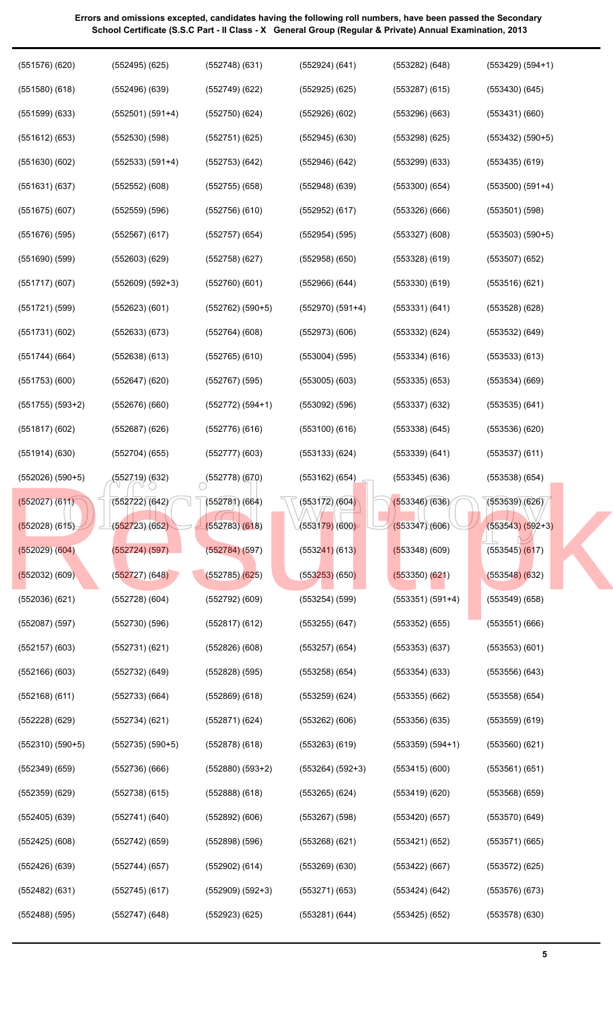| 539(6   |                |
|---------|----------------|
| 543) (5 |                |
| 545)    | $\overline{6}$ |
|         |                |
| 548)    | (6)            |
| 549)    | (f             |
| 551)    | $(\epsilon$    |
| 553)    | (f             |
| 556)    | (6)            |
| 558)    | (f             |
| 559)    | (6)            |
| 560)    | (f             |
| 561)    | (E             |
| 568)    | (6)            |
| 570)    | (6)            |
| 571)    | (6             |
| 572)    | (6             |
| 576) (6 |                |
| 578)    | $(\epsilon$    |
|         |                |

| (551576)(620)        | $(552495)$ $(625)$ | (552748)(631)      | (552924) (641)       | $(553282)$ $(648)$ | $(553429) (594+1)$   |
|----------------------|--------------------|--------------------|----------------------|--------------------|----------------------|
| $(551580)$ $(618)$   | $(552496)$ $(639)$ | $(552749)$ $(622)$ | $(552925)$ $(625)$   | $(553287)$ $(615)$ | $(553430)$ $(645)$   |
| $(551599)$ $(633)$   | $(552501) (591+4)$ | (552750)(624)      | $(552926)$ $(602)$   | (553296)(663)      | (553431)(660)        |
| $(551612)$ $(653)$   | (552530)(598)      | (552751)(625)      | $(552945)$ $(630)$   | (553298)(625)      | $(553432) (590+5)$   |
| (551630)(602)        | $(552533) (591+4)$ | (552753)(642)      | $(552946)$ $(642)$   | $(553299)$ $(633)$ | $(553435)$ $(619)$   |
| (551631)(637)        | $(552552)$ $(608)$ | $(552755)$ $(658)$ | $(552948)$ $(639)$   | (553300)(654)      | $(553500)$ $(591+4)$ |
| (551675)(607)        | $(552559)$ $(596)$ | $(552756)$ $(610)$ | $(552952)$ $(617)$   | (553326)(666)      | $(553501)$ $(598)$   |
| $(551676)$ (595)     | $(552567)$ $(617)$ | $(552757)$ $(654)$ | (552954) (595)       | (553327)(608)      | $(553503) (590+5)$   |
| $(551690)$ $(599)$   | $(552603)$ $(629)$ | $(552758)$ (627)   | $(552958)$ $(650)$   | $(553328)$ $(619)$ | $(553507)$ $(652)$   |
| (551717)(607)        | $(552609) (592+3)$ | (552760)(601)      | $(552966)$ $(644)$   | (553330)(619)      | (553516)(621)        |
| $(551721)$ (599)     | (552623)(601)      | $(552762) (590+5)$ | $(552970)$ $(591+4)$ | (553331)(641)      | (553528)(628)        |
| (551731)(602)        | (552633) (673)     | $(552764)$ (608)   | $(552973)$ $(606)$   | $(553332)$ $(624)$ | $(553532)$ $(649)$   |
| $(551744)$ (664)     | $(552638)$ $(613)$ | $(552765)$ (610)   | $(553004)$ $(595)$   | $(553334)$ $(616)$ | $(553533)$ $(613)$   |
| $(551753)$ $(600)$   | (552647) (620)     | $(552767)$ (595)   | $(553005)$ $(603)$   | $(553335)$ $(653)$ | $(553534)$ $(669)$   |
| $(551755)$ $(593+2)$ | (552676)(660)      | $(552772) (594+1)$ | $(553092)$ $(596)$   | $(553337)$ $(632)$ | $(553535)$ $(641)$   |
| $(551817)$ $(602)$   | (552687) (626)     | (552776)(616)      | $(553100)$ $(616)$   | $(553338)$ $(645)$ | (553536)(620)        |
| $(551914)$ $(630)$   | $(552704)$ (655)   | (552777)(603)      | $(553133)$ $(624)$   | $(553339)$ $(641)$ | $(553537)$ $(611)$   |
| $(552026)$ $(590+5)$ | (552719) (632)     | (552778)(670)      | $(553162)$ $(654)$   | $(553345)$ $(636)$ | $(553538)$ $(654)$   |
| $(552027)$ (611)     | (552722)(642)      | $(552781)$ (664)   | (553172)/(604)       | (553346)(636)      | (553539)(626)        |
| $(552028)$ (615)     | (552723)(652)      | (552783)(618)      | $(553179)$ (600)     | (553347)(606)      | $(553543) (592+3)$   |
| $(552029)$ $(604)$   | (552724) (597)     | (552784)(597)      | $(553241)$ (613)     | $(553348)$ (609)   | $(553545)$ $(617)$   |
| $(552032)$ (609)     | (552727)(648)      | $(552785)$ $(625)$ | $(553253)$ (650)     | $(553350)$ $(621)$ | $(553548)$ $(632)$   |
| $(552036)$ $(621)$   | $(552728)$ $(604)$ | $(552792)$ $(609)$ | $(553254)$ (599)     | $(553351) (591+4)$ | $(553549)$ $(658)$   |
| $(552087)$ (597)     | (552730)(596)      | $(552817)$ (612)   | $(553255)$ $(647)$   | $(553352)$ $(655)$ | $(553551)$ (666)     |
| (552157)(603)        | (552731)(621)      | $(552826)$ $(608)$ | $(553257)$ $(654)$   | (553353)(637)      | (553553)(601)        |
| $(552166)$ $(603)$   | $(552732)$ $(649)$ | $(552828)$ $(595)$ | $(553258)$ $(654)$   | $(553354)$ $(633)$ | $(553556)$ $(643)$   |
| $(552168)$ $(611)$   | (552733)(664)      | $(552869)$ $(618)$ | $(553259)$ $(624)$   | $(553355)$ $(662)$ | $(553558)$ $(654)$   |
| $(552228)$ $(629)$   | (552734)(621)      | (552871) (624)     | $(553262)$ $(606)$   | (553356)(635)      | $(553559)$ $(619)$   |
| $(552310)$ $(590+5)$ | $(552735) (590+5)$ | $(552878)$ (618)   | $(553263)$ $(619)$   | $(553359) (594+1)$ | $(553560)$ $(621)$   |
| $(552349)$ $(659)$   | (552736)(666)      | $(552880) (593+2)$ | $(553264) (592+3)$   | (553415)(600)      | (553561)(651)        |
| $(552359)$ $(629)$   | $(552738)$ (615)   | $(552888)$ $(618)$ | $(553265)$ $(624)$   | $(553419)$ (620)   | $(553568)$ $(659)$   |
| $(552405)$ $(639)$   | (552741)(640)      | $(552892)$ $(606)$ | $(553267)$ (598)     | (553420)(657)      | $(553570)$ $(649)$   |
| $(552425)$ $(608)$   | $(552742)$ (659)   | (552898)(596)      | $(553268)$ $(621)$   | (553421)(652)      | $(553571)$ (665)     |
| $(552426)$ $(639)$   | (552744) (657)     | $(552902)$ (614)   | $(553269)$ $(630)$   | $(553422)$ $(667)$ | $(553572)$ (625)     |
| $(552482)$ $(631)$   | $(552745)$ (617)   | $(552909) (592+3)$ | $(553271)$ $(653)$   | (553424)(642)      | $(553576)$ $(673)$   |
| $(552488)$ $(595)$   | (552747) (648)     | $(552923)$ $(625)$ | $(553281)$ $(644)$   | $(553425)$ $(652)$ | (553578)(630)        |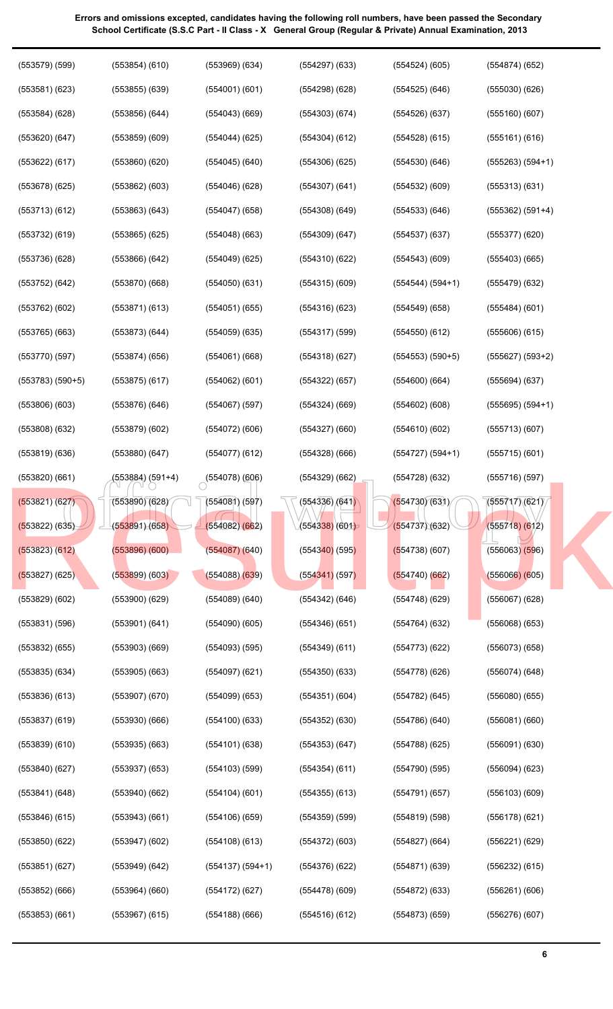| $(553579)$ $(599)$ | $(553854)$ $(610)$ | $(553969)$ $(634)$ | $(554297)$ $(633)$ | (554524)(605)      | (554874)(652)         |
|--------------------|--------------------|--------------------|--------------------|--------------------|-----------------------|
| $(553581)$ $(623)$ | $(553855)$ $(639)$ | (554001)(601)      | (554298)(628)      | $(554525)$ $(646)$ | (555030)(626)         |
| (553584)(628)      | $(553856)$ $(644)$ | $(554043)$ (669)   | $(554303)$ $(674)$ | (554526)(637)      | $(555160)$ $(607)$    |
| $(553620)$ $(647)$ | $(553859)$ $(609)$ | $(554044)$ (625)   | $(554304)$ $(612)$ | (554528)(615)      | (555161)(616)         |
| $(553622)$ $(617)$ | $(553860)$ $(620)$ | $(554045)$ (640)   | $(554306)$ $(625)$ | (554530)(646)      | $(555263) (594+1)$    |
| (553678)(625)      | $(553862)$ $(603)$ | (554046)(628)      | $(554307)$ $(641)$ | $(554532)$ $(609)$ | (555313)(631)         |
| (553713)(612)      | $(553863)$ $(643)$ | $(554047)$ (658)   | $(554308)$ $(649)$ | (554533)(646)      | $(555362) (591+4)$    |
| $(553732)$ $(619)$ | $(553865)$ $(625)$ | $(554048)$ (663)   | $(554309)$ $(647)$ | (554537)(637)      | (555377)(620)         |
| (553736) (628)     | $(553866)$ $(642)$ | $(554049)$ (625)   | (554310)(622)      | $(554543)$ (609)   | $(555403)$ (665)      |
| $(553752)$ $(642)$ | $(553870)$ $(668)$ | (554050)(631)      | $(554315)$ $(609)$ | $(554544) (594+1)$ | $(555479)$ $(632)$    |
| $(553762)$ $(602)$ | $(553871)$ $(613)$ | $(554051)$ (655)   | $(554316)$ (623)   | $(554549)$ (658)   | (555484)(601)         |
| $(553765)$ (663)   | $(553873)$ $(644)$ | $(554059)$ (635)   | $(554317)$ (599)   | (554550)(612)      | $(555606)$ $(615)$    |
| (553770)(597)      | $(553874)$ (656)   | $(554061)$ (668)   | (554318)(627)      | $(554553) (590+5)$ | $(555627) (593+2)$    |
| $(553783) (590+5)$ | $(553875)$ $(617)$ | $(554062)$ (601)   | $(554322)$ (657)   | (554600)(664)      | $(555694)$ $(637)$    |
| $(553806)$ $(603)$ | $(553876)$ $(646)$ | $(554067)$ (597)   | $(554324)$ (669)   | $(554602)$ (608)   | $(555695) (594+1)$    |
| $(553808)$ $(632)$ | $(553879)$ $(602)$ | $(554072)$ (606)   | $(554327)$ (660)   | (554610)(602)      | (555713)(607)         |
| $(553819)$ $(636)$ | $(553880)$ $(647)$ | (554077)(612)      | $(554328)$ (666)   | $(554727) (594+1)$ | $(555715)$ (601)      |
| $(553820)$ $(661)$ | (553884) (591+4)   | $(554078)$ (606)   | $(554329)$ (662)   | (554728)(632)      | $(555716)$ (597)      |
| (553821) (627)     | (553890)(628)      | (554081) (597)     | (554336)/(641)     | (554730)(631)      | $\sqrt{555717}$ (621) |
| (553822) (635)     | (553891)(658)      | (554082)(662)      | (554338) (601)     | (554737)(632)      | $(555718)$ (612)      |
| $(553823)$ $(612)$ | $(553896)$ $(600)$ | $(554087)$ (640)   | $(554340)$ (595)   | (554738)(607)      | $(556063)$ $(596)$    |
| $(553827)$ (625)   | $(553899)$ $(603)$ | (554088)(639)      | $(554341)$ (597)   | (554740)(662)      | $(556066)$ $(605)$    |
| $(553829)$ $(602)$ | $(553900)$ $(629)$ | $(554089)$ $(640)$ | $(554342)$ $(646)$ | (554748)(629)      | $(556067)$ $(628)$    |
| $(553831)$ $(596)$ | $(553901)$ $(641)$ | $(554090)$ $(605)$ | (554346)(651)      | (554764)(632)      | $(556068)$ $(653)$    |
| $(553832)$ $(655)$ | $(553903)$ $(669)$ | $(554093)$ $(595)$ | $(554349)$ $(611)$ | (554773)(622)      | $(556073)$ $(658)$    |
| $(553835)$ $(634)$ | $(553905)$ $(663)$ | $(554097)$ $(621)$ | (554350)(633)      | (554778)(626)      | $(556074)$ $(648)$    |
| $(553836)$ $(613)$ | $(553907)$ $(670)$ | $(554099)$ $(653)$ | (554351)(604)      | $(554782)$ $(645)$ | (556080)(655)         |
| $(553837)$ $(619)$ | (553930)(666)      | (554100)(633)      | $(554352)$ $(630)$ | (554786)(640)      | (556081)(660)         |
| $(553839)$ $(610)$ | $(553935)$ $(663)$ | $(554101)$ $(638)$ | $(554353)$ $(647)$ | (554788)(625)      | $(556091)$ $(630)$    |
| (553840)(627)      | $(553937)$ $(653)$ | $(554103)$ (599)   | (554354)(611)      | (554790)(595)      | $(556094)$ $(623)$    |
| $(553841)$ $(648)$ | $(553940)$ $(662)$ | $(554104)$ (601)   | $(554355)$ $(613)$ | (554791)(657)      | (556103)(609)         |
| $(553846)$ $(615)$ | $(553943)$ $(661)$ | $(554106)$ (659)   | $(554359)$ $(599)$ | (554819) (598)     | (556178)(621)         |
| (553850)(622)      | $(553947)$ $(602)$ | $(554108)$ (613)   | $(554372)$ $(603)$ | $(554827)$ (664)   | $(556221)$ $(629)$    |
| (553851)(627)      | $(553949)$ $(642)$ | $(554137) (594+1)$ | (554376)(622)      | (554871)(639)      | $(556232)$ $(615)$    |
|                    |                    |                    |                    |                    |                       |
| $(553852)$ (666)   | $(553964)$ $(660)$ | $(554172)$ (627)   | (554478)(609)      | $(554872)$ (633)   | $(556261)$ (606)      |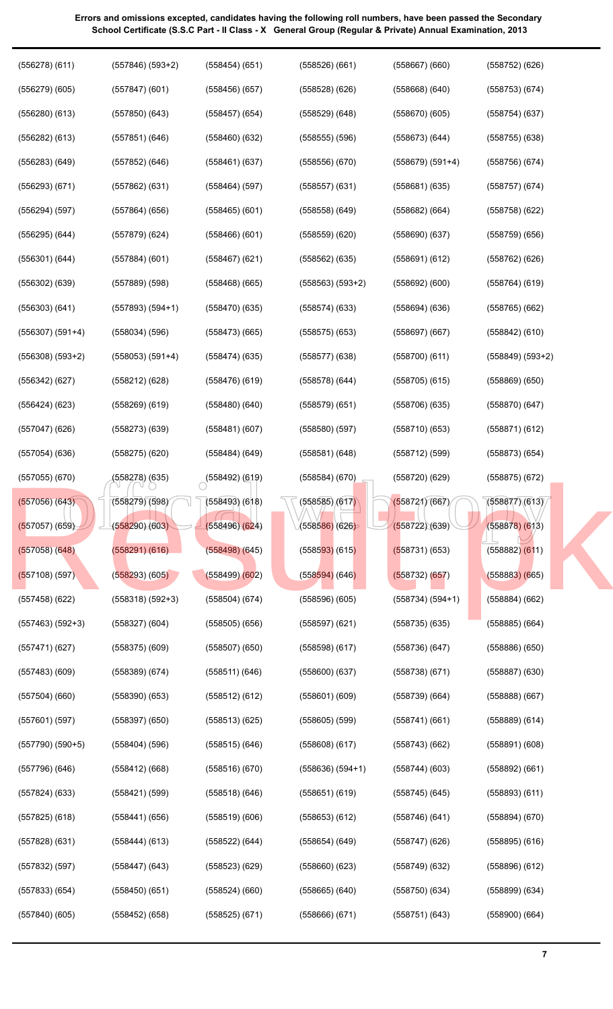| $(556278)$ $(611)$   | $(557846) (593+2)$ | (558454)(651)      | (558526)(661)                | $(558667)$ $(660)$ | $(558752)$ $(626)$   |
|----------------------|--------------------|--------------------|------------------------------|--------------------|----------------------|
| $(556279)$ $(605)$   | $(557847)$ (601)   | (558456)(657)      | (558528)(626)                | $(558668)$ $(640)$ | $(558753)$ $(674)$   |
| $(556280)$ $(613)$   | $(557850)$ $(643)$ | $(558457)$ $(654)$ | $(558529)$ $(648)$           | (558670)(605)      | (558754)(637)        |
| $(556282)$ $(613)$   | (557851)(646)      | $(558460)$ $(632)$ | $(558555)$ $(596)$           | (558673)(644)      | $(558755)$ $(638)$   |
| $(556283)$ $(649)$   | $(557852)$ $(646)$ | (558461)(637)      | $(558556)$ $(670)$           | $(558679) (591+4)$ | (558756)(674)        |
| (556293)(671)        | $(557862)$ $(631)$ | (558464)(597)      | $(558557)$ $(631)$           | (558681)(635)      | (558757)(674)        |
| (556294) (597)       | $(557864)$ (656)   | $(558465)$ $(601)$ | $(558558)$ $(649)$           | $(558682)$ $(664)$ | (558758)(622)        |
| $(556295)$ $(644)$   | (557879)(624)      | $(558466)$ $(601)$ | $(558559)$ $(620)$           | (558690)(637)      | (558759)(656)        |
| $(556301)$ $(644)$   | $(557884)$ (601)   | $(558467)$ $(621)$ | $(558562)$ $(635)$           | (558691)(612)      | $(558762)$ $(626)$   |
| $(556302)$ $(639)$   | $(557889)$ $(598)$ | $(558468)$ (665)   | $(558563) (593+2)$           | $(558692)$ $(600)$ | $(558764)$ (619)     |
| $(556303)$ $(641)$   | $(557893) (594+1)$ | (558470)(635)      | (558574)(633)                | (558694)(636)      | $(558765)$ $(662)$   |
| $(556307)$ $(591+4)$ | $(558034)$ $(596)$ | $(558473)$ (665)   | $(558575)$ $(653)$           | (558697)(667)      | $(558842)$ $(610)$   |
| $(556308)$ $(593+2)$ | $(558053) (591+4)$ | (558474)(635)      | (558577)(638)                | (558700)(611)      | $(558849)$ $(593+2)$ |
| $(556342)$ $(627)$   | $(558212)$ $(628)$ | (558476)(619)      | (558578)(644)                | (558705)(615)      | $(558869)$ $(650)$   |
| $(556424)$ $(623)$   | $(558269)$ $(619)$ | $(558480)$ $(640)$ | (558579)(651)                | (558706)(635)      | (558870)(647)        |
| (557047)(626)        | $(558273)$ $(639)$ | (558481)(607)      | (558580)(597)                | (558710)(653)      | $(558871)$ (612)     |
| $(557054)$ $(636)$   | $(558275)$ $(620)$ | $(558484)$ $(649)$ | (558581)(648)                | (558712) (599)     | $(558873)$ $(654)$   |
| $(557055)$ $(670)$   | (558278) (635)     | $(558492)$ (619)   | $(558584)$ (670)             | (558720)(629)      | $(558875)$ $(672)$   |
| $(557056)$ $(643)$   | (558279) (598)     | $(558493)$ $(618)$ | (558585) (617 <mark>)</mark> | (558721)(667)      | (558877)(613)        |
| $(557057)$ (659)     | (558290)(603)      | (558496)(624)      | (5585 <mark>86)</mark> (626) | (558722)(639)      | $(558878)$ $(613)$   |
| $(557058)$ $(648)$   | (558291) (616)     | $(558498)$ $(645)$ | $(558593)$ (615)             | (558731) (653)     | $(558882)$ $(611)$   |
| $(557108)$ (597)     | (558293)(605)      | (558499)(602)      | $(558594)$ (646)             | (558732) (657)     | $(558883)$ $(665)$   |
| $(557458)$ $(622)$   | $(558318) (592+3)$ | $(558504)$ $(674)$ | (558596)(605)                | $(558734) (594+1)$ | $(558884)$ $(662)$   |
| $(557463) (592+3)$   | $(558327)$ $(604)$ | $(558505)$ $(656)$ | (558597)(621)                | (558735)(635)      | $(558885)$ $(664)$   |
| (557471)(627)        | (558375) (609)     | $(558507)$ $(650)$ | (558598)(617)                | (558736)(647)      | $(558886)$ $(650)$   |
| $(557483)$ $(609)$   | (558389) (674)     | (558511)(646)      | (558600)(637)                | (558738)(671)      | $(558887)$ $(630)$   |
| $(557504)$ $(660)$   | (558390)(653)      | $(558512)$ $(612)$ | $(558601)$ $(609)$           | (558739)(664)      | $(558888)$ $(667)$   |
| $(557601)$ (597)     | $(558397)$ $(650)$ | (558513)(625)      | $(558605)$ $(599)$           | (558741)(661)      | $(558889)$ $(614)$   |
| $(557790)$ $(590+5)$ | $(558404)$ $(596)$ | $(558515)$ $(646)$ | $(558608)$ $(617)$           | (558743)(662)      | (558891)(608)        |
| (557796) (646)       | $(558412)$ (668)   | (558516)(670)      | $(558636)(594+1)$            | (558744)(603)      | $(558892)$ $(661)$   |
| $(557824)$ $(633)$   | (558421) (599)     | (558518)(646)      | $(558651)$ (619)             | $(558745)$ $(645)$ | (558893)(611)        |
| $(557825)$ (618)     | (558441)(656)      | $(558519)$ $(606)$ | $(558653)$ $(612)$           | (558746)(641)      | $(558894)$ $(670)$   |
| (557828)(631)        | $(558444)$ (613)   | $(558522)$ $(644)$ | $(558654)$ (649)             | (558747)(626)      | (558895) (616)       |
|                      |                    |                    |                              |                    |                      |
| (557832) (597)       | (558447) (643)     | (558523) (629)     | $(558660)$ $(623)$           | (558749)(632)      | $(558896)$ $(612)$   |
| $(557833)$ $(654)$   | (558450)(651)      | $(558524)$ $(660)$ | $(558665)$ $(640)$           | (558750)(634)      | $(558899)$ $(634)$   |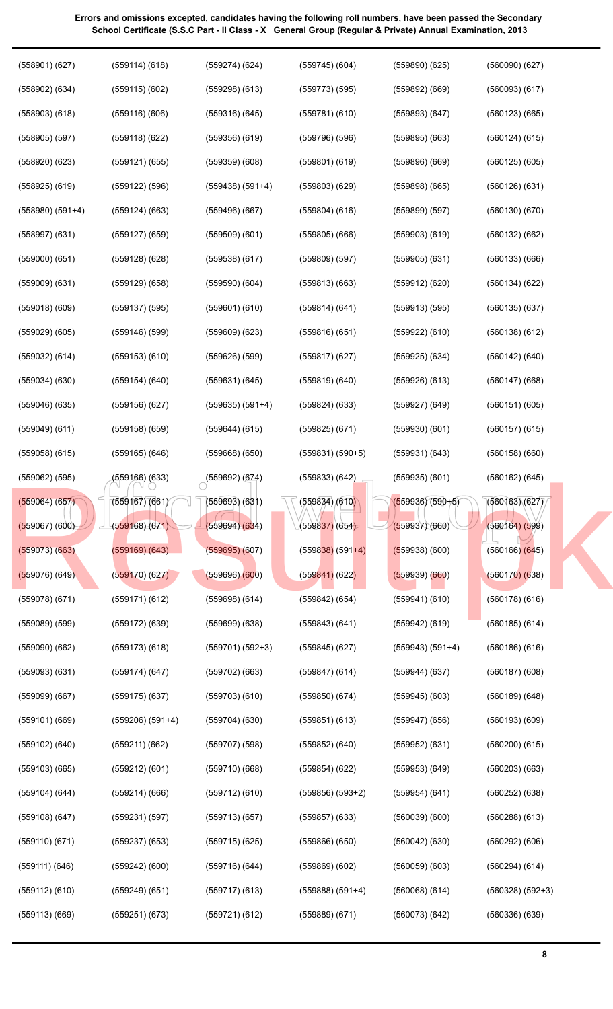**8**

| $(558901)$ $(627)$   | (559114) (618)       | $(559274)$ $(624)$ | $(559745)$ $(604)$   | (559890)(625)      | $(560090)$ $(627)$ |
|----------------------|----------------------|--------------------|----------------------|--------------------|--------------------|
| $(558902)$ $(634)$   | $(559115)$ $(602)$   | $(559298)$ $(613)$ | $(559773)$ $(595)$   | $(559892)$ $(669)$ | $(560093)$ $(617)$ |
| $(558903)$ $(618)$   | $(559116)$ $(606)$   | $(559316)$ $(645)$ | (559781)(610)        | (559893)(647)      | $(560123)$ $(665)$ |
| $(558905)$ $(597)$   | $(559118)$ $(622)$   | $(559356)$ $(619)$ | $(559796)$ $(596)$   | $(559895)$ $(663)$ | $(560124)$ $(615)$ |
| $(558920)$ $(623)$   | $(559121)$ $(655)$   | (559359)(608)      | $(559801)$ $(619)$   | $(559896)$ $(669)$ | $(560125)$ $(605)$ |
| $(558925)$ $(619)$   | $(559122)$ $(596)$   | $(559438) (591+4)$ | $(559803)$ $(629)$   | (559898)(665)      | (560126)(631)      |
| $(558980)$ $(591+4)$ | $(559124)$ $(663)$   | $(559496)$ $(667)$ | $(559804)$ $(616)$   | (559899) (597)     | (560130)(670)      |
| $(558997)$ $(631)$   | $(559127)$ $(659)$   | $(559509)$ $(601)$ | $(559805)$ $(666)$   | $(559903)$ $(619)$ | $(560132)$ $(662)$ |
| (559000)(651)        | $(559128)$ $(628)$   | $(559538)$ $(617)$ | $(559809)$ $(597)$   | $(559905)$ $(631)$ | (560133)(666)      |
| $(559009)$ $(631)$   | $(559129)$ $(658)$   | $(559590)$ $(604)$ | $(559813)$ $(663)$   | $(559912)$ $(620)$ | (560134)(622)      |
| $(559018)$ $(609)$   | $(559137)$ $(595)$   | $(559601)$ $(610)$ | (559814) (641)       | $(559913)$ $(595)$ | (560135)(637)      |
| $(559029)$ $(605)$   | $(559146)$ $(599)$   | $(559609)$ $(623)$ | $(559816)$ $(651)$   | $(559922)$ $(610)$ | $(560138)$ $(612)$ |
| $(559032)$ $(614)$   | $(559153)$ $(610)$   | $(559626)$ $(599)$ | $(559817)$ $(627)$   | $(559925)$ $(634)$ | (560142) (640)     |
| $(559034)$ $(630)$   | (559154) (640)       | (559631) (645)     | $(559819)$ $(640)$   | $(559926)$ $(613)$ | $(560147)$ $(668)$ |
| $(559046)$ $(635)$   | (559156) (627)       | $(559635) (591+4)$ | $(559824)$ $(633)$   | $(559927)$ $(649)$ | (560151)(605)      |
| $(559049)$ $(611)$   | (559158) (659)       | $(559644)$ $(615)$ | $(559825)$ $(671)$   | (559930)(601)      | $(560157)$ $(615)$ |
| $(559058)$ $(615)$   | (559165) (646)       | $(559668)$ $(650)$ | $(559831) (590+5)$   | (559931) (643)     | $(560158)$ $(660)$ |
| $(559062)$ $(595)$   | (559166) (633)       | (559692) (674)     | $(559833)$ $(642)$   | $(559935)$ $(601)$ | $(560162)$ $(645)$ |
| $(559064)$ (657)     | (559167)(661)        | $(559693)$ $(631)$ | (559834)/(610)       | $(559936)(590+5)$  | (560163)(627)      |
| $(559067)$ $(600)$   | (559168)(671)        | (559694)(634)      | (559837) (654)       | (559937)(660)      | (560164) (599)     |
| $(559073)$ $(663)$   | $(559169)$ $(643)$   | (559695)(607)      | $(559838)$ (591+4)   | $(559938)$ (600)   | $(560166)$ $(645)$ |
| $(559076)$ (649)     | (559170)(627)        | (559696)(600)      | $(559841)$ (622)     | $(559939)$ $(660)$ | (560170)(638)      |
| $(559078)$ $(671)$   | $(559171)$ $(612)$   | $(559698)$ $(614)$ | $(559842)$ $(654)$   | $(559941)$ $(610)$ | $(560178)$ $(616)$ |
| $(559089)$ $(599)$   | $(559172)$ $(639)$   | $(559699)$ $(638)$ | $(559843)$ $(641)$   | $(559942)$ $(619)$ | $(560185)$ $(614)$ |
| (559090)(662)        | $(559173)$ $(618)$   | $(559701) (592+3)$ | $(559845)$ $(627)$   | $(559943) (591+4)$ | $(560186)$ $(616)$ |
| $(559093)$ $(631)$   | (559174)(647)        | $(559702)$ $(663)$ | $(559847)$ (614)     | $(559944)$ $(637)$ | $(560187)$ $(608)$ |
| $(559099)$ $(667)$   | $(559175)$ $(637)$   | $(559703)$ $(610)$ | $(559850)$ $(674)$   | $(559945)$ $(603)$ | $(560189)$ $(648)$ |
| $(559101)$ $(669)$   | $(559206)$ $(591+4)$ | (559704)(630)      | $(559851)$ $(613)$   | $(559947)$ $(656)$ | $(560193)$ $(609)$ |
| $(559102)$ $(640)$   | (559211)(662)        | (559707) (598)     | $(559852)$ $(640)$   | $(559952)$ $(631)$ | $(560200)$ $(615)$ |
| $(559103)$ $(665)$   | $(559212)$ $(601)$   | (559710)(668)      | $(559854)$ $(622)$   | $(559953)$ $(649)$ | $(560203)$ $(663)$ |
| $(559104)$ $(644)$   | $(559214)$ $(666)$   | $(559712)$ $(610)$ | $(559856)$ $(593+2)$ | $(559954)$ $(641)$ | $(560252)$ $(638)$ |
| $(559108)$ $(647)$   | (559231) (597)       | (559713)(657)      | $(559857)$ $(633)$   | (560039)(600)      | $(560288)$ $(613)$ |
| (559110)(671)        | $(559237)$ $(653)$   | $(559715)$ (625)   | $(559866)$ $(650)$   | $(560042)$ $(630)$ | $(560292)$ $(606)$ |
| (559111) (646)       | $(559242)$ $(600)$   | (559716) (644)     | $(559869)$ $(602)$   | (560059)(603)      | $(560294)$ $(614)$ |
| $(559112)$ $(610)$   | $(559249)$ $(651)$   | $(559717)$ $(613)$ | $(559888) (591+4)$   | $(560068)$ $(614)$ | $(560328) (592+3)$ |
| $(559113)$ $(669)$   | (559251) (673)       | $(559721)$ $(612)$ | $(559889)$ $(671)$   | (560073)(642)      | $(560336)$ $(639)$ |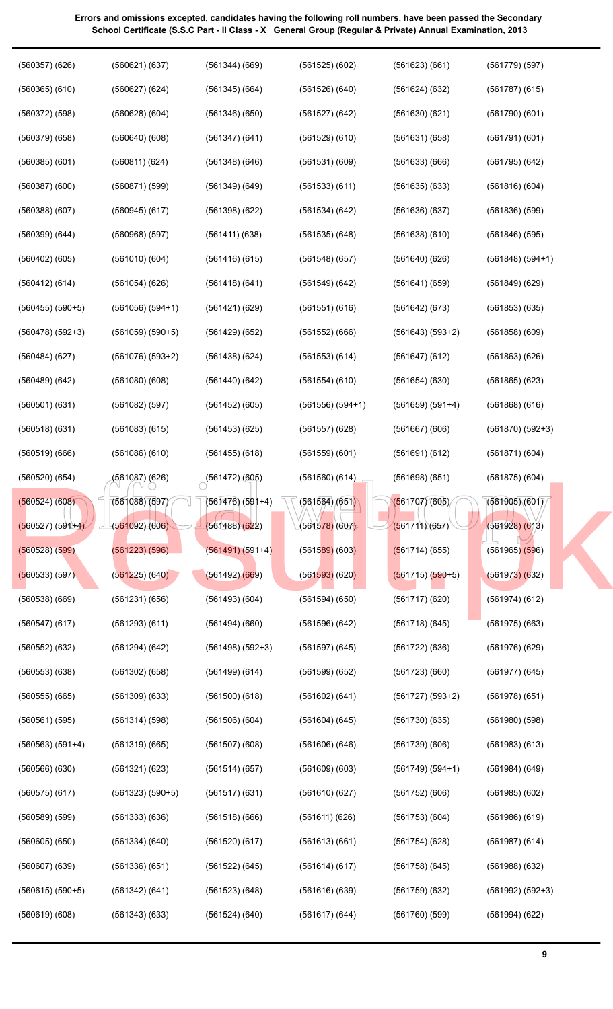| $(560357)$ $(626)$   | (560621)(637)        | $(561344)$ $(669)$                | (561525)(602)      | (561623)(661)      | $(561779)$ (597)     |
|----------------------|----------------------|-----------------------------------|--------------------|--------------------|----------------------|
| $(560365)$ $(610)$   | $(560627)$ $(624)$   | $(561345)$ (664)                  | (561526)(640)      | (561624)(632)      | $(561787)$ (615)     |
| $(560372)$ $(598)$   | $(560628)$ $(604)$   | (561346)(650)                     | $(561527)$ $(642)$ | (561630)(621)      | (561790)(601)        |
| $(560379)$ $(658)$   | $(560640)$ $(608)$   | $(561347)$ $(641)$                | $(561529)$ $(610)$ | (561631)(658)      | (561791)(601)        |
| $(560385)$ $(601)$   | (560811)(624)        | $(561348)$ $(646)$                | (561531)(609)      | (561633)(666)      | $(561795)$ $(642)$   |
| $(560387)$ $(600)$   | (560871) (599)       | $(561349)$ $(649)$                | $(561533)$ $(611)$ | (561635)(633)      | (561816)(604)        |
| $(560388)$ $(607)$   | $(560945)$ $(617)$   | (561398)(622)                     | $(561534)$ $(642)$ | (561636)(637)      | $(561836)$ $(599)$   |
| $(560399)$ $(644)$   | $(560968)$ $(597)$   | (561411) (638)                    | $(561535)$ $(648)$ | (561638)(610)      | $(561846)$ (595)     |
| $(560402)$ $(605)$   | (561010)(604)        | (561416)(615)                     | (561548)(657)      | (561640)(626)      | $(561848) (594+1)$   |
| (560412) (614)       | (561054)(626)        | (561418)(641)                     | $(561549)$ $(642)$ | (561641)(659)      | $(561849)$ $(629)$   |
| $(560455)$ $(590+5)$ | $(561056) (594+1)$   | (561421)(629)                     | (561551)(616)      | (561642) (673)     | $(561853)$ $(635)$   |
| $(560478) (592+3)$   | $(561059) (590+5)$   | $(561429)$ $(652)$                | $(561552)$ $(666)$ | $(561643) (593+2)$ | $(561858)$ $(609)$   |
| (560484)(627)        | $(561076)$ $(593+2)$ | (561438)(624)                     | $(561553)$ $(614)$ | (561647)(612)      | $(561863)$ $(626)$   |
| $(560489)$ $(642)$   | (561080)(608)        | (561440)(642)                     | (561554)(610)      | (561654)(630)      | $(561865)$ $(623)$   |
| (560501)(631)        | $(561082)$ (597)     | $(561452)$ $(605)$                | $(561556) (594+1)$ | $(561659) (591+4)$ | $(561868)$ $(616)$   |
| (560518)(631)        | $(561083)$ $(615)$   | $(561453)$ $(625)$                | $(561557)$ $(628)$ | $(561667)$ $(606)$ | $(561870)$ $(592+3)$ |
| (560519)(666)        | $(561086)$ $(610)$   | $(561455)$ $(618)$                | $(561559)$ $(601)$ | (561691)(612)      | (561871)(604)        |
| (560520)(654)        | (561087) (626)       | $\bigcirc$ (561472) (605)         | $(561560)$ $(614)$ | (561698)(651)      | $(561875)$ (604)     |
| (560524) (608)       | (561088)(597)        | $(561476)(591+4)$ $(561564)(651)$ |                    | (561707)(605)      | (561905)(601)        |
|                      |                      |                                   |                    |                    |                      |
| $(560527) (591+4)$   | (561092)(606)        | (561488)(622)                     | (561578)(607)      | (561711)(657)      | $(561928)$ $(613)$   |
| $(560528)$ $(599)$   | $(561223)$ $(596)$   | $(561491) (591+4)$                | $(561589)$ (603)   | (561714)(655)      | $(561965)$ $(596)$   |
| (560533) (597)       | $(561225)$ $(640)$   | $(561492)$ $(669)$                | (561593)(620)      | $(561715) (590+5)$ | (561973)(632)        |
| $(560538)$ $(669)$   | (561231)(656)        | (561493)(604)                     | (561594)(650)      | (561717)(620)      | $(561974)$ $(612)$   |
| (560547)(617)        | $(561293)$ $(611)$   | (561494)(660)                     | (561596)(642)      | (561718)(645)      | $(561975)$ $(663)$   |
| $(560552)$ $(632)$   | (561294) (642)       | $(561498) (592+3)$                | $(561597)$ (645)   | $(561722)$ (636)   | $(561976)$ $(629)$   |
| $(560553)$ $(638)$   | $(561302)$ $(658)$   | (561499)(614)                     | $(561599)$ $(652)$ | (561723)(660)      | (561977) (645)       |
| $(560555)$ $(665)$   | $(561309)$ $(633)$   | (561500)(618)                     | (561602) (641)     | $(561727) (593+2)$ | $(561978)$ $(651)$   |
| $(560561)$ $(595)$   | (561314) (598)       | $(561506)$ $(604)$                | $(561604)$ (645)   | (561730)(635)      | $(561980)$ $(598)$   |
| $(560563) (591+4)$   | (561319)(665)        | (561507)(608)                     | $(561606)$ $(646)$ | (561739)(606)      | $(561983)$ $(613)$   |
| $(560566)$ $(630)$   | $(561321)$ $(623)$   | (561514)(657)                     | $(561609)$ $(603)$ | $(561749) (594+1)$ | $(561984)$ $(649)$   |
| (560575)(617)        | $(561323) (590+5)$   | (561517)(631)                     | (561610)(627)      | (561752)(606)      | $(561985)$ $(602)$   |
| $(560589)$ $(599)$   | $(561333)$ $(636)$   | (561518)(666)                     | (561611)(626)      | (561753)(604)      | $(561986)$ $(619)$   |
| $(560605)$ $(650)$   | (561334) (640)       | (561520)(617)                     | (561613)(661)      | (561754)(628)      | $(561987)$ $(614)$   |
| $(560607)$ $(639)$   | (561336)(651)        | (561522) (645)                    | (561614)(617)      | (561758)(645)      | $(561988)$ $(632)$   |
| $(560615) (590+5)$   | (561342) (641)       | (561523)(648)                     | (561616)(639)      | (561759)(632)      | $(561992) (592+3)$   |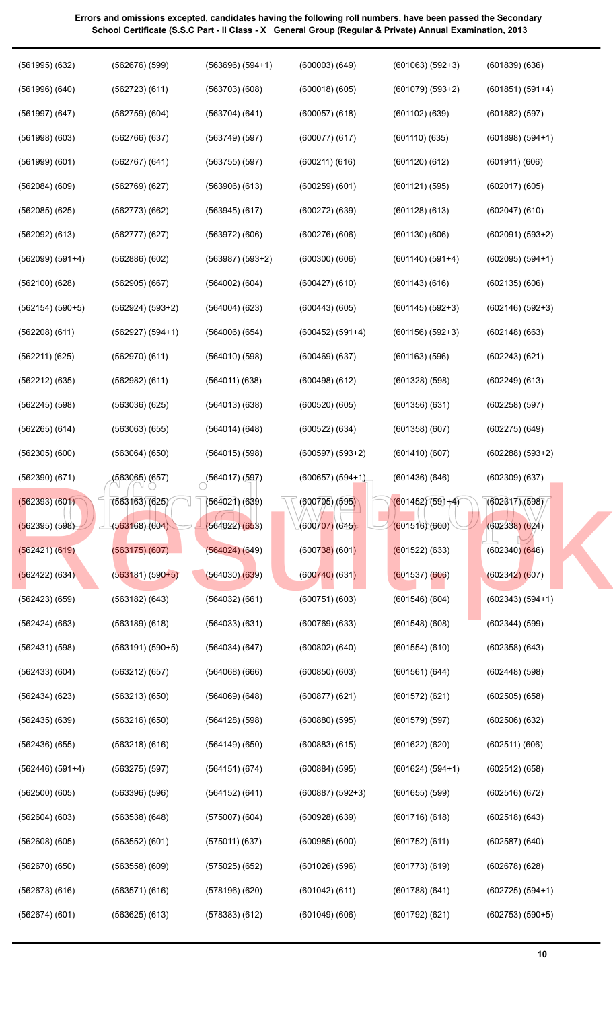| $1)$ (6 |  |
|---------|--|
| $2)$ (6 |  |
| 6) (6   |  |
| 8) (6   |  |
| 7) (6   |  |
| 8) (6   |  |
| 5) (5   |  |

| $(602095) (594+1)$ |  |
|--------------------|--|
| (602135)(606)      |  |
| $(602146) (592+3)$ |  |
| (602148)(663)      |  |
| $(602243)$ $(621)$ |  |
| (602249) (613)     |  |
| (602258) (597)     |  |
| (602275) (649)     |  |
| $(602288) (593+2)$ |  |
| (602309)(637)      |  |
| (602317)(598)      |  |
| $(602338)$ $(624)$ |  |
| (602340)(646)      |  |
| (602342)(607)      |  |
| $(602343) (594+1)$ |  |
| (602344) (599)     |  |
| (602358)(643)      |  |
| $(602448)$ (598)   |  |
| $(602505)$ $(658)$ |  |
| (602506) (632)     |  |
| (602511)(606)      |  |
| (602512)(658)      |  |
| (602516)(672)      |  |
| (602518)(643)      |  |
| $(602587)$ $(640)$ |  |
|                    |  |

| $(601079)$ $(593+2)$ | $(601851) (591+4)$   |
|----------------------|----------------------|
| $(601102)$ $(639)$   | $(601882)$ $(597)$   |
| (601110)(635)        | $(601898) (594+1)$   |
| (601120)(612)        | (601911)(606)        |
| (601121) (595)       | (602017)(605)        |
| (601128)(613)        | $(602047)$ $(610)$   |
| (601130)(606)        | $(602091) (593+2)$   |
| $(601140)$ $(591+4)$ | $(602095)$ $(594+1)$ |
| (601143)(616)        | (602135)(606)        |
| $(601145) (592+3)$   | $(602146)$ $(592+3)$ |
| $(601156) (592+3)$   | (602148)(663)        |
| $(601163)$ $(596)$   | (602243)(621)        |
| (601328)(598)        | $(602249)$ $(613)$   |
| (601356)(631)        | (602258)(597)        |
| (601358)(607)        | $(602275)$ $(649)$   |
| (601410)(607)        | $(602288)$ $(593+2)$ |
| (601436)(646)        | (602309)(637)        |
| $(601452)(591+4)$    | (602317)(598)        |
| (601516)(600)        | $(602338)$ $(624)$   |
| $(601522)$ (633)     | (602340)(646)        |
| (601537)(606)        | (602342)(607)        |
| (601546)(604)        | $(602343) (594+1)$   |
| (601548)(608)        | $(602344)$ $(599)$   |
| (601554)(610)        | $(602358)$ $(643)$   |
| (601561)(644)        | $(602448)$ $(598)$   |
| (601572)(621)        | $(602505)$ $(658)$   |
| (601579)(597)        | $(602506)$ $(632)$   |
| $(601622)$ $(620)$   | (602511)(606)        |
| $(601624) (594+1)$   | $(602512)$ $(658)$   |
| $(601655)$ $(599)$   | (602516)(672)        |
| (601716)(618)        | (602518)(643)        |
| (601752)(611)        | (602587)(640)        |
| (601773)(619)        | (602678)(628)        |
| (601788)(641)        | $(602725)$ $(594+1)$ |
|                      |                      |

 $(601436)(646)$   $(602309)(637)$   $(600657)(594+1)$   $(601436)(646)$   $(602309)(637)$ <br>  $(602317)(598)$   $(602317)(598)$   $(602317)(598)$   $(602317)(598)$   $(602317)(598)$   $(602338)(624)$ (601102) (639) (601882) (597) (601110) (635) (601898) (594+1) (601120) (612) (601911) (606) (601121) (595) (602017) (605) (601128) (613) (602047) (610) (601130) (606) (602091) (593+2)  $(1+4)$ (601143) (616)  $(2+3)$  $(2+3)$ (601163) (596) (601328) (598) (601356) (631) (601358) (607) (601410) (607) (601436) (646)  $(1+4)$  $(601516)(600)$  (602) (601522) (633) (601537) (606) (601546) (604) (601548) (608) (601554) (610) (601561) (644) (601572) (621) (601579) (597) (601622) (620)  $(4+1)$ (601655) (599) (601716) (618) (601752) (611) (601773) (619) (602678) (628) (601788) (641) (602725) (594+1) (601792) (621) (602753) (590+5) [Result.pk](http://www.result.pk)

**Errors and omissions excepted, candidates having the following roll numbers, have been passed the Secondary School Certificate (S.S.C Part - II Class - X General Group (Regular & Private) Annual Examination, 2013**

(600003) (649)

(601063) (592+3)

(601839) (636)

(600018) (605)

(600057) (618)

(600077) (617)

(600211) (616)

(600259) (601)

(600272) (639)

(600276) (606)

(600300) (606)

(600427) (610)

(600443) (605)

(600452) (591+4)

(600469) (637)

(600498) (612)

(600520) (605)

(600522) (634)

(600597) (593+2)

(600657) (594+1)

(600705) (595)

(600707) (645)

(600738) (601)

(600740) (631)

(600751) (603)

(600769) (633)

(600802) (640)

(600850) (603)

(600877) (621)

(600880) (595)

(600883) (615)

(600884) (595)

(600887) (592+3)

(600928) (639)

(600985) (600)

(601026) (596)

(601042) (611)

(601049) (606)

(563696) (594+1)

(563703) (608)

(563704) (641)

(563749) (597)

(563755) (597)

(563906) (613)

(563945) (617)

(563972) (606)

(564002) (604)

(564004) (623)

(564006) (654)

(564010) (598)

(564011) (638)

(564013) (638)

(564014) (648)

(564015) (598)

 $(564017)(597)$ 

(564021) (639)

(564022) (653)

(564024) (649)

(564030) (639)

(564032) (661)

(564033) (631)

(564034) (647)

(564068) (666)

(564069) (648)

(564128) (598)

(564149) (650)

(564151) (674)

(564152) (641)

(575007) (604)

(575011) (637)

(575025) (652)

(578196) (620)

(578383) (612)

(563987) (593+2)

(561995) (632)

(562676) (599)

(562723) (611)

(562759) (604)

(562766) (637)

(562767) (641)

(562769) (627)

(562773) (662)

(562777) (627)

(562886) (602)

(562905) (667)

(562924) (593+2)

(562927) (594+1)

(562970) (611)

(562982) (611)

(563036) (625)

(563063) (655)

(563064) (650)

(563065) (657)

(563163) (625)

(563168) (604)

(563175) (607)

(563181) (590+5)

(563182) (643)

(563189) (618)

(563191) (590+5)

(563212) (657)

(563213) (650)

(563216) (650)

(563218) (616)

(563275) (597)

(563396) (596)

(563538) (648)

(563552) (601)

(563558) (609)

(563571) (616)

(563625) (613)

(561996) (640)

(561997) (647)

(561998) (603)

(561999) (601)

(562084) (609)

(562085) (625)

(562092) (613)

(562100) (628)

(562208) (611)

(562211) (625)

(562212) (635)

(562245) (598)

(562265) (614)

(562305) (600)

(562390) (671)

(562393) (601)

(562395) (598)

(562421) (619)

(562422) (634)

(562423) (659)

(562424) (663)

(562431) (598)

(562433) (604)

(562434) (623)

(562435) (639)

(562436) (655)

(562500) (605)

(562604) (603)

(562608) (605)

(562670) (650)

(562673) (616)

(562674) (601)

(562446) (591+4)

(562154) (590+5)

(562099) (591+4)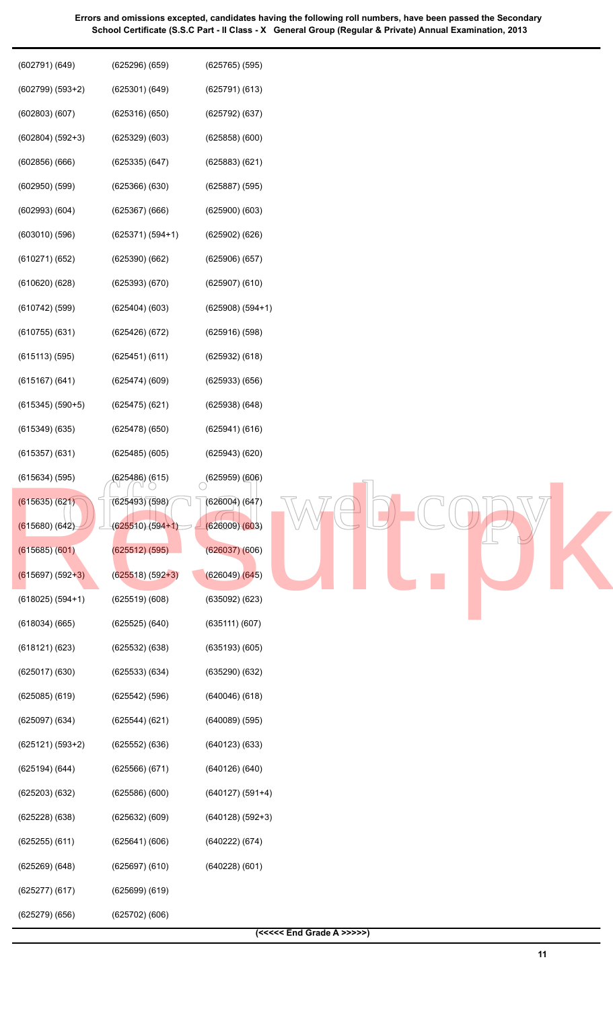| $(602799) (593+2)$ | (625301)(649)      | (625791)(613)              |
|--------------------|--------------------|----------------------------|
| (602803)(607)      | (625316)(650)      | (625792) (637)             |
| $(602804) (592+3)$ | $(625329)$ $(603)$ | (625858)(600)              |
| (602856)(666)      | (625335)(647)      | $(625883)$ $(621)$         |
| $(602950)$ $(599)$ | (625366)(630)      | $(625887)$ $(595)$         |
| $(602993)$ $(604)$ | (625367)(666)      | (625900)(603)              |
| (603010)(596)      | $(625371) (594+1)$ | $(625902)$ $(626)$         |
| (610271)(652)      | (625390)(662)      | $(625906)$ $(657)$         |
| $(610620)$ $(628)$ | (625393)(670)      | (625907)(610)              |
| $(610742)$ (599)   | $(625404)$ $(603)$ | $(625908) (594+1)$         |
| (610755)(631)      | (625426)(672)      | $(625916)$ (598)           |
| (615113) (595)     | (625451)(611)      | (625932) (618)             |
| $(615167)$ $(641)$ | (625474)(609)      | $(625933)$ $(656)$         |
| $(615345)$ (590+5) | $(625475)$ $(621)$ | $(625938)$ $(648)$         |
| $(615349)$ $(635)$ | (625478)(650)      | (625941)(616)              |
| $(615357)$ $(631)$ | $(625485)$ $(605)$ | (625943)(620)              |
| $(615634)$ (595)   | (625486) (615)     | $(625959)$ $(606)$         |
| (615635) (621)     | (625493)(598)      | (626004) (647)             |
| $(615680)$ $(642)$ | $(625510)(594+1)$  | (626009)(603)              |
| (615685)(601)      | $(625512)$ $(595)$ | (626037)(606)              |
| $(615697) (592+3)$ | $(625518) (592+3)$ | (626049)(645)              |
| $(618025) (594+1)$ | (625519)(608)      | $(635092)$ $(623)$         |
| $(618034)$ $(665)$ | $(625525)$ $(640)$ | (635111)(607)              |
| $(618121)$ $(623)$ | $(625532)$ $(638)$ | (635193)(605)              |
| $(625017)$ $(630)$ | $(625533)$ $(634)$ | (635290)(632)              |
| $(625085)$ $(619)$ | $(625542)$ $(596)$ | (640046)(618)              |
| (625097) (634)     | (625544)(621)      | $(640089)$ $(595)$         |
| $(625121) (593+2)$ | $(625552)$ $(636)$ | (640123)(633)              |
| (625194) (644)     | (625566)(671)      | (640126)(640)              |
| $(625203)$ $(632)$ | (625586)(600)      | $(640127) (591+4)$         |
| $(625228)$ $(638)$ | $(625632)$ $(609)$ | $(640128) (592+3)$         |
| $(625255)$ $(611)$ | (625641)(606)      | (640222)(674)              |
| $(625269)$ $(648)$ | (625697)(610)      | (640228)(601)              |
| (625277)(617)      | $(625699)$ $(619)$ |                            |
| $(625279)$ $(656)$ | $(625702)$ $(606)$ |                            |
|                    |                    | $(<<<$ End Grade A $>>>$ ) |

(602791) (649)

(625296) (659)



(625765) (595)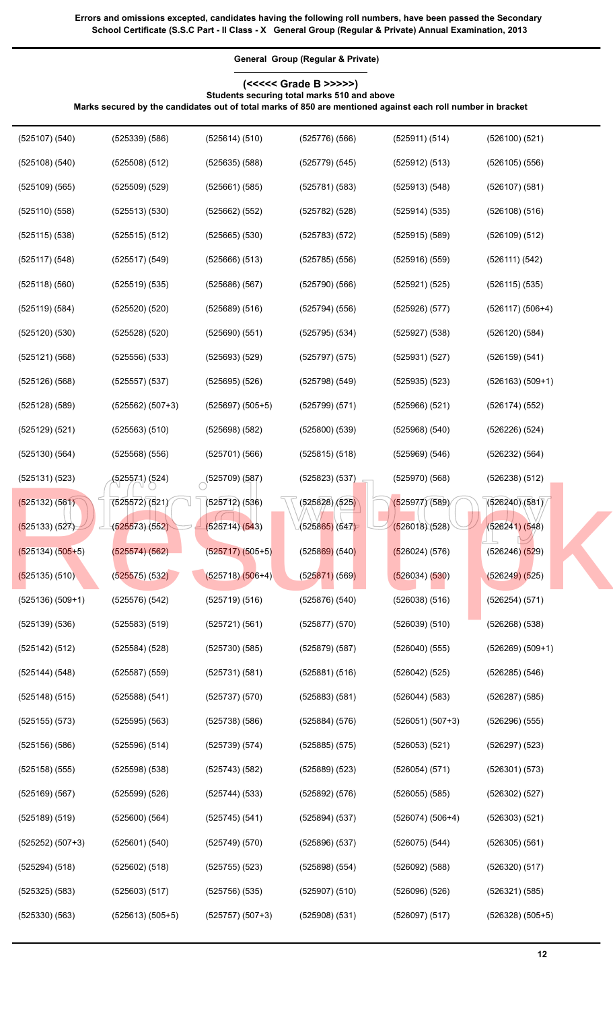**General Group (Regular & Private)**

## **(<<<<< Grade B >>>>>) Students securing total marks 510 and above**

**Marks secured by the candidates out of total marks of 850 are mentioned against each roll number in bracket**

 $\begin{array}{|l|l|l|l|l|}\n \hline\n (525571)(524) & (525709)(587) & (525823)(537) & (525970)(568) & (526238)(512) \\
 \hline\n (525572)(521) & (525712)(536) & (525828)(525) & (525977)(589) & (526240)(581) \\
 \hline\n (525573)(552) & (525714)(543) & (525865)(547) & (526018)(528) & (526241)($ (525107) (540) (525108) (540) (525109) (565) (525110) (558) (525115) (538) (525117) (548) (525118) (560) (525119) (584) (525120) (530) (525121) (568) (525126) (568) (525128) (589) (525129) (521) (525130) (564) (525131) (523) (525132) (561) (525133) (527) (525134) (505+5) (525135) (510) (525136) (509+1) (525139) (536) (525142) (512) (525144) (548) (525148) (515) (525155) (573) (525156) (586) (525158) (555) (525169) (567) (525189) (519) (525252) (507+3) (525294) (518) (525325) (583) (525330) (563) (525339) (586) (525508) (512) (525509) (529) (525513) (530) (525515) (512) (525517) (549) (525519) (535) (525520) (520) (525528) (520) (525556) (533) (525557) (537) (525562) (507+3) (525563) (510) (525568) (556) (525571) (524) (525572) (521) (525573) (552) (525574) (562) (525575) (532) (525576) (542) (525583) (519) (525584) (528) (525587) (559) (525588) (541) (525595) (563) (525596) (514) (525598) (538) (525599) (526) (525600) (564) (525601) (540) (525602) (518) (525603) (517) (525613) (505+5) (525614) (510) (525635) (588) (525661) (585) (525662) (552) (525665) (530) (525666) (513) (525686) (567) (525689) (516) (525690) (551) (525693) (529) (525695) (526) (525697) (505+5) (525698) (582) (525701) (566)  $(525709)(587)$ (525712) (536) (525714) (543) (525717) (505+5) (525718) (506+4) (525719) (516) (525721) (561) (525730) (585) (525731) (581) (525737) (570) (525738) (586) (525739) (574) (525743) (582) (525744) (533) (525745) (541) (525749) (570) (525755) (523) (525756) (535) (525757) (507+3) (525776) (566) (525779) (545) (525781) (583) (525782) (528) (525783) (572) (525785) (556) (525790) (566) (525794) (556) (525795) (534) (525797) (575) (525798) (549) (525799) (571) (525800) (539) (525815) (518) (525823) (537) (525828) (525) (525865) (547) (525869) (540) (525871) (569) (525876) (540) (525877) (570) (525879) (587) (525881) (516) (525883) (581) (525884) (576) (525885) (575) (525889) (523) (525892) (576) (525894) (537) (525896) (537) (525898) (554) (525907) (510) (525908) (531) (525911) (514) (525912) (513) (525913) (548) (525914) (535) (525915) (589) (525916) (559) (525921) (525) (525926) (577) (525927) (538) (525931) (527) (525935) (523) (525966) (521) (525968) (540) (525969) (546) (525970) (568) (525977) (589) (526018) (528) (526024) (576) (526034) (530) (526038) (516) (526039) (510) (526040) (555) (526042) (525) (526044) (583) (526051) (507+3) (526053) (521) (526054) (571) (526055) (585) (526074) (506+4) (526075) (544) (526092) (588) (526096) (526) (526097) (517) (526100) (521) (526105) (556) (526107) (581) (526108) (516) (526109) (512) (526111) (542) (526115) (535) (526117) (506+4) (526120) (584) (526159) (541) (526163) (509+1) (526174) (552) (526226) (524) (526232) (564) (526238) (512) (526240) (581) (526241) (548) (526246) (529) (526249) (525) (526254) (571) (526268) (538) (526269) (509+1) (526285) (546) (526287) (585) (526296) (555) (526297) (523) (526301) (573) (526302) (527) (526303) (521) (526305) (561) (526320) (517) (526321) (585) (526328) (505+5) [Result.pk](http://www.result.pk)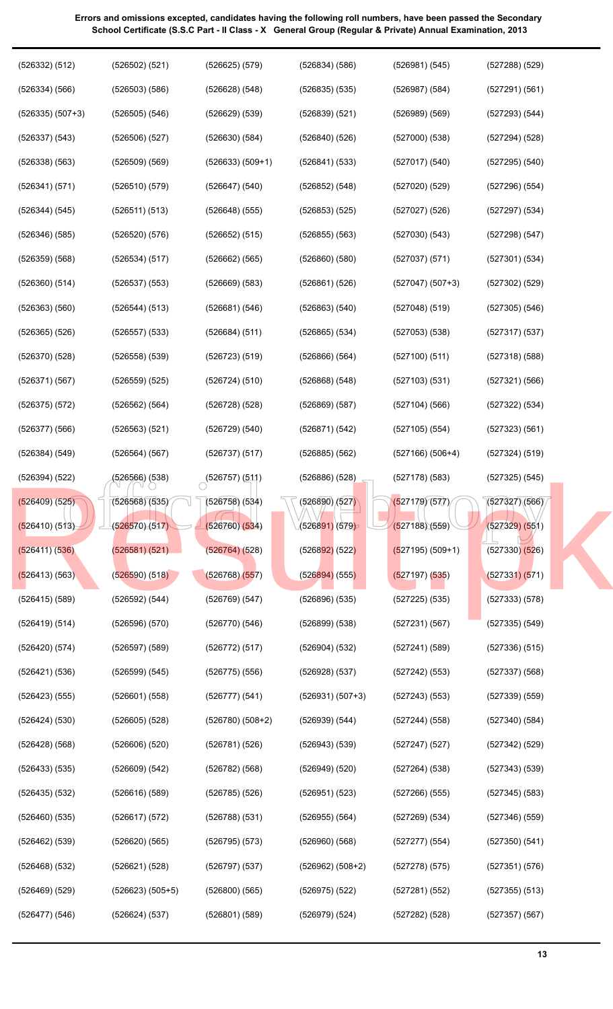| (526332) (512)     | (526502) (521)     | (526625) (579)       | (526834) (586)               | (526981)(545)      | $(527288)$ $(529)$ |
|--------------------|--------------------|----------------------|------------------------------|--------------------|--------------------|
| (526334) (566)     | $(526503)$ $(586)$ | (526628) (548)       | $(526835)$ $(535)$           | $(526987)$ $(584)$ | (527291) (561)     |
| $(526335) (507+3)$ | (526505) (546)     | $(526629)$ $(539)$   | (526839) (521)               | (526989)(569)      | (527293) (544)     |
| $(526337)$ $(543)$ | $(526506)$ $(527)$ | $(526630)$ $(584)$   | (526840)(526)                | (527000)(538)      | $(527294)$ $(528)$ |
| $(526338)$ $(563)$ | $(526509)$ $(569)$ | $(526633) (509+1)$   | (526841) (533)               | (527017)(540)      | $(527295)$ $(540)$ |
| (526341)(571)      | (526510)(579)      | (526647) (540)       | (526852) (548)               | (527020)(529)      | $(527296)$ $(554)$ |
| (526344) (545)     | (526511) (513)     | $(526648)$ $(555)$   | $(526853)$ $(525)$           | $(527027)$ $(526)$ | $(527297)$ $(534)$ |
| $(526346)$ $(585)$ | $(526520)$ $(576)$ | $(526652)$ $(515)$   | $(526855)$ $(563)$           | (527030)(543)      | $(527298)$ $(547)$ |
| $(526359)$ $(568)$ | (526534) (517)     | (526662) (565)       | $(526860)$ $(580)$           | (527037) (571)     | (527301) (534)     |
| $(526360)$ $(514)$ | $(526537)$ $(553)$ | (526669) (583)       | (526861) (526)               | $(527047) (507+3)$ | $(527302)$ $(529)$ |
| $(526363)$ $(560)$ | (526544) (513)     | (526681) (546)       | (526863) (540)               | $(527048)$ $(519)$ | $(527305)$ $(546)$ |
| $(526365)$ $(526)$ | $(526557)$ $(533)$ | (526684) (511)       | $(526865)$ $(534)$           | $(527053)$ $(538)$ | $(527317)$ $(537)$ |
| (526370)(528)      | $(526558)$ $(539)$ | (526723) (519)       | (526866) (564)               | (527100)(511)      | $(527318)$ $(588)$ |
| (526371)(567)      | $(526559)$ $(525)$ | (526724) (510)       | (526868) (548)               | (527103) (531)     | (527321) (566)     |
| $(526375)$ $(572)$ | (526562) (564)     | $(526728)$ $(528)$   | $(526869)$ $(587)$           | $(527104)$ (566)   | (527322) (534)     |
| $(526377)$ $(566)$ | $(526563)$ $(521)$ | (526729) (540)       | (526871) (542)               | (527105) (554)     | (527323) (561)     |
| (526384) (549)     | (526564) (567)     | $(526737)$ $(517)$   | $(526885)$ $(562)$           | $(527166)(506+4)$  | (527324) (519)     |
| (526394) (522)     | (526566) (538)     | (526757)(511)        | $(526886)$ $(528)$           | $(527178)$ (583)   | $(527325)$ $(545)$ |
| (526409) (525)     | (526568)(535)      | $(526758)$ (534)     | $\sqrt{(526890)(527)}$       | (527179)(577)      | (527327)(566)      |
| (526410) (513)     | (526570)(517)      | (526760)(534)        | (5268 <mark>91)</mark> (579) | (527188)(559)      | (527329) (551)     |
| (526411) (536)     | (526581)(521)      | $(526764)$ (528)     | $(526892)$ (522)             | $(527195) (509+1)$ | $(527330)$ $(526)$ |
| (526413) (563)     | (526590) (518)     | (526768) (557)       | $(526894)$ (555)             | (527197) (535)     | (527331) (571)     |
| $(526415)$ $(589)$ | (526592) (544)     | (526769) (547)       | $(526896)$ $(535)$           | $(527225)$ $(535)$ | (527333) (578)     |
| (526419) (514)     | $(526596)$ $(570)$ | (526770)(546)        | $(526899)$ $(538)$           | (527231)(567)      | $(527335)$ $(549)$ |
| $(526420)$ $(574)$ | $(526597)$ $(589)$ | (526772) (517)       | (526904) (532)               | (527241)(589)      | $(527336)$ $(515)$ |
| (526421) (536)     | (526599) (545)     | $(526775)$ (556)     | (526928) (537)               | (527242) (553)     | $(527337)$ $(568)$ |
| (526423) (555)     | (526601) (558)     | (526777) (541)       | $(526931) (507+3)$           | (527243)(553)      | $(527339)$ $(559)$ |
| (526424)(530)      | $(526605)$ $(528)$ | $(526780)$ $(508+2)$ | (526939) (544)               | (527244) (558)     | (527340)(584)      |
| $(526428)$ $(568)$ | $(526606)$ $(520)$ | (526781) (526)       | $(526943)$ $(539)$           | $(527247)$ $(527)$ | $(527342)$ $(529)$ |
| $(526433)$ $(535)$ | (526609) (542)     | (526782) (568)       | $(526949)$ $(520)$           | $(527264)$ $(538)$ | $(527343)$ $(539)$ |
| $(526435)$ $(532)$ | (526616) (589)     | $(526785)$ (526)     | (526951) (523)               | $(527266)$ $(555)$ | $(527345)$ $(583)$ |
| $(526460)$ $(535)$ | (526617) (572)     | (526788) (531)       | $(526955)$ $(564)$           | (527269) (534)     | $(527346)$ $(559)$ |
| $(526462)$ $(539)$ | $(526620)$ $(565)$ | $(526795)$ $(573)$   | $(526960)$ $(568)$           | (527277) (554)     | $(527350)$ $(541)$ |
| $(526468)$ $(532)$ | (526621) (528)     | (526797)(537)        | $(526962) (508+2)$           | $(527278)$ $(575)$ | (527351)(576)      |
| $(526469)$ $(529)$ | $(526623) (505+5)$ | (526800)(565)        | $(526975)$ $(522)$           | (527281)(552)      | $(527355)$ $(513)$ |
| (526477) (546)     | (526624) (537)     | (526801) (589)       | (526979) (524)               | $(527282)$ $(528)$ | $(527357)$ $(567)$ |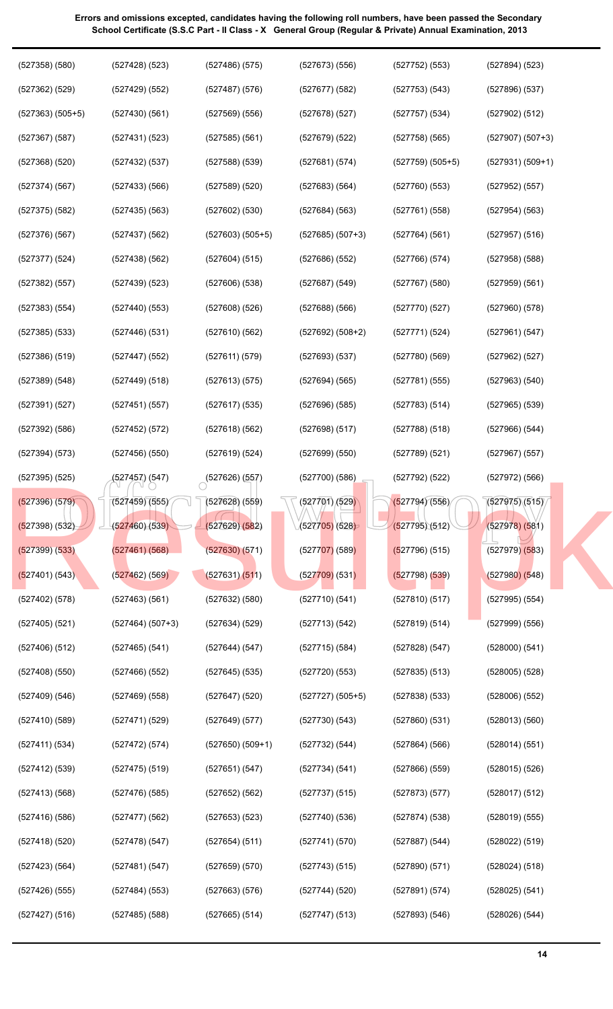| $(527358)$ $(580)$ | $(527428)$ $(523)$ | $(527486)$ $(575)$ | $(527673)$ $(556)$ | (527752) (553)     | (527894) (523)     |
|--------------------|--------------------|--------------------|--------------------|--------------------|--------------------|
| $(527362)$ $(529)$ | $(527429)$ $(552)$ | (527487) (576)     | $(527677)$ $(582)$ | (527753) (543)     | $(527896)$ $(537)$ |
| $(527363) (505+5)$ | (527430)(561)      | (527569) (556)     | $(527678)$ (527)   | (527757)(534)      | (527902) (512)     |
| $(527367)$ (587)   | (527431)(523)      | (527585)(561)      | $(527679)$ $(522)$ | (527758)(565)      | $(527907) (507+3)$ |
| $(527368)$ $(520)$ | (527432) (537)     | $(527588)$ $(539)$ | (527681)(574)      | $(527759) (505+5)$ | $(527931) (509+1)$ |
| $(527374)$ (567)   | (527433) (566)     | (527589)(520)      | (527683) (564)     | (527760)(553)      | (527952) (557)     |
| $(527375)$ $(582)$ | $(527435)$ $(563)$ | (527602) (530)     | (527684) (563)     | (527761)(558)      | (527954) (563)     |
| $(527376)$ $(567)$ | $(527437)$ (562)   | $(527603) (505+5)$ | $(527685) (507+3)$ | (527764) (561)     | $(527957)$ $(516)$ |
| (527377) (524)     | $(527438)$ (562)   | (527604) (515)     | $(527686)$ (552)   | (527766)(574)      | $(527958)$ $(588)$ |
| $(527382)$ $(557)$ | $(527439)$ $(523)$ | $(527606)$ $(538)$ | $(527687)$ (549)   | (527767)(580)      | (527959) (561)     |
| (527383) (554)     | $(527440)$ (553)   | $(527608)$ (526)   | $(527688)$ (566)   | (527770)(527)      | $(527960)$ $(578)$ |
| $(527385)$ $(533)$ | $(527446)$ $(531)$ | (527610)(562)      | $(527692) (508+2)$ | (527771)(524)      | (527961) (547)     |
| $(527386)$ $(519)$ | $(527447)$ (552)   | (527611) (579)     | $(527693)$ $(537)$ | (527780)(569)      | (527962) (527)     |
| (527389) (548)     | (527449) (518)     | (527613) (575)     | (527694) (565)     | (527781)(555)      | $(527963)$ $(540)$ |
| (527391) (527)     | (527451)(557)      | $(527617)$ (535)   | $(527696)$ (585)   | (527783) (514)     | $(527965)$ $(539)$ |
| $(527392)$ $(586)$ | (527452) (572)     | (527618)(562)      | (527698) (517)     | (527788)(518)      | $(527966)$ $(544)$ |
| (527394) (573)     | $(527456)$ (550)   | (527619)(524)      | (527699) (550)     | (527789)(521)      | $(527967)$ $(557)$ |
| $(527395)$ $(525)$ | (527457) (547)     | (527626)(557)      | (527700)(586)      | $(527792)$ (522)   | $(527972)$ $(566)$ |
| (527396) (579)     | (527459)(555)      | $(527628)$ (559)   | (527701)(529)      | (527794)(556)      | (527975)(515)      |
| (527398) (532)     | (527460)(539)      | (527629)(582)      | (527705) (528)     | (527795)(512)      | (527978) (581)     |
| (527399) (533)     | (527461) (568)     | (527630)(571)      | $(527707)$ (589)   | (527796) (515)     | $(527979)$ $(583)$ |
| (527401) (543)     | (527462) (569)     | (527631)(511)      | $(527709)$ (531)   | (527798) (539)     | $(527980)$ $(548)$ |
| $(527402)$ $(578)$ | $(527463)$ $(561)$ | $(527632)$ $(580)$ | (527710)(541)      | (527810)(517)      | $(527995)$ $(554)$ |
| $(527405)$ $(521)$ | $(527464) (507+3)$ | (527634) (529)     | (527713)(542)      | (527819)(514)      | $(527999)$ $(556)$ |
| $(527406)$ $(512)$ | $(527465)$ $(541)$ | (527644) (547)     | $(527715)$ (584)   | (527828)(547)      | $(528000)$ $(541)$ |
| $(527408)$ $(550)$ | $(527466)$ $(552)$ | $(527645)$ (535)   | (527720)(553)      | $(527835)$ $(513)$ | $(528005)$ $(528)$ |
| $(527409)$ $(546)$ | (527469) (558)     | $(527647)$ (520)   | $(527727)(505+5)$  | $(527838)$ $(533)$ | $(528006)$ $(552)$ |
| (527410)(589)      | (527471) (529)     | (527649) (577)     | (527730)(543)      | (527860)(531)      | (528013)(560)      |
| (527411) (534)     | (527472) (574)     | $(527650) (509+1)$ | (527732) (544)     | (527864) (566)     | (528014) (551)     |
| (527412) (539)     | $(527475)$ (519)   | (527651) (547)     | (527734)(541)      | (527866)(559)      | $(528015)$ $(526)$ |
| $(527413)$ $(568)$ | $(527476)$ (585)   | (527652) (562)     | (527737)(515)      | (527873)(577)      | $(528017)$ $(512)$ |
| $(527416)$ $(586)$ | (527477) (562)     | (527653) (523)     | (527740)(536)      | (527874)(538)      | $(528019)$ $(555)$ |
| $(527418)$ $(520)$ | (527478) (547)     | (527654) (511)     | (527741)(570)      | (527887) (544)     | (528022) (519)     |
| (527423) (564)     | (527481)(547)      | $(527659)$ $(570)$ | $(527743)$ (515)   | (527890)(571)      | (528024) (518)     |
| (527426) (555)     | (527484)(553)      | (527663) (576)     | $(527744)$ $(520)$ | (527891)(574)      | $(528025)$ $(541)$ |
| (527427) (516)     | $(527485)$ $(588)$ | $(527665)$ $(514)$ | $(527747)$ $(513)$ | (527893) (546)     | $(528026)$ $(544)$ |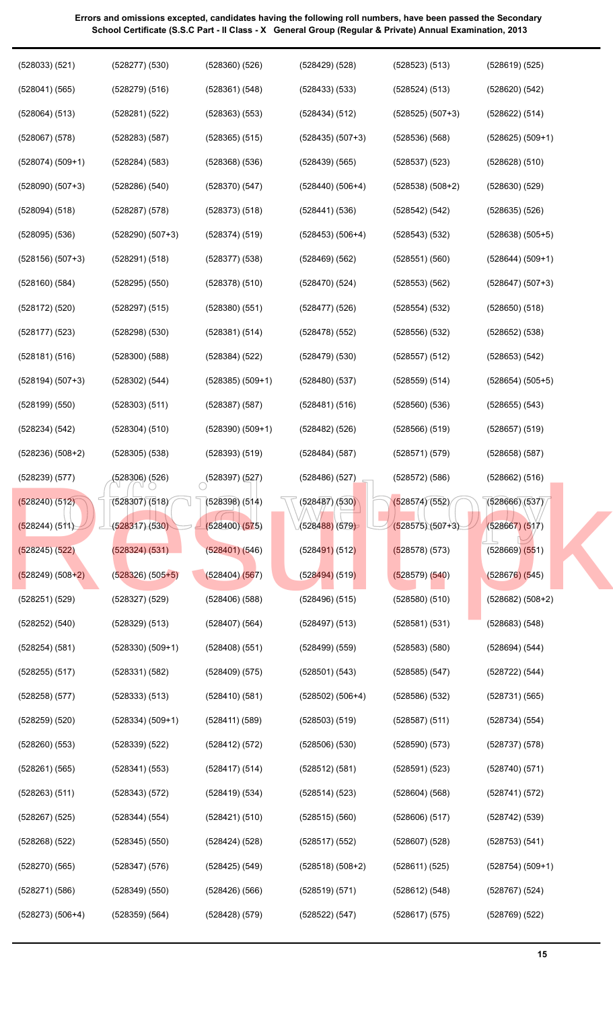| (528033) (521)     | $(528277)$ $(530)$ | $(528360)$ $(526)$ | $(528429)$ $(528)$           | (528523) (513)     | (528619) (525)     |
|--------------------|--------------------|--------------------|------------------------------|--------------------|--------------------|
| (528041) (565)     | $(528279)$ $(516)$ | (528361) (548)     | $(528433)$ $(533)$           | (528524) (513)     | $(528620)$ $(542)$ |
| (528064) (513)     | (528281) (522)     | $(528363)$ $(553)$ | (528434) (512)               | $(528525) (507+3)$ | (528622) (514)     |
| $(528067)$ $(578)$ | $(528283)$ $(587)$ | $(528365)$ $(515)$ | $(528435) (507+3)$           | (528536)(568)      | $(528625) (509+1)$ |
| $(528074) (509+1)$ | (528284)(583)      | $(528368)$ $(536)$ | $(528439)$ $(565)$           | $(528537)$ $(523)$ | $(528628)$ $(510)$ |
| $(528090) (507+3)$ | $(528286)$ $(540)$ | (528370)(547)      | $(528440)$ $(506+4)$         | $(528538) (508+2)$ | $(528630)$ $(529)$ |
| (528094) (518)     | $(528287)$ $(578)$ | $(528373)$ $(518)$ | (528441) (536)               | (528542) (542)     | $(528635)$ $(526)$ |
| $(528095)$ $(536)$ | $(528290) (507+3)$ | (528374) (519)     | $(528453) (506+4)$           | (528543)(532)      | $(528638) (505+5)$ |
| $(528156) (507+3)$ | (528291) (518)     | $(528377)$ $(538)$ | $(528469)$ $(562)$           | (528551)(560)      | $(528644) (509+1)$ |
| $(528160)$ $(584)$ | $(528295)$ $(550)$ | $(528378)$ $(510)$ | (528470)(524)                | $(528553)$ $(562)$ | $(528647) (507+3)$ |
| $(528172)$ $(520)$ | (528297) (515)     | $(528380)$ $(551)$ | $(528477)$ $(526)$           | $(528554)$ $(532)$ | $(528650)$ $(518)$ |
| $(528177)$ $(523)$ | $(528298)$ $(530)$ | (528381) (514)     | $(528478)$ $(552)$           | $(528556)$ $(532)$ | $(528652)$ $(538)$ |
| (528181) (516)     | $(528300)$ $(588)$ | (528384) (522)     | $(528479)$ $(530)$           | (528557) (512)     | (528653) (542)     |
| $(528194) (507+3)$ | (528302) (544)     | $(528385) (509+1)$ | (528480)(537)                | (528559) (514)     | $(528654) (505+5)$ |
| (528199) (550)     | $(528303)$ $(511)$ | $(528387)$ $(587)$ | (528481)(516)                | (528560)(536)      | $(528655)$ $(543)$ |
| (528234) (542)     | (528304) (510)     | $(528390) (509+1)$ | $(528482)$ (526)             | (528566) (519)     | (528657) (519)     |
| $(528236) (508+2)$ | $(528305)$ $(538)$ | $(528393)$ $(519)$ | (528484)(587)                | (528571)(579)      | $(528658)$ $(587)$ |
| (528239) (577)     | (528306) (526)     | (528397)(527)      | $(528486)$ $(527)$           | (528572) (586)     | $(528662)$ $(516)$ |
| $(528240)$ $(512)$ | (528307)(518)      | $(528398)$ $(514)$ | (528487)/(530)               | (528574)(552)      | (528666)(537)      |
| (528244) (511)     | (528317)(530)      | (528400)(575)      | (5284 <mark>88)</mark> (579) | $(528575)(507+3)$  | (528667) (517)     |
| $(528245)$ $(522)$ | (528324) (531)     | (528401) (546)     | $(528491)$ (512)             | (528578) (573)     | $(528669)$ $(551)$ |
| $(528249) (508+2)$ | $(528326) (505+5)$ | (528404) (567)     | $(528494)$ (519)             | (528579) (540)     | $(528676)$ (545)   |
| $(528251)$ $(529)$ | $(528327)$ $(529)$ | $(528406)$ $(588)$ | $(528496)$ $(515)$           | $(528580)$ $(510)$ | $(528682) (508+2)$ |
| $(528252)$ $(540)$ | $(528329)$ $(513)$ | $(528407)$ $(564)$ | $(528497)$ $(513)$           | (528581)(531)      | (528683) (548)     |
| (528254) (581)     | $(528330) (509+1)$ | $(528408)$ (551)   | $(528499)$ $(559)$           | $(528583)$ $(580)$ | (528694) (544)     |
| $(528255)$ $(517)$ | (528331) (582)     | (528409) (575)     | (528501) (543)               | $(528585)$ $(547)$ | (528722) (544)     |
| $(528258)$ $(577)$ | (528333) (513)     | (528410)(581)      | $(528502) (506+4)$           | $(528586)$ $(532)$ | (528731) (565)     |
| $(528259)$ $(520)$ | $(528334) (509+1)$ | (528411) (589)     | (528503) (519)               | (528587) (511)     | (528734) (554)     |
| $(528260)$ $(553)$ | $(528339)$ $(522)$ | (528412) (572)     | $(528506)$ $(530)$           | (528590)(573)      | (528737)(578)      |
| (528261) (565)     | (528341) (553)     | (528417) (514)     | (528512) (581)               | (528591)(523)      | (528740)(571)      |
| $(528263)$ $(511)$ | (528343) (572)     | (528419) (534)     | (528514) (523)               | (528604) (568)     | (528741) (572)     |
| $(528267)$ (525)   | (528344) (554)     | (528421) (510)     | $(528515)$ (560)             | (528606) (517)     | (528742) (539)     |
| $(528268)$ $(522)$ | $(528345)$ $(550)$ | $(528424)$ $(528)$ | $(528517)$ (552)             | $(528607)$ (528)   | (528753) (541)     |
| $(528270)$ $(565)$ | $(528347)$ $(576)$ | $(528425)$ $(549)$ | $(528518) (508+2)$           | (528611) (525)     | $(528754) (509+1)$ |
| (528271) (586)     | $(528349)$ $(550)$ | $(528426)$ (566)   | (528519) (571)               | (528612) (548)     | $(528767)$ (524)   |
| $(528273) (506+4)$ | $(528359)$ $(564)$ | $(528428)$ $(579)$ | (528522) (547)               | (528617) (575)     | $(528769)$ $(522)$ |
|                    |                    |                    |                              |                    |                    |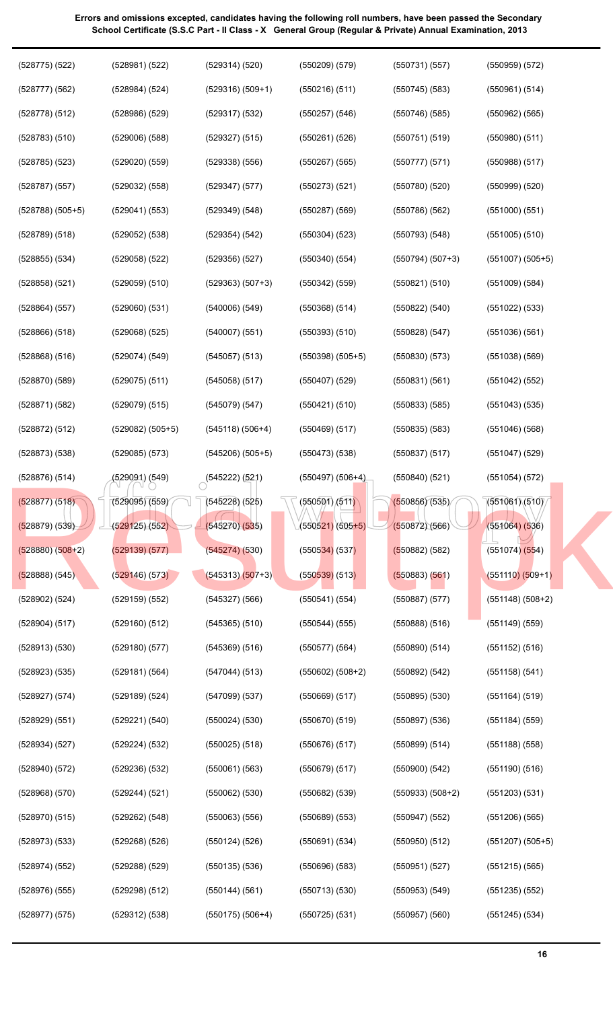| $(528775)$ $(522)$   | (528981) (522)     | (529314) (520)            | $(550209)$ $(579)$   | (550731)(557)      | $(550959)$ $(572)$   |
|----------------------|--------------------|---------------------------|----------------------|--------------------|----------------------|
| $(528777)$ $(562)$   | (528984) (524)     | $(529316) (509+1)$        | $(550216)$ (511)     | $(550745)$ (583)   | (550961) (514)       |
| $(528778)$ $(512)$   | $(528986)$ $(529)$ | $(529317)$ $(532)$        | $(550257)$ $(546)$   | $(550746)$ (585)   | $(550962)$ $(565)$   |
| $(528783)$ $(510)$   | $(529006)$ $(588)$ | $(529327)$ $(515)$        | $(550261)$ (526)     | (550751)(519)      | $(550980)$ $(511)$   |
| $(528785)$ $(523)$   | $(529020)$ $(559)$ | $(529338)$ $(556)$        | $(550267)$ (565)     | (550777)(571)      | $(550988)$ $(517)$   |
| $(528787)$ $(557)$   | $(529032)$ $(558)$ | $(529347)$ $(577)$        | $(550273)$ $(521)$   | (550780)(520)      | $(550999)$ $(520)$   |
| $(528788)$ $(505+5)$ | (529041) (553)     | $(529349)$ $(548)$        | $(550287)$ $(569)$   | $(550786)$ $(562)$ | $(551000)$ $(551)$   |
| $(528789)$ $(518)$   | $(529052)$ $(538)$ | $(529354)$ $(542)$        | $(550304)$ $(523)$   | (550793)(548)      | $(551005)$ $(510)$   |
| $(528855)$ $(534)$   | $(529058)$ $(522)$ | $(529356)$ $(527)$        | $(550340)$ $(554)$   | $(550794) (507+3)$ | $(551007)$ $(505+5)$ |
| $(528858)$ $(521)$   | $(529059)$ $(510)$ | $(529363) (507+3)$        | $(550342)$ (559)     | (550821) (510)     | $(551009)$ $(584)$   |
| (528864) (557)       | $(529060)$ $(531)$ | $(540006)$ $(549)$        | $(550368)$ $(514)$   | (550822) (540)     | $(551022)$ $(533)$   |
| $(528866)$ $(518)$   | $(529068)$ $(525)$ | $(540007)$ $(551)$        | $(550393)$ $(510)$   | $(550828)$ $(547)$ | $(551036)$ $(561)$   |
| $(528868)$ $(516)$   | (529074) (549)     | $(545057)$ $(513)$        | $(550398)$ $(505+5)$ | $(550830)$ $(573)$ | $(551038)$ $(569)$   |
| $(528870)$ $(589)$   | $(529075)$ $(511)$ | $(545058)$ (517)          | $(550407)$ $(529)$   | (550831)(561)      | $(551042)$ $(552)$   |
| (528871) (582)       | $(529079)$ $(515)$ | (545079)(547)             | (550421) (510)       | $(550833)$ $(585)$ | $(551043)$ $(535)$   |
| (528872) (512)       | $(529082) (505+5)$ | $(545118) (506+4)$        | $(550469)$ $(517)$   | $(550835)$ $(583)$ | $(551046)$ $(568)$   |
| $(528873)$ $(538)$   | $(529085)$ $(573)$ | $(545206)$ $(505+5)$      | $(550473)$ $(538)$   | $(550837)$ $(517)$ | $(551047)$ (529)     |
| $(528876)$ $(514)$   | (529091) (549)     | $\bigcirc$ (545222) (521) | $(550497)$ $(506+4)$ | $(550840)$ $(521)$ | $(551054)$ (572)     |
| (528877) (518)       | (529095)(559)      | (545228)(525)             | $\sqrt{650501}/511$  | (550856)(535)      | (551061)(510)        |
|                      |                    |                           |                      |                    |                      |
| (528879) (539)       | (529125)(552)      | (545270)(535)             | $(550521)(505+5)$    | (550872)(566)      | (551064) (536)       |
| $(528880) (508+2)$   | (529139)(577)      | (545274)(530)             | $(550534)$ (537)     | (550882) (582)     | $(551074)$ $(554)$   |
| (528888) (545)       | (529146) (573)     | $(545313) (507+3)$        | $(550539)$ (513)     | (550883) (561)     | $(551110) (509+1)$   |
| $(528902)$ $(524)$   | $(529159)$ $(552)$ | $(545327)$ $(566)$        | (550541) (554)       | $(550887)$ $(577)$ | $(551148)$ $(508+2)$ |
| (528904) (517)       | $(529160)$ $(512)$ | $(545365)$ $(510)$        | (550544) (555)       | (550888) (516)     | $(551149)$ $(559)$   |
| $(528913)$ $(530)$   | $(529180)$ $(577)$ | (545369) (516)            | $(550577)$ $(564)$   | $(550890)$ $(514)$ | $(551152)$ $(516)$   |
| (528923) (535)       | (529181) (564)     | (547044) (513)            | $(550602) (508+2)$   | (550892) (542)     | (551158) (541)       |
| (528927) (574)       | (529189) (524)     | (547099) (537)            | (550669) (517)       | $(550895)$ $(530)$ | $(551164)$ $(519)$   |
| (528929) (551)       | (529221) (540)     | $(550024)$ $(530)$        | $(550670)$ $(519)$   | $(550897)$ $(536)$ | (551184) (559)       |
| (528934) (527)       | (529224) (532)     | $(550025)$ $(518)$        | $(550676)$ $(517)$   | (550899) (514)     | $(551188)$ $(558)$   |
| $(528940)$ $(572)$   | $(529236)$ $(532)$ | (550061) (563)            | $(550679)$ $(517)$   | $(550900)$ $(542)$ | $(551190)$ $(516)$   |
| $(528968)$ $(570)$   | (529244) (521)     | $(550062)$ $(530)$        | $(550682)$ $(539)$   | $(550933) (508+2)$ | $(551203)$ $(531)$   |
| $(528970)$ $(515)$   | (529262) (548)     | $(550063)$ $(556)$        | (550689) (553)       | (550947) (552)     | (551206) (565)       |
| $(528973)$ $(533)$   | $(529268)$ $(526)$ | $(550124)$ (526)          | (550691) (534)       | $(550950)$ $(512)$ | $(551207) (505+5)$   |
| (528974) (552)       | $(529288)$ $(529)$ | $(550135)$ $(536)$        | $(550696)$ $(583)$   | (550951) (527)     | $(551215)$ $(565)$   |
| (528976) (555)       | (529298) (512)     | (550144) (561)            | $(550713)$ $(530)$   | $(550953)$ $(549)$ | $(551235)$ $(552)$   |
| $(528977)$ $(575)$   | $(529312)$ $(538)$ | $(550175) (506+4)$        | $(550725)$ $(531)$   | $(550957)$ $(560)$ | $(551245)$ $(534)$   |

**16**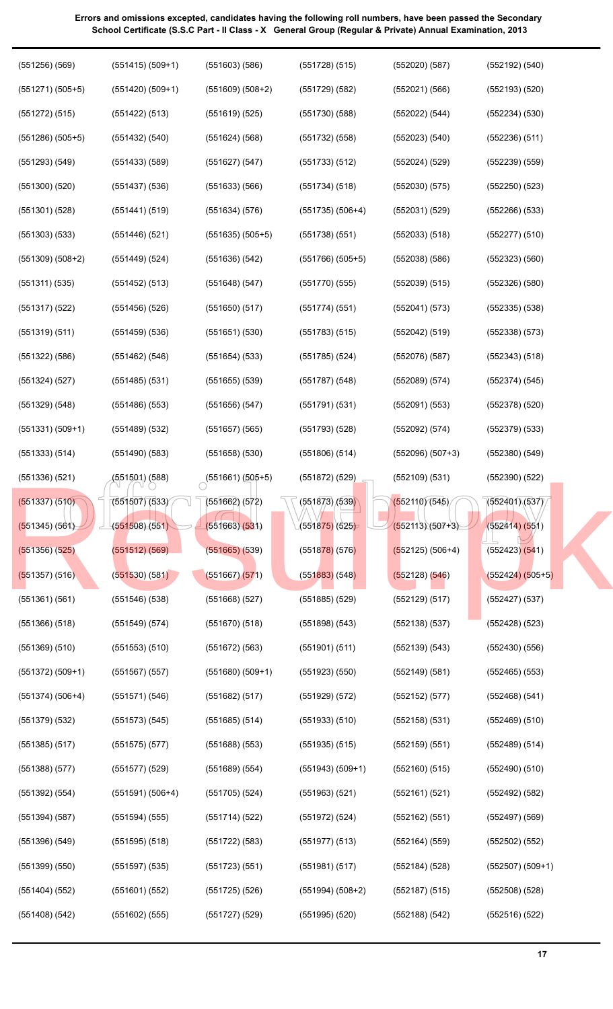| $(551271) (505+5)$<br>$(551420)$ $(509+1)$<br>$(551609) (508+2)$<br>$(551729)$ $(582)$<br>(552021) (566)<br>$(552193)$ $(520)$   |  |
|----------------------------------------------------------------------------------------------------------------------------------|--|
|                                                                                                                                  |  |
| $(551272)$ $(515)$<br>(551422) (513)<br>(551730)(588)<br>(552234) (530)<br>(551619) (525)<br>(552022) (544)                      |  |
| $(551286)$ $(505+5)$<br>$(551432)$ $(540)$<br>$(551732)$ $(558)$<br>$(552236)$ $(511)$<br>$(551624)$ (568)<br>(552023)(540)      |  |
| $(551293)$ $(549)$<br>$(551433)$ $(589)$<br>(551733) (512)<br>$(552239)$ $(559)$<br>(551627) (547)<br>(552024) (529)             |  |
| $(551300)$ $(520)$<br>$(552250)$ $(523)$<br>$(551437)$ $(536)$<br>(551633) (566)<br>(551734) (518)<br>(552030)(575)              |  |
| $(551301)$ $(528)$<br>$(552031)$ $(529)$<br>$(552266)$ $(533)$<br>(551441) (519)<br>(551634) (576)<br>$(551735) (506+4)$         |  |
| $(551303)$ $(533)$<br>$(552277)$ $(510)$<br>$(551446)$ (521)<br>$(551635) (505+5)$<br>$(551738)$ (551)<br>(552033)(518)          |  |
| $(551309) (508+2)$<br>$(551449)$ (524)<br>(551636)(542)<br>$(551766) (505+5)$<br>(552038)(586)<br>(552323) (560)                 |  |
| $(552326)$ $(580)$<br>(551311) (535)<br>(551452) (513)<br>(551648) (547)<br>(551770)(555)<br>(552039) (515)                      |  |
| $(551317)$ (522)<br>$(551456)$ (526)<br>$(551650)$ (517)<br>(551774)(551)<br>(552041) (573)<br>$(552335)$ $(538)$                |  |
| $(551319)$ $(511)$<br>$(552338)$ $(573)$<br>$(551459)$ $(536)$<br>(551651) (530)<br>$(551783)$ $(515)$<br>(552042) (519)         |  |
| $(552343)$ $(518)$<br>$(551322)$ $(586)$<br>(551462) (546)<br>(551654) (533)<br>$(551785)$ (524)<br>(552076)(587)                |  |
| $(551324)$ $(527)$<br>$(551787)$ $(548)$<br>$(552374)$ $(545)$<br>$(551485)$ (531)<br>$(551655)$ (539)<br>(552089)(574)          |  |
| $(551486)$ $(553)$<br>$(551791)$ $(531)$<br>$(552091)$ $(553)$<br>$(552378)$ $(520)$<br>(551329) (548)<br>(551656) (547)         |  |
| $(551331) (509+1)$<br>$(551489)$ $(532)$<br>$(551657)$ (565)<br>$(551793)$ $(528)$<br>$(552379)$ $(533)$<br>(552092) (574)       |  |
| (551333) (514)<br>$(551658)$ $(530)$<br>$(552380)$ $(549)$<br>$(551490)$ $(583)$<br>$(551806)$ (514)<br>$(552096) (507+3)$       |  |
|                                                                                                                                  |  |
| (551336)(521)<br>$(551872)$ (529)<br>$(552390)$ $(522)$<br>(551501) (588)<br>$\bigcirc$ (551661) (505+5)<br>(552109) (531)       |  |
| (551873)(539)<br>(552110)(545)<br>(552401)(537)<br>(551507)(533)<br>$(551662)$ $(572)$<br>(551337) (510)                         |  |
| (551875)(525)<br>$(552113)(507+3)$<br>(552414) (551)<br>(551345) (561)<br>(551508)(551)<br>(551663)(531)                         |  |
| (551512) (569)<br>$(551665)$ $(539)$<br>$(552125) (506+4)$<br>$(551356)$ $(525)$<br>$(551878)$ (576)<br>$(552423)$ $(541)$       |  |
| $(551530)$ $(581)$<br>$(551667)$ $(571)$<br>$(552424) (505+5)$<br>$(551357)$ (516)<br>$(551883)$ (548)<br>(552128) (546)         |  |
| $(552427)$ $(537)$<br>(551361)(561)<br>$(551546)$ $(538)$<br>$(551668)$ $(527)$<br>$(551885)$ $(529)$<br>(552129) (517)          |  |
| $(552428)$ $(523)$<br>$(551366)$ $(518)$<br>$(551549)$ $(574)$<br>$(551670)$ $(518)$<br>$(551898)$ $(543)$<br>$(552138)$ $(537)$ |  |
| $(551369)$ $(510)$<br>$(551553)$ $(510)$<br>(551672) (563)<br>$(551901)$ $(511)$<br>(552139) (543)<br>$(552430)$ $(556)$         |  |
| $(551372) (509+1)$<br>$(551567)$ (557)<br>$(551680)$ $(509+1)$<br>$(551923)$ $(550)$<br>(552149) (581)<br>$(552465)$ $(553)$     |  |
| $(551374) (506+4)$<br>(551571)(546)<br>(551682) (517)<br>$(551929)$ $(572)$<br>$(552152)$ (577)<br>(552468) (541)                |  |
| (551379) (532)<br>$(551573)$ $(545)$<br>$(551685)$ $(514)$<br>$(551933)$ $(510)$<br>$(552158)$ $(531)$<br>$(552469)$ $(510)$     |  |
| $(551385)$ $(517)$<br>$(551688)$ $(553)$<br>$(551935)$ $(515)$<br>$(552159)$ $(551)$<br>(552489) (514)<br>(551575)(577)          |  |
| $(551388)$ $(577)$<br>$(551577)$ $(529)$<br>$(551943) (509+1)$<br>$(552160)$ $(515)$<br>$(552490)$ $(510)$<br>(551689) (554)     |  |
| $(551392)$ $(554)$<br>$(551591) (506+4)$<br>$(551705)$ $(524)$<br>$(551963)$ $(521)$<br>(552161)(521)<br>$(552492)$ $(582)$      |  |
| $(551394)$ $(587)$<br>$(551714)$ (522)<br>$(551972)$ (524)<br>(552162) (551)<br>$(552497)$ $(569)$<br>(551594) (555)             |  |
| $(551396)$ $(549)$<br>$(551595)$ $(518)$<br>$(551722)$ $(583)$<br>$(551977)$ $(513)$<br>(552164) (559)<br>$(552502)$ $(552)$     |  |
| $(551399)$ $(550)$<br>$(551597)$ $(535)$<br>(551981) (517)<br>$(552184)$ (528)<br>$(552507) (509+1)$<br>(551723) (551)           |  |
| $(551404)$ $(552)$<br>$(551601)$ $(552)$<br>$(551994) (508+2)$<br>$(552187)$ (515)<br>$(552508)$ $(528)$<br>$(551725)$ (526)     |  |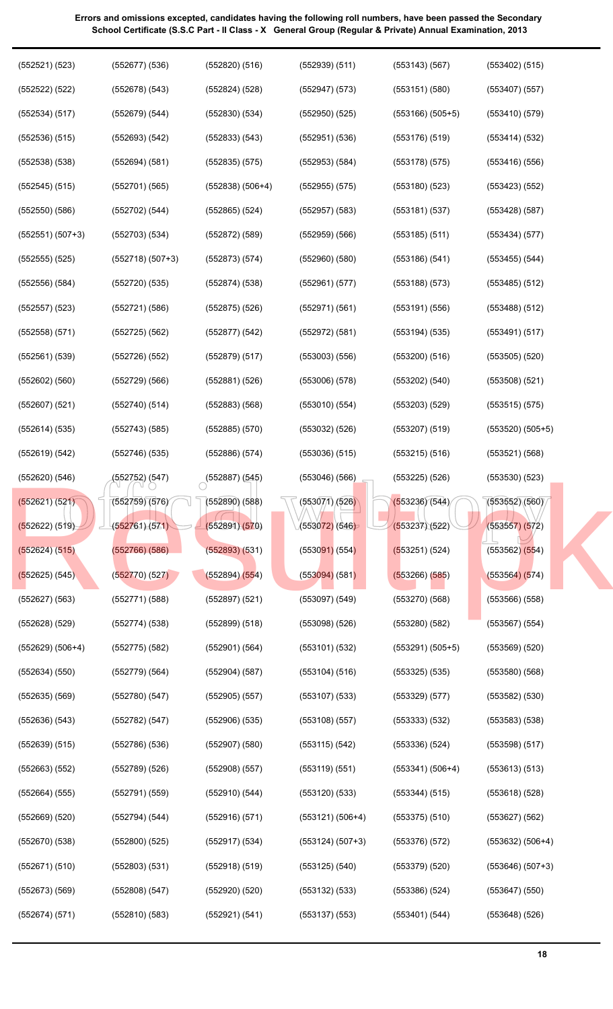| (552521) (523)     | $(552677)$ $(536)$ | $(552820)$ $(516)$ | $(552939)$ $(511)$ | $(553143)$ $(567)$   | $(553402)$ $(515)$   |
|--------------------|--------------------|--------------------|--------------------|----------------------|----------------------|
| $(552522)$ $(522)$ | (552678) (543)     | $(552824)$ $(528)$ | $(552947)$ $(573)$ | (553151)(580)        | $(553407)$ $(557)$   |
| (552534) (517)     | (552679) (544)     | (552830)(534)      | $(552950)$ $(525)$ | $(553166)$ $(505+5)$ | $(553410)$ $(579)$   |
| $(552536)$ $(515)$ | (552693) (542)     | (552833) (543)     | $(552951)$ $(536)$ | $(553176)$ $(519)$   | (553414) (532)       |
| $(552538)$ $(538)$ | (552694) (581)     | (552835) (575)     | $(552953)$ $(584)$ | $(553178)$ (575)     | $(553416)$ $(556)$   |
| $(552545)$ $(515)$ | $(552701)$ $(565)$ | $(552838) (506+4)$ | $(552955)$ $(575)$ | $(553180)$ $(523)$   | (553423) (552)       |
| $(552550)$ $(586)$ | (552702) (544)     | $(552865)$ $(524)$ | $(552957)$ $(583)$ | (553181)(537)        | $(553428)$ $(587)$   |
| $(552551) (507+3)$ | $(552703)$ $(534)$ | $(552872)$ $(589)$ | $(552959)$ $(566)$ | $(553185)$ $(511)$   | (553434) (577)       |
| $(552555)$ $(525)$ | $(552718) (507+3)$ | (552873) (574)     | $(552960)$ $(580)$ | $(553186)$ $(541)$   | $(553455)$ $(544)$   |
| $(552556)$ $(584)$ | (552720)(535)      | $(552874)$ $(538)$ | (552961) (577)     | (553188) (573)       | $(553485)$ $(512)$   |
| $(552557)$ $(523)$ | (552721) (586)     | $(552875)$ (526)   | (552971) (561)     | (553191)(556)        | $(553488)$ $(512)$   |
| $(552558)$ $(571)$ | $(552725)$ $(562)$ | $(552877)$ $(542)$ | (552972) (581)     | $(553194)$ $(535)$   | (553491)(517)        |
| $(552561)$ $(539)$ | $(552726)$ $(552)$ | (552879) (517)     | $(553003)$ $(556)$ | $(553200)$ $(516)$   | $(553505)$ $(520)$   |
| $(552602)$ $(560)$ | (552729) (566)     | (552881)(526)      | $(553006)$ $(578)$ | (553202) (540)       | $(553508)$ $(521)$   |
| $(552607)$ $(521)$ | $(552740)$ (514)   | $(552883)$ $(568)$ | (553010)(554)      | $(553203)$ $(529)$   | $(553515)$ $(575)$   |
| (552614) (535)     | (552743) (585)     | $(552885)$ $(570)$ | $(553032)$ $(526)$ | $(553207)$ (519)     | $(553520)$ $(505+5)$ |
| (552619) (542)     | $(552746)$ (535)   | $(552886)$ $(574)$ | $(553036)$ $(515)$ | (553215) (516)       | (553521) (568)       |
| $(552620)$ $(546)$ | (552752) (547)     | (552887)(545)      | $(553046)$ $(566)$ | (553225)(526)        | $(553530)$ $(523)$   |
| (552621) (521)     | (552759)(576)      | $(552890)$ $(588)$ | (553071) (526)     | (553236)(544)        | (553552)(560)        |
| (552622) (519)     | (552761) (571)     | (552891)(570)      | (553072)(546)      | (553237)(522)        | (553557) (572)       |
| $(552624)$ $(515)$ | (552766) (586)     | (552893) (531)     | $(553091)$ (554)   | (553251) (524)       | $(553562)$ $(554)$   |
| $(552625)$ (545)   | (552770)(527)      | $(552894)$ $(554)$ | $(553094)$ $(581)$ | $(553266)$ $(585)$   | (553564) (574)       |
| $(552627)$ $(563)$ | $(552771)$ $(588)$ | $(552897)$ $(521)$ | $(553097)$ $(549)$ | (553270)(568)        | $(553566)$ $(558)$   |
| $(552628)$ $(529)$ | (552774)(538)      | (552899) (518)     | (553098)(526)      | $(553280)$ $(582)$   | $(553567)$ $(554)$   |
| $(552629) (506+4)$ | $(552775)$ $(582)$ | (552901) (564)     | $(553101)$ $(532)$ | $(553291) (505+5)$   | $(553569)$ $(520)$   |
| $(552634)$ $(550)$ | $(552779)$ $(564)$ | $(552904)$ $(587)$ | $(553104)$ $(516)$ | $(553325)$ $(535)$   | $(553580)$ $(568)$   |
| $(552635)$ $(569)$ | (552780)(547)      | $(552905)$ (557)   | $(553107)$ $(533)$ | $(553329)$ $(577)$   | $(553582)$ $(530)$   |
| $(552636)$ $(543)$ | (552782) (547)     | $(552906)$ $(535)$ | $(553108)$ $(557)$ | (553333) (532)       | $(553583)$ $(538)$   |
| $(552639)$ $(515)$ | $(552786)$ $(536)$ | $(552907)$ $(580)$ | (553115) (542)     | $(553336)$ $(524)$   | $(553598)$ $(517)$   |
| $(552663)$ $(552)$ | $(552789)$ $(526)$ | (552908) (557)     | (553119) (551)     | $(553341) (506+4)$   | (553613) (513)       |
| $(552664)$ $(555)$ | (552791) (559)     | (552910) (544)     | $(553120)$ $(533)$ | (553344) (515)       | $(553618)$ $(528)$   |
| $(552669)$ $(520)$ | (552794) (544)     | (552916) (571)     | $(553121) (506+4)$ | $(553375)$ $(510)$   | $(553627)$ $(562)$   |
| $(552670)$ $(538)$ | (552800)(525)      | $(552917)$ $(534)$ | $(553124) (507+3)$ | (553376)(572)        | $(553632) (506+4)$   |
| (552671)(510)      | (552803) (531)     | $(552918)$ (519)   | $(553125)$ $(540)$ | $(553379)$ $(520)$   | $(553646) (507+3)$   |
| (552673) (569)     | (552808) (547)     | (552920)(520)      | $(553132)$ $(533)$ | (553386)(524)        | $(553647)$ $(550)$   |
| (552674) (571)     | $(552810)$ $(583)$ | (552921) (541)     | $(553137)$ $(553)$ | (553401) (544)       | $(553648)$ $(526)$   |
|                    |                    |                    |                    |                      |                      |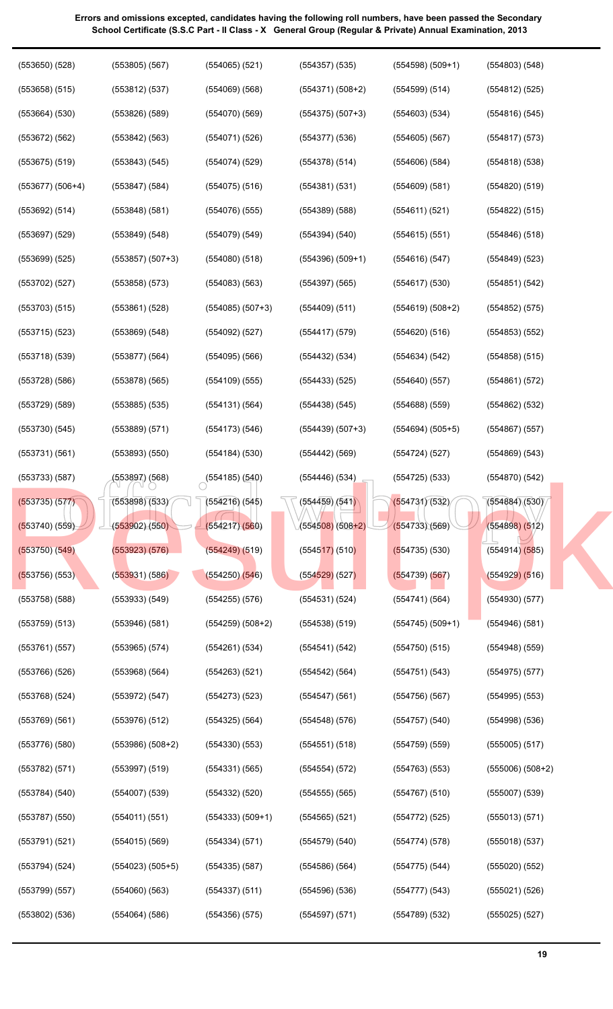| $(553650)$ $(528)$ | $(553805)$ $(567)$ | $(554065)$ (521)          | $(554357)$ $(535)$                           | $(554598) (509+1)$ | $(554803)$ $(548)$   |
|--------------------|--------------------|---------------------------|----------------------------------------------|--------------------|----------------------|
| $(553658)$ $(515)$ | (553812) (537)     | $(554069)$ (568)          | $(554371) (508+2)$                           | (554599) (514)     | $(554812)$ (525)     |
| $(553664)$ $(530)$ | $(553826)$ $(589)$ | (554070)(569)             | $(554375) (507+3)$                           | $(554603)$ $(534)$ | $(554816)$ $(545)$   |
| $(553672)$ $(562)$ | (553842) (563)     | $(554071)$ $(526)$        | $(554377)$ $(536)$                           | $(554605)$ (567)   | $(554817)$ (573)     |
| $(553675)$ $(519)$ | (553843) (545)     | (554074)(529)             | $(554378)$ $(514)$                           | $(554606)$ $(584)$ | (554818)(538)        |
| $(553677) (506+4)$ | $(553847)$ $(584)$ | $(554075)$ $(516)$        | (554381)(531)                                | $(554609)$ $(581)$ | $(554820)$ $(519)$   |
| (553692) (514)     | $(553848)$ $(581)$ | $(554076)$ (555)          | $(554389)$ $(588)$                           | (554611) (521)     | $(554822)$ $(515)$   |
| $(553697)$ $(529)$ | (553849) (548)     | $(554079)$ $(549)$        | (554394) (540)                               | $(554615)$ (551)   | $(554846)$ $(518)$   |
| $(553699)$ $(525)$ | $(553857) (507+3)$ | $(554080)$ $(518)$        | $(554396) (509+1)$                           | (554616)(547)      | $(554849)$ $(523)$   |
| $(553702)$ $(527)$ | (553858) (573)     | (554083) (563)            | $(554397)$ $(565)$                           | $(554617)$ $(530)$ | (554851) (542)       |
| $(553703)$ $(515)$ | $(553861)$ $(528)$ | $(554085) (507+3)$        | $(554409)$ $(511)$                           | $(554619) (508+2)$ | $(554852)$ $(575)$   |
| $(553715)$ $(523)$ | (553869) (548)     | $(554092)$ $(527)$        | $(554417)$ (579)                             | $(554620)$ (516)   | $(554853)$ $(552)$   |
| $(553718)$ $(539)$ | (553877) (564)     | $(554095)$ $(566)$        | $(554432)$ $(534)$                           | (554634) (542)     | $(554858)$ $(515)$   |
| $(553728)$ $(586)$ | $(553878)$ $(565)$ | $(554109)$ $(555)$        | $(554433)$ $(525)$                           | (554640)(557)      | (554861) (572)       |
| $(553729)$ $(589)$ | $(553885)$ $(535)$ | (554131)(564)             | $(554438)$ $(545)$                           | $(554688)$ $(559)$ | $(554862)$ $(532)$   |
| $(553730)$ $(545)$ | $(553889)$ $(571)$ | (554173) (546)            | $(554439) (507+3)$                           | $(554694) (505+5)$ | $(554867)$ $(557)$   |
| (553731)(561)      | $(553893)$ $(550)$ | (554184) (530)            | $(554442)$ $(569)$                           | (554724)(527)      | (554869) (543)       |
| $(553733)$ $(587)$ | (553897) (568)     | $\bigcirc$ (554185) (540) | $(554446)$ $(534)$                           | $(554725)$ $(533)$ | $(554870)$ $(542)$   |
| (553735) (577)     | (553898)(533)      | (554216)(545)             | $\sqrt{654459}$ (541)                        | (554731)(532)      | (554884)(530)        |
| $(553740)$ $(559)$ | (553902)(550)      | (554217)(560)             | ⁄(5545 <mark>08)</mark> (508+2) <sup>(</sup> | (554733)(569)      | (554898) (512)       |
| $(553750)$ $(549)$ | $(553923)$ $(576)$ | (554249) (519)            | $(554517)$ (510)                             | $(554735)$ (530)   | $(554914)$ $(585)$   |
| $(553756)$ (553)   | (553931) (586)     | $(554250)$ $(546)$        | $(554529)$ (527)                             | (554739) (567)     | $(554929)$ $(516)$   |
| $(553758)$ $(588)$ | (553933) (549)     | $(554255)$ $(576)$        | (554531) (524)                               | (554741)(564)      | $(554930)$ $(577)$   |
| (553759) (513)     | $(553946)$ $(581)$ | $(554259) (508+2)$        | $(554538)$ (519)                             | $(554745) (509+1)$ | $(554946)$ $(581)$   |
| (553761) (557)     | (553965) (574)     | (554261) (534)            | (554541) (542)                               | (554750)(515)      | $(554948)$ (559)     |
| (553766) (526)     | (553968) (564)     | $(554263)$ (521)          | $(554542)$ (564)                             | (554751)(543)      | $(554975)$ $(577)$   |
| $(553768)$ $(524)$ | (553972) (547)     | $(554273)$ $(523)$        | $(554547)$ $(561)$                           | (554756)(567)      | $(554995)$ $(553)$   |
| $(553769)$ $(561)$ | (553976) (512)     | $(554325)$ $(564)$        | $(554548)$ (576)                             | $(554757)$ (540)   | $(554998)$ $(536)$   |
| $(553776)$ $(580)$ | $(553986) (508+2)$ | $(554330)$ $(553)$        | $(554551)$ $(518)$                           | $(554759)$ $(559)$ | $(555005)$ $(517)$   |
| (553782) (571)     | $(553997)$ $(519)$ | (554331) (565)            | (554554)(572)                                | $(554763)$ $(553)$ | $(555006)$ $(508+2)$ |
| (553784) (540)     | $(554007)$ $(539)$ | $(554332)$ $(520)$        | $(554555)$ (565)                             | $(554767)$ (510)   | $(555007)$ $(539)$   |
| (553787)(550)      | (554011) (551)     | $(554333) (509+1)$        | $(554565)$ (521)                             | $(554772)$ (525)   | (555013)(571)        |
| (553791)(521)      | $(554015)$ (569)   | (554334) (571)            | $(554579)$ $(540)$                           | (554774)(578)      | $(555018)$ $(537)$   |
| (553794) (524)     | $(554023) (505+5)$ | $(554335)$ $(587)$        | $(554586)$ $(564)$                           | $(554775)$ $(544)$ | $(555020)$ $(552)$   |
| (553799)(557)      | $(554060)$ $(563)$ | $(554337)$ $(511)$        | $(554596)$ $(536)$                           | (554777)(543)      | $(555021)$ $(526)$   |
| $(553802)$ $(536)$ | $(554064)$ $(586)$ | (554356)(575)             | (554597) (571)                               | (554789) (532)     | $(555025)$ $(527)$   |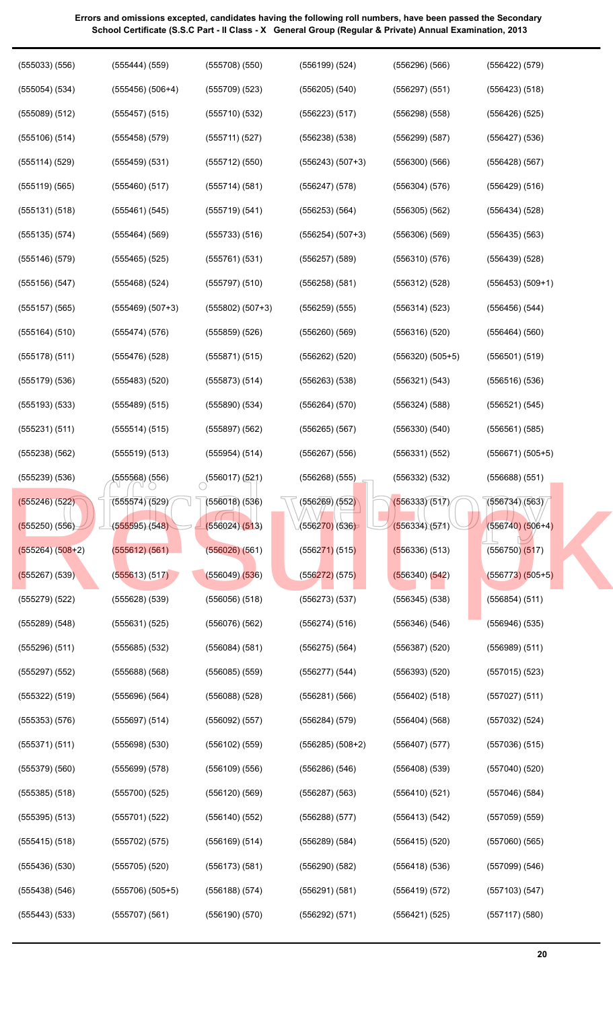| $(555033)$ $(556)$ | (555444) (559)       | (555708)(550)      | $(556199)$ $(524)$ | $(556296)$ $(566)$   | (556422) (579)     |
|--------------------|----------------------|--------------------|--------------------|----------------------|--------------------|
| $(555054)$ $(534)$ | $(555456)$ $(506+4)$ | (555709)(523)      | $(556205)$ $(540)$ | $(556297)$ $(551)$   | $(556423)$ $(518)$ |
| (555089) (512)     | $(555457)$ (515)     | (555710)(532)      | (556223) (517)     | (556298)(558)        | $(556426)$ $(525)$ |
| $(555106)$ $(514)$ | $(555458)$ (579)     | (555711) (527)     | $(556238)$ $(538)$ | (556299) (587)       | $(556427)$ $(536)$ |
| (555114) (529)     | $(555459)$ $(531)$   | (555712) (550)     | $(556243) (507+3)$ | (556300)(566)        | $(556428)$ (567)   |
| (555119) (565)     | $(555460)$ (517)     | (555714)(581)      | $(556247)$ $(578)$ | (556304) (576)       | (556429) (516)     |
| (555131)(518)      | (555461) (545)       | (555719)(541)      | (556253) (564)     | $(556305)$ $(562)$   | (556434) (528)     |
| (555135) (574)     | (555464) (569)       | (555733) (516)     | $(556254) (507+3)$ | (556306)(569)        | $(556435)$ $(563)$ |
| $(555146)$ (579)   | $(555465)$ (525)     | (555761) (531)     | $(556257)$ (589)   | (556310)(576)        | $(556439)$ $(528)$ |
| $(555156)$ $(547)$ | $(555468)$ (524)     | (555797)(510)      | $(556258)$ (581)   | (556312) (528)       | $(556453) (509+1)$ |
| $(555157)$ (565)   | $(555469) (507+3)$   | $(555802) (507+3)$ | $(556259)$ (555)   | (556314) (523)       | $(556456)$ $(544)$ |
| (555164) (510)     | (555474)(576)        | $(555859)$ $(526)$ | $(556260)$ $(569)$ | (556316)(520)        | (556464) (560)     |
| $(555178)$ $(511)$ | $(555476)$ (528)     | (555871) (515)     | $(556262)$ $(520)$ | $(556320)$ $(505+5)$ | $(556501)$ $(519)$ |
| $(555179)$ $(536)$ | $(555483)$ $(520)$   | $(555873)$ $(514)$ | $(556263)$ $(538)$ | (556321) (543)       | (556516)(536)      |
| $(555193)$ $(533)$ | (555489) (515)       | (555890)(534)      | (556264) (570)     | (556324) (588)       | (556521)(545)      |
| (555231) (511)     | (555514) (515)       | $(555897)$ (562)   | $(556265)$ $(567)$ | (556330)(540)        | $(556561)$ $(585)$ |
| $(555238)$ $(562)$ | (555519) (513)       | (555954) (514)     | $(556267)$ (556)   | (556331)(552)        | $(556671) (505+5)$ |
| $(555239)$ $(536)$ | (555568) (556)       | (556017)(521)      | $(556268)$ (555)   | (556332) (532)       | (556688) (551)     |
| $(555246)$ $(522)$ | (555574)(529)        | $(556018)$ $(536)$ | (556269)/(552)     | (556333)(517)        | (556734)(563)      |
| $(555250)$ $(556)$ | (555595)(548)        | (556024)(513)      | (556270) (536)     | (556334)(571)        | $(556740) (506+4)$ |
| $(555264) (508+2)$ | (555612) (561)       | (556026)(561)      | $(556271)$ (515)   | (556336) (513)       | $(556750)$ $(517)$ |
| $(555267)$ (539)   | (555613) (517)       | $(556049)$ $(536)$ | $(556272)$ (575)   | $(556340)$ $(542)$   | $(556773) (505+5)$ |
| $(555279)$ $(522)$ | $(555628)$ $(539)$   | $(556056)$ $(518)$ | (556273)(537)      | $(556345)$ $(538)$   | (556854) (511)     |
| (555289) (548)     | $(555631)$ $(525)$   | $(556076)$ $(562)$ | (556274) (516)     | (556346)(546)        | $(556946)$ $(535)$ |
| $(555296)$ $(511)$ | $(555685)$ $(532)$   | (556084) (581)     | $(556275)$ $(564)$ | $(556387)$ $(520)$   | $(556989)$ $(511)$ |
| $(555297)$ $(552)$ | $(555688)$ $(568)$   | $(556085)$ $(559)$ | $(556277)$ $(544)$ | (556393)(520)        | $(557015)$ $(523)$ |
| $(555322)$ $(519)$ | (555696)(564)        | $(556088)$ $(528)$ | (556281)(566)      | $(556402)$ (518)     | $(557027)$ $(511)$ |
| $(555353)$ $(576)$ | $(555697)$ $(514)$   | (556092) (557)     | (556284) (579)     | (556404)(568)        | $(557032)$ $(524)$ |
| (555371)(511)      | $(555698)$ $(530)$   | (556102) (559)     | $(556285) (508+2)$ | $(556407)$ $(577)$   | $(557036)$ $(515)$ |
| $(555379)$ $(560)$ | (555699) (578)       | (556109) (556)     | (556286)(546)      | (556408)(539)        | $(557040)$ $(520)$ |
| $(555385)$ $(518)$ | (555700)(525)        | $(556120)$ $(569)$ | $(556287)$ (563)   | (556410)(521)        | $(557046)$ $(584)$ |
| $(555395)$ $(513)$ | (555701)(522)        | $(556140)$ (552)   | $(556288)$ $(577)$ | (556413) (542)       | $(557059)$ $(559)$ |
| $(555415)$ $(518)$ | $(555702)$ $(575)$   | (556169) (514)     | $(556289)$ (584)   | $(556415)$ $(520)$   | $(557060)$ $(565)$ |
| (555436)(530)      | $(555705)$ $(520)$   | (556173) (581)     | (556290)(582)      | $(556418)$ $(536)$   | $(557099)$ $(546)$ |
| $(555438)$ $(546)$ | $(555706)$ $(505+5)$ | (556188) (574)     | (556291)(581)      | (556419) (572)       | $(557103)$ $(547)$ |
| $(555443)$ $(533)$ | $(555707)$ $(561)$   | (556190)(570)      | (556292) (571)     | (556421) (525)       | $(557117)$ $(580)$ |
|                    |                      |                    |                    |                      |                    |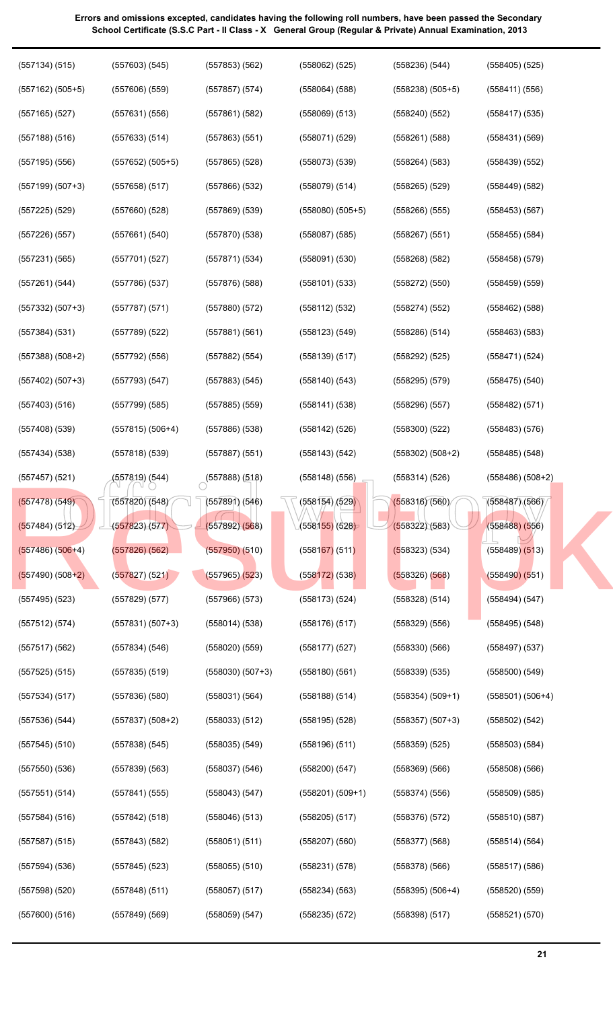**Errors and omissions excepted, candidates having the following roll numbers, have been passed the Secondary** 

| (557134) (515)       | $(557603)$ $(545)$            | $(557853)$ $(562)$ | $(558062)$ $(525)$   | (558236)(544)      | $(558405)$ (525)   |
|----------------------|-------------------------------|--------------------|----------------------|--------------------|--------------------|
| $(557162)$ $(505+5)$ | $(557606)$ $(559)$            | $(557857)$ (574)   | $(558064)$ $(588)$   | $(558238) (505+5)$ | (558411) (556)     |
| $(557165)$ $(527)$   | (557631) (556)                | (557861) (582)     | $(558069)$ $(513)$   | $(558240)$ $(552)$ | $(558417)$ $(535)$ |
| $(557188)$ $(516)$   | (557633) (514)                | (557863) (551)     | $(558071)$ $(529)$   | $(558261)$ $(588)$ | (558431)(569)      |
| $(557195)$ $(556)$   | $(557652)$ $(505+5)$          | $(557865)$ (528)   | $(558073)$ $(539)$   | $(558264)$ $(583)$ | $(558439)$ $(552)$ |
| $(557199) (507+3)$   | $(557658)$ $(517)$            | $(557866)$ $(532)$ | $(558079)$ $(514)$   | $(558265)$ $(529)$ | $(558449)$ $(582)$ |
| $(557225)$ $(529)$   | $(557660)$ $(528)$            | $(557869)$ $(539)$ | $(558080)$ $(505+5)$ | $(558266)$ $(555)$ | (558453) (567)     |
| $(557226)$ $(557)$   | (557661) (540)                | (557870)(538)      | $(558087)$ $(585)$   | $(558267)$ $(551)$ | $(558455)$ $(584)$ |
| $(557231)$ $(565)$   | $(557701)$ $(527)$            | (557871) (534)     | $(558091)$ $(530)$   | $(558268)$ $(582)$ | $(558458)$ $(579)$ |
| (557261) (544)       | (557786)(537)                 | $(557876)$ (588)   | $(558101)$ $(533)$   | (558272) (550)     | $(558459)$ $(559)$ |
| $(557332) (507+3)$   | (557787)(571)                 | $(557880)$ $(572)$ | (558112) (532)       | (558274)(552)      | $(558462)$ $(588)$ |
| (557384) (531)       | $(557789)$ $(522)$            | (557881)(561)      | $(558123)$ $(549)$   | $(558286)$ $(514)$ | $(558463)$ $(583)$ |
| $(557388) (508+2)$   | (557792) (556)                | (557882) (554)     | $(558139)$ $(517)$   | $(558292)$ $(525)$ | (558471)(524)      |
| $(557402) (507+3)$   | (557793)(547)                 | (557883) (545)     | $(558140)$ $(543)$   | $(558295)$ $(579)$ | $(558475)$ $(540)$ |
| (557403) (516)       | (557799) (585)                | $(557885)$ $(559)$ | (558141) (538)       | (558296)(557)      | (558482) (571)     |
| $(557408)$ $(539)$   | $(557815) (506+4)$            | $(557886)$ $(538)$ | $(558142)$ (526)     | (558300)(522)      | $(558483)$ $(576)$ |
| (557434) (538)       | $(557818)$ $(539)$            | $(557887)$ (551)   | (558143) (542)       | $(558302) (508+2)$ | $(558485)$ $(548)$ |
| $(557457)$ $(521)$   | (557819) (544)                | (557888)(518)      | $(558148)$ (556)     | (558314)(526)      | $(558486) (508+2)$ |
| $(557478)$ (549)     | (557820) (548)                | $(557891)$ $(546)$ | (558154) (529)       | (558316)(560)      | (558487)(566)      |
| (557484) (512)       | (5 <mark>578</mark> 23) (577) | (557892) (568)     | (558155)(528)        | (558322)(583)      | $(558488)$ $(556)$ |
| $(557486)$ $(506+4)$ | $(557826)$ $(562)$            | $(557950)$ $(510)$ | $(558167)$ (511)     | (558323) (534)     | $(558489)$ $(513)$ |
| $(557490) (508+2)$   | (557827)(521)                 | $(557965)$ $(523)$ | $(558172)$ (538)     | $(558326)$ $(568)$ | $(558490)$ $(551)$ |
| $(557495)$ $(523)$   | (557829) (577)                | $(557966)$ $(573)$ | $(558173)$ $(524)$   | $(558328)$ $(514)$ | (558494) (547)     |
| (557512) (574)       | $(557831) (507+3)$            | (558014)(538)      | (558176)(517)        | $(558329)$ $(556)$ | $(558495)$ $(548)$ |
| $(557517)$ $(562)$   | (557834) (546)                | (558020)(559)      | (558177)(527)        | (558330)(566)      | $(558497)$ $(537)$ |
| $(557525)$ $(515)$   | $(557835)$ $(519)$            | $(558030)(507+3)$  | (558180)(561)        | $(558339)$ $(535)$ | $(558500)$ $(549)$ |
| (557534) (517)       | (557836)(580)                 | (558031)(564)      | $(558188)$ $(514)$   | $(558354) (509+1)$ | $(558501) (506+4)$ |
| $(557536)$ $(544)$   | $(557837) (508+2)$            | (558033) (512)     | $(558195)$ $(528)$   | $(558357) (507+3)$ | $(558502)$ $(542)$ |
| $(557545)$ $(510)$   | (557838) (545)                | (558035) (549)     | $(558196)$ $(511)$   | $(558359)$ $(525)$ | $(558503)$ $(584)$ |
| (557550)(536)        | (557839) (563)                | (558037) (546)     | (558200)(547)        | $(558369)$ $(566)$ | $(558508)$ $(566)$ |
| (557551)(514)        | (557841) (555)                | (558043)(547)      | $(558201) (509+1)$   | (558374)(556)      | $(558509)$ $(585)$ |
| (557584) (516)       | (557842) (518)                | $(558046)$ $(513)$ | $(558205)$ $(517)$   | (558376)(572)      | (558510)(587)      |
| (557587) (515)       | (557843) (582)                | (558051) (511)     | $(558207)$ $(560)$   | $(558377)$ $(568)$ | (558514) (564)     |
| (557594) (536)       | $(557845)$ (523)              | $(558055)$ $(510)$ | (558231)(578)        | $(558378)$ $(566)$ | $(558517)$ (586)   |
| (557598)(520)        | $(557848)$ (511)              | $(558057)$ (517)   | (558234) (563)       | $(558395) (506+4)$ | $(558520)$ $(559)$ |
| $(557600)$ $(516)$   | $(557849)$ $(569)$            | $(558059)$ $(547)$ | $(558235)$ $(572)$   | (558398)(517)      | (558521)(570)      |
|                      |                               |                    |                      |                    |                    |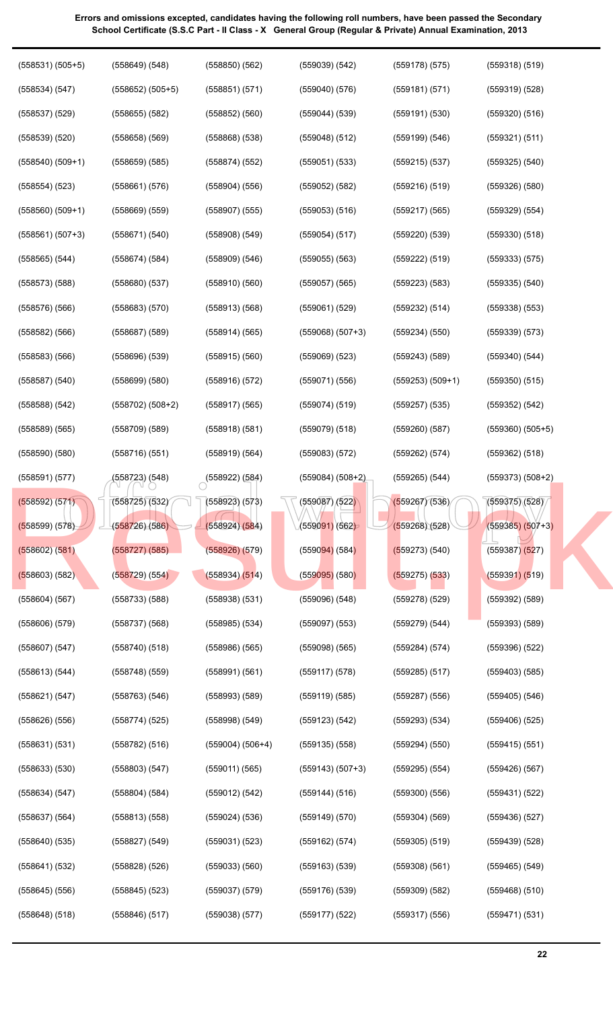| $(558537)$ $(529)$   | $(558655)$ $(582)$   | $(558852)$ $(560)$        | $(559044)$ $(539)$           | (559191)(530)      | $(559320)$ $(516)$           |
|----------------------|----------------------|---------------------------|------------------------------|--------------------|------------------------------|
| $(558539)$ $(520)$   | $(558658)$ $(569)$   | $(558868)$ $(538)$        | $(559048)$ $(512)$           | (559199) (546)     | (559321) (511)               |
| $(558540)$ $(509+1)$ | $(558659)$ $(585)$   | (558874) (552)            | $(559051)$ $(533)$           | $(559215)$ $(537)$ | $(559325)$ $(540)$           |
| $(558554)$ $(523)$   | (558661) (576)       | $(558904)$ $(556)$        | $(559052)$ $(582)$           | $(559216)$ $(519)$ | $(559326)$ $(580)$           |
| $(558560)$ $(509+1)$ | $(558669)$ $(559)$   | $(558907)$ $(555)$        | $(559053)$ $(516)$           | $(559217)$ $(565)$ | $(559329)$ $(554)$           |
| $(558561) (507+3)$   | (558671) (540)       | $(558908)$ $(549)$        | $(559054)$ $(517)$           | $(559220)$ $(539)$ | $(559330)$ $(518)$           |
| $(558565)$ $(544)$   | (558674) (584)       | $(558909)$ $(546)$        | $(559055)$ $(563)$           | (559222) (519)     | (559333) (575)               |
| $(558573)$ $(588)$   | (558680) (537)       | $(558910)$ $(560)$        | $(559057)$ $(565)$           | (559223) (583)     | $(559335)$ $(540)$           |
| $(558576)$ $(566)$   | $(558683)$ $(570)$   | $(558913)$ $(568)$        | $(559061)$ $(529)$           | (559232) (514)     | $(559338)$ $(553)$           |
| $(558582)$ $(566)$   | $(558687)$ $(589)$   | (558914) (565)            | $(559068) (507+3)$           | (559234) (550)     | $(559339)$ $(573)$           |
| $(558583)$ $(566)$   | $(558696)$ $(539)$   | $(558915)$ $(560)$        | $(559069)$ $(523)$           | $(559243)$ (589)   | $(559340)$ $(544)$           |
| $(558587)$ $(540)$   | $(558699)$ $(580)$   | $(558916)$ $(572)$        | (559071) (556)               | $(559253) (509+1)$ | $(559350)$ $(515)$           |
| (558588) (542)       | $(558702)$ $(508+2)$ | (558917) (565)            | (559074) (519)               | $(559257)$ (535)   | (559352) (542)               |
| $(558589)$ $(565)$   | $(558709)$ $(589)$   | $(558918)$ $(581)$        | $(559079)$ $(518)$           | (559260)(587)      | $(559360)$ $(505+5)$         |
| $(558590)$ $(580)$   | (558716) (551)       | (558919) (564)            | $(559083)$ $(572)$           | (559262) (574)     | $(559362)$ $(518)$           |
| (558591)(577)        | (558723) (548)       | $\bigcirc$ (558922) (584) | $(559084) (508+2)$           | (559265) (544)     | $(559373) (508+2)$           |
| (558592) (571)       | (558725) (532)       | $(558923)$ $(573)$        | (559087)/(522)               | (559267)(536)      | (559375)(528)                |
| (558599) (578)       | (558726) (586)       | (558924)(584)             | (5590 <mark>91)</mark> (562) | $(559268)$ $(528)$ | $(559385) (507+3)$           |
| (558602) (581)       | (558727) (585)       | $(558926)$ $(579)$        | $(559094)$ (584)             | (559273) (540)     | (559387) <mark>(52</mark> 7) |
| $(558603)$ (582)     | (558729) (554)       | (558934) (514)            | $(559095)$ (580)             | $(559275)$ $(533)$ | (559391) (519)               |
| $(558604)$ $(567)$   | $(558733)$ $(588)$   | $(558938)$ $(531)$        | $(559096)$ $(548)$           | $(559278)$ $(529)$ | $(559392)$ $(589)$           |
| $(558606)$ $(579)$   | $(558737)$ $(568)$   | $(558985)$ $(534)$        | $(559097)$ $(553)$           | (559279) (544)     | $(559393)$ $(589)$           |
| $(558607)$ $(547)$   | $(558740)$ $(518)$   | $(558986)$ $(565)$        | $(559098)$ $(565)$           | (559284) (574)     | $(559396)$ $(522)$           |
| (558613) (544)       | $(558748)$ $(559)$   | (558991) (561)            | (559117) (578)               | $(559285)$ $(517)$ | $(559403)$ $(585)$           |
| (558621) (547)       | $(558763)$ $(546)$   | $(558993)$ $(589)$        | $(559119)$ $(585)$           | $(559287)$ $(556)$ | $(559405)$ $(546)$           |
| (558626)(556)        | (558774)(525)        | $(558998)$ $(549)$        | (559123) (542)               | $(559293)$ $(534)$ | $(559406)$ $(525)$           |
| (558631)(531)        | $(558782)$ $(516)$   | $(559004) (506+4)$        | $(559135)$ $(558)$           | $(559294)$ $(550)$ | $(559415)$ $(551)$           |
| $(558633)$ $(530)$   | $(558803)$ $(547)$   | $(559011)$ $(565)$        | $(559143) (507+3)$           | $(559295)$ $(554)$ | $(559426)$ $(567)$           |
| (558634) (547)       | (558804) (584)       | (559012) (542)            | (559144) (516)               | $(559300)$ $(556)$ | (559431) (522)               |
| $(558637)$ $(564)$   | (558813) (558)       | $(559024)$ $(536)$        | $(559149)$ $(570)$           | $(559304)$ $(569)$ | $(559436)$ $(527)$           |
| $(558640)$ $(535)$   | (558827) (549)       | $(559031)$ $(523)$        | (559162) (574)               | $(559305)$ $(519)$ | $(559439)$ $(528)$           |
| (558641) (532)       | (558828) (526)       | $(559033)$ $(560)$        | $(559163)$ $(539)$           | $(559308)$ $(561)$ | $(559465)$ $(549)$           |
| $(558645)$ $(556)$   | $(558845)$ $(523)$   | $(559037)$ $(579)$        | $(559176)$ $(539)$           | $(559309)$ $(582)$ | $(559468)$ $(510)$           |
| $(558648)$ $(518)$   | $(558846)$ $(517)$   | $(559038)$ $(577)$        | $(559177)$ $(522)$           | $(559317)$ $(556)$ | (559471) (531)               |
|                      |                      |                           |                              |                    |                              |
|                      |                      |                           |                              |                    |                              |

(559039) (542)

(559178) (575)

(559318) (519)

(559319) (528)

(559181) (571)

(559040) (576)

(558850) (562)

(558851) (571)

(558531) (505+5)

(558649) (548)

(558652) (505+5)

(558534) (547)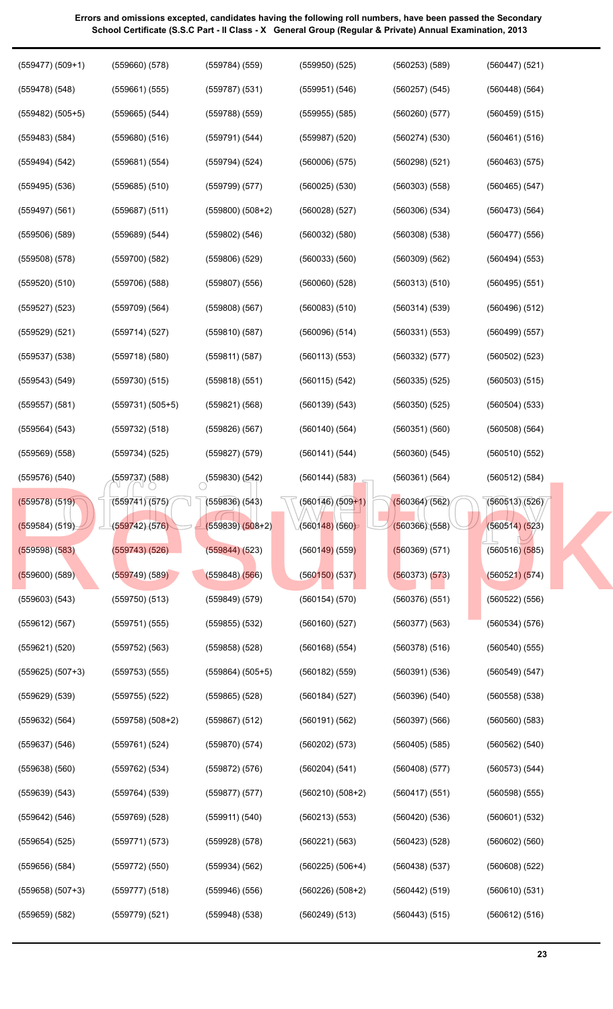| $(559477) (509+1)$ | (559660) (578)       | (559784) (559)       | $(559950)$ (525)   | $(560253)$ $(589)$ | $(560447)$ (521)   |
|--------------------|----------------------|----------------------|--------------------|--------------------|--------------------|
| $(559478)$ $(548)$ | $(559661)$ $(555)$   | $(559787)$ $(531)$   | (559951) (546)     | $(560257)$ $(545)$ | $(560448)$ $(564)$ |
| $(559482) (505+5)$ | $(559665)$ $(544)$   | $(559788)$ $(559)$   | $(559955)$ $(585)$ | $(560260)$ $(577)$ | $(560459)$ $(515)$ |
| $(559483)$ $(584)$ | $(559680)$ $(516)$   | (559791) (544)       | $(559987)$ $(520)$ | (560274)(530)      | (560461) (516)     |
| (559494) (542)     | (559681) (554)       | $(559794)$ $(524)$   | $(560006)$ $(575)$ | $(560298)$ $(521)$ | $(560463)$ $(575)$ |
| $(559495)$ $(536)$ | $(559685)$ $(510)$   | $(559799)$ $(577)$   | $(560025)$ $(530)$ | $(560303)$ $(558)$ | $(560465)$ $(547)$ |
| $(559497)$ $(561)$ | $(559687)$ $(511)$   | $(559800)$ $(508+2)$ | $(560028)$ $(527)$ | $(560306)$ $(534)$ | (560473) (564)     |
| $(559506)$ $(589)$ | (559689) (544)       | $(559802)$ $(546)$   | $(560032)$ $(580)$ | $(560308)$ $(538)$ | (560477)(556)      |
| $(559508)$ $(578)$ | $(559700)$ $(582)$   | $(559806)$ $(529)$   | $(560033)$ $(560)$ | (560309) (562)     | $(560494)$ $(553)$ |
| $(559520)$ $(510)$ | $(559706)$ $(588)$   | $(559807)$ $(556)$   | $(560060)$ $(528)$ | (560313)(510)      | $(560495)$ $(551)$ |
| $(559527)$ $(523)$ | $(559709)$ $(564)$   | $(559808)$ $(567)$   | $(560083)$ $(510)$ | (560314)(539)      | $(560496)$ $(512)$ |
| (559529) (521)     | (559714) (527)       | $(559810)$ $(587)$   | $(560096)$ $(514)$ | (560331) (553)     | $(560499)$ $(557)$ |
| $(559537)$ $(538)$ | $(559718)$ $(580)$   | (559811) (587)       | (560113)(553)      | (560332) (577)     | $(560502)$ $(523)$ |
| $(559543)$ $(549)$ | $(559730)$ $(515)$   | $(559818)$ $(551)$   | (560115) (542)     | $(560335)$ $(525)$ | $(560503)$ $(515)$ |
| $(559557)$ $(581)$ | $(559731) (505+5)$   | (559821) (568)       | (560139) (543)     | (560350)(525)      | $(560504)$ $(533)$ |
| (559564) (543)     | $(559732)$ $(518)$   | $(559826)$ $(567)$   | (560140)(564)      | (560351)(560)      | $(560508)$ $(564)$ |
| $(559569)$ $(558)$ | (559734) (525)       | (559827) (579)       | (560141) (544)     | $(560360)$ $(545)$ | (560510)(552)      |
| $(559576)$ $(540)$ | (559737) (588)       | $(559830)$ $(542)$   | $(560144)$ $(583)$ | (560361) (564)     | (560512) (584)     |
| (559578) (519)     | (559741)(575)        | $(559836)$ $(543)$   | $(560146)/(509+1)$ | (560364)(562)      | (560513)(526)      |
| (559584) (519)     | (559742)(576)        | $(559839)(508+2)$    | (560148)(560)      | (560366)(558)      | (560514) (523)     |
| $(559598)$ $(583)$ | $(559743)$ $(526)$   | (559844) (523)       | $(560149)$ (559)   | (560369) (571)     | $(560516)$ $(585)$ |
| $(559600)$ $(589)$ | (559749)(589)        | $(559848)$ $(566)$   | (560150)(537)      | (560373) (573)     | (560521) (574)     |
| $(559603)$ $(543)$ | $(559750)$ $(513)$   | $(559849)$ $(579)$   | (560154)(570)      | (560376)(551)      | (560522) (556)     |
| $(559612)$ $(567)$ | (559751) (555)       | $(559855)$ $(532)$   | $(560160)$ $(527)$ | (560377)(563)      | (560534) (576)     |
| $(559621)$ $(520)$ | (559752) (563)       | $(559858)$ $(528)$   | $(560168)$ $(554)$ | $(560378)$ $(516)$ | $(560540)$ $(555)$ |
| $(559625) (507+3)$ | $(559753)$ $(555)$   | $(559864) (505+5)$   | $(560182)$ $(559)$ | (560391)(536)      | (560549) (547)     |
| $(559629)$ $(539)$ | $(559755)$ $(522)$   | $(559865)$ $(528)$   | (560184) (527)     | $(560396)$ $(540)$ | $(560558)$ $(538)$ |
| $(559632)$ $(564)$ | $(559758)$ $(508+2)$ | $(559867)$ $(512)$   | (560191) (562)     | $(560397)$ $(566)$ | $(560560)$ $(583)$ |
| $(559637)$ $(546)$ | (559761) (524)       | $(559870)$ $(574)$   | (560202) (573)     | $(560405)$ $(585)$ | $(560562)$ $(540)$ |
| $(559638)$ $(560)$ | (559762) (534)       | (559872) (576)       | (560204) (541)     | (560408)(577)      | (560573) (544)     |
| $(559639)$ $(543)$ | (559764) (539)       | $(559877)$ $(577)$   | $(560210)(508+2)$  | (560417)(551)      | $(560598)$ $(555)$ |
| $(559642)$ $(546)$ | $(559769)$ $(528)$   | (559911) (540)       | $(560213)$ $(553)$ | (560420)(536)      | (560601) (532)     |
| $(559654)$ $(525)$ | (559771) (573)       | $(559928)$ $(578)$   | (560221) (563)     | (560423)(528)      | $(560602)$ $(560)$ |
| $(559656)$ $(584)$ | (559772) (550)       | (559934) (562)       | $(560225) (506+4)$ | (560438)(537)      | $(560608)$ $(522)$ |
| $(559658) (507+3)$ | (559777) (518)       | $(559946)$ $(556)$   | $(560226) (508+2)$ | (560442) (519)     | (560610)(531)      |
| $(559659)$ $(582)$ | $(559779)$ $(521)$   | $(559948)$ $(538)$   | (560249) (513)     | (560443) (515)     | (560612) (516)     |
|                    |                      |                      |                    |                    |                    |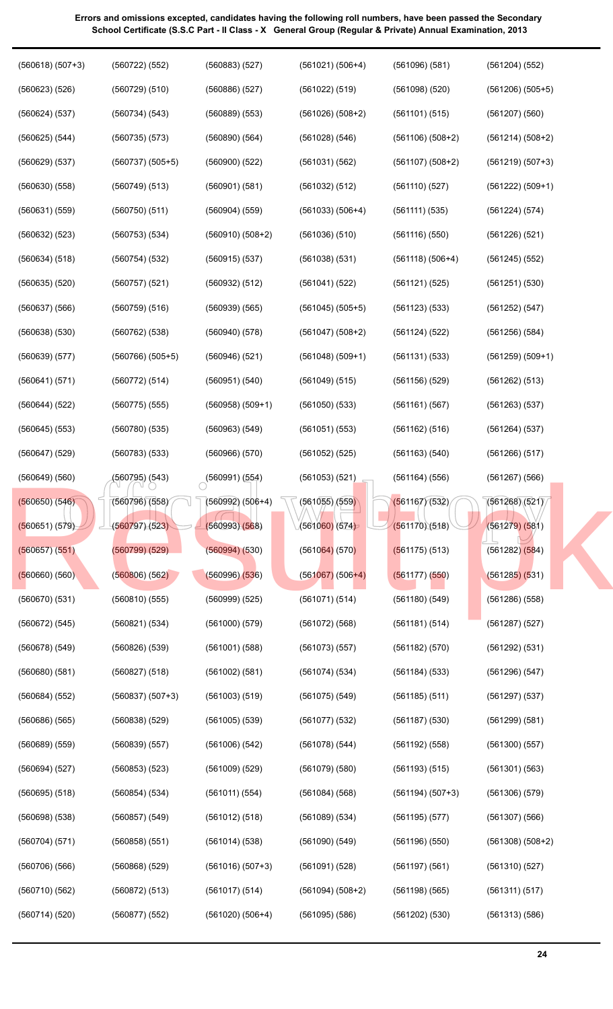| $(560618) (507+3)$ | (560722) (552)       | (560883) (527)       | $(561021) (506+4)$           | (561096) (581)     | $(561204)$ (552)     |
|--------------------|----------------------|----------------------|------------------------------|--------------------|----------------------|
| $(560623)$ $(526)$ | (560729) (510)       | $(560886)$ $(527)$   | (561022) (519)               | $(561098)$ $(520)$ | $(561206)$ $(505+5)$ |
| (560624) (537)     | (560734) (543)       | $(560889)$ $(553)$   | $(561026) (508+2)$           | (561101) (515)     | $(561207)$ $(560)$   |
| $(560625)$ $(544)$ | $(560735)$ $(573)$   | $(560890)$ $(564)$   | $(561028)$ $(546)$           | $(561106) (508+2)$ | $(561214) (508+2)$   |
| $(560629)$ $(537)$ | $(560737)$ $(505+5)$ | $(560900)$ $(522)$   | (561031) (562)               | $(561107) (508+2)$ | $(561219) (507+3)$   |
| $(560630)$ $(558)$ | $(560749)$ $(513)$   | (560901) (581)       | $(561032)$ $(512)$           | (561110)(527)      | $(561222) (509+1)$   |
| $(560631)$ $(559)$ | $(560750)$ $(511)$   | $(560904)$ $(559)$   | $(561033) (506+4)$           | (561111) (535)     | (561224) (574)       |
| $(560632)$ $(523)$ | $(560753)$ $(534)$   | $(560910)$ $(508+2)$ | $(561036)$ $(510)$           | (561116)(550)      | $(561226)$ $(521)$   |
| (560634) (518)     | $(560754)$ $(532)$   | $(560915)$ $(537)$   | $(561038)$ $(531)$           | $(561118) (506+4)$ | $(561245)$ $(552)$   |
| $(560635)$ $(520)$ | $(560757)$ $(521)$   | (560932) (512)       | (561041) (522)               | (561121) (525)     | $(561251)$ $(530)$   |
| $(560637)$ $(566)$ | $(560759)$ $(516)$   | (560939) (565)       | $(561045)$ $(505+5)$         | (561123) (533)     | (561252) (547)       |
| $(560638)$ $(530)$ | (560762) (538)       | $(560940)$ $(578)$   | $(561047) (508+2)$           | $(561124)$ $(522)$ | $(561256)$ $(584)$   |
| (560639) (577)     | $(560766)$ $(505+5)$ | $(560946)$ $(521)$   | $(561048) (509+1)$           | (561131) (533)     | $(561259)$ $(509+1)$ |
| (560641)(571)      | (560772) (514)       | (560951) (540)       | $(561049)$ $(515)$           | $(561156)$ $(529)$ | (561262) (513)       |
| (560644) (522)     | (560775) (555)       | $(560958) (509+1)$   | $(561050)$ $(533)$           | (561161) (567)     | $(561263)$ $(537)$   |
| $(560645)$ $(553)$ | (560780) (535)       | (560963) (549)       | $(561051)$ $(553)$           | (561162) (516)     | (561264) (537)       |
| $(560647)$ $(529)$ | $(560783)$ $(533)$   | $(560966)$ $(570)$   | $(561052)$ (525)             | (561163) (540)     | $(561266)$ $(517)$   |
| $(560649)$ $(560)$ | (560795) (543)       | (560991)(554)        | $(561053)$ $(521)$           | $(561164)$ $(556)$ | $(561267)$ $(566)$   |
| $(560650)$ $(546)$ | (560796)(558)        | $(560992) (506+4)$   | (561055)/(559)               | (561167)(532)      | (561268)(521)        |
| (560651) (579)     | (560797)(523)        | (560993)(568)        | (5610 <mark>60)</mark> (574) | (561170)(518)      | (561279) (581)       |
| $(560657)$ $(551)$ | $(560799)$ $(529)$   | $(560994)$ $(530)$   | $(561064)$ (570)             | (561175) (513)     | $(561282)$ $(584)$   |
| $(560660)$ $(560)$ | (560806)(562)        | $(560996)$ $(536)$   | $(561067)$ (506+4)           | (561177) (550)     | (561285) (531)       |
| (560670)(531)      | (560810)(555)        | (560999) (525)       | (561071) (514)               | $(561180)$ $(549)$ | $(561286)$ $(558)$   |
| (560672) (545)     | (560821) (534)       | $(561000)$ $(579)$   | $(561072)$ (568)             | (561181)(514)      | $(561287)$ $(527)$   |
| $(560678)$ $(549)$ | $(560826)$ $(539)$   | $(561001)$ $(588)$   | $(561073)$ $(557)$           | $(561182)$ $(570)$ | (561292) (531)       |
| $(560680)$ $(581)$ | $(560827)$ $(518)$   | $(561002)$ $(581)$   | (561074) (534)               | (561184) (533)     | (561296) (547)       |
| (560684) (552)     | $(560837) (507+3)$   | $(561003)$ $(519)$   | $(561075)$ $(549)$           | (561185) (511)     | $(561297)$ $(537)$   |
| $(560686)$ $(565)$ | $(560838)$ $(529)$   | $(561005)$ $(539)$   | $(561077)$ $(532)$           | $(561187)$ $(530)$ | (561299) (581)       |
| $(560689)$ $(559)$ | $(560839)$ $(557)$   | $(561006)$ $(542)$   | $(561078)$ $(544)$           | $(561192)$ $(558)$ | $(561300)$ $(557)$   |
| (560694) (527)     | $(560853)$ $(523)$   | $(561009)$ $(529)$   | $(561079)$ $(580)$           | (561193) (515)     | $(561301)$ $(563)$   |
| $(560695)$ $(518)$ | (560854)(534)        | (561011) (554)       | $(561084)$ $(568)$           | $(561194) (507+3)$ | $(561306)$ $(579)$   |
| $(560698)$ $(538)$ | $(560857)$ $(549)$   | (561012) (518)       | $(561089)$ $(534)$           | $(561195)$ $(577)$ | $(561307)$ $(566)$   |
| (560704) (571)     | $(560858)$ $(551)$   | (561014)(538)        | $(561090)$ $(549)$           | (561196)(550)      | $(561308)$ $(508+2)$ |
| $(560706)$ $(566)$ | $(560868)$ $(529)$   | $(561016) (507+3)$   | $(561091)$ $(528)$           | $(561197)$ $(561)$ | (561310)(527)        |
| (560710)(562)      | (560872) (513)       | (561017) (514)       | $(561094) (508+2)$           | $(561198)$ $(565)$ | (561311) (517)       |
| (560714) (520)     | $(560877)$ $(552)$   | $(561020) (506+4)$   | $(561095)$ $(586)$           | $(561202)$ $(530)$ | (561313) (586)       |
|                    |                      |                      |                              |                    |                      |

**24**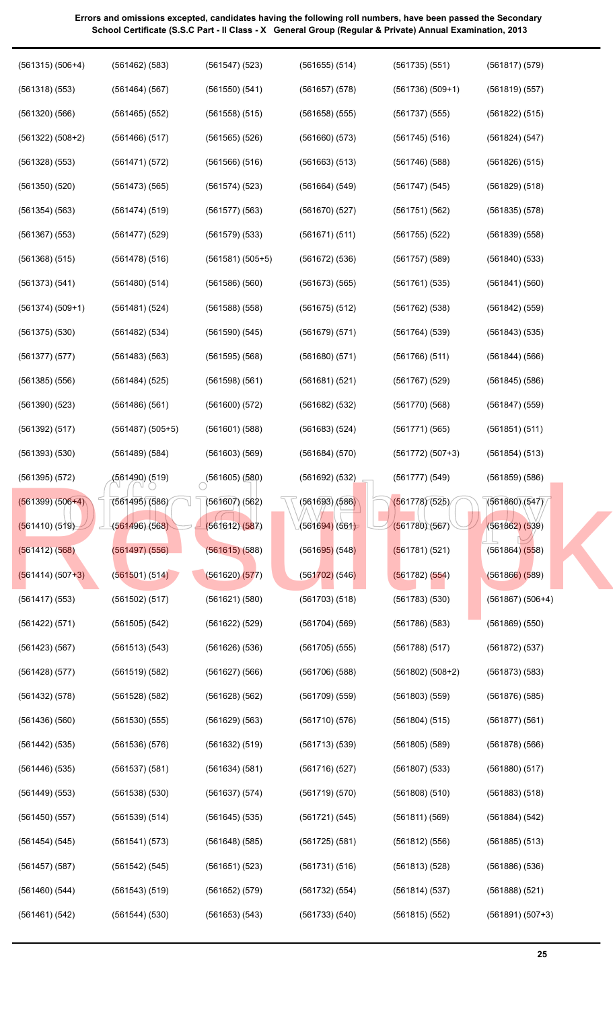| $(561315) (506+4)$ | $(561462)$ (583)     | $(561547)$ (523)   | $(561655)$ $(514)$ | (561735)(551)      | (561817) (579)     |
|--------------------|----------------------|--------------------|--------------------|--------------------|--------------------|
| $(561318)$ $(553)$ | (561464) (567)       | $(561550)$ $(541)$ | $(561657)$ $(578)$ | $(561736)(509+1)$  | (561819) (557)     |
| $(561320)$ $(566)$ | $(561465)$ $(552)$   | (561558) (515)     | $(561658)$ $(555)$ | $(561737)$ $(555)$ | (561822) (515)     |
| $(561322) (508+2)$ | $(561466)$ $(517)$   | $(561565)$ $(526)$ | $(561660)$ $(573)$ | $(561745)$ (516)   | (561824) (547)     |
| $(561328)$ $(553)$ | (561471) (572)       | (561566) (516)     | (561663) (513)     | (561746)(588)      | $(561826)$ $(515)$ |
| $(561350)$ $(520)$ | (561473) (565)       | (561574) (523)     | (561664) (549)     | (561747) (545)     | $(561829)$ $(518)$ |
| (561354) (563)     | (561474)(519)        | (561577) (563)     | (561670)(527)      | (561751)(562)      | $(561835)$ $(578)$ |
| $(561367)$ $(553)$ | $(561477)$ $(529)$   | (561579) (533)     | (561671)(511)      | $(561755)$ $(522)$ | (561839) (558)     |
| (561368) (515)     | (561478) (516)       | $(561581) (505+5)$ | $(561672)$ (536)   | $(561757)$ (589)   | $(561840)$ $(533)$ |
| (561373) (541)     | $(561480)$ $(514)$   | (561586)(560)      | (561673)(565)      | (561761)(535)      | (561841) (560)     |
| $(561374) (509+1)$ | (561481)(524)        | $(561588)$ $(558)$ | $(561675)$ (512)   | (561762) (538)     | (561842) (559)     |
| $(561375)$ $(530)$ | (561482) (534)       | $(561590)$ $(545)$ | $(561679)$ $(571)$ | (561764) (539)     | $(561843)$ $(535)$ |
| $(561377)$ $(577)$ | (561483) (563)       | (561595)(568)      | $(561680)$ (571)   | (561766)(511)      | (561844) (566)     |
| $(561385)$ $(556)$ | (561484) (525)       | (561598) (561)     | (561681) (521)     | $(561767)$ (529)   | $(561845)$ $(586)$ |
| $(561390)$ $(523)$ | (561486) (561)       | (561600)(572)      | (561682) (532)     | (561770)(568)      | $(561847)$ (559)   |
| (561392) (517)     | $(561487)$ $(505+5)$ | (561601) (588)     | (561683) (524)     | (561771)(565)      | (561851) (511)     |
| $(561393)$ $(530)$ | (561489) (584)       | (561603) (569)     | (561684) (570)     | $(561772) (507+3)$ | (561854) (513)     |
| $(561395)$ $(572)$ | (561490) (519)       | $(561605)$ (580)   | $(561692)$ $(532)$ | (561777)(549)      | $(561859)$ $(586)$ |
| $(561399) (506+4)$ | (561495)(586)        | $(561607)$ $(562)$ | (561693) (586)     | (561778)(525)      | (561860)(547)      |
| (561410) (519)     | (561496)(568)        | (561612)(587)      | (561694)(561)      | (561780)(567)      | (561862) (539)     |
| (561412) (568)     | $(561497)$ $(556)$   | $(561615)$ (588)   | $(561695)$ (548)   | (561781)(521)      | $(561864)$ $(558)$ |
| $(561414) (507+3)$ | (561501)(514)        | (561620)(577)      | $(561702)$ (546)   | (561782) (554)     | $(561866)$ (589)   |
| $(561417)$ $(553)$ | $(561502)$ $(517)$   | (561621) (580)     | $(561703)$ $(518)$ | $(561783)$ $(530)$ | $(561867) (506+4)$ |
| (561422) (571)     | $(561505)$ $(542)$   | (561622) (529)     | $(561704)$ (569)   | $(561786)$ $(583)$ | $(561869)$ $(550)$ |
| $(561423)$ $(567)$ | (561513) (543)       | $(561626)$ $(536)$ | $(561705)$ $(555)$ | (561788)(517)      | (561872) (537)     |
| $(561428)$ $(577)$ | $(561519)$ $(582)$   | $(561627)$ $(566)$ | $(561706)$ $(588)$ | $(561802) (508+2)$ | $(561873)$ $(583)$ |
| $(561432)$ $(578)$ |                      |                    |                    |                    |                    |
|                    | $(561528)$ $(582)$   | $(561628)$ $(562)$ | $(561709)$ $(559)$ | $(561803)$ $(559)$ | (561876) (585)     |
| (561436)(560)      | (561530)(555)        | (561629) (563)     | (561710)(576)      | (561804) (515)     | $(561877)$ $(561)$ |
| (561442) (535)     | (561536)(576)        | (561632) (519)     | $(561713)$ $(539)$ | $(561805)$ $(589)$ | $(561878)$ $(566)$ |
| $(561446)$ $(535)$ | $(561537)$ $(581)$   | (561634) (581)     | (561716)(527)      | $(561807)$ $(533)$ | $(561880)$ $(517)$ |
| $(561449)$ $(553)$ | $(561538)$ $(530)$   | (561637) (574)     | (561719)(570)      | $(561808)$ $(510)$ | $(561883)$ $(518)$ |
| (561450)(557)      | (561539) (514)       | (561645) (535)     | (561721) (545)     | (561811) (569)     | (561884) (542)     |
| (561454) (545)     | (561541) (573)       | (561648) (585)     | $(561725)$ $(581)$ | (561812) (556)     | $(561885)$ $(513)$ |
| $(561457)$ $(587)$ | (561542) (545)       | (561651) (523)     | (561731)(516)      | (561813)(528)      | $(561886)$ $(536)$ |
| (561460) (544)     | $(561543)$ $(519)$   | (561652) (579)     | (561732) (554)     | (561814)(537)      | (561888) (521)     |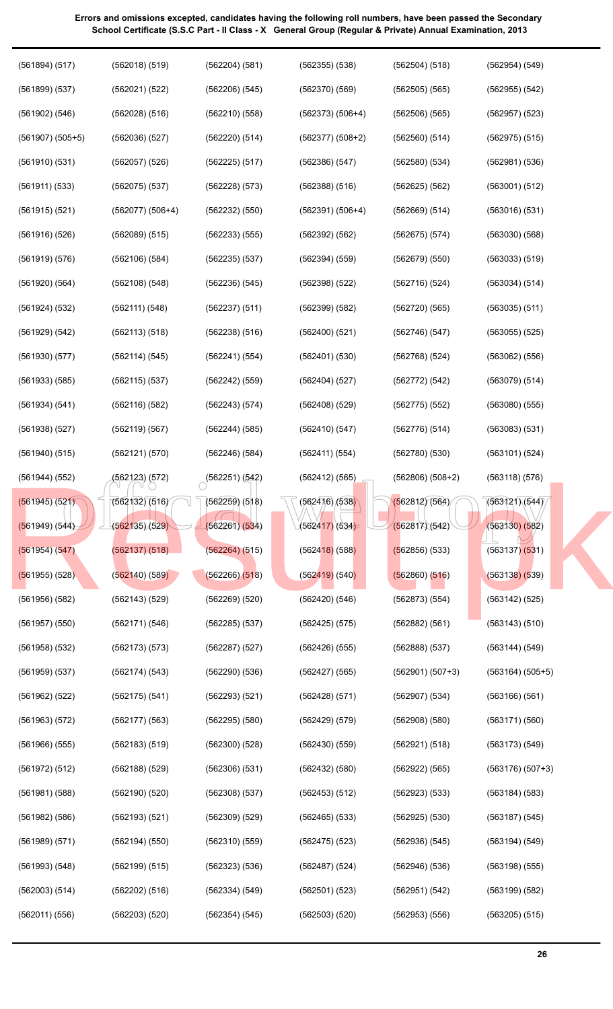| (561894) (517)       | (562018) (519)     | (562204) (581)     | $(562355)$ $(538)$     | (562504) (518)     | (562954) (549)     |
|----------------------|--------------------|--------------------|------------------------|--------------------|--------------------|
| (561899) (537)       | (562021) (522)     | (562206) (545)     | (562370)(569)          | $(562505)$ (565)   | (562955) (542)     |
| (561902) (546)       | (562028) (516)     | (562210)(558)      | $(562373) (506+4)$     | (562506)(565)      | $(562957)$ $(523)$ |
| $(561907)$ $(505+5)$ | (562036)(527)      | (562220) (514)     | $(562377) (508+2)$     | $(562560)$ $(514)$ | $(562975)$ $(515)$ |
| $(561910)$ $(531)$   | $(562057)$ (526)   | $(562225)$ $(517)$ | (562386)(547)          | (562580)(534)      | (562981) (536)     |
| (561911) (533)       | $(562075)$ $(537)$ | $(562228)$ $(573)$ | (562388) (516)         | (562625) (562)     | (563001) (512)     |
| $(561915)$ $(521)$   | $(562077) (506+4)$ | (562232) (550)     | $(562391) (506+4)$     | (562669) (514)     | (563016)(531)      |
| $(561916)$ $(526)$   | (562089) (515)     | $(562233)$ $(555)$ | (562392) (562)         | (562675) (574)     | (563030)(568)      |
| (561919) (576)       | (562106) (584)     | $(562235)$ $(537)$ | (562394) (559)         | (562679) (550)     | (563033) (519)     |
| $(561920)$ $(564)$   | $(562108)$ $(548)$ | (562236) (545)     | $(562398)$ $(522)$     | (562716)(524)      | (563034) (514)     |
| (561924) (532)       | (562111) (548)     | (562237) (511)     | $(562399)$ $(582)$     | (562720)(565)      | $(563035)$ $(511)$ |
| (561929) (542)       | (562113) (518)     | (562238)(516)      | (562400)(521)          | (562746)(547)      | $(563055)$ $(525)$ |
| $(561930)$ $(577)$   | (562114) (545)     | (562241)(554)      | $(562401)$ $(530)$     | (562768)(524)      | $(563062)$ $(556)$ |
| $(561933)$ $(585)$   | $(562115)$ $(537)$ | $(562242)$ $(559)$ | $(562404)$ $(527)$     | (562772) (542)     | (563079) (514)     |
| (561934) (541)       | $(562116)$ $(582)$ | (562243) (574)     | $(562408)$ $(529)$     | (562775)(552)      | $(563080)$ $(555)$ |
| $(561938)$ $(527)$   | (562119) (567)     | (562244) (585)     | (562410)(547)          | (562776)(514)      | (563083) (531)     |
| $(561940)$ $(515)$   | (562121) (570)     | (562246) (584)     | (562411)(554)          | (562780)(530)      | (563101) (524)     |
| (561944) (552)       | (562123)(572)      | (562251)(542)      | $(562412)$ (565)       | $(562806) (508+2)$ | (563118) (576)     |
| (561945) (521)       | (562132)(516)      | (562259)(518)      | $\sqrt{(562416)(538)}$ | (562812)(564)      | (563121)(544)      |
| (561949) (544)       | (562135)(529)      | (562261)(534)      | (562417)(534)          | (562817)(542)      | (563130) (582)     |
| $(561954)$ $(547)$   | (562137) (518)     | (562264) (515)     | $(562418)$ (588)       | $(562856)$ (533)   | $(563137)$ $(531)$ |
| $(561955)$ (528)     | (562140)(589)      | $(562266)$ $(518)$ | $(562419)$ (540)       | $(562860)$ $(516)$ | $(563138)$ $(539)$ |
| $(561956)$ $(582)$   | $(562143)$ $(529)$ | $(562269)$ $(520)$ | $(562420)$ $(546)$     | (562873)(554)      | $(563142)$ $(525)$ |
| $(561957)$ $(550)$   | (562171) (546)     | $(562285)$ $(537)$ | $(562425)$ $(575)$     | (562882) (561)     | (563143) (510)     |
| $(561958)$ $(532)$   | (562173) (573)     | $(562287)$ (527)   | $(562426)$ (555)       | (562888) (537)     | (563144) (549)     |
| $(561959)$ $(537)$   | (562174) (543)     | $(562290)$ $(536)$ | $(562427)$ (565)       | $(562901) (507+3)$ | $(563164) (505+5)$ |
| (561962) (522)       | (562175) (541)     | (562293) (521)     | (562428) (571)         | (562907) (534)     | $(563166)$ $(561)$ |
| (561963) (572)       | (562177) (563)     | $(562295)$ $(580)$ | (562429) (579)         | $(562908)$ $(580)$ | (563171)(560)      |
| $(561966)$ $(555)$   | (562183) (519)     | $(562300)$ $(528)$ | (562430)(559)          | (562921) (518)     | (563173) (549)     |
| (561972) (512)       | $(562188)$ $(529)$ | (562306)(531)      | $(562432)$ $(580)$     | (562922) (565)     | $(563176) (507+3)$ |
| $(561981)$ $(588)$   | $(562190)$ $(520)$ | $(562308)$ $(537)$ | (562453) (512)         | (562923) (533)     | (563184) (583)     |
| $(561982)$ $(586)$   | (562193)(521)      | $(562309)$ $(529)$ | $(562465)$ $(533)$     | $(562925)$ $(530)$ | $(563187)$ $(545)$ |
| (561989) (571)       | (562194) (550)     | (562310)(559)      | $(562475)$ $(523)$     | (562936) (545)     | (563194) (549)     |
| (561993) (548)       | (562199) (515)     | (562323) (536)     | $(562487)$ $(524)$     | $(562946)$ $(536)$ | $(563198)$ $(555)$ |
| (562003) (514)       | (562202) (516)     | (562334) (549)     | $(562501)$ $(523)$     | (562951) (542)     | $(563199)$ $(582)$ |
| (562011) (556)       | $(562203)$ $(520)$ | (562354) (545)     | $(562503)$ $(520)$     | $(562953)$ $(556)$ | $(563205)$ $(515)$ |
|                      |                    |                    |                        |                    |                    |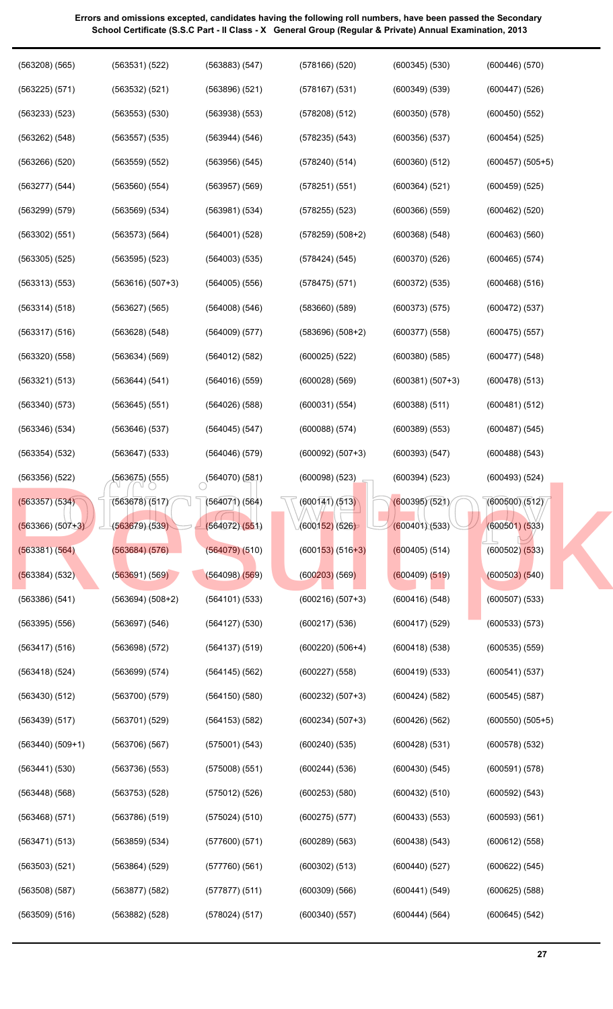| $(563208)$ $(565)$   | (563531) (522)     | (563883) (547)     | $(578166)$ $(520)$   | $(600345)$ $(530)$ | (600446)(570)        |
|----------------------|--------------------|--------------------|----------------------|--------------------|----------------------|
| $(563225)$ $(571)$   | (563532) (521)     | $(563896)$ $(521)$ | $(578167)$ $(531)$   | $(600349)$ $(539)$ | $(600447)$ $(526)$   |
| $(563233)$ $(523)$   | $(563553)$ $(530)$ | $(563938)$ $(553)$ | $(578208)$ $(512)$   | (600350)(578)      | $(600450)$ $(552)$   |
| (563262) (548)       | $(563557)$ $(535)$ | (563944) (546)     | $(578235)$ $(543)$   | $(600356)$ $(537)$ | $(600454)$ $(525)$   |
| $(563266)$ $(520)$   | $(563559)$ $(552)$ | $(563956)$ $(545)$ | (578240)(514)        | $(600360)$ $(512)$ | $(600457)$ $(505+5)$ |
| (563277) (544)       | $(563560)$ $(554)$ | $(563957)$ $(569)$ | (578251) (551)       | (600364) (521)     | $(600459)$ $(525)$   |
| $(563299)$ $(579)$   | $(563569)$ $(534)$ | (563981) (534)     | $(578255)$ $(523)$   | $(600366)$ $(559)$ | $(600462)$ $(520)$   |
| $(563302)$ $(551)$   | (563573) (564)     | $(564001)$ $(528)$ | $(578259) (508+2)$   | $(600368)$ $(548)$ | $(600463)$ $(560)$   |
| $(563305)$ $(525)$   | $(563595)$ $(523)$ | $(564003)$ $(535)$ | (578424) (545)       | (600370)(526)      | $(600465)$ $(574)$   |
| $(563313)$ $(553)$   | $(563616) (507+3)$ | $(564005)$ $(556)$ | $(578475)$ $(571)$   | $(600372)$ $(535)$ | $(600468)$ $(516)$   |
| (563314) (518)       | (563627) (565)     | $(564008)$ $(546)$ | $(583660)$ $(589)$   | (600373) (575)     | (600472) (537)       |
| (563317) (516)       | $(563628)$ $(548)$ | $(564009)$ $(577)$ | $(583696) (508+2)$   | $(600377)$ $(558)$ | $(600475)$ $(557)$   |
| $(563320)$ $(558)$   | (563634) (569)     | $(564012)$ $(582)$ | $(600025)$ $(522)$   | (600380)(585)      | $(600477)$ $(548)$   |
| (563321) (513)       | (563644) (541)     | $(564016)$ $(559)$ | $(600028)$ $(569)$   | $(600381) (507+3)$ | $(600478)$ $(513)$   |
| $(563340)$ $(573)$   | $(563645)$ $(551)$ | $(564026)$ $(588)$ | (600031) (554)       | (600388) (511)     | (600481) (512)       |
| $(563346)$ $(534)$   | (563646)(537)      | $(564045)$ $(547)$ | $(600088)$ $(574)$   | $(600389)$ $(553)$ | $(600487)$ $(545)$   |
| $(563354)$ $(532)$   | $(563647)$ $(533)$ | $(564046)$ $(579)$ | $(600092) (507+3)$   | (600393) (547)     | $(600488)$ $(543)$   |
| $(563356)$ $(522)$   | (563675) (555)     | (564070)(581)      | $(600098)$ $(523)$   | (600394) (523)     | $(600493)$ $(524)$   |
| (563357) (534)       | (563678)(517)      | $(564071)$ (564)   | (600141)/(513)       | (600395)(521)      | (600500)(512)        |
| $(563366) (507+3)$   | (563679)(539)      | (564072)(551)      | (600152)(526)        | (600401)(533)      | $(600501)$ $(533)$   |
| (563381) (564)       | (563684)(576)      | $(564079)$ $(510)$ | $(600153) (516+3)$   | $(600405)$ (514)   | $(600502)$ $(533)$   |
| (563384) (532)       | (563691)(569)      | (564098)(569)      | $(600203)$ $(569)$   | (600409) (519)     | (600503) (540)       |
| $(563386)$ $(541)$   | $(563694) (508+2)$ | (564101) (533)     | $(600216)(507+3)$    | (600416)(548)      | $(600507)$ $(533)$   |
| $(563395)$ $(556)$   | $(563697)$ $(546)$ | $(564127)$ $(530)$ | $(600217)$ $(536)$   | $(600417)$ $(529)$ | (600533) (573)       |
| $(563417)$ $(516)$   | (563698)(572)      | $(564137)$ (519)   | $(600220)$ $(506+4)$ | (600418)(538)      | $(600535)$ $(559)$   |
| $(563418)$ $(524)$   | (563699) (574)     | (564145) (562)     | $(600227)$ $(558)$   | (600419) (533)     | (600541) (537)       |
| $(563430)$ $(512)$   | (563700)(579)      | (564150)(580)      | $(600232) (507+3)$   | (600424) (582)     | $(600545)$ $(587)$   |
| $(563439)$ $(517)$   | $(563701)$ $(529)$ | (564153)(582)      | $(600234) (507+3)$   | $(600426)$ $(562)$ | $(600550)$ $(505+5)$ |
| $(563440)$ $(509+1)$ | $(563706)$ $(567)$ | (575001) (543)     | $(600240)$ $(535)$   | (600428)(531)      | $(600578)$ $(532)$   |
| (563441) (530)       | (563736)(553)      | $(575008)$ $(551)$ | $(600244)$ $(536)$   | (600430)(545)      | (600591) (578)       |
| $(563448)$ $(568)$   | $(563753)$ $(528)$ | $(575012)$ $(526)$ | $(600253)$ $(580)$   | (600432) (510)     | (600592) (543)       |
| $(563468)$ $(571)$   | $(563786)$ $(519)$ | (575024) (510)     | $(600275)$ $(577)$   | (600433) (553)     | (600593) (561)       |
| (563471) (513)       | $(563859)$ $(534)$ | (577600)(571)      | $(600289)$ $(563)$   | $(600438)$ $(543)$ | $(600612)$ $(558)$   |
| $(563503)$ $(521)$   | $(563864)$ $(529)$ | (577760)(561)      | (600302) (513)       | (600440)(527)      | (600622) (545)       |
| $(563508)$ $(587)$   | $(563877)$ $(582)$ | $(577877)$ $(511)$ | (600309) (566)       | (600441) (549)     | $(600625)$ $(588)$   |
| $(563509)$ $(516)$   | (563882) (528)     | (578024) (517)     | (600340)(557)        | (600444) (564)     | $(600645)$ $(542)$   |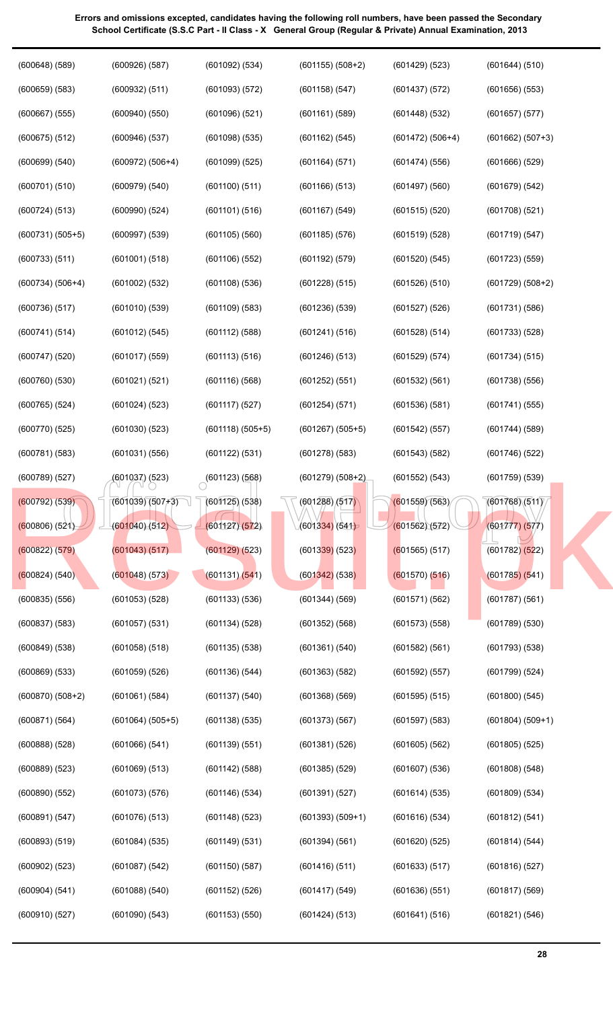| $(600648)$ $(589)$   | $(600926)$ $(587)$ | (601092) (534)     | $(601155) (508+2)$ | $(601429)$ $(523)$ | (601644) (510)     |
|----------------------|--------------------|--------------------|--------------------|--------------------|--------------------|
| $(600659)$ $(583)$   | (600932) (511)     | (601093) (572)     | (601158)(547)      | (601437) (572)     | $(601656)$ $(553)$ |
| $(600667)$ $(555)$   | $(600940)$ $(550)$ | $(601096)$ $(521)$ | (601161) (589)     | $(601448)$ $(532)$ | $(601657)$ $(577)$ |
| $(600675)$ $(512)$   | $(600946)$ $(537)$ | $(601098)$ $(535)$ | (601162) (545)     | $(601472) (506+4)$ | $(601662) (507+3)$ |
| $(600699)$ $(540)$   | $(600972) (506+4)$ | $(601099)$ $(525)$ | (601164)(571)      | (601474)(556)      | $(601666)$ $(529)$ |
| (600701) (510)       | $(600979)$ $(540)$ | $(601100)$ $(511)$ | $(601166)$ $(513)$ | $(601497)$ $(560)$ | (601679) (542)     |
| (600724) (513)       | $(600990)$ $(524)$ | $(601101)$ $(516)$ | (601167) (549)     | (601515)(520)      | $(601708)$ $(521)$ |
| $(600731) (505+5)$   | $(600997)$ $(539)$ | $(601105)$ $(560)$ | $(601185)$ $(576)$ | (601519)(528)      | (601719)(547)      |
| (600733) (511)       | $(601001)$ $(518)$ | $(601106)$ $(552)$ | (601192) (579)     | $(601520)$ $(545)$ | $(601723)$ $(559)$ |
| $(600734) (506+4)$   | $(601002)$ $(532)$ | (601108)(536)      | $(601228)$ $(515)$ | $(601526)$ $(510)$ | $(601729) (508+2)$ |
| $(600736)$ $(517)$   | $(601010)$ $(539)$ | $(601109)$ $(583)$ | $(601236)$ $(539)$ | $(601527)$ $(526)$ | $(601731)$ $(586)$ |
| (600741) (514)       | (601012) (545)     | $(601112)$ $(588)$ | (601241) (516)     | (601528)(514)      | $(601733)$ $(528)$ |
| $(600747)$ $(520)$   | $(601017)$ $(559)$ | (601113)(516)      | $(601246)$ $(513)$ | (601529) (574)     | (601734) (515)     |
| $(600760)$ $(530)$   | (601021) (521)     | (601116)(568)      | (601252) (551)     | (601532) (561)     | $(601738)$ $(556)$ |
| $(600765)$ $(524)$   | (601024) (523)     | (601117)(527)      | (601254) (571)     | (601536)(581)      | (601741) (555)     |
| (600770)(525)        | $(601030)$ $(523)$ | $(601118)(505+5)$  | $(601267) (505+5)$ | (601542) (557)     | $(601744)$ $(589)$ |
| (600781)(583)        | $(601031)$ $(556)$ | (601122) (531)     | $(601278)$ $(583)$ | $(601543)$ $(582)$ | $(601746)$ $(522)$ |
| $(600789)$ $(527)$   | (601037) (523)     | $(601123)$ $(568)$ | $(601279) (508+2)$ | (601552) (543)     | $(601759)$ $(539)$ |
| $(600792)$ $(539)$   | (601039)(507)      | $(601125)$ (538)   | (601288)/(517)     | (601559)(563)      | (601768)(511)      |
| $(600806)$ $(521)$   | (601040)(512)      | (601127)(572)      | (601334)(541)      | (601562)(572)      | (601777) (577)     |
| (600822) (579)       | (601043) (517)     | $(601129)$ $(523)$ | $(601339)$ (523)   | $(601565)$ (517)   | $(601782)$ $(522)$ |
| (600824) (540)       | (601048) (573)     | (601131)(541)      | $(601342)$ (538)   | $(601570)$ $(516)$ | (601785) (541)     |
| $(600835)$ $(556)$   | $(601053)$ $(528)$ | $(601133)$ $(536)$ | $(601344)$ $(569)$ | (601571) (562)     | $(601787)$ $(561)$ |
| $(600837)$ $(583)$   | $(601057)$ $(531)$ | (601134)(528)      | $(601352)$ $(568)$ | $(601573)$ $(558)$ | $(601789)$ $(530)$ |
| $(600849)$ $(538)$   | $(601058)$ $(518)$ | $(601135)$ $(538)$ | (601361) (540)     | (601582) (561)     | $(601793)$ $(538)$ |
| $(600869)$ $(533)$   | $(601059)$ $(526)$ | $(601136)$ $(544)$ | $(601363)$ $(582)$ | $(601592)$ $(557)$ | $(601799)$ $(524)$ |
| $(600870)$ $(508+2)$ | $(601061)$ $(584)$ | $(601137)$ $(540)$ | $(601368)$ $(569)$ | $(601595)$ $(515)$ | $(601800)$ $(545)$ |
| (600871) (564)       | $(601064) (505+5)$ | $(601138)$ $(535)$ | $(601373)$ $(567)$ | $(601597)$ $(583)$ | $(601804) (509+1)$ |
| $(600888)$ $(528)$   | $(601066)$ $(541)$ | $(601139)$ $(551)$ | (601381) (526)     | $(601605)$ $(562)$ | $(601805)$ $(525)$ |
| $(600889)$ $(523)$   | $(601069)$ $(513)$ | $(601142)$ $(588)$ | $(601385)$ $(529)$ | $(601607)$ $(536)$ | $(601808)$ $(548)$ |
| $(600890)$ $(552)$   | $(601073)$ $(576)$ | $(601146)$ $(534)$ | (601391) (527)     | (601614)(535)      | $(601809)$ $(534)$ |
| (600891) (547)       | $(601076)$ $(513)$ | $(601148)$ $(523)$ | $(601393) (509+1)$ | (601616)(534)      | (601812) (541)     |
| $(600893)$ $(519)$   | (601084) (535)     | $(601149)$ $(531)$ | (601394) (561)     | $(601620)$ $(525)$ | (601814)(544)      |
| $(600902)$ $(523)$   | $(601087)$ $(542)$ | $(601150)$ $(587)$ | (601416)(511)      | (601633) (517)     | $(601816)$ $(527)$ |
| (600904) (541)       | $(601088)$ $(540)$ | $(601152)$ $(526)$ | (601417) (549)     | (601636)(551)      | $(601817)$ $(569)$ |
| (600910)(527)        | $(601090)$ $(543)$ | $(601153)$ $(550)$ | (601424) (513)     | (601641) (516)     | (601821) (546)     |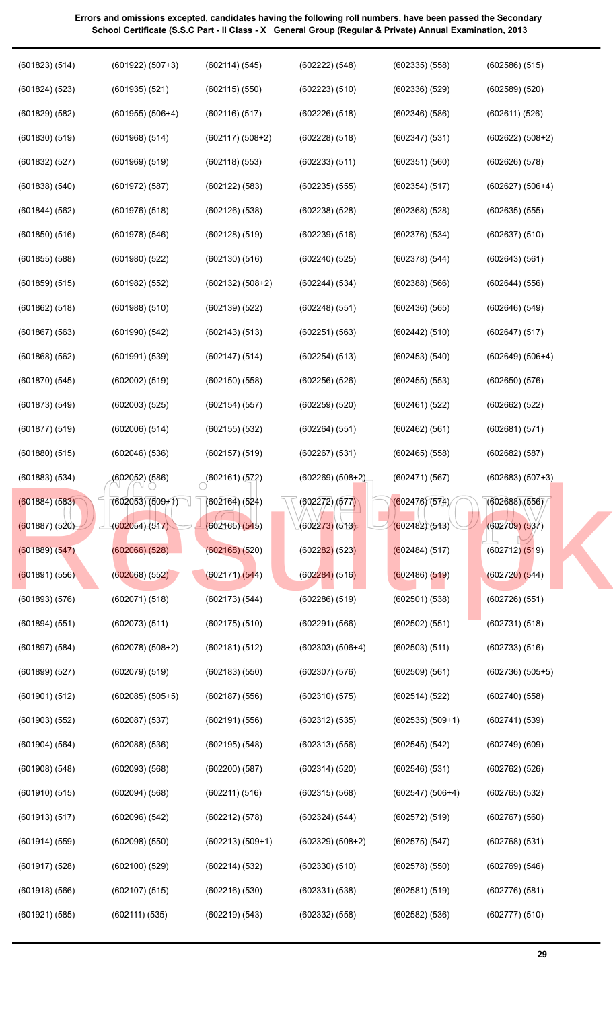| (601823) (514)     | $(601922) (507+3)$   | (602114) (545)             | (602222) (548)     | $(602335)$ $(558)$ | $(602586)$ $(515)$   |
|--------------------|----------------------|----------------------------|--------------------|--------------------|----------------------|
| (601824) (523)     | $(601935)$ $(521)$   | $(602115)$ $(550)$         | (602223) (510)     | (602336)(529)      | $(602589)$ $(520)$   |
| $(601829)$ $(582)$ | $(601955) (506+4)$   | $(602116)$ $(517)$         | $(602226)$ $(518)$ | (602346)(586)      | (602611) (526)       |
| $(601830)$ $(519)$ | (601968) (514)       | $(602117) (508+2)$         | $(602228)$ $(518)$ | (602347) (531)     | $(602622) (508+2)$   |
| (601832) (527)     | $(601969)$ $(519)$   | $(602118)$ $(553)$         | (602233) (511)     | (602351)(560)      | $(602626)$ $(578)$   |
| $(601838)$ $(540)$ | (601972) (587)       | (602122) (583)             | $(602235)$ $(555)$ | (602354)(517)      | $(602627) (506+4)$   |
| (601844) (562)     | $(601976)$ $(518)$   | $(602126)$ $(538)$         | $(602238)$ $(528)$ | $(602368)$ $(528)$ | $(602635)$ $(555)$   |
| $(601850)$ $(516)$ | $(601978)$ $(546)$   | (602128) (519)             | (602239) (516)     | (602376)(534)      | $(602637)$ $(510)$   |
| $(601855)$ $(588)$ | $(601980)$ $(522)$   | (602130)(516)              | $(602240)$ $(525)$ | (602378) (544)     | (602643) (561)       |
| (601859) (515)     | (601982) (552)       | $(602132) (508+2)$         | (602244) (534)     | (602388) (566)     | (602644) (556)       |
| (601862) (518)     | (601988) (510)       | (602139) (522)             | $(602248)$ $(551)$ | $(602436)$ $(565)$ | (602646) (549)       |
| $(601867)$ $(563)$ | (601990) (542)       | (602143) (513)             | (602251) (563)     | (602442) (510)     | (602647) (517)       |
| (601868) (562)     | (601991) (539)       | (602147) (514)             | (602254) (513)     | (602453) (540)     | $(602649) (506+4)$   |
| (601870) (545)     | (602002) (519)       | (602150)(558)              | $(602256)$ $(526)$ | (602455) (553)     | $(602650)$ $(576)$   |
| (601873) (549)     | (602003) (525)       | (602154) (557)             | $(602259)$ $(520)$ | (602461) (522)     | $(602662)$ $(522)$   |
| (601877) (519)     | (602006) (514)       | $(602155)$ $(532)$         | (602264) (551)     | (602462) (561)     | (602681) (571)       |
| $(601880)$ $(515)$ | $(602046)$ $(536)$   | $(602157)$ $(519)$         | $(602267)$ $(531)$ | $(602465)$ $(558)$ | (602682) (587)       |
| $(601883)$ $(534)$ | (602052) (586)       | $\bigcirc^{(602161)(572)}$ | $(602269) (508+2)$ | (602471)(567)      | $(602683) (507+3)$   |
| (601884) (583)     | $(602053)(509+1)$    | $(602164)$ (524)           | (602272)/(577)     | (602476)(574)      | (602688)(556)        |
| (601887) (520)     | (602054)(517)        | (602165)(545)              | (602273)(513)      | (602482)(513)      | $(602709)$ $(537)$   |
| (601889) (547)     | $(602066)$ $(528)$   | (602168)(520)              | $(602282)$ (523)   | (602484) (517)     | $(602712)$ $(519)$   |
| $(601891)$ (556)   | $(602068)$ $(552)$   | (602171) (544)             | $(602284)$ (516)   | (602486) (519)     | (602720)(544)        |
| (601893) (576)     |                      |                            |                    |                    |                      |
|                    | (602071) (518)       | (602173) (544)             | $(602286)$ $(519)$ | $(602501)$ $(538)$ | $(602726)$ $(551)$   |
| (601894) (551)     | $(602073)$ $(511)$   | $(602175)$ $(510)$         | $(602291)$ $(566)$ | $(602502)$ $(551)$ | (602731)(518)        |
| $(601897)$ $(584)$ | $(602078) (508+2)$   | (602181) (512)             | $(602303) (506+4)$ | (602503) (511)     | (602733) (516)       |
| $(601899)$ $(527)$ | $(602079)$ $(519)$   | $(602183)$ $(550)$         | $(602307)$ $(576)$ | (602509) (561)     | $(602736)$ $(505+5)$ |
| $(601901)$ $(512)$ | $(602085)$ $(505+5)$ | $(602187)$ $(556)$         | (602310)(575)      | (602514)(522)      | (602740)(558)        |
| $(601903)$ $(552)$ | $(602087)$ $(537)$   | (602191) (556)             | $(602312)$ $(535)$ | $(602535) (509+1)$ | (602741) (539)       |
| $(601904)$ $(564)$ | $(602088)$ $(536)$   | $(602195)$ $(548)$         | $(602313)$ $(556)$ | $(602545)$ $(542)$ | $(602749)$ $(609)$   |
| $(601908)$ $(548)$ | $(602093)$ $(568)$   | $(602200)$ $(587)$         | (602314) (520)     | (602546)(531)      | $(602762)$ $(526)$   |
| $(601910)$ $(515)$ | $(602094)$ $(568)$   | (602211) (516)             | $(602315)$ $(568)$ | $(602547) (506+4)$ | $(602765)$ $(532)$   |
| (601913) (517)     | $(602096)$ $(542)$   | (602212) (578)             | (602324) (544)     | (602572) (519)     | $(602767)$ $(560)$   |
| (601914) (559)     | $(602098)$ $(550)$   | $(602213) (509+1)$         | $(602329) (508+2)$ | $(602575)$ $(547)$ | $(602768)$ $(531)$   |
| $(601917)$ $(528)$ | $(602100)$ $(529)$   | (602214) (532)             | $(602330)$ $(510)$ | $(602578)$ $(550)$ | $(602769)$ $(546)$   |
| (601918) (566)     | (602107) (515)       | (602216) (530)             | (602331) (538)     | (602581) (519)     | $(602776)$ $(581)$   |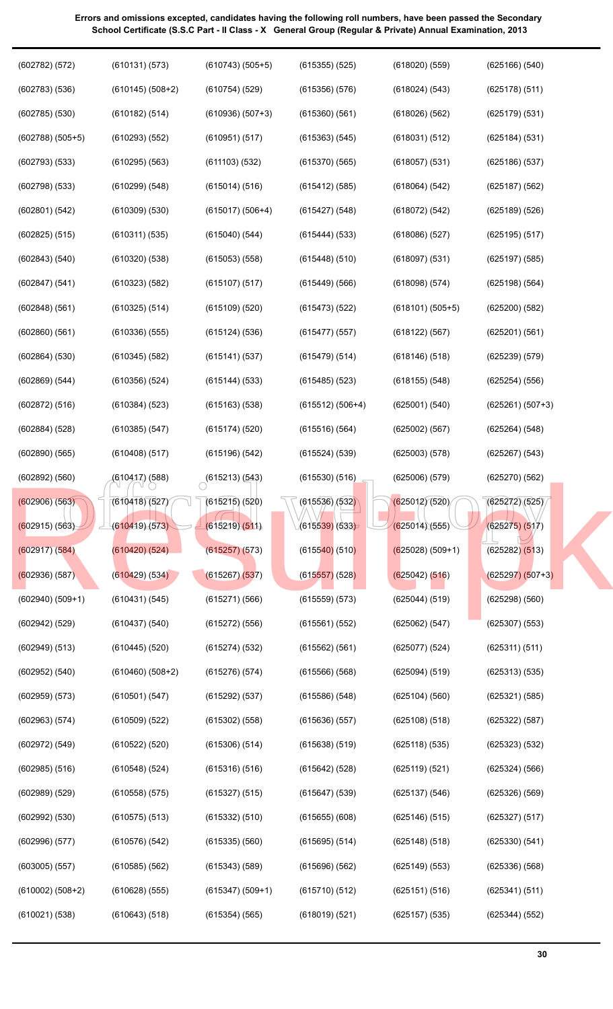(610412) (588) (615213) (543) (615530) (516) (625006) (579) (625270) (562)<br>
(610418) (527) (615219) (520) (615536) (532) (625012) (520) (625272) (525)<br>
(625272) (525) (625272) (525) (615219) (511) (615539) (533) (625014) (602782) (572) (602783) (536) (602785) (530) (602788) (505+5) (602793) (533) (602798) (533) (602801) (542) (602825) (515) (602843) (540) (602847) (541) (602848) (561) (602860) (561) (602864) (530) (602869) (544) (602872) (516) (602884) (528) (602890) (565) (602892) (560) (602906) (563) (602915) (563) (602917) (584) (602936) (587) (602940) (509+1) (602942) (529) (602949) (513) (602952) (540) (602959) (573) (602963) (574) (602972) (549) (602985) (516) (602989) (529) (602992) (530) (602996) (577) (603005) (557) (610002) (508+2) (610021) (538) (610131) (573) (610145) (508+2) (610182) (514) (610293) (552) (610295) (563) (610299) (548) (610309) (530) (610311) (535) (610320) (538) (610323) (582) (610325) (514) (610336) (555) (610345) (582) (610356) (524) (610384) (523) (610385) (547) (610408) (517) (610417) (588) (610418) (527) (610419) (573) (610420) (524) (610429) (534) (610431) (545) (610437) (540) (610445) (520) (610460) (508+2) (610501) (547) (610509) (522) (610522) (520) (610548) (524) (610558) (575) (610575) (513) (610576) (542) (610585) (562) (610628) (555) (610643) (518) (610743) (505+5) (610754) (529) (610936) (507+3) (610951) (517) (611103) (532) (615014) (516) (615017) (506+4) (615040) (544) (615053) (558) (615107) (517) (615109) (520) (615124) (536) (615141) (537) (615144) (533) (615163) (538) (615174) (520) (615196) (542)  $(615213)(543)$ (615215) (520) (615219) (511) (615257) (573) (615267) (537) (615271) (566) (615272) (556) (615274) (532) (615276) (574) (615292) (537) (615302) (558) (615306) (514) (615316) (516) (615327) (515) (615332) (510) (615335) (560) (615343) (589) (615347) (509+1) (615354) (565) (615355) (525) (615356) (576) (615360) (561) (615363) (545) (615370) (565) (615412) (585) (615427) (548) (615444) (533) (615448) (510) (615449) (566) (615473) (522) (615477) (557) (615479) (514) (615485) (523) (615512) (506+4) (615516) (564) (615524) (539) (615530) (516) (615536) (532) (615539) (533) (615540) (510) (615557) (528) (615559) (573) (615561) (552) (615562) (561) (615566) (568) (615586) (548) (615636) (557) (615638) (519) (615642) (528) (615647) (539) (615655) (608) (615695) (514) (615696) (562) (615710) (512) (618019) (521) (618020) (559) (618024) (543) (618026) (562) (618031) (512) (618057) (531) (618064) (542) (618072) (542) (618086) (527) (618097) (531) (618098) (574) (618101) (505+5) (618122) (567) (618146) (518) (618155) (548) (625001) (540) (625002) (567) (625003) (578) (625006) (579) (625012) (520) (625014) (555) (625028) (509+1) (625042) (516) (625044) (519) (625062) (547) (625077) (524) (625094) (519) (625104) (560) (625108) (518) (625118) (535) (625119) (521) (625137) (546) (625146) (515) (625148) (518) (625149) (553) (625151) (516) (625157) (535) (625166) (540) (625178) (511) (625179) (531) (625184) (531) (625186) (537) (625187) (562) (625189) (526) (625195) (517) (625197) (585) (625198) (564) (625200) (582) (625201) (561) (625239) (579) (625254) (556) (625261) (507+3) (625264) (548) (625267) (543) (625270) (562) (625272) (525) (625275) (517) (625282) (513) (625297) (507+3) (625298) (560) (625307) (553) (625311) (511) (625313) (535) (625321) (585) (625322) (587) (625323) (532) (625324) (566) (625326) (569) (625327) (517) (625330) (541) (625336) (568) (625341) (511) (625344) (552) (602892) (560) (610412) (588) (615213) (543) (615530) (516) (625006) (579) (625272) (562)<br>
(602915) (610419) (573) (6152571) (573) (615539) (615539) (625012) (520) (625272) (525)<br>
(602917) (584) (610429) (524) (615257) (5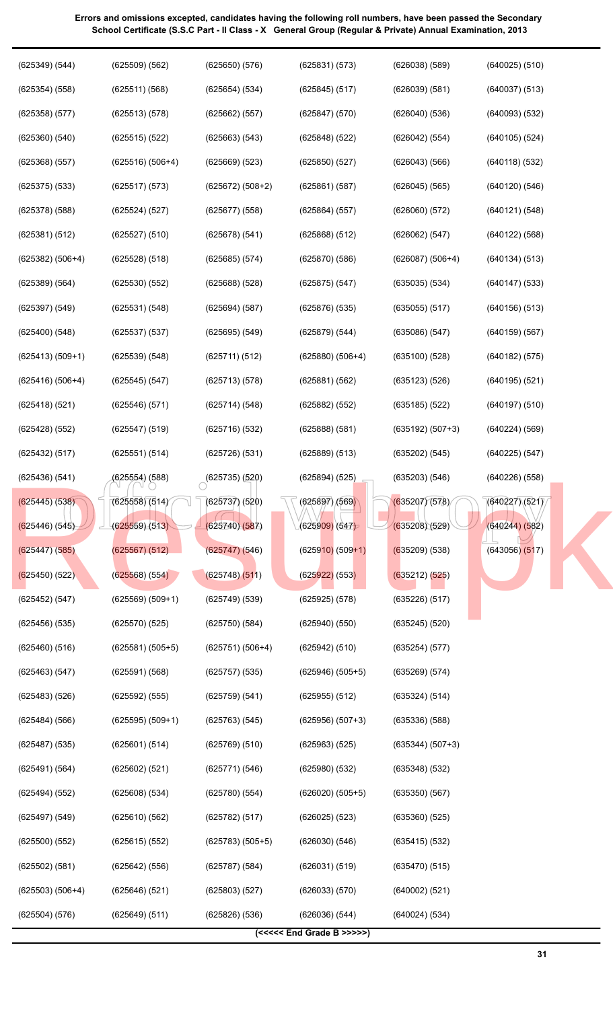| (625349) (544)     | $(625509)$ $(562)$ | (625650)(576)             | (625831) (573)            | $(626038)$ $(589)$ | $(640025)$ $(510)$ |
|--------------------|--------------------|---------------------------|---------------------------|--------------------|--------------------|
| $(625354)$ $(558)$ | (625511) (568)     | (625654) (534)            | $(625845)$ $(517)$        | (626039) (581)     | (640037) (513)     |
| $(625358)$ $(577)$ | (625513) (578)     | (625662) (557)            | $(625847)$ $(570)$        | (626040)(536)      | (640093) (532)     |
| $(625360)$ $(540)$ | (625515) (522)     | (625663) (543)            | $(625848)$ $(522)$        | (626042) (554)     | $(640105)$ $(524)$ |
| $(625368)$ $(557)$ | $(625516) (506+4)$ | (625669) (523)            | $(625850)$ $(527)$        | (626043) (566)     | (640118) (532)     |
| $(625375)$ $(533)$ | (625517) (573)     | $(625672) (508+2)$        | (625861) (587)            | $(626045)$ $(565)$ | $(640120)$ $(546)$ |
| $(625378)$ $(588)$ | (625524) (527)     | (625677) (558)            | (625864) (557)            | (626060) (572)     | (640121) (548)     |
| (625381) (512)     | (625527) (510)     | (625678) (541)            | (625868) (512)            | (626062) (547)     | $(640122)$ $(568)$ |
| $(625382) (506+4)$ | (625528) (518)     | (625685) (574)            | (625870)(586)             | $(626087) (506+4)$ | (640134) (513)     |
| (625389) (564)     | $(625530)$ $(552)$ | $(625688)$ $(528)$        | $(625875)$ $(547)$        | (635035) (534)     | $(640147)$ $(533)$ |
| $(625397)$ $(549)$ | (625531) (548)     | (625694) (587)            | $(625876)$ $(535)$        | (635055) (517)     | $(640156)$ $(513)$ |
| $(625400)$ $(548)$ | (625537) (537)     | (625695) (549)            | (625879) (544)            | (635086) (547)     | (640159) (567)     |
| $(625413) (509+1)$ | (625539) (548)     | (625711) (512)            | $(625880)$ $(506+4)$      | (635100)(528)      | (640182) (575)     |
| $(625416) (506+4)$ | (625545) (547)     | (625713) (578)            | (625881) (562)            | (635123) (526)     | (640195) (521)     |
| $(625418)$ $(521)$ | (625546) (571)     | (625714) (548)            | $(625882)$ $(552)$        | $(635185)$ (522)   | $(640197)$ $(510)$ |
| $(625428)$ $(552)$ | (625547) (519)     | (625716) (532)            | (625888) (581)            | $(635192) (507+3)$ | (640224) (569)     |
| (625432) (517)     | (625551) (514)     | $(625726)$ $(531)$        | (625889) (513)            | (635202) (545)     | (640225) (547)     |
| (625436) (541)     | (625554) (588)     | $\bigcirc$ (625735) (520) | (625894) (525)            | (635203) (546)     | $(640226)$ $(558)$ |
| $(625445)$ (538)   | (625558)(514)      | (625737) (520)            | (625897) (569)            | (635207)(578)      | (640227)(521)      |
| (625446) (545)     | (625559)(513)      | (625740)(587)             | (625909) (547)            | (635208)(529)      | (640244) (582)     |
| $(625447)$ $(585)$ | (625567) (512)     | (625747)(546)             | $(625910)$ (509+1)        | $(635209)$ (538)   | $(643056)$ $(517)$ |
| $(625450)$ (522)   | $(625568)$ (554)   | $(625748)$ $(511)$        | $(625922)$ (553)          | (635212) (525)     |                    |
| (625452) (547)     | $(625569) (509+1)$ | $(625749)$ $(539)$        | $(625925)$ $(578)$        | $(635226)$ $(517)$ |                    |
| $(625456)$ $(535)$ | $(625570)$ $(525)$ | (625750)(584)             | $(625940)$ $(550)$        | $(635245)$ $(520)$ |                    |
| $(625460)$ $(516)$ | $(625581) (505+5)$ | $(625751) (506+4)$        | (625942) (510)            | (635254)(577)      |                    |
| (625463) (547)     | (625591) (568)     | $(625757)$ $(535)$        | $(625946)$ $(505+5)$      | (635269) (574)     |                    |
| $(625483)$ $(526)$ | $(625592)$ $(555)$ | (625759) (541)            | $(625955)$ $(512)$        | (635324) (514)     |                    |
| (625484) (566)     | $(625595) (509+1)$ | $(625763)$ $(545)$        | $(625956) (507+3)$        | (635336)(588)      |                    |
| $(625487)$ $(535)$ | (625601) (514)     | (625769) (510)            | $(625963)$ $(525)$        | $(635344) (507+3)$ |                    |
| (625491) (564)     | (625602) (521)     | (625771)(546)             | $(625980)$ $(532)$        | $(635348)$ $(532)$ |                    |
| (625494) (552)     | $(625608)$ $(534)$ | (625780)(554)             | $(626020) (505+5)$        | (635350)(567)      |                    |
| $(625497)$ $(549)$ | $(625610)$ $(562)$ | (625782) (517)            | $(626025)$ $(523)$        | $(635360)$ $(525)$ |                    |
| $(625500)$ $(552)$ | (625615) (552)     | $(625783) (505+5)$        | (626030) (546)            | $(635415)$ $(532)$ |                    |
| $(625502)$ $(581)$ | (625642) (556)     | (625787) (584)            | (626031) (519)            | (635470)(515)      |                    |
| $(625503) (506+4)$ | $(625646)$ $(521)$ | $(625803)$ $(527)$        | (626033) (570)            | (640002) (521)     |                    |
| $(625504)$ $(576)$ | (625649) (511)     | $(625826)$ $(536)$        | (626036) (544)            | (640024) (534)     |                    |
|                    |                    |                           | (<<<<< End Grade B >>>>>) |                    |                    |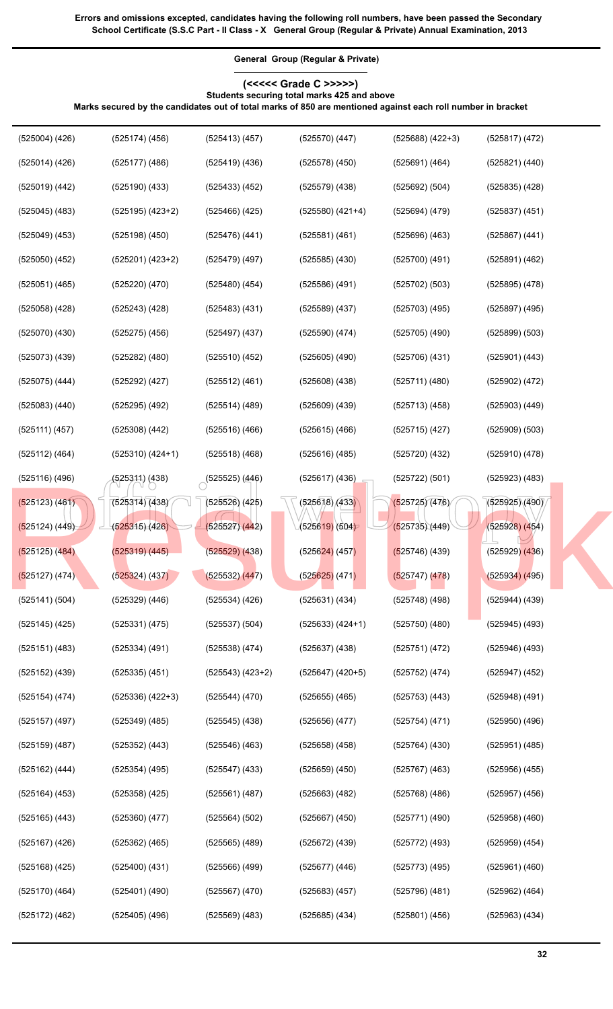**(<<<<< Grade C >>>>>) Students securing total marks 425 and above**

**General Group (Regular & Private)**

**Marks secured by the candidates out of total marks of 850 are mentioned against each roll number in bracket**

| $(525004)$ $(426)$ | $(525174)$ (456)     | (525413)(457)         | $(525570)$ $(447)$           | $(525688) (422+3)$ | $(525817)$ $(472)$ |
|--------------------|----------------------|-----------------------|------------------------------|--------------------|--------------------|
| $(525014)$ $(426)$ | $(525177)$ $(486)$   | $(525419)$ $(436)$    | $(525578)$ $(450)$           | (525691) (464)     | $(525821)$ $(440)$ |
| $(525019)$ $(442)$ | $(525190)$ $(433)$   | $(525433)$ $(452)$    | $(525579)$ $(438)$           | (525692) (504)     | $(525835)$ $(428)$ |
| $(525045)$ (483)   | $(525195)$ $(423+2)$ | $(525466)$ $(425)$    | $(525580)$ $(421+4)$         | $(525694)$ $(479)$ | $(525837)$ $(451)$ |
| $(525049)$ $(453)$ | $(525198)$ $(450)$   | $(525476)$ $(441)$    | $(525581)$ $(461)$           | $(525696)$ $(463)$ | $(525867)$ $(441)$ |
| $(525050)$ $(452)$ | $(525201) (423+2)$   | $(525479)$ (497)      | $(525585)$ $(430)$           | (525700) (491)     | $(525891)$ $(462)$ |
| $(525051)$ $(465)$ | $(525220)$ $(470)$   | $(525480)$ $(454)$    | (525586) (491)               | $(525702)$ $(503)$ | $(525895)$ $(478)$ |
| $(525058)$ $(428)$ | $(525243)$ $(428)$   | $(525483)$ $(431)$    | $(525589)$ $(437)$           | $(525703)$ $(495)$ | $(525897)$ (495)   |
| (525070) (430)     | $(525275)$ $(456)$   | $(525497)$ $(437)$    | $(525590)$ $(474)$           | $(525705)$ $(490)$ | $(525899)$ $(503)$ |
| (525073) (439)     | $(525282)$ $(480)$   | $(525510)$ $(452)$    | $(525605)$ $(490)$           | (525706) (431)     | $(525901)$ $(443)$ |
| (525075) (444)     | $(525292)$ $(427)$   | $(525512)$ $(461)$    | $(525608)$ $(438)$           | $(525711)$ $(480)$ | $(525902)$ $(472)$ |
| $(525083)$ $(440)$ | $(525295)$ $(492)$   | $(525514)$ $(489)$    | $(525609)$ $(439)$           | (525713)(458)      | $(525903)$ $(449)$ |
| (525111) (457)     | $(525308)$ $(442)$   | $(525516)$ $(466)$    | $(525615)$ $(466)$           | $(525715)$ (427)   | $(525909)$ $(503)$ |
| $(525112)$ $(464)$ | $(525310)$ $(424+1)$ | $(525518)$ $(468)$    | $(525616)$ (485)             | $(525720)$ $(432)$ | $(525910)$ $(478)$ |
| (525116)(496)      | (525311) (438)       | $\sim$ (525525) (446) | $(525617)$ $(436)$           | (525722) (501)     | $(525923)$ $(483)$ |
| (525123) (461)     | (525314)(438)        | $(525526)$ $(425)$    | (525618)(433)                | (525725)(476)      | (525925)(490)      |
| (525124) (449)     | (525315) (426)       | (525527)(442)         | (5256 <mark>19)</mark> (504) | (525735)(449)      | $(525928)$ (454)   |
| $(525125)$ $(484)$ | (525319) (445)       | $(525529)$ $(438)$    | $(525624)$ (457)             | $(525746)$ (439)   | $(525929)$ $(436)$ |
| (525127) (474)     | $(525324)$ $(437)$   | (525532) (447)        | $(525625)$ (471)             | (525747)(478)      | $(525934)$ (495)   |
| (525141) (504)     | $(525329)$ $(446)$   | (525534) (426)        | (525631) (434)               | $(525748)$ (498)   | (525944) (439)     |
| $(525145)$ (425)   | (525331) (475)       | $(525537)$ $(504)$    | $(525633) (424+1)$           | (525750)(480)      | (525945) (493)     |
| $(525151)$ $(483)$ | (525334) (491)       | $(525538)$ $(474)$    | $(525637)$ $(438)$           | (525751) (472)     | $(525946)$ (493)   |
| $(525152)$ $(439)$ | (525335) (451)       | $(525543)$ $(423+2)$  | $(525647)$ $(420+5)$         | (525752) (474)     | $(525947)$ $(452)$ |
| $(525154)$ $(474)$ | (525336) (422+3)     | $(525544)$ $(470)$    | $(525655)$ $(465)$           | $(525753)$ $(443)$ | $(525948)$ (491)   |
| $(525157)$ (497)   | (525349) (485)       | $(525545)$ $(438)$    | $(525656)$ $(477)$           | (525754) (471)     | $(525950)$ $(496)$ |
| $(525159)$ $(487)$ | $(525352)$ $(443)$   | $(525546)$ $(463)$    | $(525658)$ $(458)$           | $(525764)$ $(430)$ | $(525951)$ $(485)$ |
| $(525162)$ $(444)$ | $(525354)$ $(495)$   | $(525547)$ $(433)$    | $(525659)$ $(450)$           | $(525767)$ $(463)$ | $(525956)$ $(455)$ |
| $(525164)$ $(453)$ | $(525358)$ $(425)$   | $(525561)$ (487)      | $(525663)$ $(482)$           | $(525768)$ $(486)$ | $(525957)$ $(456)$ |
| $(525165)$ $(443)$ | $(525360)$ $(477)$   | $(525564)$ $(502)$    | $(525667)$ $(450)$           | $(525771)$ (490)   | $(525958)$ $(460)$ |
| $(525167)$ (426)   | $(525362)$ $(465)$   | $(525565)$ $(489)$    | $(525672)$ $(439)$           | $(525772)$ (493)   | $(525959)$ $(454)$ |
| $(525168)$ $(425)$ | $(525400)$ $(431)$   | $(525566)$ (499)      | $(525677)$ $(446)$           | $(525773)$ (495)   | $(525961)$ $(460)$ |
| $(525170)$ $(464)$ | $(525401)$ $(490)$   | $(525567)$ $(470)$    | $(525683)$ $(457)$           | $(525796)$ $(481)$ | $(525962)$ $(464)$ |
| (525172) (462)     | (525405) (496)       | (525569) (483)        | $(525685)$ $(434)$           | $(525801)$ $(456)$ | $(525963)$ $(434)$ |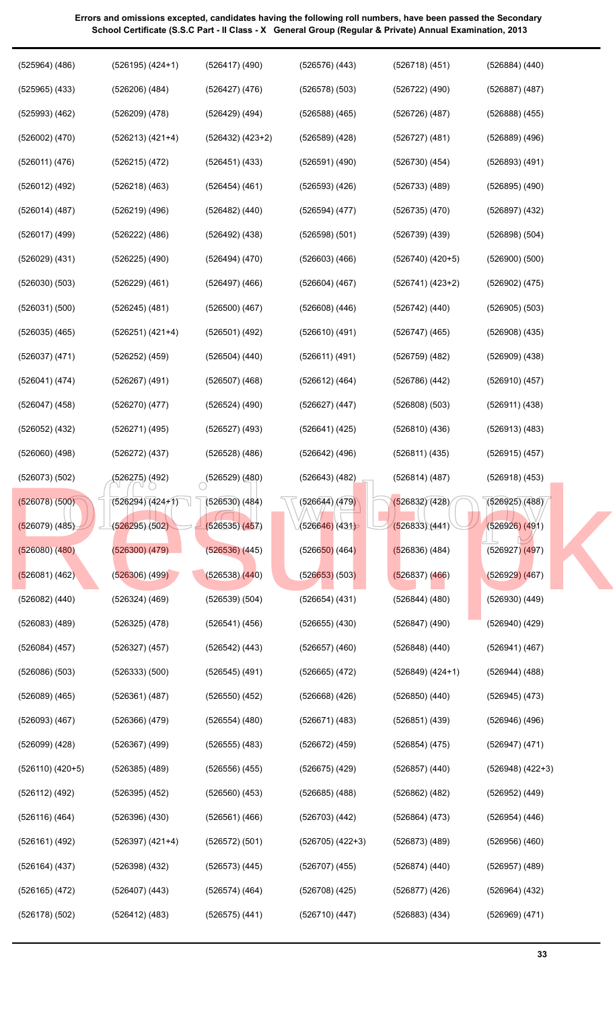| $(525964)$ $(486)$   | $(526195)$ $(424+1)$ | $(526417)$ (490)          | $(526576)$ $(443)$   | (526718) (451)       | $(526884)$ $(440)$   |
|----------------------|----------------------|---------------------------|----------------------|----------------------|----------------------|
| $(525965)$ $(433)$   | $(526206)$ $(484)$   | $(526427)$ $(476)$        | $(526578)$ $(503)$   | (526722) (490)       | $(526887)$ $(487)$   |
| $(525993)$ $(462)$   | $(526209)$ $(478)$   | $(526429)$ (494)          | $(526588)$ $(465)$   | (526726)(487)        | $(526888)$ $(455)$   |
| $(526002)$ $(470)$   | $(526213) (421+4)$   | $(526432)$ $(423+2)$      | $(526589)$ $(428)$   | (526727)(481)        | $(526889)$ $(496)$   |
| (526011) (476)       | (526215) (472)       | (526451) (433)            | $(526591)$ $(490)$   | (526730)(454)        | (526893) (491)       |
| (526012) (492)       | $(526218)$ $(463)$   | $(526454)$ (461)          | $(526593)$ $(426)$   | $(526733)$ $(489)$   | $(526895)$ $(490)$   |
| (526014) (487)       | $(526219)$ (496)     | $(526482)$ $(440)$        | (526594) (477)       | $(526735)$ $(470)$   | $(526897)$ $(432)$   |
| $(526017)$ (499)     | $(526222)$ $(486)$   | (526492) (438)            | $(526598)$ $(501)$   | $(526739)$ $(439)$   | $(526898)$ $(504)$   |
| $(526029)$ $(431)$   | $(526225)$ $(490)$   | (526494) (470)            | $(526603)$ $(466)$   | $(526740)$ $(420+5)$ | $(526900)$ $(500)$   |
| (526030)(503)        | $(526229)$ $(461)$   | $(526497)$ (466)          | $(526604)$ $(467)$   | $(526741) (423+2)$   | (526902) (475)       |
| $(526031)$ $(500)$   | $(526245)$ $(481)$   | $(526500)$ $(467)$        | $(526608)$ $(446)$   | $(526742)$ $(440)$   | $(526905)$ $(503)$   |
| $(526035)$ $(465)$   | $(526251) (421+4)$   | $(526501)$ (492)          | $(526610)$ (491)     | $(526747)$ (465)     | $(526908)$ $(435)$   |
| (526037) (471)       | $(526252)$ $(459)$   | $(526504)$ $(440)$        | (526611) (491)       | $(526759)$ (482)     | $(526909)$ $(438)$   |
| (526041) (474)       | $(526267)$ (491)     | $(526507)$ (468)          | (526612) (464)       | $(526786)$ $(442)$   | $(526910)$ $(457)$   |
| (526047) (458)       | $(526270)$ $(477)$   | $(526524)$ $(490)$        | $(526627)$ $(447)$   | $(526808)$ $(503)$   | (526911) (438)       |
| $(526052)$ $(432)$   | (526271) (495)       | $(526527)$ (493)          | $(526641)$ (425)     | (526810)(436)        | (526913) (483)       |
| $(526060)$ $(498)$   | $(526272)$ $(437)$   | $(526528)$ (486)          | $(526642)$ (496)     | (526811) (435)       | $(526915)$ $(457)$   |
| $(526073)$ $(502)$   | (526275) (492)       | $\bigcirc$ (526529) (480) | $(526643)$ (482)     | (526814)(487)        | $(526918)$ (453)     |
| $(526078)$ (500)     | $(526294)(424+1)$    | $(526530)$ $(484)$        | (526644)(479)        | (526832)(428)        | (526925)(488)        |
| (526079) (485)       | (526295)(502)        | (526535)(457)             | (526646)(431)        | (526833)(441)        | (526926) (491)       |
| $(526080)$ $(480)$   | (526300) (479)       | $(526536)$ $(445)$        | $(526650)$ (464)     | $(526836)$ (484)     | $(526927)$ $(497)$   |
| (526081) (462)       | $(526306)$ $(499)$   | $(526538)$ $(440)$        | $(526653)$ (503)     | $(526837)$ $(466)$   | (526929)(467)        |
| $(526082)$ $(440)$   | $(526324)$ $(469)$   | $(526539)$ $(504)$        | $(526654)$ $(431)$   | $(526844)$ $(480)$   | $(526930)$ $(449)$   |
| $(526083)$ $(489)$   | $(526325)$ $(478)$   | $(526541)$ $(456)$        | $(526655)$ $(430)$   | $(526847)$ $(490)$   | $(526940)$ $(429)$   |
| $(526084)$ $(457)$   | $(526327)$ $(457)$   | $(526542)$ $(443)$        | $(526657)$ $(460)$   | $(526848)$ $(440)$   | (526941) (467)       |
| $(526086)$ $(503)$   | $(526333)$ $(500)$   | $(526545)$ (491)          | $(526665)$ $(472)$   | $(526849)$ $(424+1)$ | $(526944)$ $(488)$   |
| $(526089)$ $(465)$   | $(526361)$ $(487)$   | $(526550)$ $(452)$        | $(526668)$ $(426)$   | $(526850)$ $(440)$   | $(526945)$ $(473)$   |
| $(526093)$ $(467)$   | $(526366)$ $(479)$   | $(526554)$ $(480)$        | $(526671)$ $(483)$   | $(526851)$ $(439)$   | $(526946)$ $(496)$   |
| $(526099)$ $(428)$   | $(526367)$ $(499)$   | $(526555)$ $(483)$        | $(526672)$ $(459)$   | $(526854)$ $(475)$   | (526947) (471)       |
| $(526110)$ $(420+5)$ | (526385) (489)       | $(526556)$ (455)          | $(526675)$ $(429)$   | $(526857)$ $(440)$   | $(526948)$ $(422+3)$ |
| $(526112)$ $(492)$   | (526395) (452)       | $(526560)$ $(453)$        | $(526685)$ $(488)$   | $(526862)$ (482)     | (526952) (449)       |
| $(526116)$ $(464)$   | $(526396)$ $(430)$   | $(526561)$ (466)          | $(526703)$ $(442)$   | $(526864)$ $(473)$   | $(526954)$ $(446)$   |
| (526161) (492)       | $(526397)$ $(421+4)$ | (526572) (501)            | $(526705)$ $(422+3)$ | $(526873)$ $(489)$   | $(526956)$ $(460)$   |
| $(526164)$ $(437)$   | (526398) (432)       | $(526573)$ $(445)$        | $(526707)$ (455)     | (526874)(440)        | $(526957)$ $(489)$   |
| (526165) (472)       | (526407) (443)       | $(526574)$ (464)          | (526708) (425)       | (526877)(426)        | (526964) (432)       |
| $(526178)$ $(502)$   | $(526412)$ (483)     | $(526575)$ $(441)$        | (526710)(447)        | $(526883)$ $(434)$   | (526969) (471)       |
|                      |                      |                           |                      |                      |                      |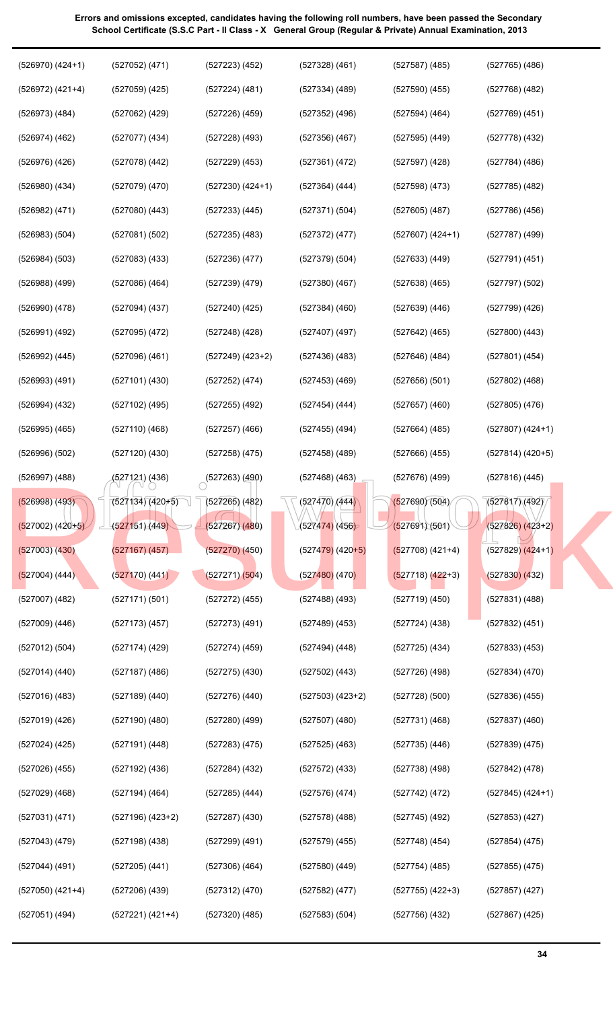| $(526970)$ $(424+1)$ | $(527052)$ $(471)$   | $(527223)$ $(452)$        | $(527328)$ $(461)$              | $(527587)$ (485)     | $(527765)$ (486)     |
|----------------------|----------------------|---------------------------|---------------------------------|----------------------|----------------------|
| (526972) (421+4)     | $(527059)$ (425)     | $(527224)$ (481)          | (527334) (489)                  | $(527590)$ (455)     | $(527768)$ $(482)$   |
| $(526973)$ $(484)$   | $(527062)$ (429)     | $(527226)$ (459)          | $(527352)$ (496)                | $(527594)$ (464)     | $(527769)$ $(451)$   |
| $(526974)$ $(462)$   | $(527077)$ $(434)$   | $(527228)$ (493)          | $(527356)$ (467)                | (527595)(449)        | $(527778)$ $(432)$   |
| $(526976)$ $(426)$   | (527078) (442)       | $(527229)$ $(453)$        | (527361) (472)                  | (527597)(428)        | (527784) (486)       |
| $(526980)$ $(434)$   | $(527079)$ $(470)$   | $(527230)$ $(424+1)$      | (527364) (444)                  | $(527598)$ $(473)$   | $(527785)$ $(482)$   |
| (526982) (471)       | $(527080)$ $(443)$   | $(527233)$ $(445)$        | (527371) (504)                  | $(527605)$ (487)     | $(527786)$ $(456)$   |
| $(526983)$ $(504)$   | (527081) (502)       | $(527235)$ $(483)$        | $(527372)$ $(477)$              | $(527607)$ $(424+1)$ | $(527787)$ (499)     |
| (526984) (503)       | $(527083)$ $(433)$   | (527236)(477)             | $(527379)$ $(504)$              | $(527633)$ $(449)$   | $(527791)$ $(451)$   |
| $(526988)$ $(499)$   | $(527086)$ $(464)$   | $(527239)$ $(479)$        | $(527380)$ $(467)$              | $(527638)$ $(465)$   | $(527797)$ $(502)$   |
| $(526990)$ $(478)$   | $(527094)$ $(437)$   | $(527240)$ $(425)$        | $(527384)$ $(460)$              | $(527639)$ $(446)$   | $(527799)$ $(426)$   |
| $(526991)$ $(492)$   | $(527095)$ $(472)$   | $(527248)$ (428)          | $(527407)$ (497)                | $(527642)$ (465)     | $(527800)$ $(443)$   |
| $(526992)$ $(445)$   | $(527096)$ $(461)$   | $(527249)$ $(423+2)$      | $(527436)$ (483)                | (527646)(484)        | $(527801)$ $(454)$   |
| $(526993)$ $(491)$   | $(527101)$ $(430)$   | $(527252)$ $(474)$        | $(527453)$ (469)                | (527656)(501)        | $(527802)$ $(468)$   |
| $(526994)$ $(432)$   | (527102) (495)       | $(527255)$ (492)          | (527454) (444)                  | $(527657)$ (460)     | $(527805)$ $(476)$   |
| $(526995)$ $(465)$   | $(527110)$ $(468)$   | $(527257)$ (466)          | $(527455)$ (494)                | $(527664)$ (485)     | $(527807)$ $(424+1)$ |
| $(526996)$ $(502)$   | $(527120)$ $(430)$   | $(527258)$ $(475)$        | $(527458)$ (489)                | $(527666)$ $(455)$   | $(527814)$ (420+5)   |
| $(526997)$ $(488)$   | (527121) (436)       | $\bigcirc$ (527263) (490) | $(527468)$ $(463)$              | $(527676)$ (499)     | $(527816)$ (445)     |
| (526998) (493)       | $(527134)(420+5)$    | $(527265)$ (482)          | $\sqrt{(527470)/(444)}$         | (527690)(504)        | (527817)(492)        |
| $(527002) (420+5)$   | (527151)(449)        | (527267)(480)             | (527474) (456)                  | (527691)(501)        | $(527826) (423+2)$   |
| $(527003)$ $(430)$   | $(527167)$ $(457)$   | $(527270)$ $(450)$        | $(5274\overline{79})$ $(420+5)$ | $(527708)$ (421+4)   | $(527829)$ $(424+1)$ |
| $(527004)$ (444)     | (527170) (441)       | (527271)(504)             | $(527480)$ (470)                | $(527718)$ $(422+3)$ | $(527830)$ $(432)$   |
| $(527007)$ $(482)$   | (527171) (501)       | $(527272)$ $(455)$        | $(527488)$ (493)                | (527719)(450)        | $(527831)$ $(488)$   |
| $(527009)$ $(446)$   | $(527173)$ $(457)$   | $(527273)$ (491)          | (527489) (453)                  | (527724)(438)        | $(527832)$ $(451)$   |
| (527012) (504)       | (527174) (429)       | (527274) (459)            | (527494) (448)                  | $(527725)$ $(434)$   | $(527833)$ $(453)$   |
| $(527014)$ $(440)$   | (527187) (486)       | $(527275)$ $(430)$        | $(527502)$ (443)                | (527726)(498)        | $(527834)$ $(470)$   |
| $(527016)$ $(483)$   | (527189) (440)       | $(527276)$ $(440)$        | $(527503)$ $(423+2)$            | (527728)(500)        | $(527836)$ $(455)$   |
| $(527019)$ $(426)$   | (527190) (480)       | $(527280)$ (499)          | (527507)(480)                   | (527731)(468)        | $(527837)$ $(460)$   |
| (527024) (425)       | (527191) (448)       | $(527283)$ $(475)$        | $(527525)$ (463)                | $(527735)$ $(446)$   | $(527839)$ $(475)$   |
| $(527026)$ $(455)$   | $(527192)$ $(436)$   | $(527284)$ (432)          | $(527572)$ $(433)$              | $(527738)$ $(498)$   | $(527842)$ (478)     |
| $(527029)$ $(468)$   |                      |                           |                                 | (527742) (472)       | $(527845)$ $(424+1)$ |
|                      | $(527194)$ (464)     | $(527285)$ $(444)$        | $(527576)$ $(474)$              |                      |                      |
| (527031) (471)       | $(527196)$ $(423+2)$ | $(527287)$ $(430)$        | $(527578)$ (488)                | $(527745)$ (492)     | $(527853)$ $(427)$   |
| $(527043)$ (479)     | $(527198)$ $(438)$   | $(527299)$ $(491)$        | $(527579)$ $(455)$              | $(527748)$ (454)     | $(527854)$ $(475)$   |
| $(527044)$ (491)     | (527205) (441)       | $(527306)$ (464)          | $(527580)$ $(449)$              | $(527754)$ (485)     | $(527855)$ $(475)$   |
| $(527050)$ $(421+4)$ | $(527206)$ $(439)$   | $(527312)$ $(470)$        | (527582) (477)                  | $(527755)$ $(422+3)$ | $(527857)$ $(427)$   |

**34**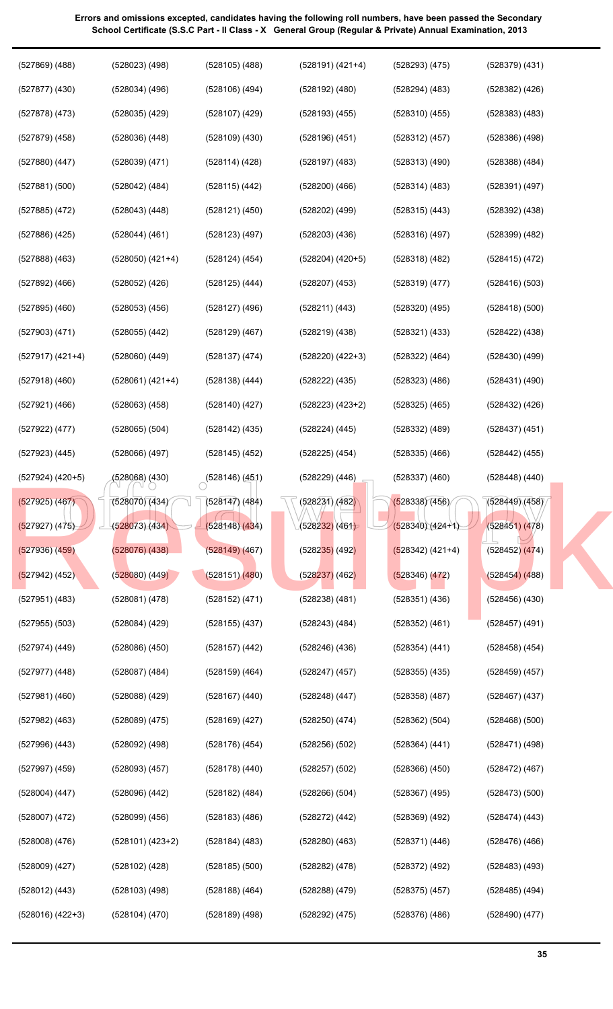| $(527869)$ $(488)$   | $(528023)$ $(498)$   | $(528105)$ $(488)$        | $(528191) (421+4)$           | $(528293)$ $(475)$ | $(528379)$ $(431)$ |
|----------------------|----------------------|---------------------------|------------------------------|--------------------|--------------------|
| $(527877)$ $(430)$   | $(528034)$ $(496)$   | $(528106)$ $(494)$        | $(528192)$ $(480)$           | $(528294)$ $(483)$ | $(528382)$ $(426)$ |
| $(527878)$ $(473)$   | $(528035)$ $(429)$   | $(528107)$ $(429)$        | $(528193)$ $(455)$           | $(528310)$ $(455)$ | $(528383)$ $(483)$ |
| $(527879)$ $(458)$   | $(528036)$ $(448)$   | $(528109)$ $(430)$        | $(528196)$ $(451)$           | $(528312)$ $(457)$ | $(528386)$ $(498)$ |
| $(527880)$ $(447)$   | $(528039)$ $(471)$   | (528114)(428)             | $(528197)$ $(483)$           | $(528313)$ $(490)$ | $(528388)$ $(484)$ |
| $(527881)$ $(500)$   | $(528042)$ $(484)$   | $(528115)$ $(442)$        | $(528200)$ $(466)$           | $(528314)$ $(483)$ | (528391) (497)     |
| $(527885)$ $(472)$   | $(528043)$ $(448)$   | $(528121)$ $(450)$        | $(528202)$ $(499)$           | $(528315)$ $(443)$ | $(528392)$ $(438)$ |
| $(527886)$ $(425)$   | $(528044)$ $(461)$   | $(528123)$ $(497)$        | $(528203)$ $(436)$           | (528316)(497)      | $(528399)$ $(482)$ |
| $(527888)$ $(463)$   | $(528050)$ $(421+4)$ | $(528124)$ (454)          | $(528204)$ $(420+5)$         | $(528318)$ $(482)$ | $(528415)$ $(472)$ |
| $(527892)$ $(466)$   | $(528052)$ $(426)$   | $(528125)$ $(444)$        | $(528207)$ $(453)$           | (528319) (477)     | $(528416)$ $(503)$ |
| $(527895)$ $(460)$   | $(528053)$ $(456)$   | $(528127)$ (496)          | (528211) (443)               | $(528320)$ $(495)$ | $(528418)$ $(500)$ |
| $(527903)$ $(471)$   | $(528055)$ $(442)$   | $(528129)$ $(467)$        | $(528219)$ $(438)$           | $(528321)$ $(433)$ | $(528422)$ $(438)$ |
| (527917) (421+4)     | $(528060)$ $(449)$   | $(528137)$ $(474)$        | $(528220)$ $(422+3)$         | $(528322)$ $(464)$ | $(528430)$ $(499)$ |
| $(527918)$ $(460)$   | $(528061) (421+4)$   | $(528138)$ $(444)$        | (528222) (435)               | $(528323)$ $(486)$ | $(528431)$ $(490)$ |
| $(527921)$ $(466)$   | $(528063)$ $(458)$   | (528140) (427)            | $(528223)$ $(423+2)$         | $(528325)$ (465)   | (528432) (426)     |
| (527922) (477)       | $(528065)$ $(504)$   | (528142) (435)            | (528224) (445)               | $(528332)$ $(489)$ | $(528437)$ $(451)$ |
| $(527923)$ $(445)$   | $(528066)$ $(497)$   | (528145) (452)            | $(528225)$ $(454)$           | $(528335)$ $(466)$ | $(528442)$ $(455)$ |
| $(527924)$ $(420+5)$ | (528068) (430)       | $\bigcirc$ (528146) (451) | (528229) (446)               | $(528337)$ $(460)$ | (528448) (440)     |
| $(527925)$ (467)     | (528070)(434)        | $(528147)$ (484)          | (528231) (482 <mark>)</mark> | (528338)(456)      | (528449)(458)      |
| (527927) (475)       | (528073)(434)        | (528148)(434)             | (528232)(461)                | $(528340)(424+1)$  | (528451) (478)     |
| $(527936)$ $(459)$   | (528076) (438)       | $(528149)$ $(467)$        | $(528235)$ (492)             | $(528342) (421+4)$ | $(528452)$ $(474)$ |
| $(527942)$ (452)     | $(528080)$ $(449)$   | $(528151)$ $(480)$        | $(528237)$ (462)             | $(528346)$ $(472)$ | $(528454)$ $(488)$ |
| (527951) (483)       | $(528081)$ $(478)$   | $(528152)$ $(471)$        | $(528238)$ $(481)$           | $(528351)$ $(436)$ | $(528456)$ $(430)$ |
| $(527955)$ $(503)$   | $(528084)$ $(429)$   | $(528155)$ $(437)$        | $(528243)$ $(484)$           | $(528352)$ $(461)$ | $(528457)$ (491)   |
| $(527974)$ $(449)$   | $(528086)$ $(450)$   | $(528157)$ $(442)$        | $(528246)$ $(436)$           | $(528354)$ $(441)$ | $(528458)$ $(454)$ |
| $(527977)$ $(448)$   | $(528087)$ $(484)$   | $(528159)$ (464)          | $(528247)$ $(457)$           | $(528355)$ $(435)$ | $(528459)$ $(457)$ |
| $(527981)$ $(460)$   | $(528088)$ $(429)$   | $(528167)$ $(440)$        | $(528248)$ $(447)$           | $(528358)$ $(487)$ | $(528467)$ $(437)$ |
| $(527982)$ $(463)$   | $(528089)$ $(475)$   | $(528169)$ (427)          | $(528250)$ $(474)$           | (528362) (504)     | $(528468)$ $(500)$ |
| $(527996)$ $(443)$   | $(528092)$ $(498)$   | $(528176)$ (454)          | $(528256)$ $(502)$           | $(528364)$ $(441)$ | (528471) (498)     |
| $(527997)$ $(459)$   | $(528093)$ $(457)$   | $(528178)$ $(440)$        | $(528257)$ $(502)$           | $(528366)$ $(450)$ | $(528472)$ (467)   |
| (528004) (447)       | (528096) (442)       | $(528182)$ (484)          | $(528266)$ $(504)$           | $(528367)$ (495)   | (528473) (500)     |
| $(528007)$ $(472)$   | (528099) (456)       | (528183) (486)            | (528272) (442)               | $(528369)$ $(492)$ | (528474) (443)     |
| (528008) (476)       | $(528101) (423+2)$   | $(528184)$ (483)          | $(528280)$ $(463)$           | $(528371)$ $(446)$ | $(528476)$ $(466)$ |
| $(528009)$ $(427)$   | (528102) (428)       | $(528185)$ $(500)$        | $(528282)$ $(478)$           | $(528372)$ (492)   | $(528483)$ $(493)$ |
| $(528012)$ $(443)$   | (528103) (498)       | $(528188)$ (464)          | (528288) (479)               | $(528375)$ $(457)$ | $(528485)$ (494)   |
| $(528016)$ $(422+3)$ | $(528104)$ $(470)$   | (528189) (498)            | $(528292)$ $(475)$           | $(528376)$ $(486)$ | $(528490)$ $(477)$ |
|                      |                      |                           |                              |                    |                    |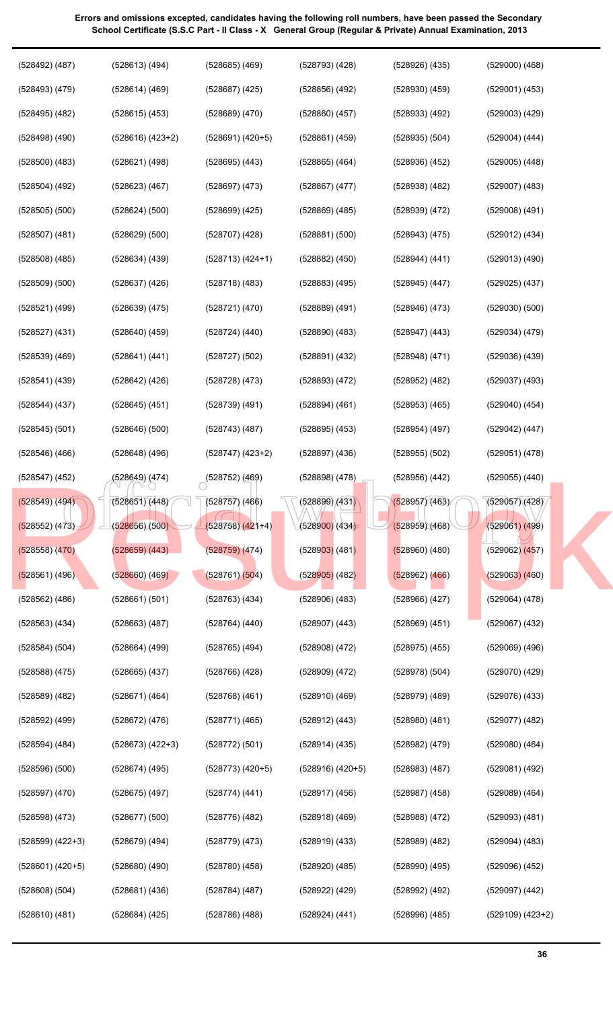| $(528492)$ $(487)$   | (528613) (494)       | $(528685)$ $(469)$        | $(528793)$ $(428)$           | $(528926)$ $(435)$ | $(529000)$ $(468)$   |
|----------------------|----------------------|---------------------------|------------------------------|--------------------|----------------------|
| $(528493)$ $(479)$   | $(528614)$ $(469)$   | $(528687)$ $(425)$        | $(528856)$ $(492)$           | $(528930)$ $(459)$ | $(529001)$ $(453)$   |
| $(528495)$ $(482)$   | $(528615)$ $(453)$   | $(528689)$ $(470)$        | $(528860)$ $(457)$           | (528933) (492)     | $(529003)$ $(429)$   |
| $(528498)$ $(490)$   | $(528616)$ $(423+2)$ | $(528691) (420+5)$        | $(528861)$ $(459)$           | $(528935)$ $(504)$ | $(529004)$ $(444)$   |
| $(528500)$ $(483)$   | (528621) (498)       | $(528695)$ $(443)$        | $(528865)$ $(464)$           | $(528936)$ $(452)$ | $(529005)$ $(448)$   |
| $(528504)$ $(492)$   | $(528623)$ $(467)$   | $(528697)$ $(473)$        | $(528867)$ $(477)$           | $(528938)$ $(482)$ | $(529007)$ $(483)$   |
| $(528505)$ $(500)$   | (528624)(500)        | $(528699)$ $(425)$        | $(528869)$ $(485)$           | $(528939)$ $(472)$ | $(529008)$ $(491)$   |
| $(528507)$ $(481)$   | $(528629)$ $(500)$   | (528707) (428)            | (528881) (500)               | (528943) (475)     | $(529012)$ $(434)$   |
| $(528508)$ $(485)$   | $(528634)$ $(439)$   | $(528713) (424+1)$        | $(528882)$ $(450)$           | (528944) (441)     | $(529013)$ $(490)$   |
| $(528509)$ $(500)$   | $(528637)$ $(426)$   | $(528718)$ $(483)$        | $(528883)$ $(495)$           | $(528945)$ $(447)$ | $(529025)$ $(437)$   |
| $(528521)$ (499)     | $(528639)$ $(475)$   | (528721) (470)            | $(528889)$ $(491)$           | $(528946)$ $(473)$ | $(529030)$ $(500)$   |
| $(528527)$ $(431)$   | $(528640)$ $(459)$   | (528724) (440)            | $(528890)$ $(483)$           | $(528947)$ $(443)$ | $(529034)$ $(479)$   |
| $(528539)$ $(469)$   | (528641) (441)       | $(528727)$ $(502)$        | $(528891)$ $(432)$           | $(528948)$ (471)   | $(529036)$ $(439)$   |
| $(528541)$ $(439)$   | (528642) (426)       | (528728) (473)            | $(528893)$ $(472)$           | $(528952)$ (482)   | $(529037)$ $(493)$   |
| (528544) (437)       | $(528645)$ (451)     | $(528739)$ (491)          | $(528894)$ $(461)$           | $(528953)$ (465)   | $(529040)$ $(454)$   |
| $(528545)$ $(501)$   | $(528646)$ $(500)$   | $(528743)$ (487)          | $(528895)$ $(453)$           | $(528954)$ (497)   | $(529042)$ $(447)$   |
| (528546) (466)       | $(528648)$ (496)     | $(528747)$ $(423+2)$      | $(528897)$ $(436)$           | (528955)(502)      | (529051) (478)       |
| (528547) (452)       | (528649) (474)       | $\bigcirc$ (528752) (469) | (528898)(478)                | $(528956)$ $(442)$ | $(529055)$ $(440)$   |
| $(528549)$ (494)     | (528651) (448)       | $(528757)$ $(466)$        | (528899)/(431)               | (528957)(463)      | (529057)(428)        |
| (528552) (473)       | (528656)(500)        | $(528758) (421+4)$        | (5289 <mark>00)</mark> (434) | (528959)(468)      | $(529061)$ $(499)$   |
| $(528558)$ $(470)$   | $(528659)$ $(443)$   | $(528759)$ $(474)$        | $(528903)$ (481)             | $(528960)$ (480)   | $(529062)$ $(457)$   |
| (528561) (496)       | $(528660)$ $(469)$   | (528761) (504)            | $(528905)$ (482)             | $(528962)$ $(466)$ | $(529063)$ $(460)$   |
| $(528562)$ $(486)$   | (528661) (501)       | $(528763)$ $(434)$        | $(528906)$ $(483)$           | $(528966)$ $(427)$ | $(529064)$ $(478)$   |
| $(528563)$ $(434)$   | $(528663)$ $(487)$   | $(528764)$ $(440)$        | $(528907)$ $(443)$           | $(528969)$ $(451)$ | $(529067)$ $(432)$   |
| (528584) (504)       | $(528664)$ (499)     | $(528765)$ (494)          | $(528908)$ $(472)$           | $(528975)$ $(455)$ | $(529069)$ $(496)$   |
| $(528588)$ $(475)$   | $(528665)$ $(437)$   | $(528766)$ $(428)$        | $(528909)$ $(472)$           | $(528978)$ $(504)$ | (529070) (429)       |
| $(528589)$ $(482)$   | (528671) (464)       | $(528768)$ $(461)$        | $(528910)$ $(469)$           | $(528979)$ $(489)$ | $(529076)$ $(433)$   |
| $(528592)$ $(499)$   | $(528672)$ $(476)$   | $(528771)$ (465)          | $(528912)$ $(443)$           | $(528980)$ $(481)$ | (529077) (482)       |
| $(528594)$ $(484)$   | $(528673)$ $(422+3)$ | (528772) (501)            | $(528914)$ $(435)$           | $(528982)$ $(479)$ | $(529080)$ $(464)$   |
| $(528596)$ $(500)$   | $(528674)$ (495)     | $(528773)$ $(420+5)$      | $(528916)$ $(420+5)$         | $(528983)$ $(487)$ | $(529081)$ $(492)$   |
| $(528597)$ $(470)$   | $(528675)$ (497)     | $(528774)$ $(441)$        | $(528917)$ $(456)$           | $(528987)$ $(458)$ | $(529089)$ $(464)$   |
| $(528598)$ $(473)$   | $(528677)$ $(500)$   | (528776) (482)            | $(528918)$ $(469)$           | (528988) (472)     | $(529093)$ $(481)$   |
| $(528599)$ $(422+3)$ | (528679) (494)       | (528779) (473)            | $(528919)$ $(433)$           | $(528989)$ $(482)$ | $(529094)$ $(483)$   |
| $(528601) (420+5)$   | $(528680)$ $(490)$   | (528780) (458)            | (528920) (485)               | $(528990)$ (495)   | $(529096)$ $(452)$   |
| $(528608)$ $(504)$   | (528681) (436)       | $(528784)$ (487)          | (528922) (429)               | $(528992)$ $(492)$ | $(529097)$ $(442)$   |
| $(528610)$ $(481)$   | $(528684)$ $(425)$   | (528786) (488)            | (528924) (441)               | $(528996)$ $(485)$ | $(529109)$ $(423+2)$ |
|                      |                      |                           |                              |                    |                      |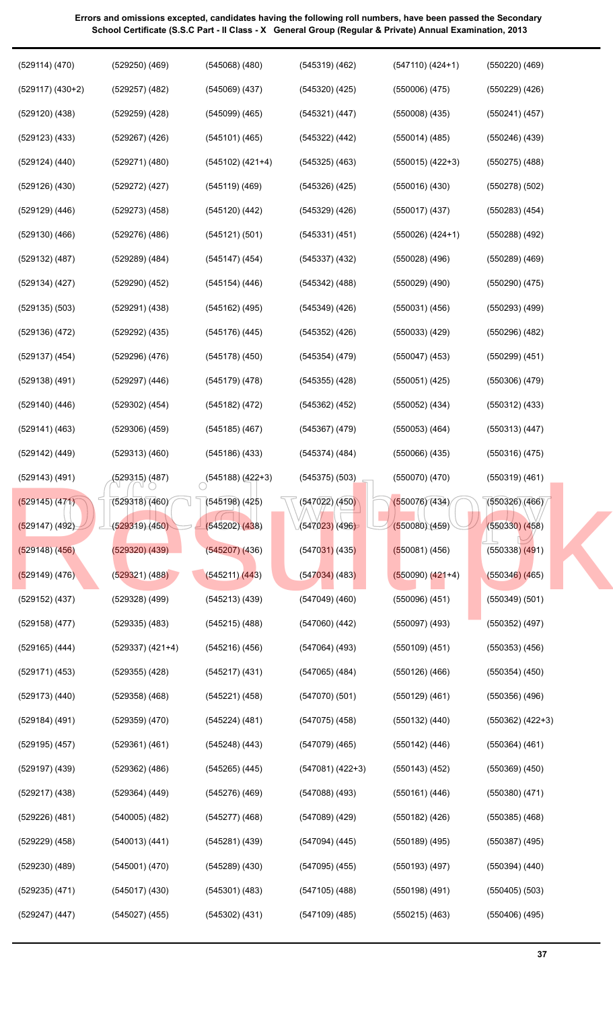| $(529117)$ $(430+2)$<br>$(529257)$ $(482)$<br>$(545069)$ $(437)$<br>$(545320)$ $(425)$<br>$(550006)$ $(475)$<br>$(550229)$ $(426)$<br>$(529120)$ $(438)$<br>(545321) (447)<br>$(550241)$ $(457)$<br>$(529259)$ $(428)$<br>$(545099)$ $(465)$<br>$(550008)$ $(435)$<br>$(529123)$ $(433)$<br>$(550246)$ $(439)$<br>$(529267)$ $(426)$<br>$(545101)$ (465)<br>$(545322)$ $(442)$<br>$(550014)$ (485) |                      |
|----------------------------------------------------------------------------------------------------------------------------------------------------------------------------------------------------------------------------------------------------------------------------------------------------------------------------------------------------------------------------------------------------|----------------------|
|                                                                                                                                                                                                                                                                                                                                                                                                    |                      |
|                                                                                                                                                                                                                                                                                                                                                                                                    |                      |
|                                                                                                                                                                                                                                                                                                                                                                                                    |                      |
| $(550015)$ $(422+3)$<br>$(529124)$ $(440)$<br>$(529271)$ $(480)$<br>(545102) (421+4)<br>$(545325)$ (463)<br>$(550275)$ $(488)$                                                                                                                                                                                                                                                                     |                      |
| $(529126)$ $(430)$<br>$(545326)$ $(425)$<br>(529272) (427)<br>$(545119)$ (469)<br>(550016)(430)<br>$(550278)$ $(502)$                                                                                                                                                                                                                                                                              |                      |
| $(529129)$ $(446)$<br>$(545329)$ $(426)$<br>$(529273)$ $(458)$<br>$(545120)$ $(442)$<br>$(550017)$ (437)<br>$(550283)$ $(454)$                                                                                                                                                                                                                                                                     |                      |
| $(529130)$ $(466)$<br>(545121) (501)<br>$(545331)$ $(451)$<br>$(550026)$ $(424+1)$<br>$(529276)$ (486)<br>$(550288)$ $(492)$                                                                                                                                                                                                                                                                       |                      |
| $(529132)$ $(487)$<br>$(545147)$ (454)<br>$(545337)$ $(432)$<br>$(550028)$ $(496)$<br>$(529289)$ $(484)$<br>$(550289)$ $(469)$                                                                                                                                                                                                                                                                     |                      |
| $(529134)$ $(427)$<br>$(545342)$ $(488)$<br>$(550290)$ $(475)$<br>$(529290)$ $(452)$<br>$(545154)$ $(446)$<br>(550029)(490)                                                                                                                                                                                                                                                                        |                      |
| $(529135)$ $(503)$<br>$(545162)$ (495)<br>$(545349)$ $(426)$<br>$(550031)$ $(456)$<br>$(550293)$ $(499)$<br>(529291) (438)                                                                                                                                                                                                                                                                         |                      |
| $(529136)$ $(472)$<br>$(529292)$ $(435)$<br>$(545176)$ (445)<br>$(545352)$ $(426)$<br>$(550033)$ $(429)$<br>$(550296)$ $(482)$                                                                                                                                                                                                                                                                     |                      |
| $(529137)$ $(454)$<br>$(545178)$ $(450)$<br>$(545354)$ $(479)$<br>$(550047)$ $(453)$<br>$(550299)$ $(451)$<br>$(529296)$ $(476)$                                                                                                                                                                                                                                                                   |                      |
| $(529138)$ $(491)$<br>$(545179)$ $(478)$<br>$(545355)$ $(428)$<br>$(550051)$ $(425)$<br>$(550306)$ $(479)$<br>(529297) (446)                                                                                                                                                                                                                                                                       |                      |
| $(529140)$ $(446)$<br>$(529302)$ $(454)$<br>$(545182)$ $(472)$<br>$(545362)$ $(452)$<br>$(550052)$ $(434)$<br>$(550312)$ $(433)$                                                                                                                                                                                                                                                                   |                      |
| $(529141)$ $(463)$<br>$(529306)$ $(459)$<br>$(545185)$ $(467)$<br>$(545367)$ $(479)$<br>$(550053)$ $(464)$<br>(550313) (447)                                                                                                                                                                                                                                                                       |                      |
| $(529142)$ $(449)$<br>$(529313)$ $(460)$<br>$(545186)$ $(433)$<br>$(545374)$ $(484)$<br>$(550066)$ $(435)$<br>$(550316)$ $(475)$                                                                                                                                                                                                                                                                   |                      |
| $(529143)$ $(491)$<br>(529315) (487)<br>$\circ$ <sup>(545188)</sup> (422+3)<br>$(545375)$ $(503)$<br>$(550070)$ $(470)$<br>(550319) (461)                                                                                                                                                                                                                                                          |                      |
| (550076)(434)<br>(550326)(466)<br>$(545198)$ (425)<br>$\sqrt{(547022)(450)}$<br>(529145) (471)<br>(529318)(460)                                                                                                                                                                                                                                                                                    |                      |
| (550330) (458)<br>(529147) (492)<br>(529319)(450)<br>(547023) (496)<br>(550080)(459)<br>(545202)(438)                                                                                                                                                                                                                                                                                              |                      |
| $(529148)$ $(456)$<br>$(529320)$ $(439)$<br>$(545207)$ $(436)$<br>(5470 <mark>31)</mark> (435)<br>$(550081)$ (456)<br>$(550338)$ $(491)$                                                                                                                                                                                                                                                           |                      |
| (529321) (488)<br>(545211) (443)<br>$(529149)$ (476)<br>$(547034)$ (483)<br>$(550090)$ $(421+4)$<br>$(550346)$ (465)                                                                                                                                                                                                                                                                               |                      |
| (529152) (437)<br>$(529328)$ $(499)$<br>(545213)(439)<br>$(547049)$ $(460)$<br>$(550096)$ $(451)$<br>(550349) (501)                                                                                                                                                                                                                                                                                |                      |
| $(529158)$ $(477)$<br>$(529335)$ $(483)$<br>$(547060)$ $(442)$<br>$(550097)$ $(493)$<br>$(550352)$ $(497)$<br>$(545215)$ (488)                                                                                                                                                                                                                                                                     |                      |
| $(529165)$ $(444)$<br>$(529337)$ $(421+4)$<br>$(547064)$ (493)<br>$(550109)$ $(451)$<br>$(550353)$ $(456)$<br>$(545216)$ (456)                                                                                                                                                                                                                                                                     |                      |
| $(529171)$ $(453)$<br>$(545217)$ $(431)$<br>$(547065)$ (484)<br>$(550126)$ $(466)$<br>$(550354)$ $(450)$<br>(529355) (428)                                                                                                                                                                                                                                                                         |                      |
| $(529173)$ $(440)$<br>(547070)(501)<br>$(550129)$ $(461)$<br>$(550356)$ $(496)$<br>(529358) (468)<br>(545221) (458)                                                                                                                                                                                                                                                                                |                      |
| $(529184)$ (491)<br>(529359) (470)<br>$(545224)$ (481)<br>(547075) (458)<br>$(550132)$ $(440)$                                                                                                                                                                                                                                                                                                     | $(550362)$ $(422+3)$ |
| $(529195)$ $(457)$<br>$(547079)$ $(465)$<br>(529361) (461)<br>(545248) (443)<br>$(550142)$ (446)<br>$(550364)$ $(461)$                                                                                                                                                                                                                                                                             |                      |
|                                                                                                                                                                                                                                                                                                                                                                                                    |                      |
| $(529197)$ $(439)$<br>$(547081) (422+3)$<br>$(550143)$ $(452)$<br>$(550369)$ $(450)$<br>(529362) (486)<br>(545265) (445)                                                                                                                                                                                                                                                                           |                      |
| $(529217)$ $(438)$<br>$(545276)$ $(469)$<br>$(547088)$ $(493)$<br>$(550161)$ $(446)$<br>$(550380)$ $(471)$<br>(529364) (449)                                                                                                                                                                                                                                                                       |                      |
| $(529226)$ $(481)$<br>$(540005)$ $(482)$<br>$(545277)$ $(468)$<br>$(547089)$ $(429)$<br>$(550182)$ $(426)$<br>$(550385)$ $(468)$                                                                                                                                                                                                                                                                   |                      |
| $(529229)$ $(458)$<br>$(545281)$ (439)<br>$(547094)$ $(445)$<br>$(550189)$ $(495)$<br>$(550387)$ (495)<br>(540013)(441)                                                                                                                                                                                                                                                                            |                      |
| $(529230)$ $(489)$<br>$(545001)$ $(470)$<br>$(545289)$ $(430)$<br>$(547095)$ $(455)$<br>$(550193)$ $(497)$<br>$(550394)$ $(440)$                                                                                                                                                                                                                                                                   |                      |
| $(529235)$ $(471)$<br>$(547105)$ (488)<br>$(550198)$ (491)<br>$(550405)$ $(503)$<br>$(545017)$ $(430)$<br>$(545301)$ (483)                                                                                                                                                                                                                                                                         |                      |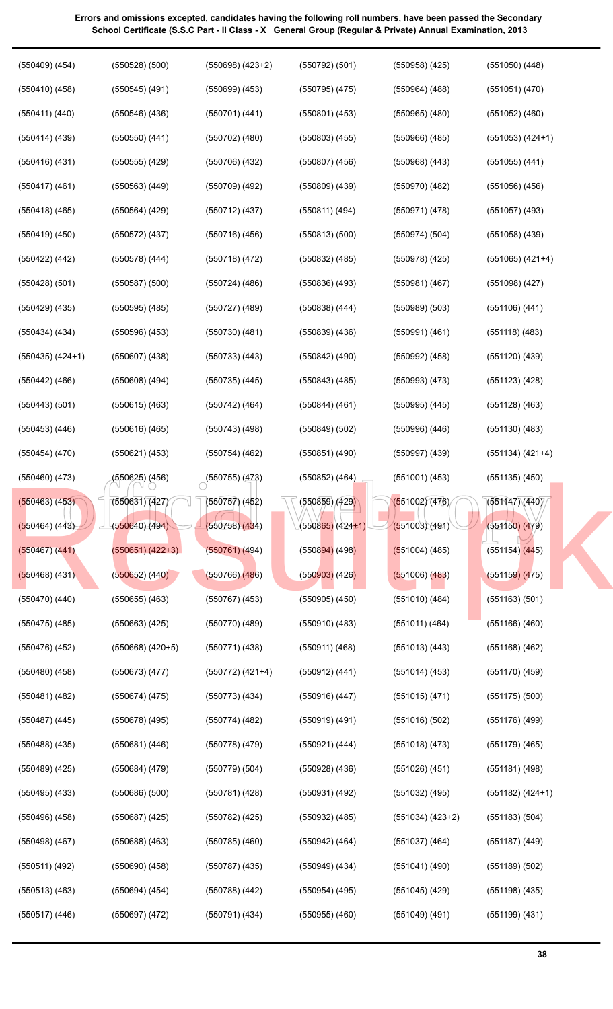| $(550418)$ (465)     | $(550564)$ $(429)$   | $(550712)$ $(437)$ | (550811) (494)                 | (550971) (478)       | $(551057)$ (493)     |  |
|----------------------|----------------------|--------------------|--------------------------------|----------------------|----------------------|--|
| $(550419)$ $(450)$   | $(550572)$ (437)     | (550716)(456)      | $(550813)$ $(500)$             | (550974)(504)        | $(551058)$ $(439)$   |  |
| $(550422)$ $(442)$   | $(550578)$ $(444)$   | $(550718)$ $(472)$ | $(550832)$ $(485)$             | $(550978)$ (425)     | $(551065)$ $(421+4)$ |  |
| $(550428)$ $(501)$   | $(550587)$ $(500)$   | $(550724)$ (486)   | $(550836)$ $(493)$             | $(550981)$ $(467)$   | $(551098)$ $(427)$   |  |
| $(550429)$ $(435)$   | $(550595)$ $(485)$   | $(550727)$ $(489)$ | $(550838)$ $(444)$             | $(550989)$ $(503)$   | $(551106)$ $(441)$   |  |
| $(550434)$ $(434)$   | $(550596)$ $(453)$   | $(550730)$ (481)   | $(550839)$ $(436)$             | $(550991)$ $(461)$   | (551118)(483)        |  |
| $(550435)$ $(424+1)$ | $(550607)$ $(438)$   | $(550733)$ $(443)$ | $(550842)$ (490)               | $(550992)$ $(458)$   | $(551120)$ $(439)$   |  |
| $(550442)$ $(466)$   | $(550608)$ $(494)$   | $(550735)$ $(445)$ | $(550843)$ $(485)$             | $(550993)$ $(473)$   | (551123)(428)        |  |
| $(550443)$ $(501)$   | $(550615)$ $(463)$   | $(550742)$ (464)   | $(550844)$ $(461)$             | $(550995)$ $(445)$   | $(551128)$ $(463)$   |  |
| $(550453)$ $(446)$   | $(550616)$ (465)     | $(550743)$ (498)   | $(550849)$ $(502)$             | $(550996)$ $(446)$   | $(551130)$ $(483)$   |  |
| $(550454)$ $(470)$   | $(550621)$ $(453)$   | $(550754)$ (462)   | $(550851)$ $(490)$             | $(550997)$ $(439)$   | $(551134)$ $(421+4)$ |  |
| (550460) (473)       | (550625) (456)       | (550755)(473)      | $(550852)$ $(464)$             | $(551001)$ $(453)$   | $(551135)$ $(450)$   |  |
| $(550463)$ $(453)$   | (550631)(427)        | $(550757)$ (452)   | (550859)(429)                  | (551002)(476)        | (551(47))(440)       |  |
| (550464) (443)       | (550640)(494)        | (550758)(434)      | (5508 <mark>65)</mark> (424+1) | (551003)(491)        | (551150) (479)       |  |
| $(550467)$ $(441)$   | $(550651) (422+3)$   | $(550761)$ (494)   | $(550894)$ (498)               | $(551004)$ (485)     | (551154) (445)       |  |
| $(550468)$ (431)     | $(550652)$ $(440)$   | $(550766)$ $(486)$ | (550903)(426)                  | $(551006)$ $(483)$   | $(551159)$ $(475)$   |  |
| (550470) (440)       | $(550655)$ $(463)$   | $(550767)$ $(453)$ | $(550905)$ $(450)$             | (551010)(484)        | $(551163)$ $(501)$   |  |
| $(550475)$ (485)     | $(550663)$ $(425)$   | $(550770)$ $(489)$ | $(550910)$ $(483)$             | (551011) (464)       | $(551166)$ $(460)$   |  |
| $(550476)$ $(452)$   | $(550668)$ $(420+5)$ | (550771) (438)     | $(550911)$ $(468)$             | $(551013)$ $(443)$   | $(551168)$ $(462)$   |  |
| $(550480)$ $(458)$   | (550673) (477)       | (550772) (421+4)   | (550912) (441)                 | $(551014)$ (453)     | $(551170)$ $(459)$   |  |
| $(550481)$ $(482)$   | $(550674)$ $(475)$   | $(550773)$ $(434)$ | $(550916)$ $(447)$             | $(551015)$ $(471)$   | $(551175)$ $(500)$   |  |
| $(550487)$ $(445)$   | $(550678)$ (495)     | $(550774)$ $(482)$ | $(550919)$ $(491)$             | (551016)(502)        | $(551176)$ (499)     |  |
| $(550488)$ $(435)$   | (550681) (446)       | $(550778)$ (479)   | (550921) (444)                 | $(551018)$ $(473)$   | $(551179)$ $(465)$   |  |
| $(550489)$ $(425)$   | $(550684)$ $(479)$   | (550779)(504)      | $(550928)$ $(436)$             | $(551026)$ $(451)$   | $(551181)$ (498)     |  |
| $(550495)$ $(433)$   | $(550686)$ $(500)$   | (550781) (428)     | $(550931)$ $(492)$             | $(551032)$ (495)     | (551182) (424+1)     |  |
| $(550496)$ $(458)$   | $(550687)$ $(425)$   | (550782) (425)     | $(550932)$ $(485)$             | $(551034)$ $(423+2)$ | (551183) (504)       |  |
| $(550498)$ $(467)$   | $(550688)$ $(463)$   | $(550785)$ $(460)$ | $(550942)$ (464)               | $(551037)$ $(464)$   | (551187) (449)       |  |
| (550511) (492)       | $(550690)$ $(458)$   | (550787) (435)     | $(550949)$ $(434)$             | $(551041)$ (490)     | $(551189)$ $(502)$   |  |
| $(550513)$ $(463)$   | $(550694)$ $(454)$   | $(550788)$ $(442)$ | $(550954)$ (495)               | $(551045)$ (429)     | (551198) (435)       |  |
| $(550517)$ $(446)$   | $(550697)$ $(472)$   | $(550791)$ $(434)$ | $(550955)$ $(460)$             | $(551049)$ (491)     | $(551199)$ $(431)$   |  |
|                      |                      |                    |                                |                      | 38                   |  |
|                      |                      |                    |                                |                      |                      |  |

**38**

**Errors and omissions excepted, candidates having the following roll numbers, have been passed the Secondary School Certificate (S.S.C Part - II Class - X General Group (Regular & Private) Annual Examination, 2013**

(550792) (501)

(550958) (425)

(551050) (448)

(551051) (470)

(551052) (460)

(551053) (424+1)

(551055) (441)

(551056) (456)

(550964) (488)

(550965) (480)

(550966) (485)

(550968) (443)

(550970) (482)

(550795) (475)

(550801) (453)

(550803) (455)

(550807) (456)

(550809) (439)

(550698) (423+2)

(550699) (453)

(550701) (441)

(550702) (480)

(550706) (432)

(550709) (492)

(550409) (454)

(550528) (500)

(550545) (491)

(550546) (436)

(550550) (441)

(550555) (429)

(550563) (449)

(550410) (458)

(550411) (440)

(550414) (439)

(550416) (431)

(550417) (461)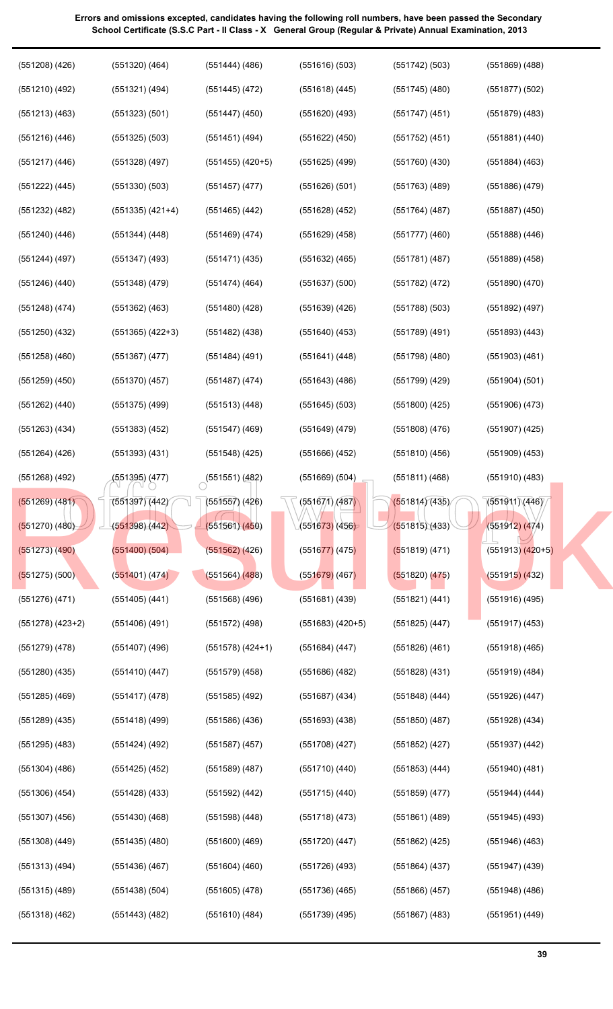| $(551208)$ $(426)$   | $(551320)$ $(464)$   | $(551444)$ (486)                  | $(551616)$ $(503)$   | (551742) (503)     | $(551869)$ $(488)$   |
|----------------------|----------------------|-----------------------------------|----------------------|--------------------|----------------------|
| $(551210)$ (492)     | $(551321)$ $(494)$   | $(551445)$ (472)                  | $(551618)$ $(445)$   | $(551745)$ (480)   | $(551877)$ $(502)$   |
| $(551213)$ $(463)$   | (551323) (501)       | $(551447)$ $(450)$                | $(551620)$ $(493)$   | $(551747)$ $(451)$ | $(551879)$ $(483)$   |
| $(551216)$ $(446)$   | $(551325)$ $(503)$   | (551451) (494)                    | $(551622)$ $(450)$   | $(551752)$ (451)   | (551881) (440)       |
| $(551217)$ $(446)$   | $(551328)$ (497)     | $(551455)$ $(420+5)$              | (551625) (499)       | $(551760)$ $(430)$ | $(551884)$ $(463)$   |
| $(551222)$ $(445)$   | $(551330)$ $(503)$   | $(551457)$ $(477)$                | $(551626)$ $(501)$   | $(551763)$ (489)   | $(551886)$ $(479)$   |
| $(551232)$ $(482)$   | $(551335)$ $(421+4)$ | $(551465)$ (442)                  | $(551628)$ $(452)$   | $(551764)$ (487)   | $(551887)$ $(450)$   |
| $(551240)$ $(446)$   | (551344) (448)       | $(551469)$ (474)                  | $(551629)$ $(458)$   | (551777)(460)      | $(551888)$ $(446)$   |
| (551244) (497)       | $(551347)$ (493)     | $(551471)$ (435)                  | $(551632)$ (465)     | (551781)(487)      | $(551889)$ $(458)$   |
| $(551246)$ $(440)$   | $(551348)$ (479)     | (551474) (464)                    | $(551637)$ $(500)$   | $(551782)$ (472)   | $(551890)$ $(470)$   |
| (551248) (474)       | $(551362)$ $(463)$   | (551480) (428)                    | $(551639)$ $(426)$   | $(551788)$ (503)   | $(551892)$ (497)     |
| $(551250)$ $(432)$   | $(551365)$ $(422+3)$ | $(551482)$ (438)                  | $(551640)$ (453)     | (551789) (491)     | $(551893)$ $(443)$   |
| $(551258)$ $(460)$   | $(551367)$ $(477)$   | (551484) (491)                    | (551641) (448)       | $(551798)$ (480)   | $(551903)$ $(461)$   |
| $(551259)$ $(450)$   | $(551370)$ $(457)$   | (551487) (474)                    | $(551643)$ (486)     | (551799) (429)     | (551904) (501)       |
| (551262) (440)       | $(551375)$ (499)     | $(551513)$ $(448)$                | $(551645)$ (503)     | $(551800)$ (425)   | (551906) (473)       |
| (551263) (434)       | $(551383)$ $(452)$   | $(551547)$ (469)                  | (551649) (479)       | $(551808)$ (476)   | (551907) (425)       |
| (551264) (426)       | $(551393)$ $(431)$   | $(551548)$ (425)                  | $(551666)$ $(452)$   | (551810)(456)      | $(551909)$ $(453)$   |
| $(551268)$ (492)     | (551395) (477)       | $\circ$ <sup>(551551)</sup> (482) | $(551669)$ $(504)$   | (551811) (468)     | $(551910)$ $(483)$   |
| (551269) (481)       | (551397) (442)       | $(551557)$ (426)                  | (551671)/(487)       | (551814)(435)      | (551911)(446)        |
| $(551270)$ $(480)$   | (551398)(442)        | (551561)(450)                     | (551673)(456)        | (551815)(433)      | (551912) (474)       |
| $(551273)$ $(490)$   | $(551400)$ $(504)$   | $(551562)$ $(426)$                | $(551677)$ (475)     | (551819) (471)     | $(551913)$ $(420+5)$ |
| $(551275)$ (500)     | (551401) (474)       | $(551564)$ (488)                  | $(551679)$ (467)     | $(551820)$ $(475)$ | $(551915)$ (432)     |
| (551276) (471)       | $(551405)$ $(441)$   | $(551568)$ $(496)$                | $(551681)$ $(439)$   | (551821) (441)     | $(551916)$ (495)     |
| $(551278)$ $(423+2)$ | $(551406)$ (491)     | $(551572)$ (498)                  | $(551683)$ $(420+5)$ | $(551825)$ $(447)$ | $(551917)$ $(453)$   |
| $(551279)$ $(478)$   | $(551407)$ (496)     | $(551578)$ $(424+1)$              | $(551684)$ (447)     | $(551826)$ $(461)$ | $(551918)$ $(465)$   |
| $(551280)$ $(435)$   | $(551410)$ $(447)$   | $(551579)$ $(458)$                | $(551686)$ $(482)$   | $(551828)$ $(431)$ | $(551919)$ $(484)$   |
| $(551285)$ $(469)$   | $(551417)$ (478)     | $(551585)$ $(492)$                | $(551687)$ $(434)$   | $(551848)$ (444)   | $(551926)$ $(447)$   |
| $(551289)$ $(435)$   | $(551418)$ (499)     | $(551586)$ $(436)$                | $(551693)$ $(438)$   | $(551850)$ $(487)$ | $(551928)$ $(434)$   |
| $(551295)$ $(483)$   | $(551424)$ (492)     | $(551587)$ $(457)$                | $(551708)$ (427)     | $(551852)$ (427)   | $(551937)$ $(442)$   |
| $(551304)$ $(486)$   | $(551425)$ $(452)$   | $(551589)$ $(487)$                | $(551710)$ $(440)$   | $(551853)$ $(444)$ | $(551940)$ $(481)$   |
| $(551306)$ $(454)$   | $(551428)$ $(433)$   | (551592) (442)                    | $(551715)$ $(440)$   | $(551859)$ $(477)$ | $(551944)$ $(444)$   |
| $(551307)$ $(456)$   | $(551430)$ $(468)$   | $(551598)$ $(448)$                | $(551718)$ (473)     | $(551861)$ (489)   | $(551945)$ (493)     |
| $(551308)$ $(449)$   | $(551435)$ $(480)$   | $(551600)$ (469)                  | $(551720)$ $(447)$   | $(551862)$ (425)   | $(551946)$ $(463)$   |
| $(551313)$ $(494)$   | $(551436)$ $(467)$   | $(551604)$ (460)                  | $(551726)$ (493)     | $(551864)$ (437)   | $(551947)$ (439)     |
|                      |                      |                                   |                      |                    |                      |
| $(551315)$ (489)     | $(551438)$ $(504)$   | $(551605)$ (478)                  | $(551736)$ (465)     | $(551866)$ $(457)$ | $(551948)$ (486)     |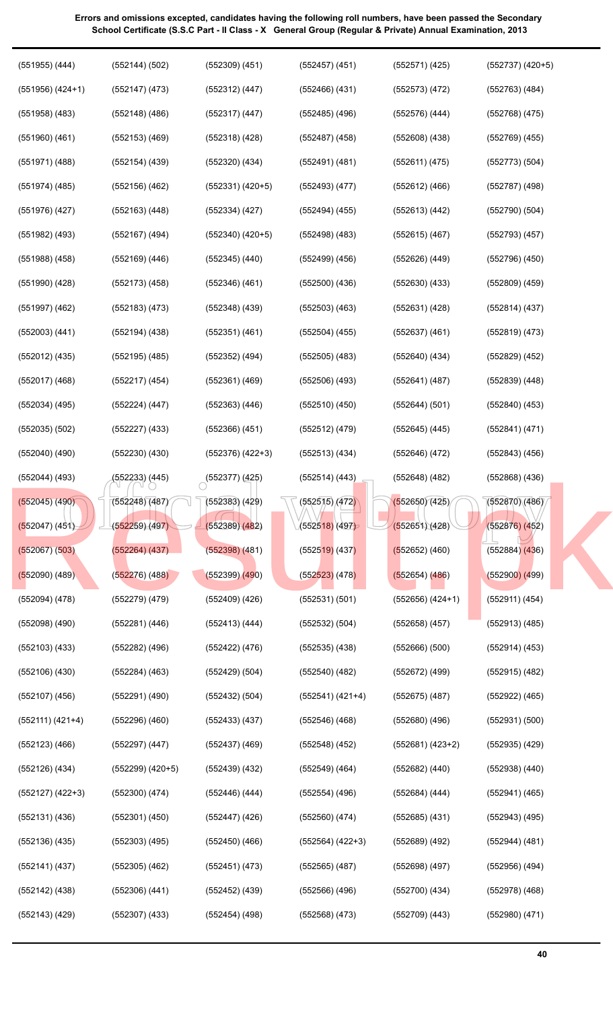| $(551955)$ $(444)$   | (552144) (502)       | $(552309)$ $(451)$   | $(552457)$ $(451)$    | (552571) (425)       | $(552737)$ $(420+5)$ |
|----------------------|----------------------|----------------------|-----------------------|----------------------|----------------------|
| $(551956)$ $(424+1)$ | $(552147)$ $(473)$   | $(552312)$ $(447)$   | $(552466)$ $(431)$    | $(552573)$ $(472)$   | $(552763)$ $(484)$   |
| $(551958)$ $(483)$   | $(552148)$ (486)     | $(552317)$ $(447)$   | $(552485)$ $(496)$    | (552576) (444)       | $(552768)$ $(475)$   |
| $(551960)$ $(461)$   | $(552153)$ (469)     | $(552318)$ (428)     | $(552487)$ (458)      | $(552608)$ $(438)$   | $(552769)$ $(455)$   |
| $(551971)$ $(488)$   | $(552154)$ (439)     | (552320) (434)       | $(552491)$ $(481)$    | (552611) (475)       | (552773) (504)       |
| (551974) (485)       | $(552156)$ $(462)$   | $(552331) (420+5)$   | (552493)(477)         | $(552612)$ (466)     | (552787) (498)       |
| $(551976)$ $(427)$   | $(552163)$ $(448)$   | (552334) (427)       | (552494) (455)        | (552613)(442)        | $(552790)$ $(504)$   |
| $(551982)$ $(493)$   | $(552167)$ (494)     | $(552340)$ $(420+5)$ | $(552498)$ (483)      | $(552615)$ $(467)$   | $(552793)$ $(457)$   |
| $(551988)$ $(458)$   | $(552169)$ $(446)$   | $(552345)$ $(440)$   | $(552499)$ $(456)$    | $(552626)$ $(449)$   | $(552796)$ $(450)$   |
| $(551990)$ $(428)$   | $(552173)$ $(458)$   | $(552346)$ (461)     | $(552500)$ $(436)$    | $(552630)$ $(433)$   | $(552809)$ $(459)$   |
| $(551997)$ $(462)$   | $(552183)$ $(473)$   | $(552348)$ $(439)$   | $(552503)$ $(463)$    | $(552631)$ (428)     | $(552814)$ $(437)$   |
| $(552003)$ $(441)$   | $(552194)$ $(438)$   | $(552351)$ $(461)$   | $(552504)$ (455)      | $(552637)$ $(461)$   | $(552819)$ $(473)$   |
| $(552012)$ $(435)$   | (552195) (485)       | $(552352)$ $(494)$   | $(552505)$ (483)      | $(552640)$ (434)     | $(552829)$ $(452)$   |
| $(552017)$ $(468)$   | $(552217)$ $(454)$   | $(552361)$ (469)     | $(552506)$ $(493)$    | (552641)(487)        | $(552839)$ $(448)$   |
| $(552034)$ $(495)$   | (552224) (447)       | $(552363)$ $(446)$   | $(552510)$ $(450)$    | (552644) (501)       | $(552840)$ $(453)$   |
| $(552035)$ $(502)$   | $(552227)$ $(433)$   | $(552366)$ $(451)$   | $(552512)$ $(479)$    | $(552645)$ $(445)$   | (552841) (471)       |
| $(552040)$ $(490)$   | $(552230)$ $(430)$   | $(552376)$ $(422+3)$ | (552513) (434)        | (552646) (472)       | $(552843)$ $(456)$   |
| $(552044)$ (493)     | (552233) (445)       | $(552377)$ (425)     | (552514) (443)        | (552648) (482)       | $(552868)$ $(436)$   |
| (552045) (490)       | (552248)(487)        | $(552383)$ $(429)$   | $\sqrt{(5525)}$ (472) | (552650)(425)        | (552870)(486)        |
| (552047) (451)       | (552259)(497)        | (552389)(482)        | (552518) (497)        | (552651)(428)        | $(552876)$ $(452)$   |
| $(552067)$ $(503)$   | $(552264)$ $(437)$   | $(552398)$ $(481)$   | $(552519)$ (437)      | (552652) (460)       | $(552884)$ $(436)$   |
| $(552090)$ (489)     | $(552276)$ $(488)$   | $(552399)$ $(490)$   | $(552523)$ (478)      | $(552654)$ (486)     | $(552900)$ $(499)$   |
| $(552094)$ $(478)$   | $(552279)$ $(479)$   | $(552409)$ $(426)$   | (552531)(501)         | $(552656)$ $(424+1)$ | (552911) (454)       |
| $(552098)$ $(490)$   | (552281) (446)       | $(552413)$ (444)     | $(552532)$ $(504)$    | $(552658)$ $(457)$   | $(552913)$ $(485)$   |
| $(552103)$ $(433)$   | (552282) (496)       | (552422) (476)       | $(552535)$ $(438)$    | (552666)(500)        | $(552914)$ $(453)$   |
| $(552106)$ $(430)$   | (552284) (463)       | (552429) (504)       | (552540) (482)        | (552672) (499)       | $(552915)$ $(482)$   |
| $(552107)$ $(456)$   | (552291) (490)       | (552432) (504)       | (552541) (421+4)      | $(552675)$ (487)     | (552922) (465)       |
| $(552111) (421+4)$   | $(552296)$ $(460)$   | $(552433)$ (437)     | (552546) (468)        | $(552680)$ (496)     | $(552931)$ $(500)$   |
| $(552123)$ $(466)$   | $(552297)$ $(447)$   | $(552437)$ (469)     | (552548) (452)        | $(552681) (423+2)$   | $(552935)$ $(429)$   |
| $(552126)$ $(434)$   | $(552299)$ $(420+5)$ | $(552439)$ $(432)$   | $(552549)$ (464)      | $(552682)$ $(440)$   | $(552938)$ $(440)$   |
| $(552127)$ $(422+3)$ | $(552300)$ $(474)$   | (552446) (444)       | $(552554)$ (496)      | (552684) (444)       | $(552941)$ $(465)$   |
| $(552131)$ $(436)$   | $(552301)$ $(450)$   | (552447) (426)       | $(552560)$ $(474)$    | $(552685)$ $(431)$   | $(552943)$ (495)     |
| $(552136)$ $(435)$   | $(552303)$ $(495)$   | $(552450)$ (466)     | $(552564)$ $(422+3)$  | $(552689)$ $(492)$   | (552944) (481)       |
| (552141) (437)       | $(552305)$ $(462)$   | (552451) (473)       | $(552565)$ $(487)$    | (552698)(497)        | $(552956)$ $(494)$   |
| (552142) (438)       | $(552306)$ $(441)$   | $(552452)$ $(439)$   | $(552566)$ (496)      | $(552700)$ $(434)$   | (552978) (468)       |
| $(552143)$ $(429)$   | $(552307)$ $(433)$   | $(552454)$ (498)     | $(552568)$ $(473)$    | $(552709)$ $(443)$   | $(552980)$ $(471)$   |
|                      |                      |                      |                       |                      |                      |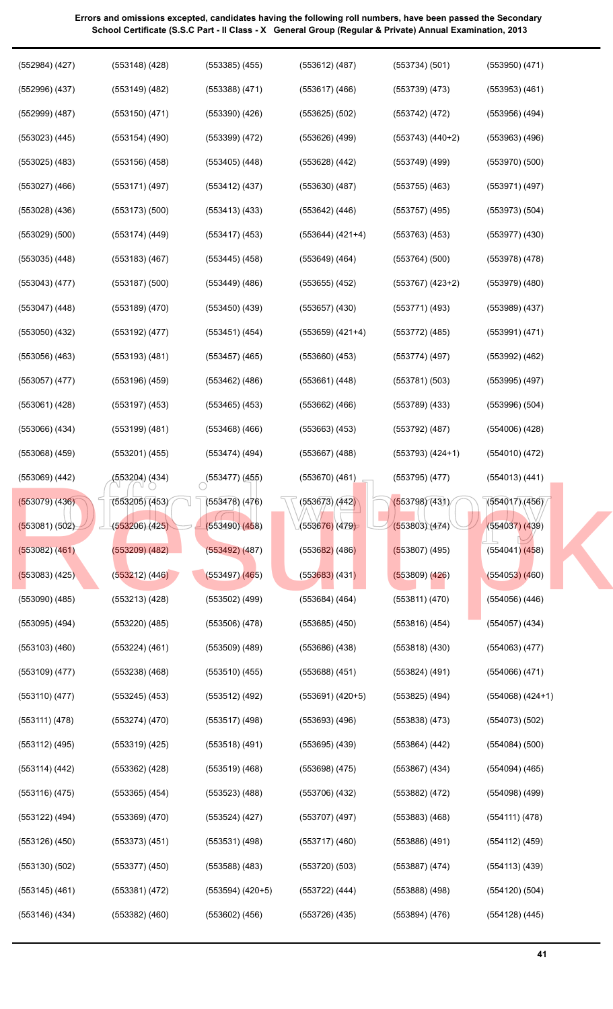| $(552984)$ $(427)$ | $(553148)$ $(428)$ | $(553385)$ $(455)$        | $(553612)$ $(487)$           | (553734)(501)        | $(553950)$ $(471)$   |
|--------------------|--------------------|---------------------------|------------------------------|----------------------|----------------------|
| $(552996)$ $(437)$ | $(553149)$ $(482)$ | $(553388)$ $(471)$        | $(553617)$ $(466)$           | $(553739)$ $(473)$   | $(553953)$ $(461)$   |
| $(552999)$ $(487)$ | $(553150)$ $(471)$ | $(553390)$ $(426)$        | $(553625)$ $(502)$           | $(553742)$ $(472)$   | $(553956)$ $(494)$   |
| $(553023)$ $(445)$ | $(553154)$ $(490)$ | $(553399)$ $(472)$        | $(553626)$ $(499)$           | $(553743)$ $(440+2)$ | $(553963)$ $(496)$   |
| $(553025)$ $(483)$ | $(553156)$ $(458)$ | $(553405)$ $(448)$        | $(553628)$ $(442)$           | $(553749)$ (499)     | $(553970)$ $(500)$   |
| $(553027)$ $(466)$ | $(553171)$ $(497)$ | $(553412)$ $(437)$        | $(553630)$ $(487)$           | $(553755)$ $(463)$   | $(553971)$ $(497)$   |
| $(553028)$ $(436)$ | $(553173)$ $(500)$ | $(553413)$ $(433)$        | $(553642)$ $(446)$           | $(553757)$ (495)     | $(553973)$ $(504)$   |
| $(553029)$ $(500)$ | $(553174)$ (449)   | $(553417)$ $(453)$        | $(553644) (421+4)$           | $(553763)$ $(453)$   | $(553977)$ $(430)$   |
| $(553035)$ $(448)$ | $(553183)$ $(467)$ | $(553445)$ $(458)$        | $(553649)$ $(464)$           | $(553764)$ $(500)$   | $(553978)$ $(478)$   |
| $(553043)$ $(477)$ | $(553187)$ $(500)$ | $(553449)$ $(486)$        | $(553655)$ $(452)$           | $(553767)$ $(423+2)$ | $(553979)$ $(480)$   |
| $(553047)$ $(448)$ | $(553189)$ $(470)$ | $(553450)$ $(439)$        | $(553657)$ $(430)$           | $(553771)$ $(493)$   | $(553989)$ $(437)$   |
| $(553050)$ $(432)$ | $(553192)$ $(477)$ | $(553451)$ $(454)$        | $(553659)$ $(421+4)$         | $(553772)$ $(485)$   | (553991) (471)       |
| $(553056)$ $(463)$ | (553193) (481)     | $(553457)$ $(465)$        | $(553660)$ $(453)$           | (553774)(497)        | $(553992)$ $(462)$   |
| $(553057)$ $(477)$ | $(553196)$ $(459)$ | $(553462)$ $(486)$        | $(553661)$ $(448)$           | (553781)(503)        | $(553995)$ $(497)$   |
| $(553061)$ $(428)$ | $(553197)$ $(453)$ | $(553465)$ $(453)$        | $(553662)$ $(466)$           | $(553789)$ $(433)$   | $(553996)$ $(504)$   |
| $(553066)$ $(434)$ | $(553199)$ $(481)$ | $(553468)$ $(466)$        | $(553663)$ $(453)$           | $(553792)$ $(487)$   | $(554006)$ $(428)$   |
| $(553068)$ $(459)$ | $(553201)$ $(455)$ | $(553474)$ (494)          | $(553667)$ $(488)$           | $(553793) (424+1)$   | $(554010)$ $(472)$   |
| $(553069)$ $(442)$ | (553204) (434)     | $\bigcirc$ (553477) (455) | $(553670)$ $(461)$           | $(553795)$ $(477)$   | $(554013)$ $(441)$   |
| $(553079)$ $(436)$ | (553205)(453)      | $(553478)$ (476)          | (553673)/(442)               | (553798)(431)        | (554017)(456)        |
| (553081) (502)     | (553206)(425)      | (553490)(458)             | (5536 <mark>76)</mark> (479) | (553803)(474)        | $(554037)$ $(439)$   |
| $(553082)$ $(461)$ | $(553209)$ $(482)$ | $(553492)$ $(487)$        | $(553682)$ (486)             | $(553807)$ (495)     | $(554041)$ $(458)$   |
| $(553083)$ (425)   | (553212) (446)     | $(553497)$ $(465)$        | $(553683)$ (431)             | $(553809)$ $(426)$   | $(554053)$ $(460)$   |
| $(553090)$ $(485)$ | (553213)(428)      | $(553502)$ $(499)$        | $(553684)$ $(464)$           | (553811) (470)       | $(554056)$ $(446)$   |
| $(553095)$ $(494)$ | $(553220)$ $(485)$ | $(553506)$ $(478)$        | $(553685)$ $(450)$           | $(553816)$ $(454)$   | (554057) (434)       |
| $(553103)$ $(460)$ | $(553224)$ $(461)$ | $(553509)$ $(489)$        | $(553686)$ $(438)$           | $(553818)$ $(430)$   | $(554063)$ $(477)$   |
| $(553109)$ $(477)$ | $(553238)$ $(468)$ | $(553510)$ (455)          | $(553688)$ $(451)$           | $(553824)$ (491)     | $(554066)$ $(471)$   |
| $(553110)$ $(477)$ | $(553245)$ $(453)$ | $(553512)$ (492)          | $(553691)$ $(420+5)$         | $(553825)$ $(494)$   | $(554068)$ $(424+1)$ |
| (553111) (478)     | $(553274)$ $(470)$ | $(553517)$ (498)          | $(553693)$ $(496)$           | $(553838)$ $(473)$   | $(554073)$ $(502)$   |
| $(553112)$ $(495)$ | $(553319)$ $(425)$ | $(553518)$ (491)          | $(553695)$ $(439)$           | $(553864)$ $(442)$   | $(554084)$ $(500)$   |
| (553114) (442)     | $(553362)$ $(428)$ | $(553519)$ (468)          | $(553698)$ $(475)$           | $(553867)$ $(434)$   | $(554094)$ $(465)$   |
| $(553116)$ $(475)$ | $(553365)$ $(454)$ | $(553523)$ $(488)$        | $(553706)$ $(432)$           | $(553882)$ $(472)$   | $(554098)$ (499)     |
| $(553122)$ $(494)$ | $(553369)$ $(470)$ | (553524) (427)            | $(553707)$ $(497)$           | $(553883)$ $(468)$   | (554111) (478)       |
| $(553126)$ $(450)$ | $(553373)$ $(451)$ | $(553531)$ (498)          | $(553717)$ $(460)$           | $(553886)$ $(491)$   | (554112) (459)       |
| $(553130)$ $(502)$ | $(553377)$ $(450)$ | (553588) (483)            | (553720)(503)                | $(553887)$ (474)     | (554113) (439)       |
| $(553145)$ (461)   | (553381) (472)     | (553594) (420+5)          | $(553722)$ $(444)$           | $(553888)$ $(498)$   | $(554120)$ $(504)$   |
| $(553146)$ $(434)$ | $(553382)$ $(460)$ | $(553602)$ $(456)$        | $(553726)$ $(435)$           | $(553894)$ $(476)$   | $(554128)$ $(445)$   |
|                    |                    |                           |                              |                      |                      |

**41**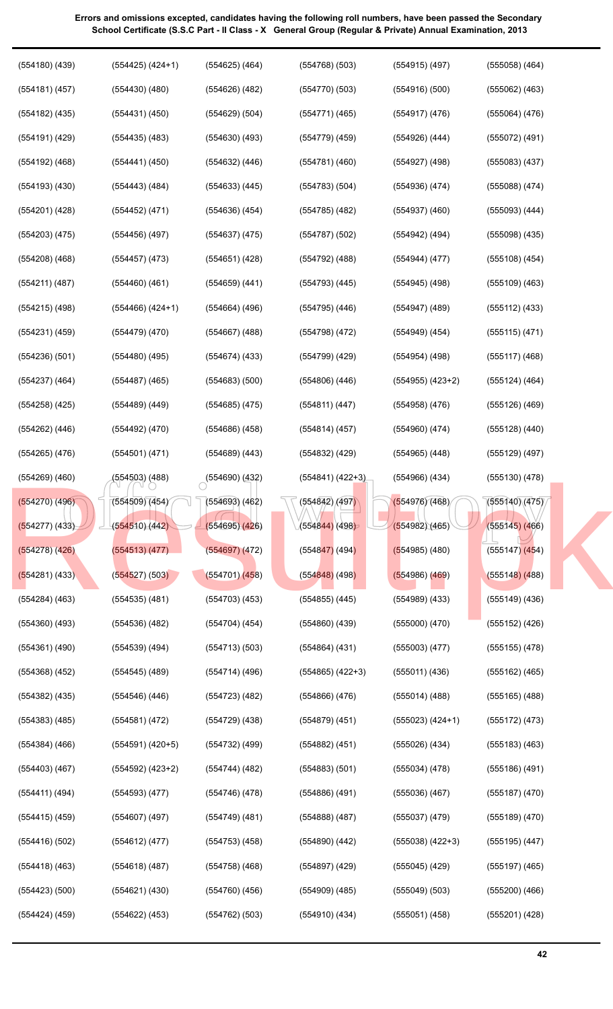| $(554181)$ (457)   | $(554430)$ $(480)$   | $(554626)$ $(482)$ | (554770)(503)                | $(554916)$ $(500)$   | $(555062)$ $(463)$ |
|--------------------|----------------------|--------------------|------------------------------|----------------------|--------------------|
| $(554182)$ (435)   | $(554431)$ $(450)$   | $(554629)$ $(504)$ | $(554771)$ (465)             | $(554917)$ (476)     | $(555064)$ $(476)$ |
| (554191) (429)     | $(554435)$ $(483)$   | $(554630)$ $(493)$ | $(554779)$ (459)             | $(554926)$ $(444)$   | $(555072)$ (491)   |
| (554192) (468)     | $(554441)$ (450)     | $(554632)$ $(446)$ | (554781)(460)                | $(554927)$ (498)     | $(555083)$ $(437)$ |
| $(554193)$ $(430)$ | $(554443)$ (484)     | $(554633)$ $(445)$ | (554783)(504)                | $(554936)$ $(474)$   | $(555088)$ $(474)$ |
| (554201) (428)     | $(554452)$ (471)     | (554636)(454)      | $(554785)$ $(482)$           | $(554937)$ $(460)$   | $(555093)$ $(444)$ |
| $(554203)$ $(475)$ | $(554456)$ (497)     | $(554637)$ $(475)$ | $(554787)$ $(502)$           | $(554942)$ (494)     | $(555098)$ $(435)$ |
| $(554208)$ $(468)$ | $(554457)$ (473)     | $(554651)$ (428)   | (554792) (488)               | (554944) (477)       | $(555108)$ $(454)$ |
| (554211) (487)     | $(554460)$ $(461)$   | $(554659)$ (441)   | $(554793)$ $(445)$           | $(554945)$ (498)     | $(555109)$ $(463)$ |
| (554215) (498)     | $(554466)$ $(424+1)$ | $(554664)$ (496)   | $(554795)$ $(446)$           | $(554947)$ (489)     | $(555112)$ $(433)$ |
| $(554231)$ $(459)$ | $(554479)$ $(470)$   | $(554667)$ (488)   | $(554798)$ $(472)$           | $(554949)$ $(454)$   | (555115)(471)      |
| (554236)(501)      | $(554480)$ (495)     | (554674)(433)      | (554799) (429)               | (554954) (498)       | (555117)(468)      |
| $(554237)$ $(464)$ | $(554487)$ (465)     | $(554683)$ $(500)$ | $(554806)$ $(446)$           | $(554955)$ $(423+2)$ | (555124) (464)     |
| $(554258)$ $(425)$ | (554489) (449)       | $(554685)$ (475)   | (554811)(447)                | $(554958)$ $(476)$   | $(555126)$ $(469)$ |
| $(554262)$ $(446)$ | $(554492)$ $(470)$   | $(554686)$ (458)   | $(554814)$ (457)             | $(554960)$ $(474)$   | $(555128)$ $(440)$ |
| $(554265)$ $(476)$ | (554501) (471)       | $(554689)$ (443)   | (554832) (429)               | $(554965)$ $(448)$   | $(555129)$ (497)   |
| $(554269)$ $(460)$ | (554503) (488)       | (554690)(432)      | $(554841) (422+3)$           | $(554966)$ $(434)$   | $(555130)$ $(478)$ |
| $(554270)$ (496)   | (554509)(454)        | $(554693)$ $(462)$ | $(554842)$ (497)             | (554976)(468)        | (555140)(475)      |
| (554277) (433)     | (554510)(442)        | (554695)(426)      | (5548 <mark>44)</mark> (498) | (554982)(465)        | $(555145)$ (466)   |
| $(554278)$ $(426)$ | (554513)(477)        | $(554697)$ $(472)$ | $(554847)$ (494)             | $(554985)$ (480)     | $(555147)$ $(454)$ |
| (554281) (433)     | (554527) (503)       | $(554701)$ $(458)$ | $(554848)$ (498)             | $(554986)$ (469)     | $(555148)$ (488)   |
| $(554284)$ $(463)$ | $(554535)$ $(481)$   | $(554703)$ $(453)$ | $(554855)$ (445)             | $(554989)$ $(433)$   | $(555149)$ $(436)$ |
| $(554360)$ $(493)$ | (554536) (482)       | $(554704)$ (454)   | $(554860)$ $(439)$           | $(555000)$ $(470)$   | $(555152)$ $(426)$ |
| $(554361)$ (490)   | (554539) (494)       | $(554713)$ $(503)$ | $(554864)$ $(431)$           | $(555003)$ $(477)$   | $(555155)$ $(478)$ |
| $(554368)$ $(452)$ | $(554545)$ (489)     | $(554714)$ (496)   | $(554865)$ $(422+3)$         | $(555011)$ $(436)$   | $(555162)$ (465)   |
| $(554382)$ $(435)$ | $(554546)$ $(446)$   | $(554723)$ $(482)$ | $(554866)$ $(476)$           | $(555014)$ (488)     | $(555165)$ $(488)$ |
| $(554383)$ $(485)$ | (554581) (472)       | $(554729)$ $(438)$ | $(554879)$ $(451)$           | $(555023) (424+1)$   | (555172) (473)     |
| $(554384)$ $(466)$ | $(554591)$ $(420+5)$ | (554732) (499)     | $(554882)$ $(451)$           | (555026)(434)        | $(555183)$ $(463)$ |
| $(554403)$ $(467)$ | $(554592)$ $(423+2)$ | $(554744)$ (482)   | $(554883)$ $(501)$           | $(555034)$ $(478)$   | $(555186)$ (491)   |
| (554411) (494)     | $(554593)$ $(477)$   | $(554746)$ $(478)$ | $(554886)$ $(491)$           | (555036)(467)        | $(555187)$ $(470)$ |
| $(554415)$ (459)   | $(554607)$ (497)     | $(554749)$ $(481)$ | $(554888)$ $(487)$           | $(555037)$ $(479)$   | $(555189)$ $(470)$ |
| $(554416)$ $(502)$ | (554612) (477)       | $(554753)$ $(458)$ | $(554890)$ $(442)$           | $(555038)$ $(422+3)$ | $(555195)$ $(447)$ |
| $(554418)$ (463)   | $(554618)$ (487)     | $(554758)$ $(468)$ | $(554897)$ (429)             | $(555045)$ (429)     | $(555197)$ $(465)$ |
| $(554423)$ $(500)$ | $(554621)$ $(430)$   | $(554760)$ $(456)$ | $(554909)$ $(485)$           | $(555049)$ $(503)$   | $(555200)$ $(466)$ |
| $(554424)$ $(459)$ | $(554622)$ (453)     | (554762) (503)     | $(554910)$ $(434)$           | $(555051)$ $(458)$   | (555201) (428)     |
|                    |                      |                    |                              |                      |                    |

(554768) (503)

(554915) (497)

(555058) (464)

(554625) (464)

(554180) (439)

(554425) (424+1)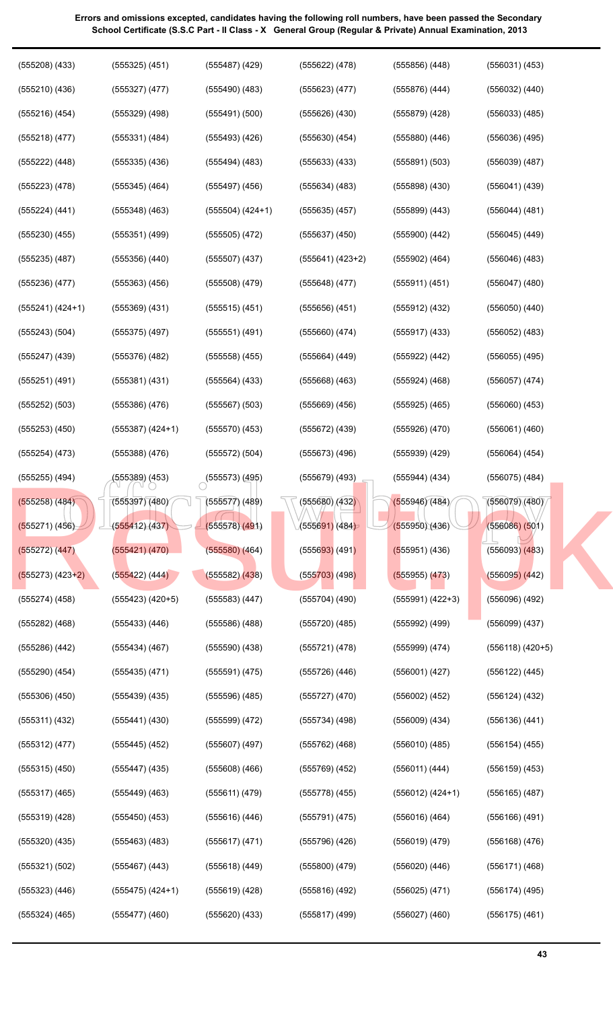| $(555208)$ $(433)$ | $(555325)$ $(451)$   | $(555487)$ (429)          | $(555622)$ $(478)$           | $(555856)$ $(448)$ | $(556031)$ $(453)$   |
|--------------------|----------------------|---------------------------|------------------------------|--------------------|----------------------|
| $(555210)$ $(436)$ | $(555327)$ $(477)$   | $(555490)$ $(483)$        | $(555623)$ $(477)$           | (555876)(444)      | $(556032)$ $(440)$   |
| $(555216)$ $(454)$ | $(555329)$ $(498)$   | (555491)(500)             | $(555626)$ $(430)$           | $(555879)$ $(428)$ | $(556033)$ $(485)$   |
| $(555218)$ $(477)$ | $(555331)$ $(484)$   | (555493)(426)             | $(555630)$ $(454)$           | $(555880)$ $(446)$ | $(556036)$ $(495)$   |
| $(555222)$ $(448)$ | $(555335)$ $(436)$   | $(555494)$ (483)          | $(555633)$ $(433)$           | $(555891)$ $(503)$ | $(556039)$ $(487)$   |
| $(555223)$ $(478)$ | $(555345)$ $(464)$   | $(555497)$ $(456)$        | $(555634)$ $(483)$           | (555898)(430)      | $(556041)$ $(439)$   |
| (555224) (441)     | $(555348)$ $(463)$   | $(555504)$ $(424+1)$      | $(555635)$ $(457)$           | $(555899)$ $(443)$ | $(556044)$ $(481)$   |
| $(555230)$ $(455)$ | $(555351)$ $(499)$   | $(555505)$ $(472)$        | $(555637)$ $(450)$           | $(555900)$ $(442)$ | $(556045)$ $(449)$   |
| $(555235)$ $(487)$ | $(555356)$ $(440)$   | $(555507)$ $(437)$        | $(555641) (423+2)$           | $(555902)$ $(464)$ | $(556046)$ $(483)$   |
| (555236)(477)      | $(555363)$ $(456)$   | $(555508)$ $(479)$        | $(555648)$ (477)             | (555911) (451)     | $(556047)$ $(480)$   |
| $(555241) (424+1)$ | $(555369)$ $(431)$   | $(555515)$ $(451)$        | $(555656)$ $(451)$           | $(555912)$ $(432)$ | $(556050)$ $(440)$   |
| $(555243)$ $(504)$ | $(555375)$ $(497)$   | $(555551)$ (491)          | $(555660)$ $(474)$           | $(555917)$ $(433)$ | $(556052)$ $(483)$   |
| $(555247)$ $(439)$ | $(555376)$ $(482)$   | $(555558)$ $(455)$        | $(555664)$ $(449)$           | $(555922)$ $(442)$ | $(556055)$ $(495)$   |
| $(555251)$ $(491)$ | $(555381)$ $(431)$   | $(555564)$ $(433)$        | $(555668)$ $(463)$           | $(555924)$ $(468)$ | $(556057)$ $(474)$   |
| $(555252)$ $(503)$ | $(555386)$ $(476)$   | $(555567)$ $(503)$        | $(555669)$ $(456)$           | $(555925)$ $(465)$ | $(556060)$ $(453)$   |
| $(555253)$ $(450)$ | $(555387)$ $(424+1)$ | $(555570)$ (453)          | $(555672)$ $(439)$           | (555926)(470)      | $(556061)$ $(460)$   |
| $(555254)$ $(473)$ | $(555388)$ $(476)$   | (555572) (504)            | $(555673)$ $(496)$           | (555939) (429)     | $(556064)$ $(454)$   |
| $(555255)$ $(494)$ | (555389) (453)       | $\bigcirc$ (555573) (495) | $(555679)$ $(493)$           | $(555944)$ (434)   | $(556075)$ $(484)$   |
| (555258) (484)     | (555397)(480)        | $(555577)$ (489)          | $\sqrt{655680}$ (432)        | (555946)(484)      | (556079)(480)        |
| (555271) (456)     | (555412)(437)        | (555578)(491)             | (5556 <mark>91)</mark> (484) | (555950)(436)      | $(556086)$ $(501)$   |
| (555272) (447)     | (555421) (470)       | $(555580)$ $(464)$        | $(555693)$ (491)             | (555951) (436)     | $(556093)$ $(483)$   |
| $(555273) (423+2)$ | (555422) (444)       | $(555582)$ $(438)$        | $(555703)$ (498)             | $(555955)$ $(473)$ | $(556095)$ $(442)$   |
| (555274) (458)     | $(555423)$ $(420+5)$ | $(555583)$ (447)          | $(555704)$ (490)             | $(555991) (422+3)$ | (556096) (492)       |
| (555282) (468)     | $(555433)$ $(446)$   | $(555586)$ $(488)$        | $(555720)$ $(485)$           | $(555992)$ $(499)$ | (556099) (437)       |
| (555286) (442)     | (555434)(467)        | $(555590)$ $(438)$        | (555721) (478)               | (555999) (474)     | $(556118)$ $(420+5)$ |
| (555290) (454)     | $(555435)$ $(471)$   | $(555591)$ $(475)$        | $(555726)$ (446)             | (556001) (427)     | $(556122)$ $(445)$   |
| $(555306)$ $(450)$ | $(555439)$ $(435)$   | $(555596)$ (485)          | $(555727)$ $(470)$           | $(556002)$ $(452)$ | $(556124)$ $(432)$   |
| $(555311)$ $(432)$ | $(555441)$ $(430)$   | $(555599)$ $(472)$        | $(555734)$ (498)             | $(556009)$ $(434)$ | (556136)(441)        |
| $(555312)$ $(477)$ | $(555445)$ (452)     | $(555607)$ $(497)$        | $(555762)$ $(468)$           | $(556010)$ $(485)$ | (556154) (455)       |
| $(555315)$ $(450)$ | $(555447)$ (435)     | $(555608)$ $(466)$        | $(555769)$ $(452)$           | (556011) (444)     | $(556159)$ $(453)$   |
| $(555317)$ $(465)$ | $(555449)$ $(463)$   | (555611) (479)            | $(555778)$ (455)             | $(556012) (424+1)$ | $(556165)$ (487)     |
| $(555319)$ $(428)$ | $(555450)$ $(453)$   | (555616) (446)            | $(555791)$ $(475)$           | (556016) (464)     | $(556166)$ $(491)$   |
| $(555320)$ $(435)$ | $(555463)$ $(483)$   | $(555617)$ $(471)$        | $(555796)$ $(426)$           | $(556019)$ $(479)$ | $(556168)$ $(476)$   |
| (555321) (502)     | (555467) (443)       | $(555618)$ (449)          | $(555800)$ $(479)$           | $(556020)$ $(446)$ | $(556171)$ $(468)$   |
| $(555323)$ $(446)$ | $(555475)$ $(424+1)$ | $(555619)$ (428)          | $(555816)$ (492)             | $(556025)$ $(471)$ | $(556174)$ (495)     |
| $(555324)$ $(465)$ | $(555477)$ $(460)$   | $(555620)$ $(433)$        | (555817)(499)                | $(556027)$ $(460)$ | $(556175)$ $(461)$   |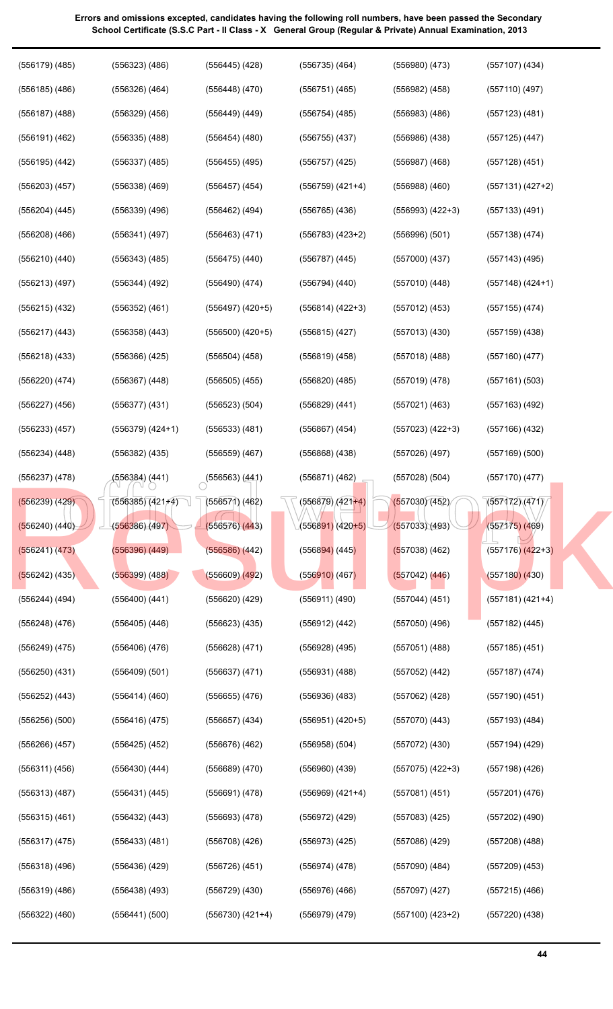| (556179) (485)     | (556323) (486)       | $(556445)$ $(428)$   | (556735) (464)                 | $(556980)$ $(473)$   | $(557107)$ $(434)$   |
|--------------------|----------------------|----------------------|--------------------------------|----------------------|----------------------|
| $(556185)$ $(486)$ | (556326) (464)       | $(556448)$ $(470)$   | $(556751)$ $(465)$             | $(556982)$ $(458)$   | $(557110)$ (497)     |
| $(556187)$ (488)   | $(556329)$ $(456)$   | $(556449)$ $(449)$   | $(556754)$ (485)               | $(556983)$ $(486)$   | $(557123)$ $(481)$   |
| $(556191)$ $(462)$ | (556335) (488)       | $(556454)$ $(480)$   | $(556755)$ $(437)$             | $(556986)$ $(438)$   | $(557125)$ $(447)$   |
| $(556195)$ $(442)$ | $(556337)$ $(485)$   | $(556455)$ $(495)$   | $(556757)$ $(425)$             | $(556987)$ $(468)$   | $(557128)$ $(451)$   |
| $(556203)$ $(457)$ | $(556338)$ $(469)$   | $(556457)$ (454)     | $(556759)$ $(421+4)$           | $(556988)$ $(460)$   | $(557131) (427+2)$   |
| $(556204)$ $(445)$ | $(556339)$ $(496)$   | $(556462)$ (494)     | $(556765)$ $(436)$             | $(556993) (422+3)$   | $(557133)$ $(491)$   |
| $(556208)$ $(466)$ | (556341) (497)       | $(556463)$ $(471)$   | $(556783)$ $(423+2)$           | (556996)(501)        | $(557138)$ $(474)$   |
| (556210) (440)     | $(556343)$ $(485)$   | $(556475)$ $(440)$   | $(556787)$ $(445)$             | $(557000)$ $(437)$   | $(557143)$ (495)     |
| (556213) (497)     | $(556344)$ (492)     | $(556490)$ $(474)$   | $(556794)$ $(440)$             | (557010)(448)        | (557148) (424+1)     |
| (556215) (432)     | $(556352)$ $(461)$   | $(556497)$ $(420+5)$ | $(556814) (422+3)$             | $(557012)$ $(453)$   | $(557155)$ $(474)$   |
| $(556217)$ $(443)$ | $(556358)$ $(443)$   | $(556500)$ $(420+5)$ | $(556815)$ (427)               | (557013)(430)        | $(557159)$ $(438)$   |
| $(556218)$ $(433)$ | (556366) (425)       | $(556504)$ $(458)$   | $(556819)$ $(458)$             | $(557018)$ (488)     | $(557160)$ $(477)$   |
| (556220) (474)     | (556367) (448)       | $(556505)$ $(455)$   | $(556820)$ $(485)$             | (557019)(478)        | (557161) (503)       |
| $(556227)$ $(456)$ | (556377) (431)       | (556523) (504)       | $(556829)$ $(441)$             | (557021) (463)       | (557163) (492)       |
| $(556233)$ $(457)$ | $(556379)$ $(424+1)$ | $(556533)$ $(481)$   | $(556867)$ (454)               | $(557023)$ $(422+3)$ | (557166) (432)       |
| $(556234)$ $(448)$ | (556382) (435)       | $(556559)$ $(467)$   | $(556868)$ $(438)$             | (557026) (497)       | $(557169)$ $(500)$   |
| $(556237)$ $(478)$ | (556384) (441)       | (556563)(441)        | $(556871)$ $(462)$             | $(557028)$ $(504)$   | (557170)(477)        |
| $(556239)$ $(429)$ | $(556385)(421+4)$    | $(556571)$ $(462)$   | $(556879)/(421+4)$             | (557030)(452)        | (557172)(471)        |
| $(556240)$ $(440)$ | (556386)(497)        | (556576)(443)        | (5568 <mark>91)</mark> (420+5) | (557033)(493)        | $(557175)$ (469)     |
| (556241) (473)     | $(556396)$ $(449)$   | $(556586)$ $(442)$   | $(556894)$ (445)               | $(557038)$ (462)     | $(557176)$ $(422+3)$ |
| $(556242)$ (435)   | $(556399)$ $(488)$   | $(556609)$ $(492)$   | (556910)(467)                  | $(557042)$ (446)     | $(557180)$ $(430)$   |
| $(556244)$ (494)   | $(556400)$ $(441)$   | (556620) (429)       | $(556911)$ $(490)$             | (557044) (451)       | $(557181) (421+4)$   |
| $(556248)$ $(476)$ | $(556405)$ $(446)$   | $(556623)$ $(435)$   | $(556912)$ $(442)$             | $(557050)$ $(496)$   | $(557182)$ $(445)$   |
| $(556249)$ $(475)$ | $(556406)$ $(476)$   | $(556628)$ $(471)$   | $(556928)$ $(495)$             | $(557051)$ (488)     | $(557185)$ $(451)$   |
| $(556250)$ $(431)$ | $(556409)$ $(501)$   | $(556637)$ $(471)$   | $(556931)$ $(488)$             | $(557052)$ $(442)$   | $(557187)$ (474)     |
| $(556252)$ $(443)$ | $(556414)$ $(460)$   | $(556655)$ $(476)$   | $(556936)$ $(483)$             | $(557062)$ $(428)$   | $(557190)$ $(451)$   |
| $(556256)$ $(500)$ | $(556416)$ $(475)$   | $(556657)$ $(434)$   | $(556951)$ $(420+5)$           | $(557070)$ $(443)$   | $(557193)$ $(484)$   |
| $(556266)$ $(457)$ | $(556425)$ $(452)$   | $(556676)$ $(462)$   | $(556958)$ $(504)$             | $(557072)$ $(430)$   | $(557194)$ (429)     |
| $(556311)$ $(456)$ | $(556430)$ $(444)$   | $(556689)$ $(470)$   | $(556960)$ $(439)$             | $(557075)$ $(422+3)$ | $(557198)$ $(426)$   |
| $(556313)$ $(487)$ | $(556431)$ $(445)$   | (556691) (478)       | $(556969)$ $(421+4)$           | $(557081)$ $(451)$   | $(557201)$ $(476)$   |
| $(556315)$ $(461)$ | $(556432)$ $(443)$   | (556693)(478)        | $(556972)$ $(429)$             | $(557083)$ $(425)$   | (557202) (490)       |
| $(556317)$ $(475)$ | $(556433)$ $(481)$   | (556708) (426)       | $(556973)$ $(425)$             | (557086) (429)       | $(557208)$ $(488)$   |
| $(556318)$ $(496)$ | $(556436)$ $(429)$   | (556726) (451)       | $(556974)$ $(478)$             | $(557090)$ $(484)$   | (557209) (453)       |
| $(556319)$ $(486)$ | $(556438)$ $(493)$   | $(556729)$ $(430)$   | $(556976)$ $(466)$             | $(557097)$ $(427)$   | $(557215)$ $(466)$   |
| $(556322)$ $(460)$ | (556441) (500)       | (556730) (421+4)     | (556979) (479)                 | $(557100)$ $(423+2)$ | $(557220)$ $(438)$   |
|                    |                      |                      |                                |                      |                      |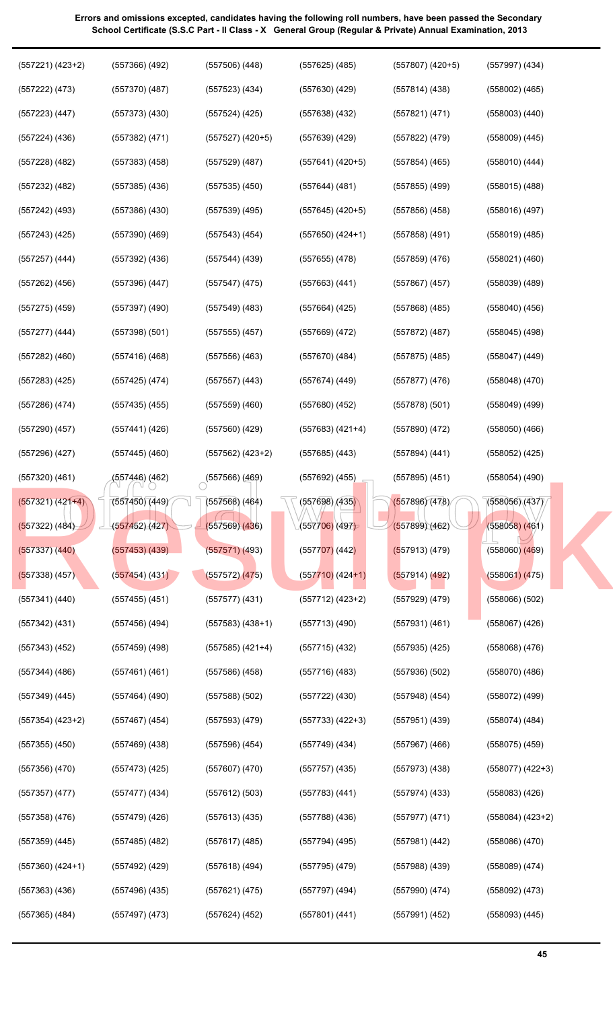| Errors and omissions excepted, candidates having the following roll numbers, have been passed the Secondary |
|-------------------------------------------------------------------------------------------------------------|
| School Certificate (S.S.C Part - Il Class - X General Group (Regular & Private) Annual Examination, 2013    |
|                                                                                                             |

| $(557221) (423+2)$   | $(557366)$ $(492)$ | $(557506)$ $(448)$   | $(557625)$ (485)             | $(557807)$ $(420+5)$ | $(557997)$ $(434)$   |
|----------------------|--------------------|----------------------|------------------------------|----------------------|----------------------|
| (557222) (473)       | $(557370)$ $(487)$ | $(557523)$ $(434)$   | $(557630)$ $(429)$           | (557814)(438)        | $(558002)$ $(465)$   |
| $(557223)$ $(447)$   | $(557373)$ $(430)$ | $(557524)$ $(425)$   | $(557638)$ $(432)$           | (557821)(471)        | $(558003)$ $(440)$   |
| $(557224)$ $(436)$   | $(557382)$ $(471)$ | $(557527)$ $(420+5)$ | $(557639)$ (429)             | (557822) (479)       | $(558009)$ $(445)$   |
| $(557228)$ $(482)$   | $(557383)$ $(458)$ | $(557529)$ $(487)$   | $(557641) (420+5)$           | $(557854)$ (465)     | $(558010)$ $(444)$   |
| $(557232)$ $(482)$   | $(557385)$ $(436)$ | $(557535)$ $(450)$   | $(557644)$ (481)             | $(557855)$ (499)     | $(558015)$ $(488)$   |
| $(557242)$ (493)     | $(557386)$ $(430)$ | (557539) (495)       | $(557645)$ (420+5)           | $(557856)$ $(458)$   | $(558016)$ (497)     |
| $(557243)$ $(425)$   | $(557390)$ $(469)$ | $(557543)$ (454)     | $(557650)$ $(424+1)$         | $(557858)$ (491)     | $(558019)$ $(485)$   |
| $(557257)$ $(444)$   | $(557392)$ $(436)$ | $(557544)$ $(439)$   | $(557655)$ (478)             | $(557859)$ $(476)$   | $(558021)$ $(460)$   |
| $(557262)$ $(456)$   | $(557396)$ $(447)$ | $(557547)$ (475)     | $(557663)$ $(441)$           | $(557867)$ (457)     | $(558039)$ $(489)$   |
| $(557275)$ $(459)$   | (557397) (490)     | $(557549)$ (483)     | (557664) (425)               | $(557868)$ $(485)$   | $(558040)$ $(456)$   |
| $(557277)$ $(444)$   | $(557398)$ $(501)$ | $(557555)$ $(457)$   | $(557669)$ $(472)$           | $(557872)$ (487)     | $(558045)$ (498)     |
| $(557282)$ $(460)$   | $(557416)$ (468)   | $(557556)$ $(463)$   | $(557670)$ (484)             | $(557875)$ (485)     | $(558047)$ $(449)$   |
| $(557283)$ $(425)$   | $(557425)$ (474)   | $(557557)$ $(443)$   | $(557674)$ (449)             | (557877)(476)        | $(558048)$ $(470)$   |
| $(557286)$ $(474)$   | $(557435)$ $(455)$ | $(557559)$ $(460)$   | $(557680)$ $(452)$           | (557878)(501)        | $(558049)$ (499)     |
| (557290) (457)       | $(557441)$ (426)   | (557560) (429)       | $(557683)$ $(421+4)$         | $(557890)$ $(472)$   | $(558050)$ $(466)$   |
| $(557296)$ $(427)$   | $(557445)$ (460)   | (557562) (423+2)     | $(557685)$ $(443)$           | (557894) (441)       | $(558052)$ $(425)$   |
| $(557320)$ $(461)$   | (557446) (462)     | (557566)(469)        | $(557692)$ (455)             | $(557895)$ (451)     | (558054) (490)       |
| (557321) (42144)     | (557450)(449)      | $(557568)$ (464)     | (557698) (435)               | (557896)(478)        | (558056)(437)        |
| (557322) (484)       | (557452)(427)      | $(557569)$ $(436)$   | (557706) (497)               | (557899)(462)        | $(558058)$ $(461)$   |
| $(557337)$ $(440)$   | $(557453)$ $(439)$ | $(557571)$ (493)     | (5577 <mark>07)</mark> (442) | (557913) (479)       | $(558060)$ $(469)$   |
| $(557338)$ (457)     | (557454)(431)      | (557572) (475)       | $(557710)$ (424+1)           | (557914) (492)       | (558061) (475)       |
| $(557341)$ $(440)$   | $(557455)$ (451)   | $(557577)$ $(431)$   | $(557712)$ $(423+2)$         | $(557929)$ $(479)$   | $(558066)$ $(502)$   |
| $(557342)$ $(431)$   | $(557456)$ (494)   | $(557583)$ $(438+1)$ | (557713)(490)                | (557931) (461)       | $(558067)$ $(426)$   |
| $(557343)$ $(452)$   | $(557459)$ (498)   | (557585) (421+4)     | $(557715)$ $(432)$           | $(557935)$ $(425)$   | $(558068)$ $(476)$   |
| $(557344)$ $(486)$   | $(557461)$ (461)   | $(557586)$ (458)     | (557716)(483)                | $(557936)$ $(502)$   | $(558070)$ $(486)$   |
| $(557349)$ $(445)$   | $(557464)$ (490)   | $(557588)$ $(502)$   | $(557722)$ $(430)$           | $(557948)$ (454)     | $(558072)$ (499)     |
| $(557354)$ $(423+2)$ | $(557467)$ (454)   | (557593)(479)        | $(557733)$ $(422+3)$         | $(557951)$ (439)     | $(558074)$ (484)     |
| $(557355)$ $(450)$   | $(557469)$ $(438)$ | $(557596)$ $(454)$   | $(557749)$ (434)             | $(557967)$ (466)     | $(558075)$ $(459)$   |
| (557356)(470)        | $(557473)$ (425)   | $(557607)$ $(470)$   | (557757)(435)                | $(557973)$ $(438)$   | $(558077)$ $(422+3)$ |
| $(557357)$ $(477)$   | $(557477)$ (434)   | (557612) (503)       | $(557783)$ $(441)$           | $(557974)$ (433)     | $(558083)$ $(426)$   |
| $(557358)$ $(476)$   | $(557479)$ (426)   | $(557613)$ (435)     | (557788) (436)               | (557977) (471)       | $(558084)$ $(423+2)$ |
| (557359) (445)       | $(557485)$ (482)   | (557617) (485)       | (557794) (495)               | (557981) (442)       | $(558086)$ $(470)$   |
| $(557360)$ $(424+1)$ | (557492) (429)     | $(557618)$ (494)     | (557795) (479)               | $(557988)$ $(439)$   | $(558089)$ $(474)$   |
| $(557363)$ $(436)$   | (557496) (435)     | (557621) (475)       | (557797) (494)               | $(557990)$ (474)     | $(558092)$ $(473)$   |
| $(557365)$ $(484)$   | $(557497)$ $(473)$ | $(557624)$ $(452)$   | $(557801)$ $(441)$           | $(557991)$ $(452)$   | $(558093)$ $(445)$   |
|                      |                    |                      |                              |                      |                      |

**45**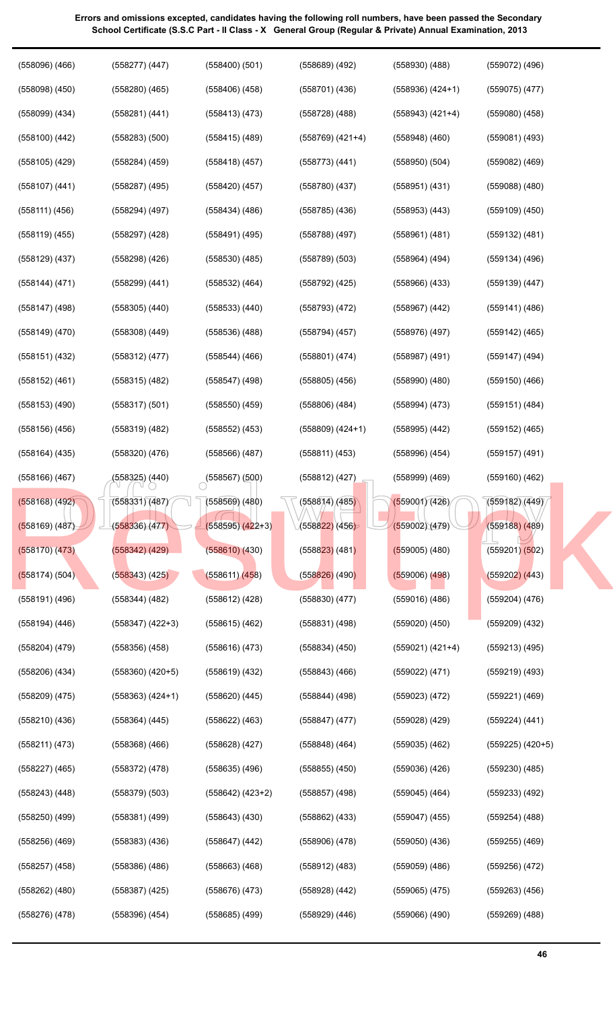| $(558096)$ $(466)$ | $(558277)$ $(447)$       | (558400)(501)             | $(558689)$ $(492)$   | $(558930)$ $(488)$ | $(559072)$ $(496)$   |
|--------------------|--------------------------|---------------------------|----------------------|--------------------|----------------------|
| $(558098)$ $(450)$ | $(558280)$ $(465)$       | $(558406)$ $(458)$        | $(558701)$ $(436)$   | $(558936) (424+1)$ | $(559075)$ $(477)$   |
| $(558099)$ $(434)$ | (558281) (441)           | (558413) (473)            | $(558728)$ $(488)$   | $(558943) (421+4)$ | $(559080)$ $(458)$   |
| $(558100)$ $(442)$ | $(558283)$ $(500)$       | $(558415)$ (489)          | $(558769)$ $(421+4)$ | $(558948)$ $(460)$ | $(559081)$ $(493)$   |
| $(558105)$ $(429)$ | $(558284)$ $(459)$       | $(558418)$ (457)          | $(558773)$ $(441)$   | (558950)(504)      | $(559082)$ $(469)$   |
| $(558107)$ $(441)$ | (558287) (495)           | $(558420)$ (457)          | $(558780)$ $(437)$   | (558951) (431)     | $(559088)$ $(480)$   |
| (558111) (456)     | (558294) (497)           | $(558434)$ (486)          | $(558785)$ $(436)$   | $(558953)$ $(443)$ | $(559109)$ $(450)$   |
| (558119) (455)     | (558297) (428)           | (558491) (495)            | $(558788)$ (497)     | (558961) (481)     | $(559132)$ $(481)$   |
| $(558129)$ $(437)$ | (558298) (426)           | $(558530)$ $(485)$        | $(558789)$ $(503)$   | (558964) (494)     | $(559134)$ (496)     |
| (558144) (471)     | $(558299)$ $(441)$       | (558532) (464)            | (558792) (425)       | $(558966)$ $(433)$ | $(559139)$ $(447)$   |
| (558147) (498)     | $(558305)$ $(440)$       | $(558533)$ $(440)$        | $(558793)$ $(472)$   | $(558967)$ $(442)$ | (559141) (486)       |
| $(558149)$ $(470)$ | $(558308)$ $(449)$       | $(558536)$ $(488)$        | (558794) (457)       | (558976) (497)     | $(559142)$ (465)     |
| (558151) (432)     | (558312) (477)           | $(558544)$ (466)          | (558801) (474)       | $(558987)$ (491)   | (559147) (494)       |
| (558152) (461)     | $(558315)$ $(482)$       | $(558547)$ (498)          | $(558805)$ $(456)$   | $(558990)$ $(480)$ | $(559150)$ $(466)$   |
| $(558153)$ $(490)$ | (558317) (501)           | $(558550)$ $(459)$        | $(558806)$ $(484)$   | (558994) (473)     | (559151) (484)       |
| $(558156)$ $(456)$ | $(558319)$ $(482)$       | $(558552)$ $(453)$        | $(558809) (424+1)$   | $(558995)$ $(442)$ | $(559152)$ (465)     |
| $(558164)$ $(435)$ | $(558320)$ $(476)$       | $(558566)$ (487)          | (558811) (453)       | $(558996)$ $(454)$ | $(559157)$ (491)     |
| $(558166)$ $(467)$ | (558325) (440)           | $\bigcirc$ (558567) (500) | $(558812)$ (427)     | $(558999)$ $(469)$ | $(559160)$ $(462)$   |
| (558168) (492)     | (558331) (487) $\sqrt{}$ | (558569) (480)            | (558874)/(485)       | (559001)(426)      | (559182)(449)        |
| (558169) (487)     | (558336)(477)            | $(558595)(422+3)$         | (558822) (456)       | (559002)(479)      | $(559188)$ (489)     |
| $(558170)$ $(473)$ | $(558342)$ $(429)$       | $(558610)$ $(430)$        | $(558823)$ (481)     | $(559005)$ (480)   | $(559201)$ $(502)$   |
| (558174) (504)     | $(558343)$ $(425)$       | (558611) (458)            | $(558826)$ (490)     | $(559006)$ $(498)$ | $(559202)$ $(443)$   |
| $(558191)$ $(496)$ | $(558344)$ $(482)$       | $(558612)$ $(428)$        | $(558830)$ $(477)$   | $(559016)$ $(486)$ | $(559204)$ $(476)$   |
| $(558194)$ $(446)$ | $(558347)$ $(422+3)$     | $(558615)$ $(462)$        | $(558831)$ $(498)$   | $(559020)$ $(450)$ | $(559209)$ $(432)$   |
| $(558204)$ $(479)$ | $(558356)$ $(458)$       | $(558616)$ $(473)$        | $(558834)$ $(450)$   | $(559021) (421+4)$ | $(559213)$ $(495)$   |
| $(558206)$ $(434)$ | $(558360)$ $(420+5)$     | $(558619)$ $(432)$        | $(558843)$ $(466)$   | (559022) (471)     | $(559219)$ $(493)$   |
| $(558209)$ $(475)$ | $(558363)$ $(424+1)$     | $(558620)$ $(445)$        | $(558844)$ $(498)$   | $(559023)$ $(472)$ | $(559221)$ $(469)$   |
| $(558210)$ $(436)$ | $(558364)$ $(445)$       | $(558622)$ $(463)$        | $(558847)$ $(477)$   | $(559028)$ $(429)$ | $(559224)$ $(441)$   |
| (558211) (473)     | $(558368)$ $(466)$       | $(558628)$ $(427)$        | $(558848)$ $(464)$   | $(559035)$ $(462)$ | $(559225)$ $(420+5)$ |
| $(558227)$ $(465)$ | (558372) (478)           | (558635) (496)            | $(558855)$ $(450)$   | $(559036)$ $(426)$ | $(559230)$ $(485)$   |
| $(558243)$ $(448)$ | $(558379)$ $(503)$       | $(558642) (423+2)$        | $(558857)$ (498)     | $(559045)$ $(464)$ | $(559233)$ $(492)$   |
| $(558250)$ $(499)$ | $(558381)$ $(499)$       | $(558643)$ $(430)$        | $(558862)$ $(433)$   | $(559047)$ (455)   | $(559254)$ $(488)$   |
| $(558256)$ $(469)$ | $(558383)$ $(436)$       | (558647) (442)            | $(558906)$ $(478)$   | $(559050)$ $(436)$ | $(559255)$ $(469)$   |
| $(558257)$ $(458)$ | (558386) (486)           | $(558663)$ $(468)$        | $(558912)$ $(483)$   | $(559059)$ (486)   | $(559256)$ $(472)$   |
| $(558262)$ $(480)$ | (558387) (425)           | $(558676)$ $(473)$        | (558928) (442)       | (559065) (475)     | $(559263)$ $(456)$   |
| $(558276)$ $(478)$ | $(558396)$ $(454)$       | $(558685)$ $(499)$        | $(558929)$ $(446)$   | $(559066)$ $(490)$ | $(559269)$ $(488)$   |
|                    |                          |                           |                      |                    |                      |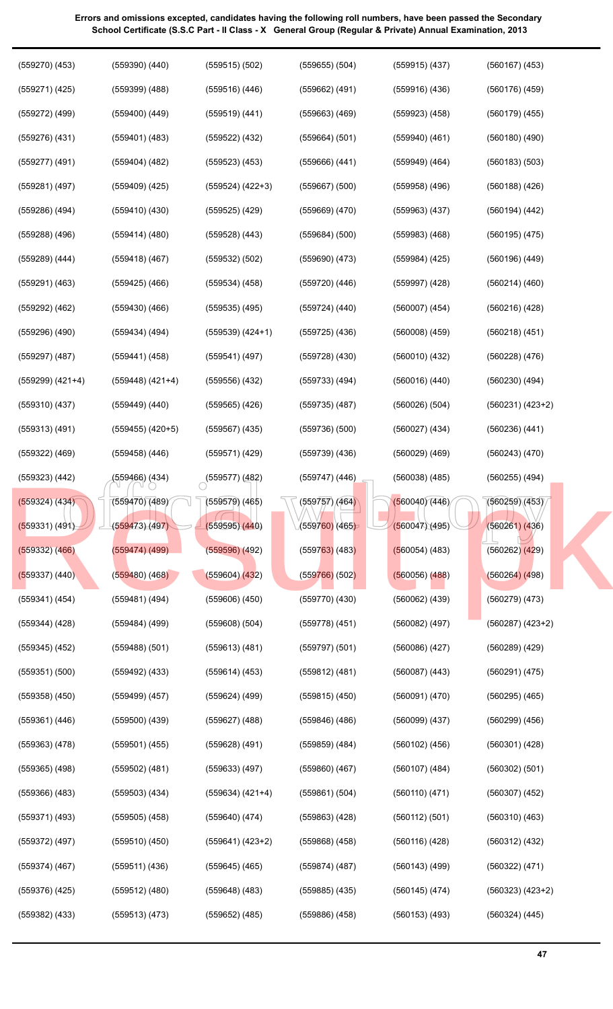| (559270) (453)       | (559390) (440)     | $(559515)$ $(502)$   | $(559655)$ $(504)$ | $(559915)$ (437)   | $(560167)$ $(453)$   |
|----------------------|--------------------|----------------------|--------------------|--------------------|----------------------|
| $(559271)$ $(425)$   | $(559399)$ $(488)$ | $(559516)$ $(446)$   | $(559662)$ $(491)$ | $(559916)$ $(436)$ | $(560176)$ $(459)$   |
| (559272) (499)       | (559400) (449)     | $(559519)$ $(441)$   | $(559663)$ $(469)$ | $(559923)$ $(458)$ | $(560179)$ $(455)$   |
| $(559276)$ $(431)$   | (559401) (483)     | $(559522)$ $(432)$   | $(559664)$ $(501)$ | $(559940)$ $(461)$ | $(560180)$ $(490)$   |
| $(559277)$ $(491)$   | (559404) (482)     | $(559523)$ $(453)$   | $(559666)$ $(441)$ | $(559949)$ $(464)$ | $(560183)$ $(503)$   |
| $(559281)$ $(497)$   | $(559409)$ $(425)$ | $(559524)$ $(422+3)$ | $(559667)$ $(500)$ | $(559958)$ $(496)$ | $(560188)$ $(426)$   |
| $(559286)$ $(494)$   | $(559410)$ $(430)$ | $(559525)$ $(429)$   | $(559669)$ $(470)$ | $(559963)$ $(437)$ | $(560194)$ $(442)$   |
| $(559288)$ $(496)$   | $(559414)$ $(480)$ | $(559528)$ $(443)$   | $(559684)$ $(500)$ | $(559983)$ $(468)$ | $(560195)$ $(475)$   |
| (559289) (444)       | $(559418)$ (467)   | (559532) (502)       | $(559690)$ $(473)$ | $(559984)$ $(425)$ | $(560196)$ $(449)$   |
| $(559291)$ $(463)$   | $(559425)$ $(466)$ | $(559534)$ $(458)$   | $(559720)$ $(446)$ | $(559997)$ $(428)$ | $(560214)$ $(460)$   |
| (559292) (462)       | $(559430)$ $(466)$ | $(559535)$ $(495)$   | $(559724)$ $(440)$ | $(560007)$ $(454)$ | $(560216)$ $(428)$   |
| (559296) (490)       | $(559434)$ (494)   | $(559539)$ $(424+1)$ | $(559725)$ $(436)$ | $(560008)$ $(459)$ | $(560218)$ $(451)$   |
| $(559297)$ $(487)$   | $(559441)$ $(458)$ | (559541) (497)       | $(559728)$ $(430)$ | (560010)(432)      | $(560228)$ $(476)$   |
| $(559299)$ $(421+4)$ | $(559448)$ (421+4) | $(559556)$ $(432)$   | $(559733)$ $(494)$ | (560016)(440)      | $(560230)$ $(494)$   |
| $(559310)$ $(437)$   | (559449) (440)     | $(559565)$ $(426)$   | $(559735)$ $(487)$ | (560026)(504)      | $(560231) (423+2)$   |
| $(559313)$ $(491)$   | $(559455)$ (420+5) | $(559567)$ $(435)$   | $(559736)$ $(500)$ | $(560027)$ $(434)$ | $(560236)$ $(441)$   |
| (559322) (469)       | (559458) (446)     | (559571) (429)       | $(559739)$ $(436)$ | $(560029)$ $(469)$ | $(560243)$ $(470)$   |
| $(559323)$ $(442)$   | (559466) (434)     | (559577)(482)        | (559747) (446)     | $(560038)$ $(485)$ | $(560255)$ $(494)$   |
| (559324) (434)       | (559470) (489)     | $(559579)$ $(465)$   | (559757) (464)     | (560040)(446)      | (560259)(453)        |
| (559331) (491)       | (559473)(497)      | (559595)(440)        | $(559760)$ (465)   | (560047)(495)      | (560261) (436)       |
| $(559332)$ $(466)$   | (559474) (499)     | $(559596)$ $(492)$   | $(559763)$ (483)   | (560054) (483)     | $(560262)$ $(429)$   |
| $(559337)$ $(440)$   | $(559480)$ (468)   | $(559604)$ $(432)$   | $(559766)$ (502)   | $(560056)$ $(488)$ | (560264) (498)       |
| (559341) (454)       | (559481) (494)     | $(559606)$ $(450)$   | $(559770)$ $(430)$ | $(560062)$ $(439)$ | $(560279)$ $(473)$   |
| $(559344)$ $(428)$   | $(559484)$ (499)   | $(559608)$ $(504)$   | $(559778)$ $(451)$ | $(560082)$ $(497)$ | $(560287)$ $(423+2)$ |
| $(559345)$ $(452)$   | $(559488)$ $(501)$ | $(559613)$ $(481)$   | (559797)(501)      | $(560086)$ $(427)$ | $(560289)$ $(429)$   |
| $(559351)$ $(500)$   | $(559492)$ $(433)$ | $(559614)$ $(453)$   | $(559812)$ $(481)$ | $(560087)$ $(443)$ | (560291) (475)       |
| $(559358)$ $(450)$   | $(559499)$ $(457)$ | $(559624)$ $(499)$   | $(559815)$ $(450)$ | (560091) (470)     | $(560295)$ $(465)$   |
| $(559361)$ $(446)$   | $(559500)$ $(439)$ | $(559627)$ $(488)$   | $(559846)$ (486)   | $(560099)$ $(437)$ | $(560299)$ $(456)$   |
| $(559363)$ $(478)$   | $(559501)$ $(455)$ | $(559628)$ $(491)$   | $(559859)$ $(484)$ | $(560102)$ $(456)$ | $(560301)$ $(428)$   |
| $(559365)$ $(498)$   | $(559502)$ $(481)$ | $(559633)$ $(497)$   | $(559860)$ $(467)$ | $(560107)$ $(484)$ | (560302) (501)       |
| $(559366)$ $(483)$   | $(559503)$ $(434)$ | $(559634) (421+4)$   | (559861) (504)     | (560110)(471)      | $(560307)$ $(452)$   |
| (559371) (493)       | $(559505)$ $(458)$ | $(559640)$ $(474)$   | $(559863)$ $(428)$ | (560112) (501)     | $(560310)$ $(463)$   |
| $(559372)$ $(497)$   | $(559510)$ $(450)$ | $(559641) (423+2)$   | $(559868)$ $(458)$ | (560116)(428)      | $(560312)$ $(432)$   |
| $(559374)$ $(467)$   | $(559511)$ $(436)$ | $(559645)$ (465)     | (559874) (487)     | $(560143)$ (499)   | (560322) (471)       |
| $(559376)$ $(425)$   | $(559512)$ $(480)$ | (559648) (483)       | $(559885)$ $(435)$ | $(560145)$ (474)   | $(560323)$ $(423+2)$ |
| $(559382)$ $(433)$   | (559513) (473)     | $(559652)$ (485)     | $(559886)$ $(458)$ | $(560153)$ $(493)$ | $(560324)$ $(445)$   |
|                      |                    |                      |                    |                    |                      |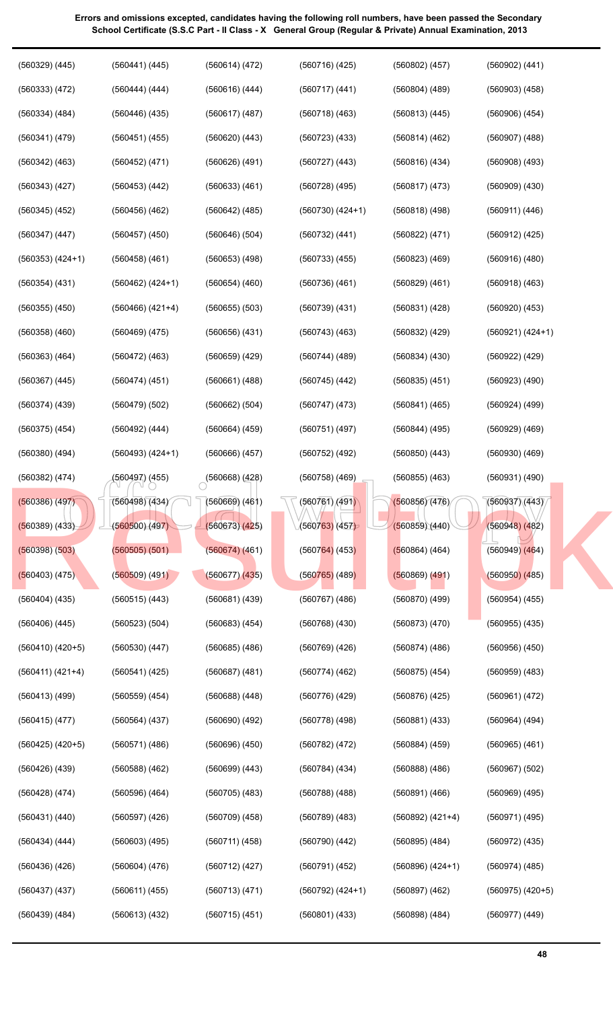| Errors and omissions excepted, candidates having the following roll numbers, have been passed the Secondary |
|-------------------------------------------------------------------------------------------------------------|
| School Certificate (S.S.C Part - Il Class - X General Group (Regular & Private) Annual Examination, 2013    |

| $(560329)$ $(445)$   | (560441) (445)     | (560614) (472)     | $(560716)$ $(425)$   | (560802) (457)       | (560902) (441)       |
|----------------------|--------------------|--------------------|----------------------|----------------------|----------------------|
| (560333) (472)       | (560444) (444)     | $(560616)$ $(444)$ | (560717) (441)       | $(560804)$ $(489)$   | $(560903)$ $(458)$   |
| $(560334)$ $(484)$   | $(560446)$ $(435)$ | $(560617)$ $(487)$ | $(560718)$ $(463)$   | (560813) (445)       | $(560906)$ $(454)$   |
| (560341) (479)       | (560451) (455)     | $(560620)$ $(443)$ | $(560723)$ $(433)$   | (560814)(462)        | $(560907)$ $(488)$   |
| $(560342)$ $(463)$   | (560452) (471)     | $(560626)$ $(491)$ | $(560727)$ $(443)$   | (560816)(434)        | $(560908)$ $(493)$   |
| $(560343)$ $(427)$   | $(560453)$ $(442)$ | $(560633)$ $(461)$ | $(560728)$ $(495)$   | (560817)(473)        | $(560909)$ $(430)$   |
| $(560345)$ $(452)$   | $(560456)$ $(462)$ | $(560642)$ (485)   | $(560730)$ $(424+1)$ | (560818)(498)        | (560911) (446)       |
| (560347) (447)       | $(560457)$ $(450)$ | (560646) (504)     | (560732) (441)       | (560822) (471)       | (560912) (425)       |
| $(560353) (424+1)$   | $(560458)$ (461)   | $(560653)$ $(498)$ | $(560733)$ $(455)$   | $(560823)$ $(469)$   | $(560916)$ $(480)$   |
| (560354) (431)       | $(560462) (424+1)$ | $(560654)$ $(460)$ | (560736)(461)        | $(560829)$ $(461)$   | (560918) (463)       |
| $(560355)$ $(450)$   | (560466) (421+4)   | $(560655)$ $(503)$ | $(560739)$ $(431)$   | (560831) (428)       | $(560920)$ $(453)$   |
| $(560358)$ $(460)$   | $(560469)$ $(475)$ | $(560656)$ $(431)$ | $(560743)$ $(463)$   | $(560832)$ $(429)$   | (560921) (424+1)     |
| $(560363)$ $(464)$   | $(560472)$ $(463)$ | $(560659)$ $(429)$ | $(560744)$ (489)     | $(560834)$ $(430)$   | $(560922)$ $(429)$   |
| $(560367)$ $(445)$   | (560474) (451)     | (560661) (488)     | $(560745)$ $(442)$   | $(560835)$ $(451)$   | (560923) (490)       |
| $(560374)$ $(439)$   | (560479) (502)     | (560662) (504)     | $(560747)$ $(473)$   | (560841) (465)       | $(560924)$ $(499)$   |
| $(560375)$ $(454)$   | $(560492)$ $(444)$ | (560664) (459)     | $(560751)$ (497)     | (560844) (495)       | $(560929)$ $(469)$   |
| $(560380)$ $(494)$   | $(560493) (424+1)$ | (560666) (457)     | $(560752)$ (492)     | $(560850)$ $(443)$   | $(560930)$ $(469)$   |
| $(560382)$ $(474)$   | (560497) (455)     | (560668) (428)     | $(560758)$ (469)     | $(560855)$ $(463)$   | (560931) (490)       |
| $(560386)$ $(497)$   | (560498)(434)      | $(560669)$ $(461)$ | (560761)(491)        | (560856)(476)        | (560937)(443)        |
| (560389) (433)       | (560500)(497)      | (560673)(425)      | (560763)(457)        | (560859)(440)        | $(560948)$ $(482)$   |
| $(560398)$ $(503)$   | $(560505)$ $(501)$ | (560674)(461)      | $(560764)$ (453)     | (560864) (464)       | $(560949)$ $(464)$   |
| $(560403)$ (475)     | $(560509)$ $(491)$ | $(560677)$ $(435)$ | $(560765)$ (489)     | $(560869)$ $(491)$   | $(560950)$ $(485)$   |
| $(560404)$ $(435)$   | $(560515)$ $(443)$ | $(560681)$ $(439)$ | $(560767)$ $(486)$   | $(560870)$ $(499)$   | $(560954)$ $(455)$   |
| $(560406)$ $(445)$   | $(560523)$ $(504)$ | $(560683)$ $(454)$ | $(560768)$ $(430)$   | $(560873)$ $(470)$   | $(560955)$ $(435)$   |
| $(560410)$ $(420+5)$ | $(560530)$ $(447)$ | $(560685)$ $(486)$ | $(560769)$ $(426)$   | (560874)(486)        | $(560956)$ $(450)$   |
| $(560411) (421+4)$   | (560541) (425)     | $(560687)$ $(481)$ | (560774)(462)        | $(560875)$ $(454)$   | $(560959)$ $(483)$   |
| $(560413)$ (499)     | $(560559)$ $(454)$ | $(560688)$ $(448)$ | (560776) (429)       | (560876)(425)        | (560961) (472)       |
| $(560415)$ $(477)$   | $(560564)$ $(437)$ | $(560690)$ $(492)$ | $(560778)$ (498)     | (560881) (433)       | $(560964)$ $(494)$   |
| $(560425)$ $(420+5)$ | (560571) (486)     | $(560696)$ $(450)$ | $(560782)$ $(472)$   | $(560884)$ $(459)$   | $(560965)$ $(461)$   |
| $(560426)$ $(439)$   | $(560588)$ $(462)$ | $(560699)$ $(443)$ | $(560784)$ $(434)$   | $(560888)$ $(486)$   | $(560967)$ $(502)$   |
| $(560428)$ $(474)$   | $(560596)$ $(464)$ | $(560705)$ $(483)$ | $(560788)$ $(488)$   | $(560891)$ $(466)$   | $(560969)$ $(495)$   |
| (560431) (440)       | $(560597)$ $(426)$ | $(560709)$ $(458)$ | $(560789)$ $(483)$   | $(560892) (421+4)$   | $(560971)$ $(495)$   |
| $(560434)$ $(444)$   | $(560603)$ $(495)$ | (560711) (458)     | $(560790)$ $(442)$   | $(560895)$ $(484)$   | $(560972)$ $(435)$   |
| $(560436)$ $(426)$   | (560604) (476)     | $(560712)$ $(427)$ | $(560791)$ $(452)$   | $(560896)$ $(424+1)$ | $(560974)$ $(485)$   |
| $(560437)$ $(437)$   | (560611) (455)     | (560713) (471)     | $(560792) (424+1)$   | $(560897)$ $(462)$   | $(560975)$ $(420+5)$ |
| $(560439)$ $(484)$   | $(560613)$ $(432)$ | $(560715)$ $(451)$ | $(560801)$ $(433)$   | $(560898)$ $(484)$   | $(560977)$ $(449)$   |
|                      |                    |                    |                      |                      |                      |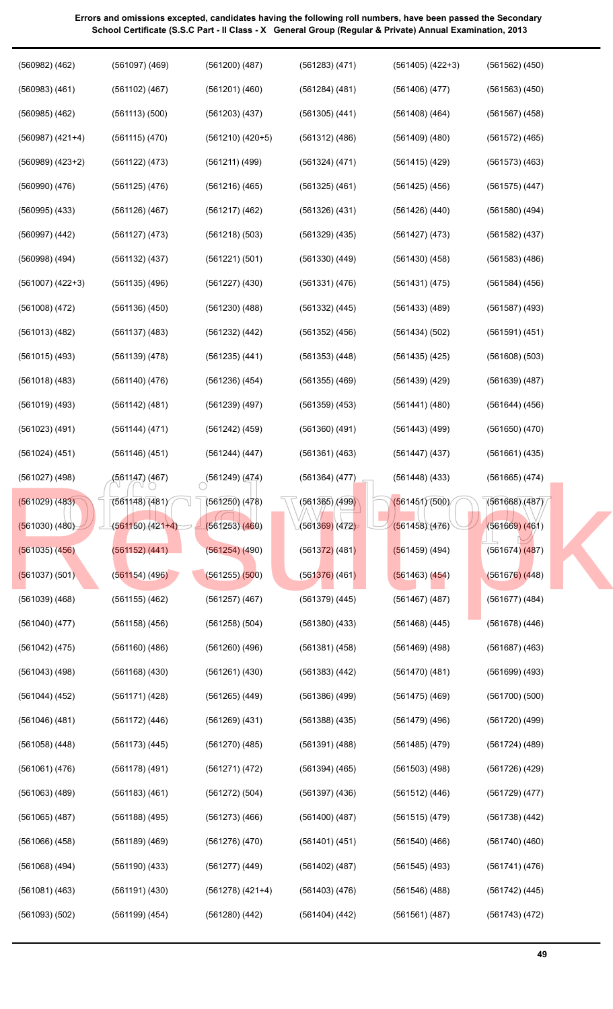| $(560983)$ $(461)$<br>$(561102)$ $(467)$<br>$(561563)$ $(450)$<br>$(561201)$ $(460)$<br>$(561284)$ $(481)$<br>(561406)(477)<br>$(560985)$ $(462)$<br>(561113)(500)<br>$(561203)$ $(437)$<br>$(561408)$ $(464)$<br>$(561305)$ $(441)$<br>$(561567)$ $(458)$<br>$(560987) (421+4)$<br>(561115)(470)<br>$(561210)$ $(420+5)$<br>$(561312)$ $(486)$<br>$(561409)$ $(480)$<br>$(561572)$ (465)<br>$(560989)$ $(423+2)$<br>(561122) (473)<br>(561211) (499)<br>(561324) (471)<br>$(561415)$ (429)<br>$(561573)$ $(463)$<br>$(560990)$ $(476)$<br>$(561125)$ $(476)$<br>$(561216)$ $(465)$<br>$(561325)$ $(461)$<br>$(561425)$ $(456)$<br>$(561575)$ $(447)$<br>$(560995)$ $(433)$<br>$(561126)$ $(467)$<br>$(561217)$ $(462)$<br>$(561326)$ $(431)$<br>(561426)(440)<br>$(561580)$ $(494)$<br>$(560997)$ $(442)$<br>$(561127)$ $(473)$<br>$(561218)$ $(503)$<br>$(561329)$ $(435)$<br>(561427) (473)<br>$(561582)$ $(437)$<br>$(560998)$ $(494)$<br>$(561132)$ $(437)$<br>(561221) (501)<br>$(561330)$ $(449)$<br>$(561430)$ $(458)$<br>$(561583)$ $(486)$<br>$(561007)$ $(422+3)$<br>$(561135)$ $(496)$<br>$(561227)$ $(430)$<br>$(561331)$ $(476)$<br>(561431) (475)<br>$(561584)$ $(456)$<br>$(561008)$ $(472)$<br>$(561136)$ $(450)$<br>(561230)(488)<br>$(561332)$ $(445)$<br>$(561433)$ $(489)$<br>$(561587)$ $(493)$<br>$(561013)$ $(482)$<br>$(561137)$ $(483)$<br>$(561232)$ $(442)$<br>$(561352)$ $(456)$<br>(561434) (502)<br>$(561591)$ $(451)$<br>$(561015)$ (493)<br>$(561139)$ $(478)$<br>$(561235)$ $(441)$<br>$(561353)$ $(448)$<br>$(561435)$ $(425)$<br>$(561608)$ $(503)$<br>$(561018)$ $(483)$<br>$(561140)$ $(476)$<br>$(561236)$ $(454)$<br>$(561355)$ $(469)$<br>$(561439)$ $(429)$<br>$(561639)$ $(487)$<br>$(561019)$ $(493)$<br>$(561142)$ $(481)$<br>$(561239)$ $(497)$<br>$(561359)$ $(453)$<br>(561441) (480)<br>$(561644)$ $(456)$<br>$(561023)$ $(491)$<br>(561144) (471)<br>$(561242)$ $(459)$<br>$(561360)$ $(491)$<br>$(561443)$ (499)<br>$(561650)$ $(470)$<br>$(561024)$ $(451)$<br>$(561146)$ $(451)$<br>(561244) (447)<br>$(561361)$ $(463)$<br>$(561447)$ (437)<br>$(561661)$ $(435)$<br>$(561027)$ (498)<br>(561147) (467)<br>$\bigcirc$ (561249) (474)<br>$(561364)$ $(477)$<br>$(561448)$ $(433)$<br>$(561665)$ $(474)$<br>(561451)(500)<br>$\sqrt{6561365}$ (499)<br>(561668)(487)<br>(561029) (483)<br>(561148)(481)<br>(561250)(478)<br>(561669) (461)<br>$(561030)$ $(480)$<br>$(561150)(421+4)$<br>(5613 <mark>69)</mark> (472)<br>(561458)(476)<br>(561253)(460)<br>(561152) (441)<br>$(561254)$ (490)<br>$(561035)$ $(456)$<br>$(561372)$ (481)<br>$(561459)$ (494)<br>$(561674)$ $(487)$<br>$(561154)$ (496)<br>$(561255)$ $(500)$<br>$(561037)$ (501)<br>$(561376)$ (461)<br>(561463) (454)<br>$(561676)$ (448)<br>$(561039)$ $(468)$<br>$(561155)$ $(462)$<br>$(561257)$ $(467)$<br>$(561379)$ $(445)$<br>$(561467)$ (487)<br>$(561677)$ $(484)$<br>$(561468)$ $(445)$<br>$(561678)$ $(446)$<br>$(561040)$ $(477)$<br>$(561158)$ $(456)$<br>$(561258)$ (504)<br>$(561380)$ $(433)$<br>$(561469)$ $(498)$<br>$(561687)$ $(463)$<br>(561042) (475)<br>$(561160)$ $(486)$<br>$(561260)$ (496)<br>$(561381)$ $(458)$<br>$(561043)$ (498)<br>$(561168)$ $(430)$<br>$(561383)$ $(442)$<br>(561470)(481)<br>$(561699)$ $(493)$<br>$(561261)$ $(430)$<br>(561171) (428)<br>$(561386)$ $(499)$<br>$(561475)$ $(469)$<br>$(561700)$ $(500)$<br>(561044) (452)<br>(561265) (449)<br>$(561046)$ $(481)$<br>$(561172)$ $(446)$<br>$(561269)$ $(431)$<br>$(561388)$ $(435)$<br>$(561479)$ (496)<br>$(561720)$ (499)<br>$(561058)$ $(448)$<br>$(561391)$ $(488)$<br>$(561485)$ $(479)$<br>$(561724)$ (489)<br>$(561173)$ $(445)$<br>(561270) (485)<br>$(561061)$ $(476)$<br>$(561178)$ (491)<br>(561271) (472)<br>$(561394)$ $(465)$<br>$(561503)$ $(498)$<br>$(561726)$ (429)<br>$(561063)$ $(489)$<br>$(561183)$ $(461)$<br>(561272) (504)<br>$(561397)$ $(436)$<br>(561512) (446)<br>$(561729)$ $(477)$<br>$(561065)$ $(487)$<br>$(561188)$ $(495)$<br>$(561273)$ $(466)$<br>$(561400)$ $(487)$<br>$(561515)$ $(479)$<br>$(561738)$ $(442)$<br>$(561066)$ $(458)$<br>$(561189)$ $(469)$<br>$(561276)$ $(470)$<br>$(561401)$ $(451)$<br>$(561540)$ $(466)$<br>$(561740)$ $(460)$<br>$(561068)$ $(494)$<br>$(561190)$ $(433)$<br>$(561277)$ $(449)$<br>$(561402)$ (487)<br>$(561545)$ (493)<br>(561741) (476)<br>$(561081)$ $(463)$<br>$(561191)$ $(430)$<br>$(561278)$ $(421+4)$<br>$(561403)$ $(476)$<br>(561546)(488)<br>$(561742)$ $(445)$<br>(561093) (502)<br>$(561199)$ $(454)$<br>$(561280)$ $(442)$<br>$(561404)$ $(442)$<br>(561561)(487)<br>$(561743)$ $(472)$ | $(560982)$ $(462)$ | $(561097)$ $(469)$ | $(561200)$ $(487)$ | $(561283)$ $(471)$ | $(561405)$ $(422+3)$ | $(561562)$ $(450)$ |
|------------------------------------------------------------------------------------------------------------------------------------------------------------------------------------------------------------------------------------------------------------------------------------------------------------------------------------------------------------------------------------------------------------------------------------------------------------------------------------------------------------------------------------------------------------------------------------------------------------------------------------------------------------------------------------------------------------------------------------------------------------------------------------------------------------------------------------------------------------------------------------------------------------------------------------------------------------------------------------------------------------------------------------------------------------------------------------------------------------------------------------------------------------------------------------------------------------------------------------------------------------------------------------------------------------------------------------------------------------------------------------------------------------------------------------------------------------------------------------------------------------------------------------------------------------------------------------------------------------------------------------------------------------------------------------------------------------------------------------------------------------------------------------------------------------------------------------------------------------------------------------------------------------------------------------------------------------------------------------------------------------------------------------------------------------------------------------------------------------------------------------------------------------------------------------------------------------------------------------------------------------------------------------------------------------------------------------------------------------------------------------------------------------------------------------------------------------------------------------------------------------------------------------------------------------------------------------------------------------------------------------------------------------------------------------------------------------------------------------------------------------------------------------------------------------------------------------------------------------------------------------------------------------------------------------------------------------------------------------------------------------------------------------------------------------------------------------------------------------------------------------------------------------------------------------------------------------------------------------------------------------------------------------------------------------------------------------------------------------------------------------------------------------------------------------------------------------------------------------------------------------------------------------------------------------------------------------------------------------------------------------------------------------------------------------------------------------------------------------------------------------------------------------------------------------------------------------------------------------------------------------------------------------------------------------------------------------------------------------------------------------------------------------------------------------------------------------------------------------------------------------------------------------------------------------------------------------------------------------------------------------------------------------------------------------------------------------------------------------------------------------------------------------------------------------------------------------------------------------------------------------------------------------------------------------------------------------------------------------|--------------------|--------------------|--------------------|--------------------|----------------------|--------------------|
|                                                                                                                                                                                                                                                                                                                                                                                                                                                                                                                                                                                                                                                                                                                                                                                                                                                                                                                                                                                                                                                                                                                                                                                                                                                                                                                                                                                                                                                                                                                                                                                                                                                                                                                                                                                                                                                                                                                                                                                                                                                                                                                                                                                                                                                                                                                                                                                                                                                                                                                                                                                                                                                                                                                                                                                                                                                                                                                                                                                                                                                                                                                                                                                                                                                                                                                                                                                                                                                                                                                                                                                                                                                                                                                                                                                                                                                                                                                                                                                                                                                                                                                                                                                                                                                                                                                                                                                                                                                                                                                                                                                                            |                    |                    |                    |                    |                      |                    |
|                                                                                                                                                                                                                                                                                                                                                                                                                                                                                                                                                                                                                                                                                                                                                                                                                                                                                                                                                                                                                                                                                                                                                                                                                                                                                                                                                                                                                                                                                                                                                                                                                                                                                                                                                                                                                                                                                                                                                                                                                                                                                                                                                                                                                                                                                                                                                                                                                                                                                                                                                                                                                                                                                                                                                                                                                                                                                                                                                                                                                                                                                                                                                                                                                                                                                                                                                                                                                                                                                                                                                                                                                                                                                                                                                                                                                                                                                                                                                                                                                                                                                                                                                                                                                                                                                                                                                                                                                                                                                                                                                                                                            |                    |                    |                    |                    |                      |                    |
|                                                                                                                                                                                                                                                                                                                                                                                                                                                                                                                                                                                                                                                                                                                                                                                                                                                                                                                                                                                                                                                                                                                                                                                                                                                                                                                                                                                                                                                                                                                                                                                                                                                                                                                                                                                                                                                                                                                                                                                                                                                                                                                                                                                                                                                                                                                                                                                                                                                                                                                                                                                                                                                                                                                                                                                                                                                                                                                                                                                                                                                                                                                                                                                                                                                                                                                                                                                                                                                                                                                                                                                                                                                                                                                                                                                                                                                                                                                                                                                                                                                                                                                                                                                                                                                                                                                                                                                                                                                                                                                                                                                                            |                    |                    |                    |                    |                      |                    |
|                                                                                                                                                                                                                                                                                                                                                                                                                                                                                                                                                                                                                                                                                                                                                                                                                                                                                                                                                                                                                                                                                                                                                                                                                                                                                                                                                                                                                                                                                                                                                                                                                                                                                                                                                                                                                                                                                                                                                                                                                                                                                                                                                                                                                                                                                                                                                                                                                                                                                                                                                                                                                                                                                                                                                                                                                                                                                                                                                                                                                                                                                                                                                                                                                                                                                                                                                                                                                                                                                                                                                                                                                                                                                                                                                                                                                                                                                                                                                                                                                                                                                                                                                                                                                                                                                                                                                                                                                                                                                                                                                                                                            |                    |                    |                    |                    |                      |                    |
|                                                                                                                                                                                                                                                                                                                                                                                                                                                                                                                                                                                                                                                                                                                                                                                                                                                                                                                                                                                                                                                                                                                                                                                                                                                                                                                                                                                                                                                                                                                                                                                                                                                                                                                                                                                                                                                                                                                                                                                                                                                                                                                                                                                                                                                                                                                                                                                                                                                                                                                                                                                                                                                                                                                                                                                                                                                                                                                                                                                                                                                                                                                                                                                                                                                                                                                                                                                                                                                                                                                                                                                                                                                                                                                                                                                                                                                                                                                                                                                                                                                                                                                                                                                                                                                                                                                                                                                                                                                                                                                                                                                                            |                    |                    |                    |                    |                      |                    |
|                                                                                                                                                                                                                                                                                                                                                                                                                                                                                                                                                                                                                                                                                                                                                                                                                                                                                                                                                                                                                                                                                                                                                                                                                                                                                                                                                                                                                                                                                                                                                                                                                                                                                                                                                                                                                                                                                                                                                                                                                                                                                                                                                                                                                                                                                                                                                                                                                                                                                                                                                                                                                                                                                                                                                                                                                                                                                                                                                                                                                                                                                                                                                                                                                                                                                                                                                                                                                                                                                                                                                                                                                                                                                                                                                                                                                                                                                                                                                                                                                                                                                                                                                                                                                                                                                                                                                                                                                                                                                                                                                                                                            |                    |                    |                    |                    |                      |                    |
|                                                                                                                                                                                                                                                                                                                                                                                                                                                                                                                                                                                                                                                                                                                                                                                                                                                                                                                                                                                                                                                                                                                                                                                                                                                                                                                                                                                                                                                                                                                                                                                                                                                                                                                                                                                                                                                                                                                                                                                                                                                                                                                                                                                                                                                                                                                                                                                                                                                                                                                                                                                                                                                                                                                                                                                                                                                                                                                                                                                                                                                                                                                                                                                                                                                                                                                                                                                                                                                                                                                                                                                                                                                                                                                                                                                                                                                                                                                                                                                                                                                                                                                                                                                                                                                                                                                                                                                                                                                                                                                                                                                                            |                    |                    |                    |                    |                      |                    |
|                                                                                                                                                                                                                                                                                                                                                                                                                                                                                                                                                                                                                                                                                                                                                                                                                                                                                                                                                                                                                                                                                                                                                                                                                                                                                                                                                                                                                                                                                                                                                                                                                                                                                                                                                                                                                                                                                                                                                                                                                                                                                                                                                                                                                                                                                                                                                                                                                                                                                                                                                                                                                                                                                                                                                                                                                                                                                                                                                                                                                                                                                                                                                                                                                                                                                                                                                                                                                                                                                                                                                                                                                                                                                                                                                                                                                                                                                                                                                                                                                                                                                                                                                                                                                                                                                                                                                                                                                                                                                                                                                                                                            |                    |                    |                    |                    |                      |                    |
|                                                                                                                                                                                                                                                                                                                                                                                                                                                                                                                                                                                                                                                                                                                                                                                                                                                                                                                                                                                                                                                                                                                                                                                                                                                                                                                                                                                                                                                                                                                                                                                                                                                                                                                                                                                                                                                                                                                                                                                                                                                                                                                                                                                                                                                                                                                                                                                                                                                                                                                                                                                                                                                                                                                                                                                                                                                                                                                                                                                                                                                                                                                                                                                                                                                                                                                                                                                                                                                                                                                                                                                                                                                                                                                                                                                                                                                                                                                                                                                                                                                                                                                                                                                                                                                                                                                                                                                                                                                                                                                                                                                                            |                    |                    |                    |                    |                      |                    |
|                                                                                                                                                                                                                                                                                                                                                                                                                                                                                                                                                                                                                                                                                                                                                                                                                                                                                                                                                                                                                                                                                                                                                                                                                                                                                                                                                                                                                                                                                                                                                                                                                                                                                                                                                                                                                                                                                                                                                                                                                                                                                                                                                                                                                                                                                                                                                                                                                                                                                                                                                                                                                                                                                                                                                                                                                                                                                                                                                                                                                                                                                                                                                                                                                                                                                                                                                                                                                                                                                                                                                                                                                                                                                                                                                                                                                                                                                                                                                                                                                                                                                                                                                                                                                                                                                                                                                                                                                                                                                                                                                                                                            |                    |                    |                    |                    |                      |                    |
|                                                                                                                                                                                                                                                                                                                                                                                                                                                                                                                                                                                                                                                                                                                                                                                                                                                                                                                                                                                                                                                                                                                                                                                                                                                                                                                                                                                                                                                                                                                                                                                                                                                                                                                                                                                                                                                                                                                                                                                                                                                                                                                                                                                                                                                                                                                                                                                                                                                                                                                                                                                                                                                                                                                                                                                                                                                                                                                                                                                                                                                                                                                                                                                                                                                                                                                                                                                                                                                                                                                                                                                                                                                                                                                                                                                                                                                                                                                                                                                                                                                                                                                                                                                                                                                                                                                                                                                                                                                                                                                                                                                                            |                    |                    |                    |                    |                      |                    |
|                                                                                                                                                                                                                                                                                                                                                                                                                                                                                                                                                                                                                                                                                                                                                                                                                                                                                                                                                                                                                                                                                                                                                                                                                                                                                                                                                                                                                                                                                                                                                                                                                                                                                                                                                                                                                                                                                                                                                                                                                                                                                                                                                                                                                                                                                                                                                                                                                                                                                                                                                                                                                                                                                                                                                                                                                                                                                                                                                                                                                                                                                                                                                                                                                                                                                                                                                                                                                                                                                                                                                                                                                                                                                                                                                                                                                                                                                                                                                                                                                                                                                                                                                                                                                                                                                                                                                                                                                                                                                                                                                                                                            |                    |                    |                    |                    |                      |                    |
|                                                                                                                                                                                                                                                                                                                                                                                                                                                                                                                                                                                                                                                                                                                                                                                                                                                                                                                                                                                                                                                                                                                                                                                                                                                                                                                                                                                                                                                                                                                                                                                                                                                                                                                                                                                                                                                                                                                                                                                                                                                                                                                                                                                                                                                                                                                                                                                                                                                                                                                                                                                                                                                                                                                                                                                                                                                                                                                                                                                                                                                                                                                                                                                                                                                                                                                                                                                                                                                                                                                                                                                                                                                                                                                                                                                                                                                                                                                                                                                                                                                                                                                                                                                                                                                                                                                                                                                                                                                                                                                                                                                                            |                    |                    |                    |                    |                      |                    |
|                                                                                                                                                                                                                                                                                                                                                                                                                                                                                                                                                                                                                                                                                                                                                                                                                                                                                                                                                                                                                                                                                                                                                                                                                                                                                                                                                                                                                                                                                                                                                                                                                                                                                                                                                                                                                                                                                                                                                                                                                                                                                                                                                                                                                                                                                                                                                                                                                                                                                                                                                                                                                                                                                                                                                                                                                                                                                                                                                                                                                                                                                                                                                                                                                                                                                                                                                                                                                                                                                                                                                                                                                                                                                                                                                                                                                                                                                                                                                                                                                                                                                                                                                                                                                                                                                                                                                                                                                                                                                                                                                                                                            |                    |                    |                    |                    |                      |                    |
|                                                                                                                                                                                                                                                                                                                                                                                                                                                                                                                                                                                                                                                                                                                                                                                                                                                                                                                                                                                                                                                                                                                                                                                                                                                                                                                                                                                                                                                                                                                                                                                                                                                                                                                                                                                                                                                                                                                                                                                                                                                                                                                                                                                                                                                                                                                                                                                                                                                                                                                                                                                                                                                                                                                                                                                                                                                                                                                                                                                                                                                                                                                                                                                                                                                                                                                                                                                                                                                                                                                                                                                                                                                                                                                                                                                                                                                                                                                                                                                                                                                                                                                                                                                                                                                                                                                                                                                                                                                                                                                                                                                                            |                    |                    |                    |                    |                      |                    |
|                                                                                                                                                                                                                                                                                                                                                                                                                                                                                                                                                                                                                                                                                                                                                                                                                                                                                                                                                                                                                                                                                                                                                                                                                                                                                                                                                                                                                                                                                                                                                                                                                                                                                                                                                                                                                                                                                                                                                                                                                                                                                                                                                                                                                                                                                                                                                                                                                                                                                                                                                                                                                                                                                                                                                                                                                                                                                                                                                                                                                                                                                                                                                                                                                                                                                                                                                                                                                                                                                                                                                                                                                                                                                                                                                                                                                                                                                                                                                                                                                                                                                                                                                                                                                                                                                                                                                                                                                                                                                                                                                                                                            |                    |                    |                    |                    |                      |                    |
|                                                                                                                                                                                                                                                                                                                                                                                                                                                                                                                                                                                                                                                                                                                                                                                                                                                                                                                                                                                                                                                                                                                                                                                                                                                                                                                                                                                                                                                                                                                                                                                                                                                                                                                                                                                                                                                                                                                                                                                                                                                                                                                                                                                                                                                                                                                                                                                                                                                                                                                                                                                                                                                                                                                                                                                                                                                                                                                                                                                                                                                                                                                                                                                                                                                                                                                                                                                                                                                                                                                                                                                                                                                                                                                                                                                                                                                                                                                                                                                                                                                                                                                                                                                                                                                                                                                                                                                                                                                                                                                                                                                                            |                    |                    |                    |                    |                      |                    |
|                                                                                                                                                                                                                                                                                                                                                                                                                                                                                                                                                                                                                                                                                                                                                                                                                                                                                                                                                                                                                                                                                                                                                                                                                                                                                                                                                                                                                                                                                                                                                                                                                                                                                                                                                                                                                                                                                                                                                                                                                                                                                                                                                                                                                                                                                                                                                                                                                                                                                                                                                                                                                                                                                                                                                                                                                                                                                                                                                                                                                                                                                                                                                                                                                                                                                                                                                                                                                                                                                                                                                                                                                                                                                                                                                                                                                                                                                                                                                                                                                                                                                                                                                                                                                                                                                                                                                                                                                                                                                                                                                                                                            |                    |                    |                    |                    |                      |                    |
|                                                                                                                                                                                                                                                                                                                                                                                                                                                                                                                                                                                                                                                                                                                                                                                                                                                                                                                                                                                                                                                                                                                                                                                                                                                                                                                                                                                                                                                                                                                                                                                                                                                                                                                                                                                                                                                                                                                                                                                                                                                                                                                                                                                                                                                                                                                                                                                                                                                                                                                                                                                                                                                                                                                                                                                                                                                                                                                                                                                                                                                                                                                                                                                                                                                                                                                                                                                                                                                                                                                                                                                                                                                                                                                                                                                                                                                                                                                                                                                                                                                                                                                                                                                                                                                                                                                                                                                                                                                                                                                                                                                                            |                    |                    |                    |                    |                      |                    |
|                                                                                                                                                                                                                                                                                                                                                                                                                                                                                                                                                                                                                                                                                                                                                                                                                                                                                                                                                                                                                                                                                                                                                                                                                                                                                                                                                                                                                                                                                                                                                                                                                                                                                                                                                                                                                                                                                                                                                                                                                                                                                                                                                                                                                                                                                                                                                                                                                                                                                                                                                                                                                                                                                                                                                                                                                                                                                                                                                                                                                                                                                                                                                                                                                                                                                                                                                                                                                                                                                                                                                                                                                                                                                                                                                                                                                                                                                                                                                                                                                                                                                                                                                                                                                                                                                                                                                                                                                                                                                                                                                                                                            |                    |                    |                    |                    |                      |                    |
|                                                                                                                                                                                                                                                                                                                                                                                                                                                                                                                                                                                                                                                                                                                                                                                                                                                                                                                                                                                                                                                                                                                                                                                                                                                                                                                                                                                                                                                                                                                                                                                                                                                                                                                                                                                                                                                                                                                                                                                                                                                                                                                                                                                                                                                                                                                                                                                                                                                                                                                                                                                                                                                                                                                                                                                                                                                                                                                                                                                                                                                                                                                                                                                                                                                                                                                                                                                                                                                                                                                                                                                                                                                                                                                                                                                                                                                                                                                                                                                                                                                                                                                                                                                                                                                                                                                                                                                                                                                                                                                                                                                                            |                    |                    |                    |                    |                      |                    |
|                                                                                                                                                                                                                                                                                                                                                                                                                                                                                                                                                                                                                                                                                                                                                                                                                                                                                                                                                                                                                                                                                                                                                                                                                                                                                                                                                                                                                                                                                                                                                                                                                                                                                                                                                                                                                                                                                                                                                                                                                                                                                                                                                                                                                                                                                                                                                                                                                                                                                                                                                                                                                                                                                                                                                                                                                                                                                                                                                                                                                                                                                                                                                                                                                                                                                                                                                                                                                                                                                                                                                                                                                                                                                                                                                                                                                                                                                                                                                                                                                                                                                                                                                                                                                                                                                                                                                                                                                                                                                                                                                                                                            |                    |                    |                    |                    |                      |                    |
|                                                                                                                                                                                                                                                                                                                                                                                                                                                                                                                                                                                                                                                                                                                                                                                                                                                                                                                                                                                                                                                                                                                                                                                                                                                                                                                                                                                                                                                                                                                                                                                                                                                                                                                                                                                                                                                                                                                                                                                                                                                                                                                                                                                                                                                                                                                                                                                                                                                                                                                                                                                                                                                                                                                                                                                                                                                                                                                                                                                                                                                                                                                                                                                                                                                                                                                                                                                                                                                                                                                                                                                                                                                                                                                                                                                                                                                                                                                                                                                                                                                                                                                                                                                                                                                                                                                                                                                                                                                                                                                                                                                                            |                    |                    |                    |                    |                      |                    |
|                                                                                                                                                                                                                                                                                                                                                                                                                                                                                                                                                                                                                                                                                                                                                                                                                                                                                                                                                                                                                                                                                                                                                                                                                                                                                                                                                                                                                                                                                                                                                                                                                                                                                                                                                                                                                                                                                                                                                                                                                                                                                                                                                                                                                                                                                                                                                                                                                                                                                                                                                                                                                                                                                                                                                                                                                                                                                                                                                                                                                                                                                                                                                                                                                                                                                                                                                                                                                                                                                                                                                                                                                                                                                                                                                                                                                                                                                                                                                                                                                                                                                                                                                                                                                                                                                                                                                                                                                                                                                                                                                                                                            |                    |                    |                    |                    |                      |                    |
|                                                                                                                                                                                                                                                                                                                                                                                                                                                                                                                                                                                                                                                                                                                                                                                                                                                                                                                                                                                                                                                                                                                                                                                                                                                                                                                                                                                                                                                                                                                                                                                                                                                                                                                                                                                                                                                                                                                                                                                                                                                                                                                                                                                                                                                                                                                                                                                                                                                                                                                                                                                                                                                                                                                                                                                                                                                                                                                                                                                                                                                                                                                                                                                                                                                                                                                                                                                                                                                                                                                                                                                                                                                                                                                                                                                                                                                                                                                                                                                                                                                                                                                                                                                                                                                                                                                                                                                                                                                                                                                                                                                                            |                    |                    |                    |                    |                      |                    |
|                                                                                                                                                                                                                                                                                                                                                                                                                                                                                                                                                                                                                                                                                                                                                                                                                                                                                                                                                                                                                                                                                                                                                                                                                                                                                                                                                                                                                                                                                                                                                                                                                                                                                                                                                                                                                                                                                                                                                                                                                                                                                                                                                                                                                                                                                                                                                                                                                                                                                                                                                                                                                                                                                                                                                                                                                                                                                                                                                                                                                                                                                                                                                                                                                                                                                                                                                                                                                                                                                                                                                                                                                                                                                                                                                                                                                                                                                                                                                                                                                                                                                                                                                                                                                                                                                                                                                                                                                                                                                                                                                                                                            |                    |                    |                    |                    |                      |                    |
|                                                                                                                                                                                                                                                                                                                                                                                                                                                                                                                                                                                                                                                                                                                                                                                                                                                                                                                                                                                                                                                                                                                                                                                                                                                                                                                                                                                                                                                                                                                                                                                                                                                                                                                                                                                                                                                                                                                                                                                                                                                                                                                                                                                                                                                                                                                                                                                                                                                                                                                                                                                                                                                                                                                                                                                                                                                                                                                                                                                                                                                                                                                                                                                                                                                                                                                                                                                                                                                                                                                                                                                                                                                                                                                                                                                                                                                                                                                                                                                                                                                                                                                                                                                                                                                                                                                                                                                                                                                                                                                                                                                                            |                    |                    |                    |                    |                      |                    |
|                                                                                                                                                                                                                                                                                                                                                                                                                                                                                                                                                                                                                                                                                                                                                                                                                                                                                                                                                                                                                                                                                                                                                                                                                                                                                                                                                                                                                                                                                                                                                                                                                                                                                                                                                                                                                                                                                                                                                                                                                                                                                                                                                                                                                                                                                                                                                                                                                                                                                                                                                                                                                                                                                                                                                                                                                                                                                                                                                                                                                                                                                                                                                                                                                                                                                                                                                                                                                                                                                                                                                                                                                                                                                                                                                                                                                                                                                                                                                                                                                                                                                                                                                                                                                                                                                                                                                                                                                                                                                                                                                                                                            |                    |                    |                    |                    |                      |                    |
|                                                                                                                                                                                                                                                                                                                                                                                                                                                                                                                                                                                                                                                                                                                                                                                                                                                                                                                                                                                                                                                                                                                                                                                                                                                                                                                                                                                                                                                                                                                                                                                                                                                                                                                                                                                                                                                                                                                                                                                                                                                                                                                                                                                                                                                                                                                                                                                                                                                                                                                                                                                                                                                                                                                                                                                                                                                                                                                                                                                                                                                                                                                                                                                                                                                                                                                                                                                                                                                                                                                                                                                                                                                                                                                                                                                                                                                                                                                                                                                                                                                                                                                                                                                                                                                                                                                                                                                                                                                                                                                                                                                                            |                    |                    |                    |                    |                      |                    |
|                                                                                                                                                                                                                                                                                                                                                                                                                                                                                                                                                                                                                                                                                                                                                                                                                                                                                                                                                                                                                                                                                                                                                                                                                                                                                                                                                                                                                                                                                                                                                                                                                                                                                                                                                                                                                                                                                                                                                                                                                                                                                                                                                                                                                                                                                                                                                                                                                                                                                                                                                                                                                                                                                                                                                                                                                                                                                                                                                                                                                                                                                                                                                                                                                                                                                                                                                                                                                                                                                                                                                                                                                                                                                                                                                                                                                                                                                                                                                                                                                                                                                                                                                                                                                                                                                                                                                                                                                                                                                                                                                                                                            |                    |                    |                    |                    |                      |                    |
|                                                                                                                                                                                                                                                                                                                                                                                                                                                                                                                                                                                                                                                                                                                                                                                                                                                                                                                                                                                                                                                                                                                                                                                                                                                                                                                                                                                                                                                                                                                                                                                                                                                                                                                                                                                                                                                                                                                                                                                                                                                                                                                                                                                                                                                                                                                                                                                                                                                                                                                                                                                                                                                                                                                                                                                                                                                                                                                                                                                                                                                                                                                                                                                                                                                                                                                                                                                                                                                                                                                                                                                                                                                                                                                                                                                                                                                                                                                                                                                                                                                                                                                                                                                                                                                                                                                                                                                                                                                                                                                                                                                                            |                    |                    |                    |                    |                      |                    |
|                                                                                                                                                                                                                                                                                                                                                                                                                                                                                                                                                                                                                                                                                                                                                                                                                                                                                                                                                                                                                                                                                                                                                                                                                                                                                                                                                                                                                                                                                                                                                                                                                                                                                                                                                                                                                                                                                                                                                                                                                                                                                                                                                                                                                                                                                                                                                                                                                                                                                                                                                                                                                                                                                                                                                                                                                                                                                                                                                                                                                                                                                                                                                                                                                                                                                                                                                                                                                                                                                                                                                                                                                                                                                                                                                                                                                                                                                                                                                                                                                                                                                                                                                                                                                                                                                                                                                                                                                                                                                                                                                                                                            |                    |                    |                    |                    |                      |                    |
|                                                                                                                                                                                                                                                                                                                                                                                                                                                                                                                                                                                                                                                                                                                                                                                                                                                                                                                                                                                                                                                                                                                                                                                                                                                                                                                                                                                                                                                                                                                                                                                                                                                                                                                                                                                                                                                                                                                                                                                                                                                                                                                                                                                                                                                                                                                                                                                                                                                                                                                                                                                                                                                                                                                                                                                                                                                                                                                                                                                                                                                                                                                                                                                                                                                                                                                                                                                                                                                                                                                                                                                                                                                                                                                                                                                                                                                                                                                                                                                                                                                                                                                                                                                                                                                                                                                                                                                                                                                                                                                                                                                                            |                    |                    |                    |                    |                      |                    |
|                                                                                                                                                                                                                                                                                                                                                                                                                                                                                                                                                                                                                                                                                                                                                                                                                                                                                                                                                                                                                                                                                                                                                                                                                                                                                                                                                                                                                                                                                                                                                                                                                                                                                                                                                                                                                                                                                                                                                                                                                                                                                                                                                                                                                                                                                                                                                                                                                                                                                                                                                                                                                                                                                                                                                                                                                                                                                                                                                                                                                                                                                                                                                                                                                                                                                                                                                                                                                                                                                                                                                                                                                                                                                                                                                                                                                                                                                                                                                                                                                                                                                                                                                                                                                                                                                                                                                                                                                                                                                                                                                                                                            |                    |                    |                    |                    |                      |                    |
|                                                                                                                                                                                                                                                                                                                                                                                                                                                                                                                                                                                                                                                                                                                                                                                                                                                                                                                                                                                                                                                                                                                                                                                                                                                                                                                                                                                                                                                                                                                                                                                                                                                                                                                                                                                                                                                                                                                                                                                                                                                                                                                                                                                                                                                                                                                                                                                                                                                                                                                                                                                                                                                                                                                                                                                                                                                                                                                                                                                                                                                                                                                                                                                                                                                                                                                                                                                                                                                                                                                                                                                                                                                                                                                                                                                                                                                                                                                                                                                                                                                                                                                                                                                                                                                                                                                                                                                                                                                                                                                                                                                                            |                    |                    |                    |                    |                      |                    |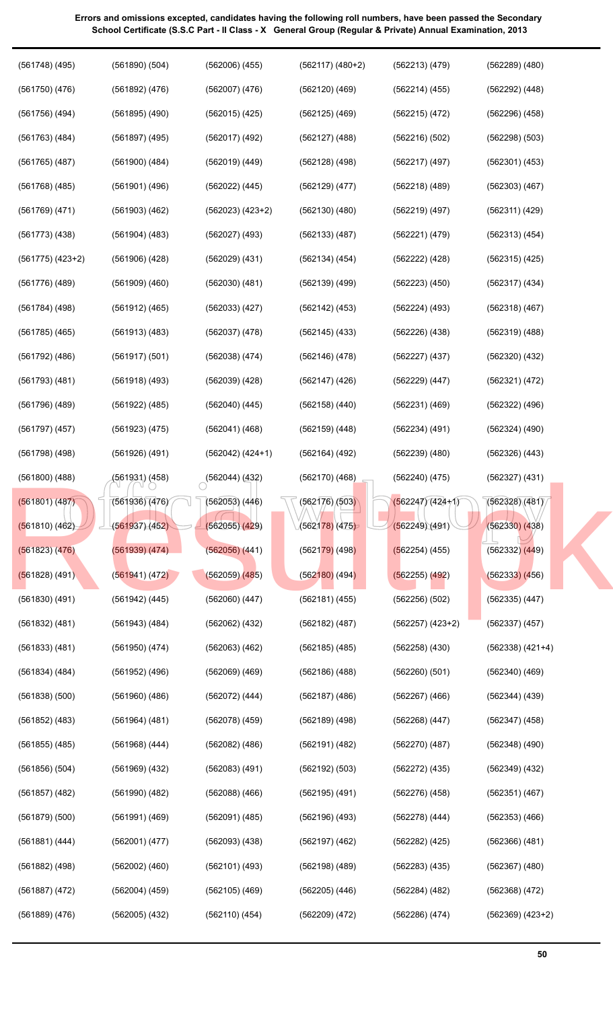| $(561748)$ (495)     | $(561890)$ $(504)$ | $(562006)$ $(455)$ | $(562117) (480+2)$ | (562213)(479)      | $(562289)$ $(480)$   |
|----------------------|--------------------|--------------------|--------------------|--------------------|----------------------|
| $(561750)$ $(476)$   | (561892) (476)     | $(562007)$ $(476)$ | $(562120)$ $(469)$ | (562214)(455)      | $(562292)$ $(448)$   |
| $(561756)$ $(494)$   | $(561895)$ $(490)$ | $(562015)$ $(425)$ | $(562125)$ $(469)$ | (562215) (472)     | $(562296)$ $(458)$   |
| $(561763)$ $(484)$   | $(561897)$ (495)   | $(562017)$ $(492)$ | $(562127)$ $(488)$ | (562216)(502)      | $(562298)$ $(503)$   |
| $(561765)$ $(487)$   | $(561900)$ $(484)$ | (562019) (449)     | $(562128)$ $(498)$ | $(562217)$ (497)   | $(562301)$ $(453)$   |
| $(561768)$ $(485)$   | (561901) (496)     | $(562022)$ $(445)$ | $(562129)$ $(477)$ | $(562218)$ $(489)$ | $(562303)$ $(467)$   |
| $(561769)$ $(471)$   | $(561903)$ $(462)$ | (562023) (423+2)   | (562130)(480)      | (562219) (497)     | (562311) (429)       |
| $(561773)$ $(438)$   | $(561904)$ (483)   | $(562027)$ (493)   | (562133)(487)      | (562221)(479)      | (562313) (454)       |
| $(561775)$ $(423+2)$ | $(561906)$ $(428)$ | (562029) (431)     | (562134) (454)     | (562222) (428)     | $(562315)$ $(425)$   |
| $(561776)$ (489)     | $(561909)$ $(460)$ | $(562030)$ $(481)$ | $(562139)$ $(499)$ | $(562223)$ $(450)$ | (562317) (434)       |
| (561784) (498)       | (561912) (465)     | $(562033)$ $(427)$ | $(562142)$ (453)   | $(562224)$ (493)   | (562318) (467)       |
| (561785) (465)       | (561913) (483)     | $(562037)$ $(478)$ | $(562145)$ $(433)$ | (562226)(438)      | (562319) (488)       |
| (561792) (486)       | (561917) (501)     | $(562038)$ $(474)$ | $(562146)$ (478)   | (562227)(437)      | $(562320)$ $(432)$   |
| $(561793)$ $(481)$   | $(561918)$ (493)   | $(562039)$ $(428)$ | $(562147)$ (426)   | $(562229)$ $(447)$ | (562321) (472)       |
| $(561796)$ $(489)$   | $(561922)$ $(485)$ | $(562040)$ $(445)$ | $(562158)$ $(440)$ | (562231)(469)      | $(562322)$ $(496)$   |
| $(561797)$ $(457)$   | (561923) (475)     | $(562041)$ $(468)$ | $(562159)$ $(448)$ | (562234) (491)     | $(562324)$ $(490)$   |
| (561798) (498)       | $(561926)$ $(491)$ | $(562042) (424+1)$ | $(562164)$ (492)   | $(562239)$ $(480)$ | $(562326)$ $(443)$   |
| $(561800)$ $(488)$   | (561931) (458)     | (562044) (432)     | (562170)(468)      | $(562240)$ (475)   | (562327) (431)       |
| (561801) (487)       | (561936)(476)      | $(562053)$ $(446)$ | (562176)/(503)     | $(562247)(424+1)$  | (562328)(481)        |
| (561810) (462)       | (561937) (452)     | (562055)(429)      | $(562178)$ $(475)$ | (562249)(491)      | $(562330)$ $(438)$   |
| (561823) (476)       | (561939) (474)     | $(562056)$ $(441)$ | $(562179)$ (498)   | $(562254)$ (455)   | $(562332)$ $(449)$   |
| $(561828)$ (491)     | (561941) (472)     | $(562059)$ $(485)$ | $(562180)$ (494)   | $(562255)$ $(492)$ | $(562333)$ $(456)$   |
| $(561830)$ $(491)$   | $(561942)$ $(445)$ | $(562060)$ $(447)$ | (562181) (455)     | $(562256)$ $(502)$ | $(562335)$ $(447)$   |
| $(561832)$ $(481)$   | $(561943)$ (484)   | $(562062)$ $(432)$ | $(562182)$ (487)   | $(562257) (423+2)$ | $(562337)$ $(457)$   |
| $(561833)$ $(481)$   | $(561950)$ $(474)$ | $(562063)$ $(462)$ | $(562185)$ $(485)$ | $(562258)$ $(430)$ | $(562338)$ $(421+4)$ |
| $(561834)$ $(484)$   | $(561952)$ (496)   | $(562069)$ $(469)$ | $(562186)$ $(488)$ | (562260)(501)      | $(562340)$ $(469)$   |
| $(561838)$ $(500)$   | $(561960)$ $(486)$ | $(562072)$ $(444)$ | $(562187)$ $(486)$ | $(562267)$ $(466)$ | $(562344)$ $(439)$   |
| $(561852)$ $(483)$   | $(561964)$ $(481)$ | $(562078)$ $(459)$ | $(562189)$ $(498)$ | $(562268)$ $(447)$ | $(562347)$ $(458)$   |
| $(561855)$ $(485)$   | $(561968)$ $(444)$ | $(562082)$ $(486)$ | $(562191)$ $(482)$ | (562270)(487)      | $(562348)$ $(490)$   |
| $(561856)$ $(504)$   | $(561969)$ $(432)$ | $(562083)$ $(491)$ | (562192) (503)     | $(562272)$ $(435)$ | $(562349)$ $(432)$   |
| $(561857)$ $(482)$   | (561990) (482)     | $(562088)$ $(466)$ | $(562195)$ $(491)$ | (562276)(458)      | $(562351)$ $(467)$   |
| $(561879)$ $(500)$   | $(561991)$ $(469)$ | $(562091)$ (485)   | $(562196)$ $(493)$ | $(562278)$ $(444)$ | $(562353)$ $(466)$   |
| (561881) (444)       | (562001) (477)     | $(562093)$ $(438)$ | $(562197)$ $(462)$ | $(562282)$ $(425)$ | $(562366)$ $(481)$   |
| $(561882)$ $(498)$   | $(562002)$ $(460)$ | (562101) (493)     | $(562198)$ $(489)$ | $(562283)$ $(435)$ | $(562367)$ $(480)$   |
| $(561887)$ $(472)$   | $(562004)$ $(459)$ | $(562105)$ (469)   | $(562205)$ $(446)$ | $(562284)$ $(482)$ | $(562368)$ $(472)$   |
| $(561889)$ $(476)$   | $(562005)$ $(432)$ | $(562110)$ $(454)$ | $(562209)$ $(472)$ | $(562286)$ $(474)$ | $(562369)$ $(423+2)$ |
|                      |                    |                    |                    |                    |                      |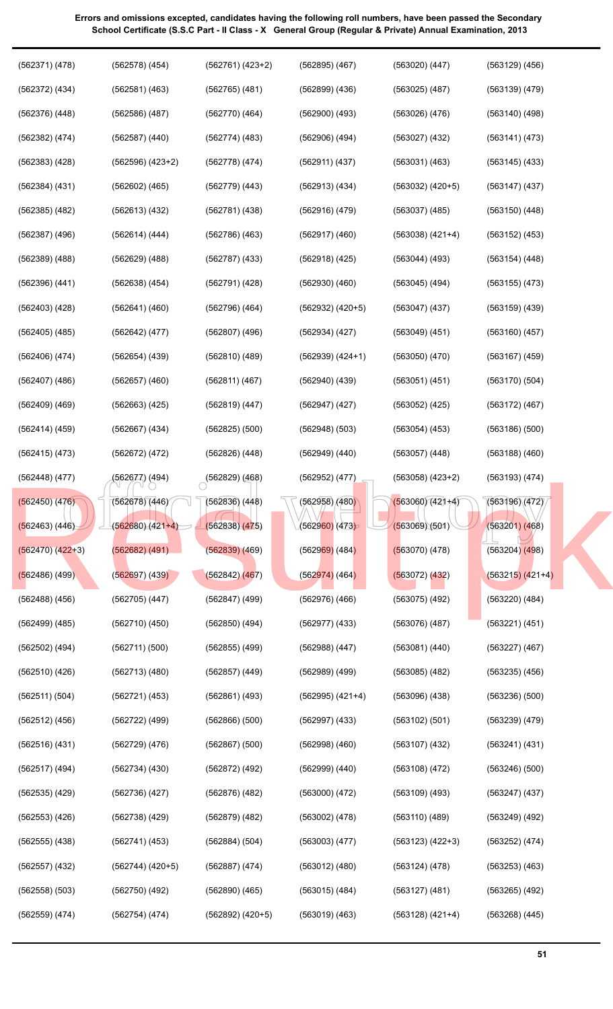| (562371) (478)     | $(562578)$ $(454)$   | $(562761) (423+2)$        | $(562895)$ $(467)$           | $(563020)$ $(447)$   | $(563129)$ $(456)$ |
|--------------------|----------------------|---------------------------|------------------------------|----------------------|--------------------|
| $(562372)$ $(434)$ | (562581) (463)       | $(562765)$ $(481)$        | $(562899)$ $(436)$           | $(563025)$ $(487)$   | $(563139)$ $(479)$ |
| $(562376)$ $(448)$ | $(562586)$ $(487)$   | (562770)(464)             | $(562900)$ $(493)$           | (563026)(476)        | $(563140)$ $(498)$ |
| (562382) (474)     | $(562587)$ $(440)$   | (562774)(483)             | $(562906)$ $(494)$           | $(563027)$ $(432)$   | (563141) (473)     |
| $(562383)$ $(428)$ | $(562596)$ $(423+2)$ | $(562778)$ (474)          | (562911) (437)               | (563031) (463)       | $(563145)$ $(433)$ |
| (562384) (431)     | $(562602)$ $(465)$   | (562779) (443)            | $(562913)$ $(434)$           | $(563032) (420+5)$   | $(563147)$ $(437)$ |
| $(562385)$ $(482)$ | $(562613)$ $(432)$   | (562781) (438)            | $(562916)$ $(479)$           | $(563037)$ $(485)$   | $(563150)$ $(448)$ |
| $(562387)$ $(496)$ | (562614) (444)       | (562786) (463)            | $(562917)$ $(460)$           | $(563038) (421+4)$   | $(563152)$ $(453)$ |
| $(562389)$ $(488)$ | $(562629)$ $(488)$   | $(562787)$ $(433)$        | $(562918)$ $(425)$           | $(563044)$ $(493)$   | (563154) (448)     |
| $(562396)$ $(441)$ | $(562638)$ $(454)$   | $(562791)$ $(428)$        | $(562930)$ $(460)$           | $(563045)$ (494)     | $(563155)$ $(473)$ |
| $(562403)$ $(428)$ | (562641) (460)       | (562796) (464)            | $(562932) (420+5)$           | $(563047)$ $(437)$   | $(563159)$ $(439)$ |
| (562405) (485)     | (562642) (477)       | $(562807)$ (496)          | $(562934)$ $(427)$           | $(563049)$ $(451)$   | $(563160)$ $(457)$ |
| (562406) (474)     | $(562654)$ $(439)$   | $(562810)$ $(489)$        | $(562939) (424+1)$           | (563050)(470)        | $(563167)$ $(459)$ |
| $(562407)$ $(486)$ | $(562657)$ $(460)$   | (562811) (467)            | $(562940)$ $(439)$           | (563051) (451)       | (563170) (504)     |
| $(562409)$ $(469)$ | $(562663)$ $(425)$   | (562819) (447)            | $(562947)$ $(427)$           | $(563052)$ (425)     | $(563172)$ $(467)$ |
| $(562414)$ $(459)$ | $(562667)$ $(434)$   | $(562825)$ $(500)$        | $(562948)$ $(503)$           | $(563054)$ $(453)$   | $(563186)$ $(500)$ |
| (562415) (473)     | (562672) (472)       | $(562826)$ $(448)$        | $(562949)$ $(440)$           | $(563057)$ $(448)$   | $(563188)$ $(460)$ |
| (562448) (477)     | (562677) (494)       | $\bigcirc$ (562829) (468) | $(562952)$ $(477)$           | $(563058) (423+2)$   | (563193) (474)     |
| $(562450)$ $(476)$ | (562678) (446)       | $(562836)$ $(448)$        | (562958)/(480)               | $(563060)(421+4)$    | (563196)(472)      |
| (562463) (446)     | $(562680)(421+4)$    | (562838) (475)            | (5629 <mark>60)</mark> (473) | (563069)(501)        | $(563201)$ $(468)$ |
| $(562470) (422+3)$ | (562682) (491)       | $(562839)$ $(469)$        | $(562969)$ (484)             | $(563070)$ (478)     | $(563204)$ $(498)$ |
| $(562486)$ (499)   | (562697)(439)        | (562842) (467)            | $(562974)$ (464)             | $(563072)$ $(432)$   | $(563215) (421+4)$ |
| $(562488)$ $(456)$ | $(562705)$ $(447)$   | $(562847)$ $(499)$        | $(562976)$ $(466)$           | $(563075)$ $(492)$   | $(563220)$ $(484)$ |
| $(562499)$ $(485)$ | (562710)(450)        | $(562850)$ $(494)$        | $(562977)$ $(433)$           | (563076)(487)        | (563221) (451)     |
| $(562502)$ $(494)$ | (562711)(500)        | $(562855)$ $(499)$        | $(562988)$ $(447)$           | (563081) (440)       | $(563227)$ $(467)$ |
| $(562510)$ $(426)$ | $(562713)$ $(480)$   | $(562857)$ $(449)$        | $(562989)$ $(499)$           | $(563085)$ $(482)$   | $(563235)$ $(456)$ |
| (562511) (504)     | (562721) (453)       | $(562861)$ (493)          | $(562995)$ $(421+4)$         | $(563096)$ $(438)$   | (563236)(500)      |
| $(562512)$ $(456)$ | $(562722)$ (499)     | $(562866)$ $(500)$        | $(562997)$ $(433)$           | (563102) (501)       | $(563239)$ $(479)$ |
| $(562516)$ $(431)$ | (562729) (476)       | $(562867)$ $(500)$        | $(562998)$ $(460)$           | $(563107)$ $(432)$   | (563241) (431)     |
| $(562517)$ (494)   | $(562734)$ $(430)$   | (562872) (492)            | $(562999)$ $(440)$           | $(563108)$ $(472)$   | $(563246)$ $(500)$ |
| $(562535)$ $(429)$ | (562736)(427)        | $(562876)$ $(482)$        | $(563000)$ $(472)$           | $(563109)$ $(493)$   | $(563247)$ $(437)$ |
| $(562553)$ $(426)$ | $(562738)$ $(429)$   | $(562879)$ $(482)$        | $(563002)$ $(478)$           | $(563110)$ $(489)$   | $(563249)$ $(492)$ |
| $(562555)$ $(438)$ | (562741) (453)       | (562884) (504)            | $(563003)$ $(477)$           | $(563123) (422+3)$   | (563252) (474)     |
| $(562557)$ $(432)$ | (562744) (420+5)     | $(562887)$ (474)          | $(563012)$ $(480)$           | (563124) (478)       | $(563253)$ $(463)$ |
| $(562558)$ $(503)$ | $(562750)$ $(492)$   | $(562890)$ $(465)$        | $(563015)$ $(484)$           | $(563127)$ $(481)$   | $(563265)$ $(492)$ |
| $(562559)$ $(474)$ | (562754) (474)       | $(562892)$ $(420+5)$      | $(563019)$ $(463)$           | $(563128)$ $(421+4)$ | $(563268)$ $(445)$ |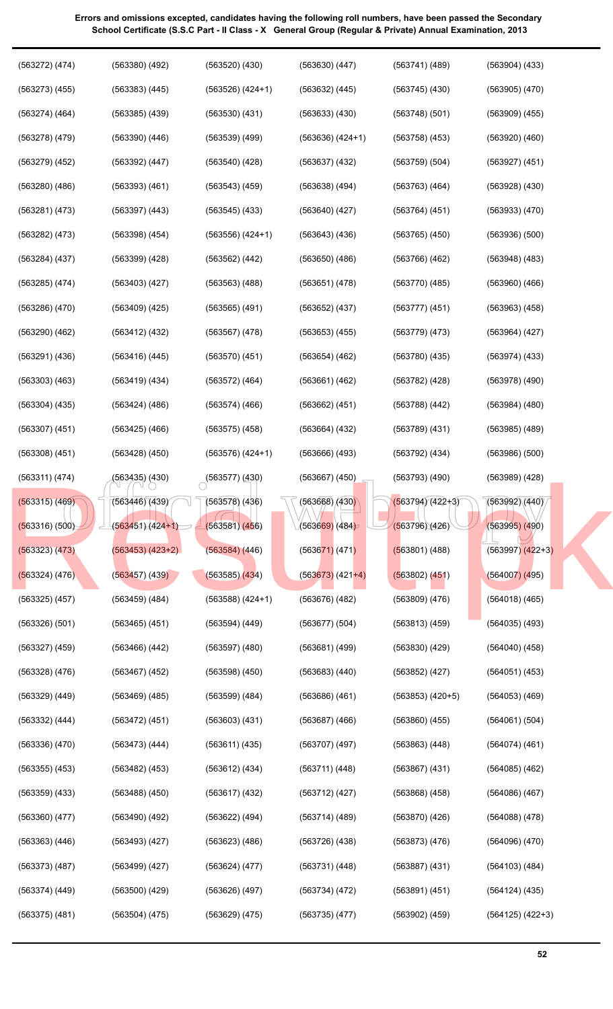| (563272) (474)     | $(563380)$ $(492)$ | $(563520)$ $(430)$   | $(563630)$ $(447)$   | (563741) (489)       | $(563904)$ $(433)$   |
|--------------------|--------------------|----------------------|----------------------|----------------------|----------------------|
| $(563273)$ $(455)$ | $(563383)$ $(445)$ | $(563526)$ $(424+1)$ | $(563632)$ $(445)$   | $(563745)$ $(430)$   | $(563905)$ $(470)$   |
| $(563274)$ $(464)$ | $(563385)$ $(439)$ | $(563530)$ $(431)$   | $(563633)$ $(430)$   | (563748)(501)        | $(563909)$ $(455)$   |
| $(563278)$ $(479)$ | $(563390)$ $(446)$ | $(563539)$ $(499)$   | $(563636) (424+1)$   | $(563758)$ $(453)$   | $(563920)$ $(460)$   |
| $(563279)$ $(452)$ | $(563392)$ $(447)$ | $(563540)$ $(428)$   | $(563637)$ $(432)$   | $(563759)$ $(504)$   | $(563927)$ $(451)$   |
| $(563280)$ $(486)$ | $(563393)$ $(461)$ | $(563543)$ $(459)$   | $(563638)$ $(494)$   | $(563763)$ $(464)$   | $(563928)$ $(430)$   |
| $(563281)$ $(473)$ | $(563397)$ $(443)$ | $(563545)$ $(433)$   | $(563640)$ $(427)$   | $(563764)$ $(451)$   | $(563933)$ $(470)$   |
| $(563282)$ $(473)$ | $(563398)$ $(454)$ | $(563556)$ $(424+1)$ | $(563643)$ $(436)$   | $(563765)$ $(450)$   | (563936)(500)        |
| (563284) (437)     | $(563399)$ $(428)$ | $(563562)$ $(442)$   | $(563650)$ $(486)$   | $(563766)$ $(462)$   | $(563948)$ $(483)$   |
| $(563285)$ $(474)$ | $(563403)$ $(427)$ | $(563563)$ $(488)$   | (563651) (478)       | (563770)(485)        | $(563960)$ $(466)$   |
| $(563286)$ $(470)$ | $(563409)$ $(425)$ | $(563565)$ $(491)$   | $(563652)$ $(437)$   | (563777)(451)        | $(563963)$ $(458)$   |
| $(563290)$ $(462)$ | $(563412)$ $(432)$ | $(563567)$ $(478)$   | $(563653)$ $(455)$   | (563779)(473)        | (563964) (427)       |
| (563291) (436)     | $(563416)$ $(445)$ | $(563570)$ $(451)$   | $(563654)$ $(462)$   | $(563780)$ $(435)$   | (563974) (433)       |
| $(563303)$ $(463)$ | (563419) (434)     | $(563572)$ $(464)$   | $(563661)$ $(462)$   | $(563782)$ (428)     | $(563978)$ $(490)$   |
| $(563304)$ $(435)$ | $(563424)$ $(486)$ | $(563574)$ $(466)$   | $(563662)$ $(451)$   | $(563788)$ $(442)$   | $(563984)$ $(480)$   |
| $(563307)$ $(451)$ | $(563425)$ $(466)$ | $(563575)$ $(458)$   | $(563664)$ $(432)$   | $(563789)$ $(431)$   | $(563985)$ $(489)$   |
| $(563308)$ $(451)$ | $(563428)$ $(450)$ | $(563576)$ $(424+1)$ | $(563666)$ $(493)$   | $(563792)$ $(434)$   | (563986) (500)       |
| (563311) (474)     | (563435) (430)     | (563577)(430)        | $(563667)$ $(450)$   | (563793)(490)        | $(563989)$ $(428)$   |
| (563315) (469)     | (563446)(439)      | (563578) (436)       | (563668)/(430)       |                      | (563992)(440)        |
|                    |                    |                      |                      | $(563794)(422+3)$    |                      |
| (563316) (500)     | $(563451)(424+1)$  | (563581)(456)        | $(563669)$ $(484)$   | (563796)(426)        | $(563995)$ $(490)$   |
| (563323) (473)     | $(563453) (423+2)$ | $(563584)$ $(446)$   | $(563671)$ (471)     | (563801) (488)       | $(563997)$ $(422+3)$ |
| (563324) (476)     | $(563457)$ $(439)$ | $(563585)$ $(434)$   | $(563673)$ $(421+4)$ | $(563802)$ $(451)$   | $(564007)$ (495)     |
| $(563325)$ $(457)$ | $(563459)$ $(484)$ | $(563588) (424+1)$   | $(563676)$ $(482)$   | $(563809)$ $(476)$   | $(564018)$ (465)     |
| $(563326)$ $(501)$ | $(563465)$ $(451)$ | $(563594)$ $(449)$   | $(563677)$ $(504)$   | $(563813)$ $(459)$   | $(564035)$ $(493)$   |
| $(563327)$ $(459)$ | $(563466)$ $(442)$ | $(563597)$ $(480)$   | $(563681)$ $(499)$   | $(563830)$ $(429)$   | $(564040)$ $(458)$   |
| $(563328)$ $(476)$ | $(563467)$ $(452)$ | $(563598)$ $(450)$   | $(563683)$ $(440)$   | $(563852)$ $(427)$   | $(564051)$ $(453)$   |
| $(563329)$ $(449)$ | $(563469)$ $(485)$ | $(563599)$ $(484)$   | $(563686)$ $(461)$   | $(563853)$ $(420+5)$ | $(564053)$ $(469)$   |
| $(563332)$ $(444)$ | $(563472)$ $(451)$ | $(563603)$ $(431)$   | $(563687)$ $(466)$   | $(563860)$ $(455)$   | (564061) (504)       |
| (563336)(470)      | $(563473)$ $(444)$ | (563611) (435)       | $(563707)$ $(497)$   | $(563863)$ $(448)$   | $(564074)$ $(461)$   |
| $(563355)$ $(453)$ | $(563482)$ $(453)$ | $(563612)$ $(434)$   | (563711)(448)        | $(563867)$ $(431)$   | $(564085)$ $(462)$   |
| $(563359)$ $(433)$ | $(563488)$ $(450)$ | $(563617)$ $(432)$   | $(563712)$ $(427)$   | $(563868)$ $(458)$   | $(564086)$ $(467)$   |
| $(563360)$ $(477)$ | $(563490)$ $(492)$ | $(563622)$ $(494)$   | $(563714)$ $(489)$   | (563870)(426)        | $(564088)$ $(478)$   |
| $(563363)$ $(446)$ | (563493)(427)      | $(563623)$ $(486)$   | (563726)(438)        | $(563873)$ $(476)$   | $(564096)$ $(470)$   |
| $(563373)$ $(487)$ | (563499)(427)      | (563624) (477)       | (563731) (448)       | $(563887)$ $(431)$   | $(564103)$ $(484)$   |
| $(563374)$ $(449)$ | $(563500)$ $(429)$ | (563626)(497)        | (563734) (472)       | (563891) (451)       | $(564124)$ $(435)$   |
| $(563375)$ $(481)$ | $(563504)$ $(475)$ | $(563629)$ $(475)$   | (563735)(477)        | $(563902)$ $(459)$   | $(564125)$ $(422+3)$ |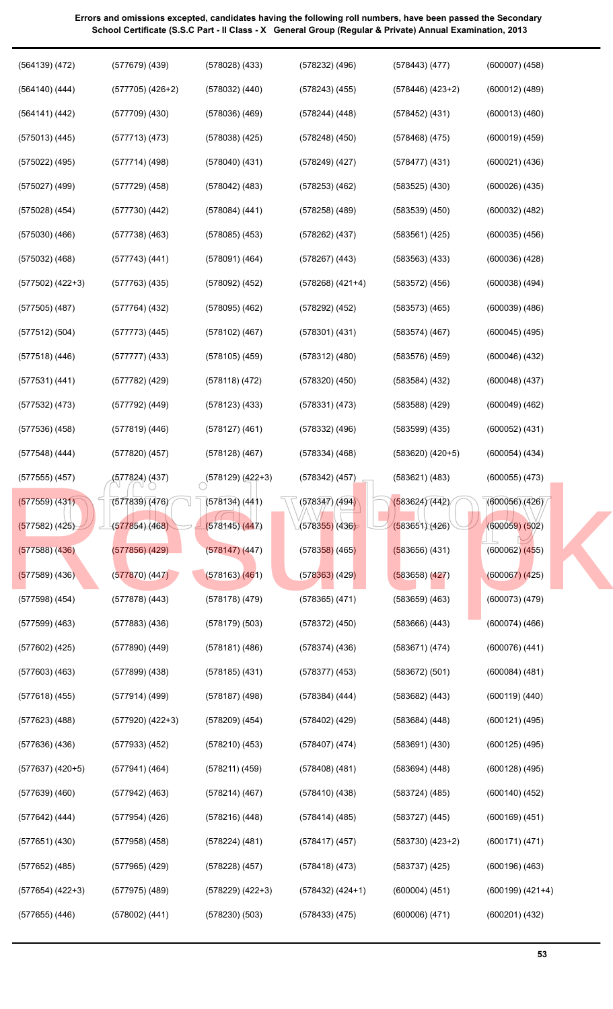| $(564139)$ $(472)$   | $(577679)$ (439)     | $(578028)$ $(433)$   | $(578232)$ $(496)$           | (578443) (477)       | $(600007)$ $(458)$ |
|----------------------|----------------------|----------------------|------------------------------|----------------------|--------------------|
| $(564140)$ $(444)$   | $(577705)$ $(426+2)$ | $(578032)$ $(440)$   | $(578243)$ $(455)$           | $(578446)$ $(423+2)$ | $(600012)$ $(489)$ |
| (564141) (442)       | $(577709)$ $(430)$   | $(578036)$ $(469)$   | $(578244)$ $(448)$           | $(578452)$ $(431)$   | $(600013)$ $(460)$ |
| $(575013)$ $(445)$   | $(577713)$ $(473)$   | $(578038)$ $(425)$   | $(578248)$ $(450)$           | $(578468)$ $(475)$   | $(600019)$ $(459)$ |
| (575022) (495)       | (577714)(498)        | $(578040)$ $(431)$   | $(578249)$ $(427)$           | (578477)(431)        | $(600021)$ $(436)$ |
| (575027) (499)       | $(577729)$ (458)     | $(578042)$ $(483)$   | $(578253)$ $(462)$           | $(583525)$ $(430)$   | $(600026)$ $(435)$ |
| $(575028)$ $(454)$   | (577730)(442)        | (578084) (441)       | $(578258)$ $(489)$           | $(583539)$ $(450)$   | $(600032)$ $(482)$ |
| $(575030)$ $(466)$   | $(577738)$ $(463)$   | $(578085)$ $(453)$   | $(578262)$ $(437)$           | $(583561)$ $(425)$   | $(600035)$ $(456)$ |
| $(575032)$ $(468)$   | $(577743)$ $(441)$   | $(578091)$ $(464)$   | $(578267)$ $(443)$           | $(583563)$ $(433)$   | $(600036)$ $(428)$ |
| $(577502)$ $(422+3)$ | $(577763)$ $(435)$   | $(578092)$ $(452)$   | $(578268)$ $(421+4)$         | $(583572)$ $(456)$   | $(600038)$ $(494)$ |
| $(577505)$ $(487)$   | $(577764)$ (432)     | $(578095)$ $(462)$   | (578292) (452)               | $(583573)$ $(465)$   | $(600039)$ $(486)$ |
| $(577512)$ $(504)$   | $(577773)$ $(445)$   | $(578102)$ (467)     | $(578301)$ $(431)$           | (583574)(467)        | $(600045)$ $(495)$ |
| $(577518)$ $(446)$   | $(577777)$ $(433)$   | $(578105)$ (459)     | $(578312)$ $(480)$           | $(583576)$ $(459)$   | $(600046)$ $(432)$ |
| $(577531)$ $(441)$   | (577782) (429)       | (578118)(472)        | $(578320)$ $(450)$           | $(583584)$ $(432)$   | $(600048)$ $(437)$ |
| $(577532)$ $(473)$   | (577792) (449)       | $(578123)$ $(433)$   | $(578331)$ $(473)$           | $(583588)$ $(429)$   | $(600049)$ $(462)$ |
| (577536)(458)        | (577819) (446)       | $(578127)$ $(461)$   | $(578332)$ $(496)$           | $(583599)$ $(435)$   | $(600052)$ $(431)$ |
| $(577548)$ (444)     | $(577820)$ $(457)$   | (578128) (467)       | $(578334)$ $(468)$           | $(583620)$ $(420+5)$ | $(600054)$ $(434)$ |
| $(577555)$ $(457)$   | (577824) (437)       | $(578129)(422+3)$    | $(578342)$ $(457)$           | $(583621)$ $(483)$   | $(600055)$ $(473)$ |
| $(577559)$ $(431)$   | (577839) (476) 2     | (578134) (441)       | (578347)/(494)               | (583624)(442)        | (600056)(426)      |
| $(577582)$ (425)     | (577854)(468)        | (578145)(447)        | (5783 <mark>55)</mark> (436) | (583651)(426)        | $(600059)$ $(502)$ |
| $(577588)$ $(436)$   | (577856) (429)       | $(578147)$ (447)     | $(578358)$ (465)             | $(583656)$ (431)     | $(600062)$ $(455)$ |
| $(577589)$ (436)     | (577870)(447)        | $(578163)$ $(461)$   | $(578363)$ (429)             | $(583658)$ $(427)$   | (600067) (425)     |
| $(577598)$ $(454)$   | $(577878)$ $(443)$   | $(578178)$ (479)     | $(578365)$ $(471)$           | $(583659)$ $(463)$   | (600073) (479)     |
| $(577599)$ $(463)$   | $(577883)$ $(436)$   | $(578179)$ $(503)$   | $(578372)$ $(450)$           | $(583666)$ $(443)$   | $(600074)$ $(466)$ |
| (577602) (425)       | (577890) (449)       | (578181) (486)       | $(578374)$ $(436)$           | (583671)(474)        | $(600076)$ $(441)$ |
| $(577603)$ $(463)$   | $(577899)$ $(438)$   | $(578185)$ $(431)$   | $(578377)$ $(453)$           | (583672) (501)       | $(600084)$ $(481)$ |
| $(577618)$ (455)     | (577914) (499)       | (578187) (498)       | $(578384)$ $(444)$           | $(583682)$ $(443)$   | $(600119)$ $(440)$ |
| (577623) (488)       | $(577920)$ $(422+3)$ | $(578209)$ $(454)$   | $(578402)$ (429)             | $(583684)$ $(448)$   | $(600121)$ $(495)$ |
| (577636)(436)        | $(577933)$ $(452)$   | (578210)(453)        | $(578407)$ $(474)$           | $(583691)$ $(430)$   | $(600125)$ $(495)$ |
| $(577637)$ $(420+5)$ | (577941) (464)       | (578211) (459)       | $(578408)$ $(481)$           | $(583694)$ $(448)$   | $(600128)$ $(495)$ |
| $(577639)$ $(460)$   | $(577942)$ (463)     | (578214) (467)       | (578410)(438)                | $(583724)$ $(485)$   | $(600140)$ $(452)$ |
| $(577642)$ (444)     | $(577954)$ (426)     | $(578216)$ $(448)$   | $(578414)$ (485)             | (583727)(445)        | $(600169)$ $(451)$ |
| $(577651)$ $(430)$   | $(577958)$ $(458)$   | (578224) (481)       | $(578417)$ (457)             | $(583730)$ $(423+2)$ | (600171) (471)     |
| $(577652)$ (485)     | $(577965)$ (429)     | (578228) (457)       | $(578418)$ $(473)$           | $(583737)$ $(425)$   | $(600196)$ $(463)$ |
| $(577654)$ $(422+3)$ | $(577975)$ (489)     | $(578229)$ $(422+3)$ | $(578432) (424+1)$           | $(600004)$ $(451)$   | $(600199) (421+4)$ |
| $(577655)$ $(446)$   | $(578002)$ $(441)$   | (578230)(503)        | $(578433)$ $(475)$           | $(600006)$ $(471)$   | $(600201)$ $(432)$ |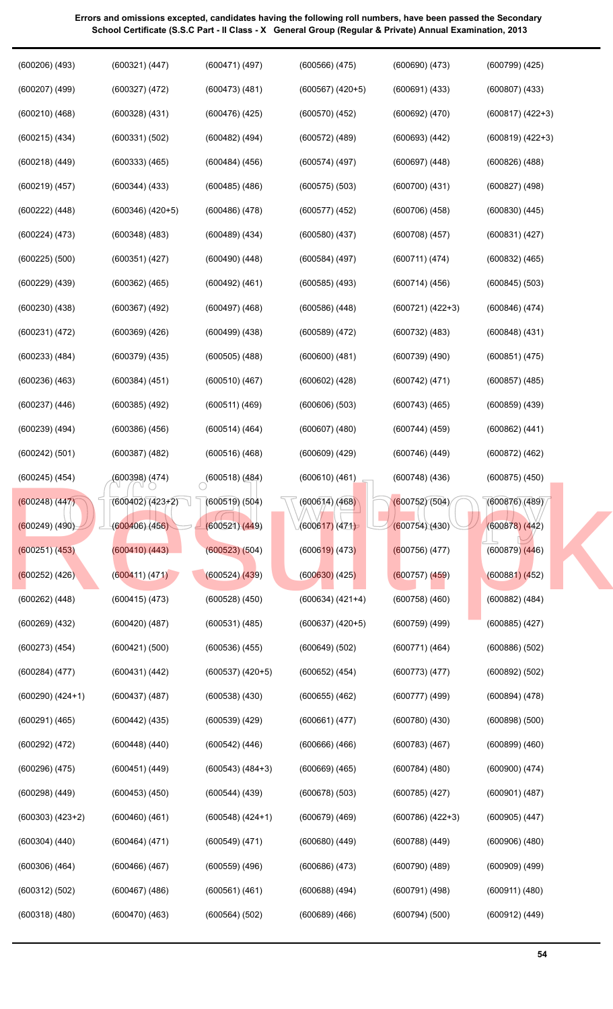| $(600206)$ $(493)$   | (600321) (447)       | (600471) (497)       | $(600566)$ $(475)$   | $(600690)$ $(473)$   | $(600799)$ $(425)$ |
|----------------------|----------------------|----------------------|----------------------|----------------------|--------------------|
| $(600207)$ $(499)$   | (600327) (472)       | $(600473)$ $(481)$   | $(600567)$ $(420+5)$ | $(600691)$ $(433)$   | $(600807)$ $(433)$ |
| (600210)(468)        | $(600328)$ $(431)$   | $(600476)$ $(425)$   | $(600570)$ $(452)$   | (600692) (470)       | $(600817) (422+3)$ |
| $(600215)$ $(434)$   | (600331) (502)       | $(600482)$ $(494)$   | $(600572)$ $(489)$   | $(600693)$ $(442)$   | $(600819) (422+3)$ |
| $(600218)$ $(449)$   | $(600333)$ $(465)$   | $(600484)$ $(456)$   | (600574)(497)        | $(600697)$ $(448)$   | $(600826)$ $(488)$ |
| $(600219)$ $(457)$   | $(600344)$ $(433)$   | $(600485)$ $(486)$   | $(600575)$ $(503)$   | $(600700)$ $(431)$   | $(600827)$ $(498)$ |
| $(600222)$ $(448)$   | $(600346)$ $(420+5)$ | $(600486)$ $(478)$   | $(600577)$ $(452)$   | $(600706)$ $(458)$   | $(600830)$ $(445)$ |
| (600224) (473)       | $(600348)$ $(483)$   | $(600489)$ $(434)$   | $(600580)$ $(437)$   | $(600708)$ $(457)$   | (600831) (427)     |
| $(600225)$ $(500)$   | $(600351)$ $(427)$   | $(600490)$ $(448)$   | $(600584)$ $(497)$   | (600711) (474)       | $(600832)$ $(465)$ |
| $(600229)$ $(439)$   | $(600362)$ $(465)$   | $(600492)$ $(461)$   | $(600585)$ $(493)$   | (600714)(456)        | $(600845)$ $(503)$ |
| $(600230)$ $(438)$   | $(600367)$ $(492)$   | $(600497)$ $(468)$   | $(600586)$ $(448)$   | $(600721) (422+3)$   | $(600846)$ $(474)$ |
| (600231) (472)       | $(600369)$ $(426)$   | $(600499)$ $(438)$   | $(600589)$ $(472)$   | $(600732)$ $(483)$   | $(600848)$ $(431)$ |
| $(600233)$ $(484)$   | $(600379)$ $(435)$   | $(600505)$ $(488)$   | $(600600)$ $(481)$   | $(600739)$ $(490)$   | (600851) (475)     |
| $(600236)$ $(463)$   | $(600384)$ $(451)$   | (600510)(467)        | $(600602)$ $(428)$   | (600742) (471)       | $(600857)$ $(485)$ |
| $(600237)$ $(446)$   | $(600385)$ $(492)$   | $(600511)$ $(469)$   | $(600606)$ $(503)$   | $(600743)$ $(465)$   | $(600859)$ $(439)$ |
| $(600239)$ $(494)$   | $(600386)$ $(456)$   | $(600514)$ $(464)$   | $(600607)$ $(480)$   | $(600744)$ $(459)$   | $(600862)$ $(441)$ |
| (600242) (501)       | $(600387)$ $(482)$   | $(600516)$ $(468)$   | $(600609)$ $(429)$   | $(600746)$ $(449)$   | $(600872)$ $(462)$ |
| $(600245)$ $(454)$   | (600398) (474)       | $(600518)$ (484)     | (600610)(461)        | $(600748)$ $(436)$   | $(600875)$ $(450)$ |
| $(600248)$ $(447)$   | $(600402)(423+2)$    | $(600519)$ $(504)$   | (600614)/(468)       | (600752)(504)        | (600876)(489)      |
| $(600249)$ $(490)$   | (600406)(456)        | (600521)(449)        | (600617)(471)        | (600754)(430)        | $(600878)$ $(442)$ |
| (600251) (453)       | (600410)(443)        | $(600523)$ $(504)$   | $(600619)$ (473)     | $(600756)$ (477)     | $(600879)$ $(446)$ |
| $(600252)$ (426)     | (600411) (471)       | (600524)(439)        | $(600630)$ $(425)$   | $(600757)$ $(459)$   | (600881) (452)     |
| $(600262)$ $(448)$   | $(600415)$ $(473)$   | $(600528)$ $(450)$   | $(600634) (421+4)$   | $(600758)$ $(460)$   | $(600882)$ $(484)$ |
| $(600269)$ $(432)$   | $(600420)$ $(487)$   | (600531) (485)       | $(600637) (420+5)$   | $(600759)$ $(499)$   | $(600885)$ $(427)$ |
| $(600273)$ $(454)$   | (600421) (500)       | $(600536)$ $(455)$   | (600649) (502)       | (600771)(464)        | $(600886)$ $(502)$ |
| $(600284)$ $(477)$   | (600431) (442)       | $(600537)$ $(420+5)$ | $(600652)$ $(454)$   | (600773)(477)        | (600892) (502)     |
| $(600290)$ $(424+1)$ | $(600437)$ $(487)$   | $(600538)$ $(430)$   | $(600655)$ $(462)$   | $(600777)$ $(499)$   | $(600894)$ $(478)$ |
| $(600291)$ $(465)$   | $(600442)$ $(435)$   | $(600539)$ $(429)$   | (600661) (477)       | $(600780)$ $(430)$   | $(600898)$ $(500)$ |
| (600292) (472)       | $(600448)$ $(440)$   | $(600542)$ $(446)$   | $(600666)$ $(466)$   | $(600783)$ $(467)$   | $(600899)$ $(460)$ |
| $(600296)$ $(475)$   | $(600451)$ $(449)$   | $(600543) (484+3)$   | $(600669)$ $(465)$   | $(600784)$ $(480)$   | $(600900)$ $(474)$ |
| $(600298)$ $(449)$   | $(600453)$ $(450)$   | $(600544)$ $(439)$   | $(600678)$ $(503)$   | $(600785)$ $(427)$   | $(600901)$ $(487)$ |
| $(600303) (423+2)$   | $(600460)$ $(461)$   | $(600548)$ $(424+1)$ | $(600679)$ $(469)$   | $(600786)$ $(422+3)$ | (600905) (447)     |
| $(600304)$ $(440)$   | (600464) (471)       | $(600549)$ $(471)$   | $(600680)$ $(449)$   | $(600788)$ $(449)$   | $(600906)$ $(480)$ |
| $(600306)$ $(464)$   | $(600466)$ $(467)$   | $(600559)$ $(496)$   | $(600686)$ $(473)$   | $(600790)$ $(489)$   | $(600909)$ $(499)$ |
| (600312) (502)       | $(600467)$ $(486)$   | (600561) (461)       | $(600688)$ $(494)$   | $(600791)$ $(498)$   | $(600911)$ $(480)$ |
| $(600318)$ $(480)$   | $(600470)$ $(463)$   | (600564) (502)       | $(600689)$ $(466)$   | (600794)(500)        | $(600912)$ $(449)$ |
|                      |                      |                      |                      |                      |                    |

**54**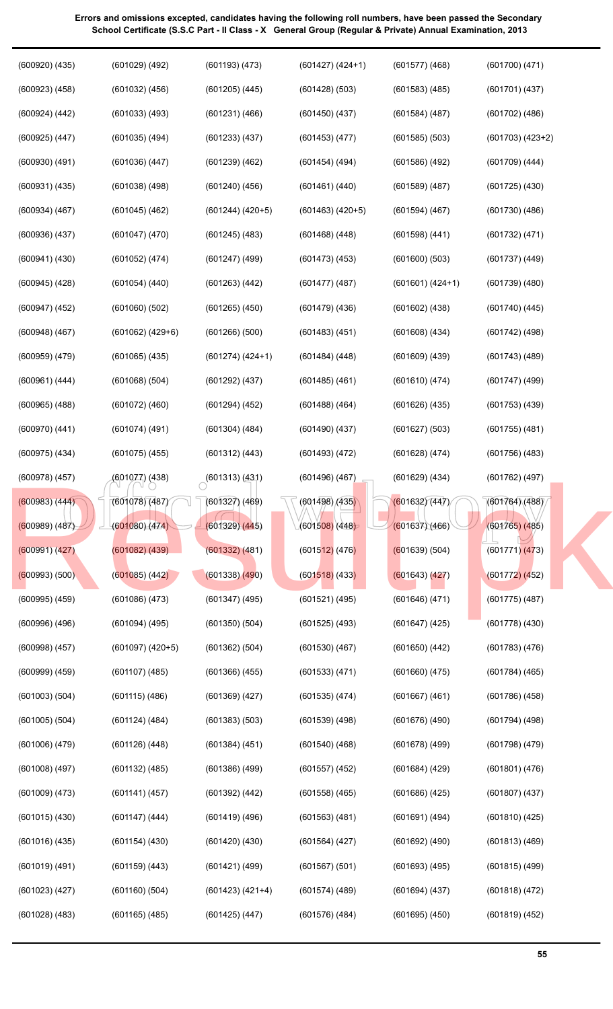| $(600920)$ $(435)$ | $(601029)$ $(492)$   | $(601193)$ $(473)$ | $(601427)$ $(424+1)$ | $(601577)$ $(468)$ | $(601700)$ $(471)$   |
|--------------------|----------------------|--------------------|----------------------|--------------------|----------------------|
| $(600923)$ $(458)$ | $(601032)$ $(456)$   | $(601205)$ $(445)$ | $(601428)$ $(503)$   | $(601583)$ $(485)$ | $(601701)$ $(437)$   |
| (600924) (442)     | $(601033)$ $(493)$   | $(601231)$ $(466)$ | $(601450)$ $(437)$   | $(601584)$ $(487)$ | $(601702)$ $(486)$   |
| $(600925)$ $(447)$ | $(601035)$ $(494)$   | $(601233)$ $(437)$ | $(601453)$ $(477)$   | $(601585)$ $(503)$ | $(601703)$ $(423+2)$ |
| $(600930)$ $(491)$ | $(601036)$ $(447)$   | $(601239)$ $(462)$ | $(601454)$ (494)     | $(601586)$ $(492)$ | $(601709)$ $(444)$   |
| $(600931)$ $(435)$ | $(601038)$ $(498)$   | $(601240)$ $(456)$ | (601461) (440)       | $(601589)$ $(487)$ | $(601725)$ $(430)$   |
| $(600934)$ $(467)$ | $(601045)$ $(462)$   | $(601244) (420+5)$ | $(601463)$ $(420+5)$ | $(601594)$ $(467)$ | $(601730)$ $(486)$   |
| $(600936)$ $(437)$ | $(601047)$ $(470)$   | $(601245)$ (483)   | $(601468)$ $(448)$   | $(601598)$ $(441)$ | (601732) (471)       |
| $(600941)$ $(430)$ | $(601052)$ $(474)$   | $(601247)$ $(499)$ | $(601473)$ $(453)$   | $(601600)$ $(503)$ | $(601737)$ $(449)$   |
| $(600945)$ $(428)$ | (601054) (440)       | $(601263)$ $(442)$ | $(601477)$ $(487)$   | $(601601) (424+1)$ | $(601739)$ $(480)$   |
| $(600947)$ $(452)$ | $(601060)$ $(502)$   | $(601265)$ $(450)$ | $(601479)$ $(436)$   | $(601602)$ $(438)$ | $(601740)$ $(445)$   |
| $(600948)$ $(467)$ | $(601062)$ $(429+6)$ | $(601266)$ $(500)$ | $(601483)$ $(451)$   | $(601608)$ $(434)$ | $(601742)$ $(498)$   |
| $(600959)$ $(479)$ | $(601065)$ $(435)$   | $(601274) (424+1)$ | $(601484)$ $(448)$   | $(601609)$ $(439)$ | $(601743)$ $(489)$   |
| (600961) (444)     | $(601068)$ $(504)$   | $(601292)$ $(437)$ | $(601485)$ $(461)$   | (601610)(474)      | $(601747)$ (499)     |
| $(600965)$ $(488)$ | $(601072)$ $(460)$   | $(601294)$ $(452)$ | $(601488)$ $(464)$   | $(601626)$ $(435)$ | $(601753)$ $(439)$   |
| $(600970)$ $(441)$ | $(601074)$ $(491)$   | $(601304)$ $(484)$ | $(601490)$ $(437)$   | $(601627)$ $(503)$ | $(601755)$ $(481)$   |
| $(600975)$ $(434)$ | $(601075)$ $(455)$   | $(601312)$ $(443)$ | $(601493)$ $(472)$   | $(601628)$ $(474)$ | $(601756)$ $(483)$   |
| $(600978)$ $(457)$ | (601077) (438)       | (601313) (431)     | $(601496)$ $(467)$   | $(601629)$ $(434)$ | $(601762)$ $(497)$   |
| (600983) (444)     | (601078)(487)        | $(601327)$ $(469)$ | (601498)/(435)       | (601632)(447)      | (601764)(488)        |
| (600989) (487)     | (601080)(474)        | (601329)(445)      | (601508)(448)        | (601637)(466)      | $(601765)$ (485)     |
| (600991)(427)      | $(601082)$ $(439)$   | $(601332)$ $(481)$ | $(601512)$ (476)     | (601639) (504)     | $(601771)$ $(473)$   |
| $(600993)$ $(500)$ | $(601085)$ $(442)$   | $(601338)$ $(490)$ | $(601518)$ (433)     | (601643) (427)     | (601772) (452)       |
| $(600995)$ $(459)$ | $(601086)$ $(473)$   | $(601347)$ $(495)$ | $(601521)$ $(495)$   | (601646)(471)      | $(601775)$ $(487)$   |
| $(600996)$ $(496)$ | $(601094)$ $(495)$   | $(601350)$ $(504)$ | $(601525)$ $(493)$   | $(601647)$ $(425)$ | $(601778)$ $(430)$   |
| $(600998)$ $(457)$ | $(601097)$ $(420+5)$ | $(601362)$ $(504)$ | $(601530)$ $(467)$   | $(601650)$ $(442)$ | $(601783)$ $(476)$   |
| $(600999)$ $(459)$ | $(601107)$ $(485)$   | $(601366)$ $(455)$ | (601533) (471)       | $(601660)$ $(475)$ | $(601784)$ $(465)$   |
| $(601003)$ $(504)$ | (601115)(486)        | $(601369)$ $(427)$ | (601535) (474)       | $(601667)$ $(461)$ | $(601786)$ $(458)$   |
| $(601005)$ $(504)$ | $(601124)$ $(484)$   | $(601383)$ $(503)$ | $(601539)$ $(498)$   | (601676)(490)      | $(601794)$ $(498)$   |
| $(601006)$ $(479)$ |                      |                    |                      |                    |                      |
|                    | $(601126)$ $(448)$   | $(601384)$ $(451)$ | $(601540)$ $(468)$   | $(601678)$ $(499)$ | $(601798)$ $(479)$   |
| $(601008)$ $(497)$ | $(601132)$ $(485)$   | $(601386)$ $(499)$ | $(601557)$ $(452)$   | $(601684)$ $(429)$ | $(601801)$ $(476)$   |
| $(601009)$ $(473)$ | (601141) (457)       | $(601392)$ $(442)$ | $(601558)$ $(465)$   | $(601686)$ $(425)$ | $(601807)$ $(437)$   |
| $(601015)$ $(430)$ | $(601147)$ $(444)$   | $(601419)$ $(496)$ | $(601563)$ $(481)$   | (601691) (494)     | $(601810)$ $(425)$   |
| $(601016)$ $(435)$ | $(601154)$ $(430)$   | $(601420)$ $(430)$ | $(601564)$ $(427)$   | $(601692)$ $(490)$ | $(601813)$ $(469)$   |
| $(601019)$ $(491)$ | $(601159)$ $(443)$   | $(601421)$ $(499)$ | $(601567)$ $(501)$   | $(601693)$ $(495)$ | $(601815)$ $(499)$   |
| $(601023)$ $(427)$ | $(601160)$ $(504)$   | $(601423) (421+4)$ | $(601574)$ $(489)$   | $(601694)$ $(437)$ | $(601818)$ $(472)$   |
| $(601028)$ $(483)$ | $(601165)$ $(485)$   | $(601425)$ $(447)$ | $(601576)$ $(484)$   | $(601695)$ $(450)$ | $(601819)$ $(452)$   |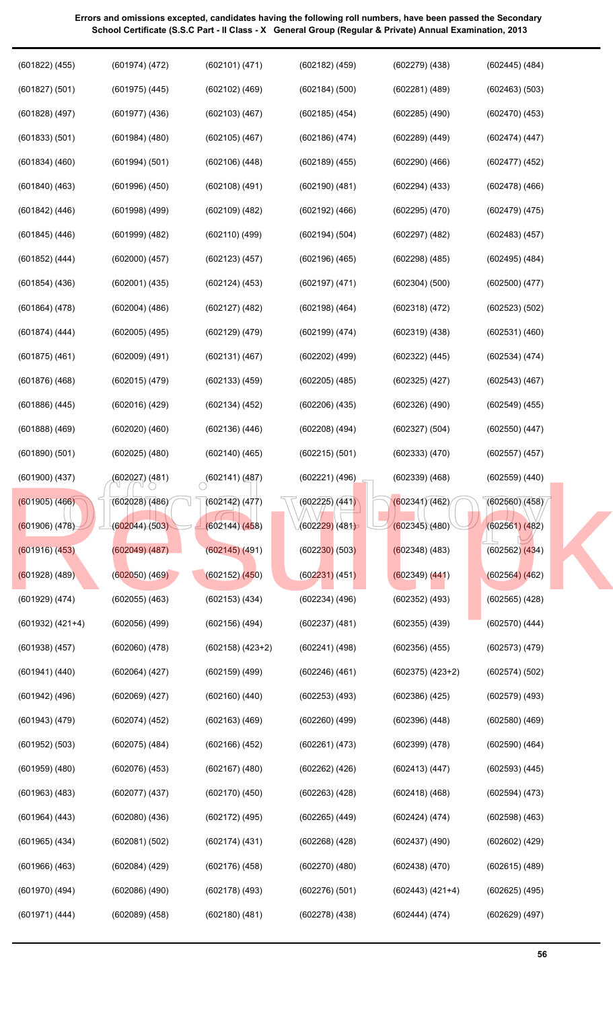| $(601822)$ $(455)$ | (601974) (472)     | (602101) (471)             | $(602182)$ $(459)$           | $(602279)$ $(438)$   | $(602445)$ $(484)$ |  |
|--------------------|--------------------|----------------------------|------------------------------|----------------------|--------------------|--|
| (601827) (501)     | $(601975)$ $(445)$ | $(602102)$ $(469)$         | (602184) (500)               | $(602281)$ $(489)$   | $(602463)$ $(503)$ |  |
| $(601828)$ $(497)$ | $(601977)$ $(436)$ | $(602103)$ $(467)$         | $(602185)$ $(454)$           | $(602285)$ $(490)$   | $(602470)$ $(453)$ |  |
| (601833) (501)     | $(601984)$ $(480)$ | $(602105)$ $(467)$         | $(602186)$ $(474)$           | $(602289)$ $(449)$   | (602474)(447)      |  |
| $(601834)$ $(460)$ | (601994) (501)     | $(602106)$ $(448)$         | $(602189)$ $(455)$           | $(602290)$ $(466)$   | $(602477)$ $(452)$ |  |
| $(601840)$ $(463)$ | $(601996)$ $(450)$ | $(602108)$ $(491)$         | $(602190)$ $(481)$           | $(602294)$ $(433)$   | $(602478)$ $(466)$ |  |
| $(601842)$ $(446)$ | $(601998)$ $(499)$ | $(602109)$ $(482)$         | $(602192)$ $(466)$           | $(602295)$ $(470)$   | $(602479)$ $(475)$ |  |
| $(601845)$ $(446)$ | $(601999)$ $(482)$ | $(602110)$ $(499)$         | (602194) (504)               | $(602297)$ $(482)$   | $(602483)$ $(457)$ |  |
| $(601852)$ $(444)$ | $(602000)$ $(457)$ | $(602123)$ $(457)$         | $(602196)$ $(465)$           | $(602298)$ $(485)$   | $(602495)$ $(484)$ |  |
| $(601854)$ $(436)$ | $(602001)$ $(435)$ | $(602124)$ $(453)$         | $(602197)$ $(471)$           | $(602304)$ $(500)$   | $(602500)$ $(477)$ |  |
| $(601864)$ $(478)$ | $(602004)$ $(486)$ | $(602127)$ $(482)$         | $(602198)$ $(464)$           | $(602318)$ $(472)$   | (602523) (502)     |  |
| $(601874)$ $(444)$ | $(602005)$ $(495)$ | $(602129)$ $(479)$         | $(602199)$ $(474)$           | $(602319)$ $(438)$   | $(602531)$ $(460)$ |  |
| $(601875)$ $(461)$ | $(602009)$ $(491)$ | (602131) (467)             | $(602202)$ $(499)$           | (602322) (445)       | (602534) (474)     |  |
| $(601876)$ $(468)$ | $(602015)$ $(479)$ | $(602133)$ $(459)$         | $(602205)$ $(485)$           | $(602325)$ $(427)$   | $(602543)$ $(467)$ |  |
| $(601886)$ $(445)$ | $(602016)$ $(429)$ | $(602134)$ $(452)$         | $(602206)$ $(435)$           | (602326)(490)        | $(602549)$ $(455)$ |  |
| $(601888)$ $(469)$ | $(602020)$ $(460)$ | $(602136)$ $(446)$         | $(602208)$ $(494)$           | (602327) (504)       | $(602550)$ $(447)$ |  |
| $(601890)$ $(501)$ | $(602025)$ $(480)$ | $(602140)$ $(465)$         | $(602215)$ $(501)$           | (602333) (470)       | (602557) (457)     |  |
| $(601900)$ $(437)$ | (602027) (481)     | $\bigcirc^{(602141)(487)}$ | $(602221)$ $(496)$           | $(602339)$ $(468)$   | $(602559)$ $(440)$ |  |
| $(601905)$ $(466)$ | (602028)(486)      | (602142) (477)             | (602225) (441)               | (602341)(462)        | (602560)(458)      |  |
| $(601906)$ $(478)$ | (602044)(503)      | (602144)(458)              | (6022 <mark>29)</mark> (481) | (602345)(480)        | $(602561)$ $(482)$ |  |
| $(601916)$ $(453)$ | (602049)(487)      | $(602145)$ (491)           | (602230)(503)                | $(602348)$ (483)     | $(602562)$ $(434)$ |  |
| $(601928)$ (489)   | $(602050)$ $(469)$ | $(602152)$ $(450)$         | $(602231)$ (451)             | $(602349)$ $(441)$   | $(602564)$ $(462)$ |  |
| $(601929)$ $(474)$ | $(602055)$ $(463)$ | $(602153)$ $(434)$         | $(602234)$ $(496)$           | $(602352)$ $(493)$   | $(602565)$ $(428)$ |  |
| $(601932) (421+4)$ | $(602056)$ $(499)$ | $(602156)$ $(494)$         | $(602237)$ $(481)$           | $(602355)$ $(439)$   | $(602570)$ $(444)$ |  |
| $(601938)$ $(457)$ | $(602060)$ $(478)$ | $(602158)$ $(423+2)$       | $(602241)$ $(498)$           | $(602356)$ $(455)$   | $(602573)$ $(479)$ |  |
| $(601941)$ $(440)$ | $(602064)$ $(427)$ | $(602159)$ $(499)$         | $(602246)$ $(461)$           | $(602375)$ $(423+2)$ | (602574) (502)     |  |
| $(601942)$ $(496)$ | $(602069)$ $(427)$ | $(602160)$ $(440)$         | $(602253)$ $(493)$           | $(602386)$ $(425)$   | $(602579)$ $(493)$ |  |
| $(601943)$ $(479)$ | $(602074)$ $(452)$ | $(602163)$ $(469)$         | $(602260)$ $(499)$           | $(602396)$ $(448)$   | $(602580)$ $(469)$ |  |
| $(601952)$ $(503)$ | $(602075)$ $(484)$ | $(602166)$ $(452)$         | (602261) (473)               | $(602399)$ $(478)$   | $(602590)$ $(464)$ |  |
| $(601959)$ $(480)$ | $(602076)$ $(453)$ | $(602167)$ $(480)$         | $(602262)$ $(426)$           | (602413)(447)        | $(602593)$ $(445)$ |  |
| $(601963)$ $(483)$ | $(602077)$ $(437)$ | $(602170)$ $(450)$         | $(602263)$ $(428)$           | (602418)(468)        | $(602594)$ $(473)$ |  |
| $(601964)$ $(443)$ | $(602080)$ $(436)$ | $(602172)$ $(495)$         | $(602265)$ $(449)$           | (602424)(474)        | $(602598)$ $(463)$ |  |
| $(601965)$ $(434)$ | (602081) (502)     | $(602174)$ $(431)$         | $(602268)$ $(428)$           | $(602437)$ $(490)$   | $(602602)$ $(429)$ |  |
| $(601966)$ $(463)$ | $(602084)$ $(429)$ | $(602176)$ $(458)$         | $(602270)$ $(480)$           | $(602438)$ $(470)$   | $(602615)$ $(489)$ |  |
| $(601970)$ $(494)$ | $(602086)$ $(490)$ | $(602178)$ $(493)$         | $(602276)$ $(501)$           | $(602443) (421+4)$   | $(602625)$ $(495)$ |  |
| (601971) (444)     | $(602089)$ $(458)$ | (602180)(481)              | $(602278)$ $(438)$           | (602444) (474)       | $(602629)$ $(497)$ |  |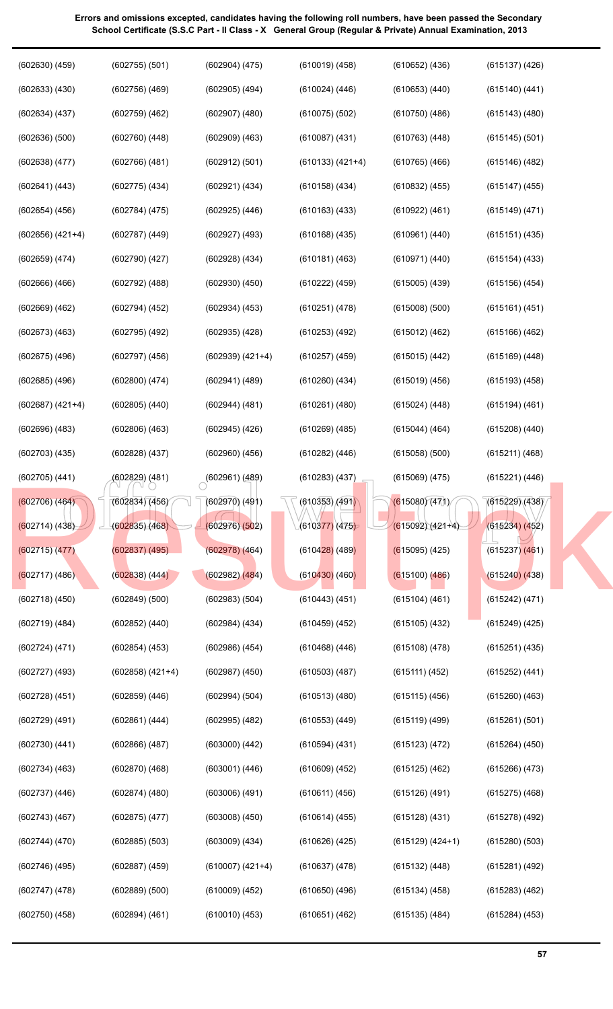| $(602630)$ $(459)$   | $(602755)$ $(501)$   | $(602904)$ $(475)$         | $(610019)$ $(458)$           | $(610652)$ $(436)$ | $(615137)$ $(426)$ |
|----------------------|----------------------|----------------------------|------------------------------|--------------------|--------------------|
| $(602633)$ $(430)$   | $(602756)$ $(469)$   | $(602905)$ $(494)$         | $(610024)$ $(446)$           | $(610653)$ $(440)$ | $(615140)$ $(441)$ |
| $(602634)$ $(437)$   | $(602759)$ $(462)$   | $(602907)$ $(480)$         | $(610075)$ $(502)$           | $(610750)$ $(486)$ | $(615143)$ $(480)$ |
| $(602636)$ $(500)$   | $(602760)$ $(448)$   | $(602909)$ $(463)$         | $(610087)$ $(431)$           | $(610763)$ $(448)$ | $(615145)$ $(501)$ |
| $(602638)$ $(477)$   | $(602766)$ $(481)$   | (602912) (501)             | $(610133) (421+4)$           | $(610765)$ $(466)$ | $(615146)$ $(482)$ |
| (602641) (443)       | $(602775)$ $(434)$   | (602921) (434)             | $(610158)$ $(434)$           | $(610832)$ $(455)$ | $(615147)$ $(455)$ |
| $(602654)$ $(456)$   | $(602784)$ $(475)$   | $(602925)$ $(446)$         | $(610163)$ $(433)$           | (610922) (461)     | $(615149)$ $(471)$ |
| $(602656)$ $(421+4)$ | $(602787)$ $(449)$   | $(602927)$ $(493)$         | $(610168)$ $(435)$           | (610961) (440)     | (615151) (435)     |
| $(602659)$ $(474)$   | $(602790)$ $(427)$   | $(602928)$ $(434)$         | $(610181)$ $(463)$           | (610971) (440)     | $(615154)$ $(433)$ |
| $(602666)$ $(466)$   | $(602792)$ $(488)$   | $(602930)$ $(450)$         | (610222) (459)               | $(615005)$ $(439)$ | $(615156)$ $(454)$ |
| $(602669)$ $(462)$   | $(602794)$ $(452)$   | $(602934)$ $(453)$         | (610251) (478)               | $(615008)$ $(500)$ | (615161) (451)     |
| $(602673)$ $(463)$   | $(602795)$ $(492)$   | $(602935)$ $(428)$         | $(610253)$ $(492)$           | (615012) (462)     | $(615166)$ $(462)$ |
| $(602675)$ $(496)$   | $(602797)$ $(456)$   | $(602939) (421+4)$         | $(610257)$ $(459)$           | $(615015)$ $(442)$ | $(615169)$ $(448)$ |
| $(602685)$ $(496)$   | $(602800)$ $(474)$   | $(602941)$ $(489)$         | $(610260)$ $(434)$           | (615019)(456)      | $(615193)$ $(458)$ |
| $(602687) (421+4)$   | $(602805)$ $(440)$   | $(602944)$ $(481)$         | $(610261)$ $(480)$           | $(615024)$ $(448)$ | $(615194)$ $(461)$ |
| $(602696)$ $(483)$   | $(602806)$ $(463)$   | $(602945)$ $(426)$         | $(610269)$ $(485)$           | $(615044)$ (464)   | $(615208)$ $(440)$ |
| $(602703)$ $(435)$   | $(602828)$ $(437)$   | $(602960)$ $(456)$         | $(610282)$ $(446)$           | $(615058)$ $(500)$ | (615211) (468)     |
| $(602705)$ $(441)$   | (602829) (481)       | $\bigcirc^{(602961)(489)}$ | $(610283)$ $(437)$           | $(615069)$ $(475)$ | (615221) (446)     |
| $(602706)$ $(464)$   | (602834)(456)        | $(602970)$ $(491)$         | (610353)(491)                | (615080)(471)      | (615229)(438)      |
| (602714) (438)       | (602835)(468)        | (602976)(502)              | (6103 <mark>77)</mark> (475) | $(615092)(421+4)$  | (615234) (452)     |
| (602715)(477)        | $(602837)$ $(495)$   | $(602978)$ $(464)$         | $(610428)$ (489)             | $(615095)$ (425)   | $(615237)$ $(461)$ |
| $(602717)$ (486)     | $(602838)$ $(444)$   | $(602982)$ $(484)$         | $(610430)$ (460)             | $(615100)$ $(486)$ | $(615240)$ $(438)$ |
| $(602718)$ $(450)$   | (602849) (500)       | (602983) (504)             | $(610443)$ $(451)$           | $(615104)$ $(461)$ | (615242) (471)     |
| $(602719)$ $(484)$   | $(602852)$ $(440)$   | $(602984)$ $(434)$         | $(610459)$ $(452)$           | $(615105)$ $(432)$ | $(615249)$ $(425)$ |
| (602724)(471)        | $(602854)$ $(453)$   | $(602986)$ $(454)$         | $(610468)$ $(446)$           | $(615108)$ $(478)$ | $(615251)$ $(435)$ |
| $(602727)$ $(493)$   | $(602858)$ $(421+4)$ | $(602987)$ $(450)$         | $(610503)$ $(487)$           | (615111) (452)     | (615252) (441)     |
| $(602728)$ $(451)$   | $(602859)$ $(446)$   | (602994) (504)             | $(610513)$ $(480)$           | $(615115)$ $(456)$ | $(615260)$ $(463)$ |
| $(602729)$ $(491)$   | $(602861)$ $(444)$   | $(602995)$ $(482)$         | (610553) (449)               | $(615119)$ $(499)$ | (615261) (501)     |
| $(602730)$ $(441)$   | $(602866)$ $(487)$   | $(603000)$ $(442)$         | $(610594)$ $(431)$           | (615123) (472)     | $(615264)$ $(450)$ |
| $(602734)$ $(463)$   | $(602870)$ $(468)$   | $(603001)$ $(446)$         | $(610609)$ $(452)$           | $(615125)$ $(462)$ | $(615266)$ $(473)$ |
| (602737)(446)        | $(602874)$ $(480)$   | $(603006)$ $(491)$         | (610611) (456)               | (615126)(491)      | $(615275)$ $(468)$ |
| $(602743)$ $(467)$   | $(602875)$ $(477)$   | $(603008)$ $(450)$         | $(610614)$ $(455)$           | $(615128)$ $(431)$ | (615278) (492)     |
| (602744) (470)       | $(602885)$ $(503)$   | $(603009)$ $(434)$         | $(610626)$ $(425)$           | $(615129) (424+1)$ | $(615280)$ $(503)$ |
| (602746) (495)       | $(602887)$ $(459)$   | (610007) (421+4)           | (610637) (478)               | $(615132)$ $(448)$ | (615281) (492)     |
| $(602747)$ $(478)$   | (602889) (500)       | $(610009)$ $(452)$         | $(610650)$ $(496)$           | $(615134)$ (458)   | $(615283)$ $(462)$ |
| $(602750)$ $(458)$   | $(602894)$ $(461)$   | $(610010)$ $(453)$         | (610651) (462)               | $(615135)$ $(484)$ | $(615284)$ $(453)$ |
|                      |                      |                            |                              |                    |                    |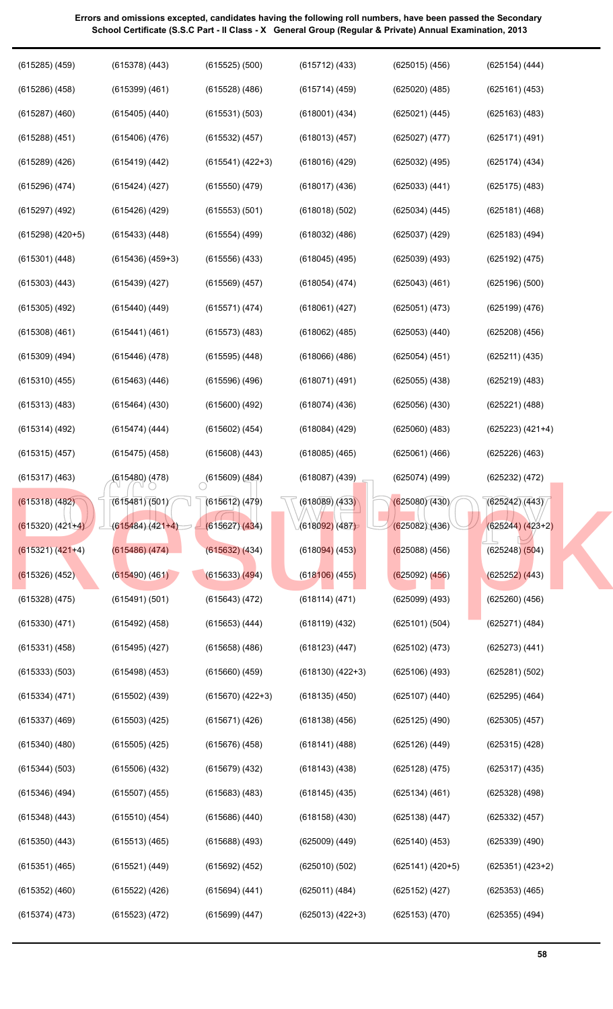| $(615285)$ $(459)$   | $(615378)$ $(443)$   | $(615525)$ $(500)$        | $(615712)$ $(433)$   | $(625015)$ $(456)$ | $(625154)$ $(444)$ |
|----------------------|----------------------|---------------------------|----------------------|--------------------|--------------------|
| $(615286)$ $(458)$   | $(615399)$ $(461)$   | $(615528)$ $(486)$        | $(615714)$ (459)     | $(625020)$ $(485)$ | (625161) (453)     |
| $(615287)$ $(460)$   | $(615405)$ $(440)$   | (615531) (503)            | $(618001)$ $(434)$   | (625021) (445)     | $(625163)$ $(483)$ |
| $(615288)$ $(451)$   | $(615406)$ $(476)$   | $(615532)$ $(457)$        | $(618013)$ $(457)$   | (625027) (477)     | (625171) (491)     |
| $(615289)$ $(426)$   | $(615419)$ $(442)$   | $(615541) (422+3)$        | $(618016)$ $(429)$   | $(625032)$ $(495)$ | $(625174)$ $(434)$ |
| $(615296)$ $(474)$   | $(615424)$ $(427)$   | $(615550)$ $(479)$        | $(618017)$ $(436)$   | (625033) (441)     | $(625175)$ $(483)$ |
| $(615297)$ $(492)$   | $(615426)$ $(429)$   | (615553) (501)            | $(618018)$ $(502)$   | $(625034)$ $(445)$ | $(625181)$ $(468)$ |
| $(615298)$ $(420+5)$ | $(615433)$ $(448)$   | $(615554)$ (499)          | $(618032)$ $(486)$   | $(625037)$ $(429)$ | $(625183)$ $(494)$ |
| (615301) (448)       | $(615436)$ $(459+3)$ | $(615556)$ $(433)$        | $(618045)$ $(495)$   | $(625039)$ $(493)$ | (625192) (475)     |
| $(615303)$ $(443)$   | $(615439)$ $(427)$   | $(615569)$ $(457)$        | (618054) (474)       | $(625043)$ $(461)$ | $(625196)$ $(500)$ |
| $(615305)$ $(492)$   | $(615440)$ $(449)$   | (615571) (474)            | (618061) (427)       | (625051) (473)     | (625199) (476)     |
| $(615308)$ $(461)$   | (615441) (461)       | $(615573)$ $(483)$        | $(618062)$ $(485)$   | $(625053)$ $(440)$ | $(625208)$ $(456)$ |
| $(615309)$ $(494)$   | $(615446)$ (478)     | $(615595)$ $(448)$        | $(618066)$ $(486)$   | (625054) (451)     | (625211) (435)     |
| $(615310)$ $(455)$   | $(615463)$ $(446)$   | $(615596)$ $(496)$        | $(618071)$ $(491)$   | $(625055)$ $(438)$ | $(625219)$ $(483)$ |
| $(615313)$ $(483)$   | $(615464)$ $(430)$   | $(615600)$ $(492)$        | $(618074)$ $(436)$   | $(625056)$ $(430)$ | (625221) (488)     |
| $(615314)$ $(492)$   | (615474) (444)       | $(615602)$ $(454)$        | $(618084)$ $(429)$   | $(625060)$ $(483)$ | $(625223) (421+4)$ |
| $(615315)$ $(457)$   | $(615475)$ (458)     | $(615608)$ $(443)$        | $(618085)$ $(465)$   | (625061) (466)     | $(625226)$ $(463)$ |
| $(615317)$ $(463)$   | (615480) (478)       | $\bigcirc$ (615609) (484) | $(618087)$ $(439)$   | $(625074)$ (499)   | $(625232)$ $(472)$ |
| (615318) (482)       | (615481)(501)        | (615612) (479)            | (618089)/433         | (625080)(430)      | (625242)(443)      |
| $(615320) (421+4)$   | $(615484)(421+4)$    | (615627)(434)             | (618092)(487)        | (625082)(436)      | $(625244) (423+2)$ |
| $(615321) (421+4)$   | $(615486)$ $(474)$   | $(615632)$ $(434)$        | $(618094)$ (453)     | $(625088)$ (456)   | $(625248)$ $(504)$ |
| $(615326)$ (452)     | $(615490)$ $(461)$   | (615633) (494)            | $(618106)$ (455)     | $(625092)$ $(456)$ | (625252) (443)     |
| $(615328)$ $(475)$   | (615491) (501)       | (615643) (472)            | (618114)(471)        | $(625099)$ $(493)$ | $(625260)$ $(456)$ |
| $(615330)$ $(471)$   | $(615492)$ $(458)$   | $(615653)$ $(444)$        | $(618119)$ $(432)$   | (625101) (504)     | (625271) (484)     |
| $(615331)$ $(458)$   | $(615495)$ $(427)$   | $(615658)$ $(486)$        | $(618123)$ $(447)$   | $(625102)$ $(473)$ | $(625273)$ $(441)$ |
| (615333) (503)       | $(615498)$ $(453)$   | $(615660)$ $(459)$        | $(618130)$ $(422+3)$ | $(625106)$ $(493)$ | (625281) (502)     |
| (615334) (471)       | $(615502)$ $(439)$   | $(615670)$ $(422+3)$      | $(618135)$ $(450)$   | $(625107)$ $(440)$ | $(625295)$ $(464)$ |
| $(615337)$ $(469)$   | $(615503)$ $(425)$   | (615671) (426)            | $(618138)$ $(456)$   | $(625125)$ $(490)$ | $(625305)$ $(457)$ |
| $(615340)$ $(480)$   | $(615505)$ $(425)$   | $(615676)$ $(458)$        | $(618141)$ $(488)$   | $(625126)$ $(449)$ | $(625315)$ $(428)$ |
| (615344) (503)       | $(615506)$ $(432)$   | $(615679)$ $(432)$        | $(618143)$ $(438)$   | $(625128)$ $(475)$ | $(625317)$ $(435)$ |
| $(615346)$ $(494)$   | $(615507)$ $(455)$   | $(615683)$ $(483)$        | $(618145)$ $(435)$   | (625134) (461)     | $(625328)$ $(498)$ |
| $(615348)$ $(443)$   | $(615510)$ $(454)$   | $(615686)$ $(440)$        | $(618158)$ $(430)$   | $(625138)$ $(447)$ | $(625332)$ $(457)$ |
| $(615350)$ $(443)$   | $(615513)$ $(465)$   | $(615688)$ (493)          | $(625009)$ $(449)$   | $(625140)$ $(453)$ | $(625339)$ $(490)$ |
| $(615351)$ $(465)$   | (615521) (449)       | (615692) (452)            | $(625010)$ $(502)$   | $(625141) (420+5)$ | $(625351) (423+2)$ |
| $(615352)$ $(460)$   | (615522) (426)       | (615694) (441)            | (625011) (484)       | $(625152)$ $(427)$ | $(625353)$ $(465)$ |
| (615374) (473)       | (615523) (472)       | (615699) (447)            | $(625013) (422+3)$   | $(625153)$ $(470)$ | $(625355)$ $(494)$ |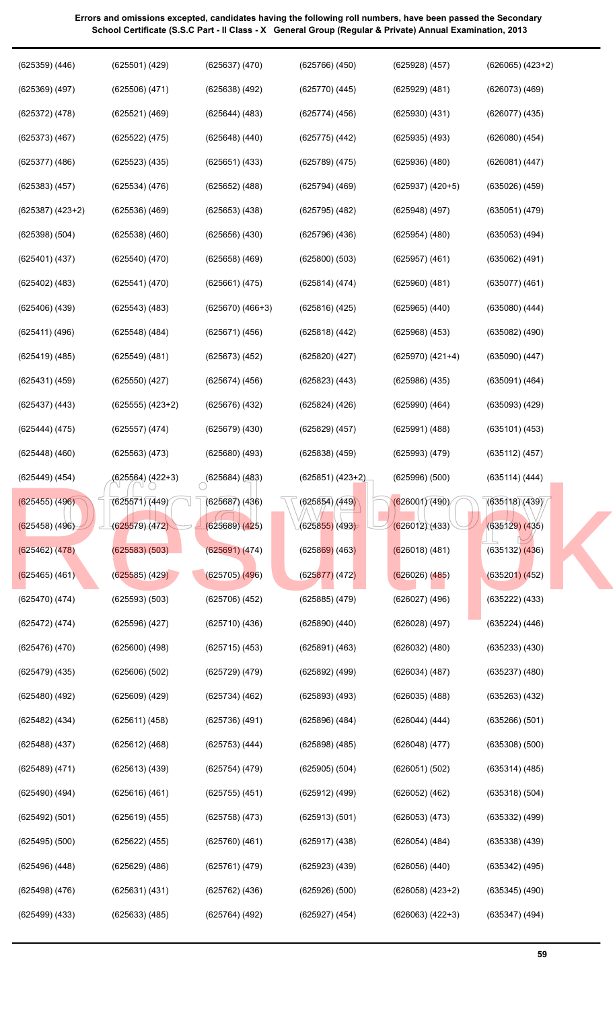| $(625359)$ $(446)$   | (625501) (429)     | $(625637)$ $(470)$   | $(625766)$ $(450)$ | $(625928)$ $(457)$ | $(626065)$ $(423+2)$ |  |
|----------------------|--------------------|----------------------|--------------------|--------------------|----------------------|--|
| $(625369)$ $(497)$   | $(625506)$ $(471)$ | $(625638)$ $(492)$   | $(625770)$ $(445)$ | $(625929)$ $(481)$ | $(626073)$ $(469)$   |  |
| $(625372)$ $(478)$   | (625521) (469)     | $(625644)$ $(483)$   | $(625774)$ (456)   | $(625930)$ $(431)$ | $(626077)$ $(435)$   |  |
| $(625373)$ $(467)$   | (625522) (475)     | $(625648)$ $(440)$   | $(625775)$ $(442)$ | $(625935)$ $(493)$ | $(626080)$ $(454)$   |  |
| $(625377)$ $(486)$   | $(625523)$ $(435)$ | $(625651)$ $(433)$   | $(625789)$ $(475)$ | $(625936)$ $(480)$ | (626081) (447)       |  |
| $(625383)$ $(457)$   | $(625534)$ $(476)$ | $(625652)$ $(488)$   | $(625794)$ $(469)$ | $(625937) (420+5)$ | $(635026)$ $(459)$   |  |
| $(625387)$ $(423+2)$ | $(625536)$ $(469)$ | $(625653)$ $(438)$   | $(625795)$ $(482)$ | $(625948)$ $(497)$ | (635051) (479)       |  |
| (625398) (504)       | $(625538)$ $(460)$ | $(625656)$ $(430)$   | $(625796)$ $(436)$ | $(625954)$ $(480)$ | $(635053)$ $(494)$   |  |
| $(625401)$ $(437)$   | $(625540)$ $(470)$ | $(625658)$ $(469)$   | (625800)(503)      | $(625957)$ $(461)$ | $(635062)$ $(491)$   |  |
| $(625402)$ $(483)$   | (625541) (470)     | (625661) (475)       | (625814) (474)     | $(625960)$ $(481)$ | $(635077)$ $(461)$   |  |
| $(625406)$ $(439)$   | $(625543)$ $(483)$ | $(625670)$ $(466+3)$ | $(625816)$ $(425)$ | $(625965)$ $(440)$ | $(635080)$ $(444)$   |  |
| (625411) (496)       | $(625548)$ $(484)$ | (625671) (456)       | $(625818)$ $(442)$ | $(625968)$ $(453)$ | $(635082)$ $(490)$   |  |
| $(625419)$ $(485)$   | $(625549)$ $(481)$ | $(625673)$ $(452)$   | $(625820)$ $(427)$ | (625970) (421+4)   | $(635090)$ $(447)$   |  |
| $(625431)$ $(459)$   | $(625550)$ $(427)$ | $(625674)$ $(456)$   | $(625823)$ $(443)$ | $(625986)$ $(435)$ | (635091) (464)       |  |
| $(625437)$ $(443)$   | $(625555) (423+2)$ | $(625676)$ $(432)$   | $(625824)$ $(426)$ | $(625990)$ $(464)$ | $(635093)$ $(429)$   |  |
| (625444) (475)       | (625557) (474)     | $(625679)$ $(430)$   | $(625829)$ $(457)$ | $(625991)$ $(488)$ | (635101) (453)       |  |
| $(625448)$ $(460)$   | (625563) (473)     | $(625680)$ $(493)$   | $(625838)$ $(459)$ | (625993) (479)     | (635112) (457)       |  |
| (625449) (454)       | (625564) (422+3)   | $(625684)$ $(483)$   | $(625851) (423+2)$ | (625996) (500)     | (635114) (444)       |  |
| $(625455)$ (496)     | (625571)(449)      | $(625687)$ $(436)$   | (625854) (449)     | (626001)(490)      | (635118)(439)        |  |
| $(625458)$ $(496)$   | (625579)(472)      | (625689)(425)        | $(625855)$ (493)   | (626012)(433)      | $(635129)$ $(435)$   |  |
| $(625462)$ $(478)$   | $(625583)$ $(503)$ | (625691)(474)        | $(625869)$ (463)   | $(626018)$ (481)   | $(635132)$ $(436)$   |  |
| $(625465)$ (461)     | $(625585)$ (429)   | $(625705)$ $(496)$   | (625877)(472)      | $(626026)$ $(485)$ | $(635201)$ $(452)$   |  |
| (625470) (474)       | $(625593)$ $(503)$ | $(625706)$ $(452)$   | $(625885)$ $(479)$ | $(626027)$ $(496)$ | $(635222)$ $(433)$   |  |
| (625472) (474)       | $(625596)$ $(427)$ | $(625710)$ $(436)$   | $(625890)$ $(440)$ | $(626028)$ $(497)$ | (635224) (446)       |  |
| $(625476)$ $(470)$   | $(625600)$ $(498)$ | $(625715)$ (453)     | (625891) (463)     | $(626032)$ $(480)$ | $(635233)$ $(430)$   |  |
| $(625479)$ $(435)$   | (625606) (502)     | $(625729)$ $(479)$   | $(625892)$ $(499)$ | $(626034)$ $(487)$ | $(635237)$ $(480)$   |  |
| $(625480)$ $(492)$   | $(625609)$ $(429)$ | (625734) (462)       | $(625893)$ $(493)$ | $(626035)$ $(488)$ | $(635263)$ $(432)$   |  |
| $(625482)$ $(434)$   | (625611) (458)     | (625736) (491)       | $(625896)$ $(484)$ | $(626044)$ $(444)$ | $(635266)$ $(501)$   |  |
| $(625488)$ $(437)$   | (625612) (468)     | $(625753)$ $(444)$   | $(625898)$ $(485)$ | $(626048)$ $(477)$ | $(635308)$ $(500)$   |  |
| $(625489)$ $(471)$   | (625613) (439)     | $(625754)$ (479)     | $(625905)$ $(504)$ | (626051) (502)     | $(635314)$ $(485)$   |  |
| $(625490)$ $(494)$   | (625616) (461)     | $(625755)$ $(451)$   | $(625912)$ $(499)$ | $(626052)$ $(462)$ | $(635318)$ $(504)$   |  |
| (625492) (501)       | (625619) (455)     | $(625758)$ $(473)$   | (625913) (501)     | $(626053)$ $(473)$ | $(635332)$ $(499)$   |  |
| $(625495)$ $(500)$   | (625622) (455)     | $(625760)$ $(461)$   | $(625917)$ $(438)$ | $(626054)$ $(484)$ | $(635338)$ $(439)$   |  |
| $(625496)$ $(448)$   | $(625629)$ $(486)$ | (625761) (479)       | $(625923)$ $(439)$ | $(626056)$ $(440)$ | $(635342)$ (495)     |  |
| (625498) (476)       | (625631) (431)     | (625762) (436)       | $(625926)$ $(500)$ | $(626058) (423+2)$ | $(635345)$ $(490)$   |  |
| (625499) (433)       | (625633) (485)     | (625764) (492)       | $(625927)$ $(454)$ | $(626063) (422+3)$ | $(635347)$ $(494)$   |  |
|                      |                    |                      |                    |                    |                      |  |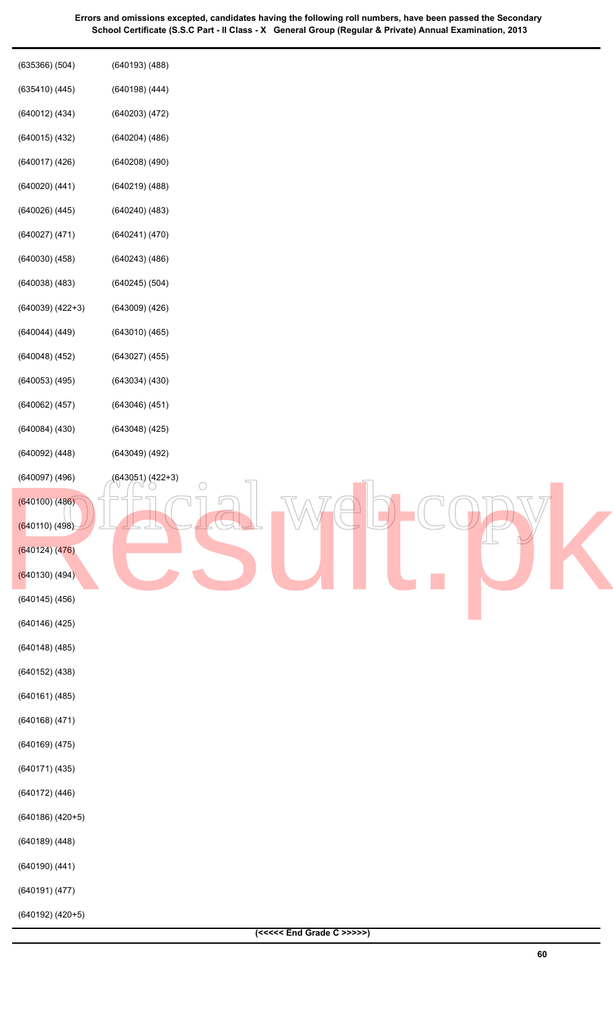| (635366)(504)                        | (640193)(488)                  |
|--------------------------------------|--------------------------------|
| (635410)(445)                        | $(640198)$ $(444)$             |
| $(640012)$ $(434)$                   | $(640203)$ $(472)$             |
| (640015)(432)                        | $(640204)$ $(486)$             |
| (640017)(426)                        | $(640208)$ $(490)$             |
| $(640020)$ $(441)$                   | (640219)(488)                  |
| $(640026)$ $(445)$                   | $(640240)$ $(483)$             |
| (640027) (471)                       | (640241)(470)                  |
| $(640030)$ $(458)$                   | (640243)(486)                  |
| $(640038)$ $(483)$                   | $(640245)$ $(504)$             |
| $(640039) (422+3)$                   | $(643009)$ $(426)$             |
| $(640044)$ $(449)$                   | (643010)(465)                  |
| (640048)(452)                        | $(643027)$ $(455)$             |
| $(640053)$ $(495)$                   | (643034)(430)                  |
| $(640062)$ $(457)$                   | (643046)(451)                  |
| $(640084)$ $(430)$                   | $(643048)$ $(425)$             |
| $(640092)$ $(448)$                   | (643049)(492)                  |
| $(640097)$ $(496)$<br>(640100) (486) | (643051) (422+3)<br>$\bigcirc$ |
| (640110) (498)                       |                                |
| (640124)(476)                        |                                |
| (640130) (494)                       |                                |
| $(640145)$ $(456)$                   |                                |
| (640146)(425)                        |                                |
| (640148)(485)                        |                                |
| $(640152)$ $(438)$                   |                                |
| $(640161)$ $(485)$                   |                                |
| $(640168)$ $(471)$                   |                                |
| $(640169)$ $(475)$                   |                                |
| (640171)(435)                        |                                |
| (640172) (446)                       |                                |
| $(640186)$ $(420+5)$                 |                                |
| $(640189)$ $(448)$                   |                                |
| $(640190)$ $(441)$                   |                                |
| (640191)(477)                        |                                |
| $(640192)$ $(420+5)$                 |                                |
|                                      | (<<<<< End Grade C >>>>>)      |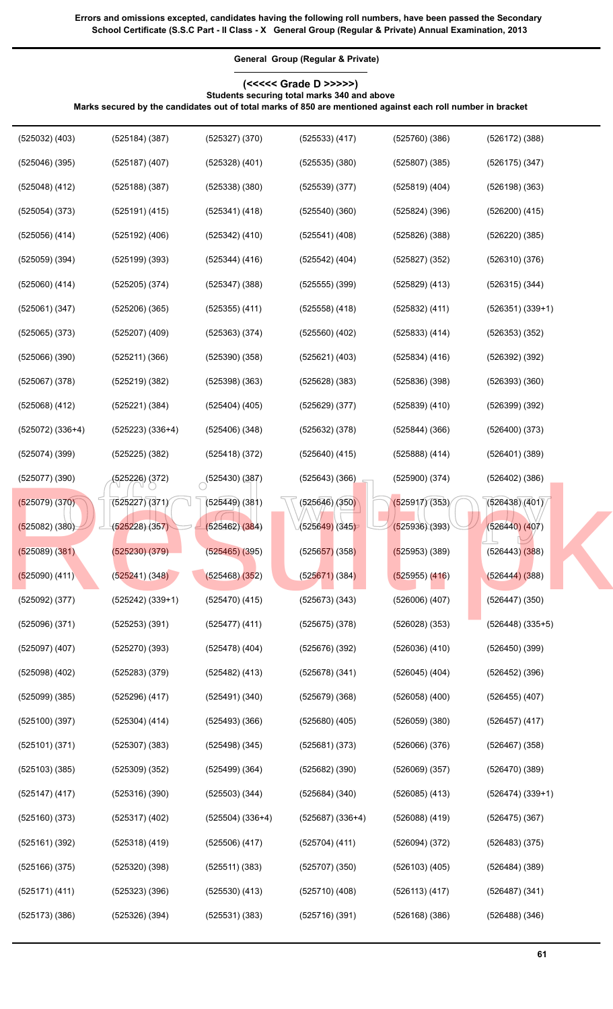**General Group (Regular & Private) (<<<<< Grade D >>>>>)**

**Marks secured by the candidates out of total marks of 850 are mentioned against each roll number in bracket**

**Students securing total marks 340 and above**

| $(525032)$ $(403)$   | $(525184)$ $(387)$   | $(525327)$ $(370)$ | $(525533)$ $(417)$ | (525760)(386)      | $(526172)$ $(388)$   |
|----------------------|----------------------|--------------------|--------------------|--------------------|----------------------|
| (525046)(395)        | $(525187)$ $(407)$   | $(525328)$ $(401)$ | (525535)(380)      | (525807)(385)      | $(526175)$ $(347)$   |
| $(525048)$ $(412)$   | $(525188)$ $(387)$   | $(525338)$ $(380)$ | (525539)(377)      | $(525819)$ $(404)$ | $(526198)$ $(363)$   |
| $(525054)$ $(373)$   | $(525191)$ $(415)$   | $(525341)$ $(418)$ | (525540)(360)      | $(525824)$ $(396)$ | $(526200)$ $(415)$   |
| $(525056)$ $(414)$   | $(525192)$ $(406)$   | $(525342)$ $(410)$ | $(525541)$ $(408)$ | (525826)(388)      | $(526220)$ $(385)$   |
| $(525059)$ $(394)$   | $(525199)$ $(393)$   | $(525344)$ $(416)$ | $(525542)$ $(404)$ | $(525827)$ $(352)$ | (526310)(376)        |
| $(525060)$ $(414)$   | $(525205)$ $(374)$   | (525347)(388)      | $(525555)$ $(399)$ | $(525829)$ $(413)$ | $(526315)$ $(344)$   |
| $(525061)$ $(347)$   | $(525206)$ $(365)$   | $(525355)$ $(411)$ | $(525558)$ $(418)$ | (525832) (411)     | $(526351) (339+1)$   |
| $(525065)$ $(373)$   | (525207) (409)       | $(525363)$ $(374)$ | $(525560)$ $(402)$ | (525833) (414)     | $(526353)$ $(352)$   |
| $(525066)$ $(390)$   | (525211)(366)        | (525390)(358)      | $(525621)$ $(403)$ | $(525834)$ $(416)$ | (526392) (392)       |
| $(525067)$ $(378)$   | $(525219)$ $(382)$   | (525398)(363)      | $(525628)$ $(383)$ | (525836)(398)      | (526393)(360)        |
| $(525068)$ $(412)$   | (525221)(384)        | $(525404)$ (405)   | $(525629)$ $(377)$ | $(525839)$ $(410)$ | $(526399)$ $(392)$   |
| $(525072)$ $(336+4)$ | $(525223)$ $(336+4)$ | (525406)(348)      | $(525632)$ $(378)$ | (525844)(366)      | (526400)(373)        |
| $(525074)$ $(399)$   | $(525225)$ $(382)$   | $(525418)$ $(372)$ | $(525640)$ $(415)$ | $(525888)$ $(414)$ | (526401)(389)        |
| (525077)(390)        | (525226) (372)       | (525430)(387)      | $(525643)$ $(366)$ | (525900)(374)      | $(526402)$ $(386)$   |
| $(525079)$ $(370)$   | (525227)(371)        | $(525449)$ $(381)$ | (525646)/(350)     | (525917)(353)      | (526438)(401)        |
| $(525082)$ $(380)$   | (525228) (357)       | $(525462)$ $(384)$ | (525649) (345)     | (525936)(393)      | $(526440)$ $(407)$   |
| (525089)(381)        | $(525230)$ $(379)$   | $(525465)$ $(395)$ | $(525657)$ (358)   | $(525953)$ (389)   | $(526443)$ $(388)$   |
| $(525090)$ $(411)$   | (525241)(348)        | (525468)(352)      | (525671) (384)     | $(525955)$ $(416)$ | $(526444)$ (388)     |
| $(525092)$ $(377)$   | $(525242)$ $(339+1)$ | $(525470)$ $(415)$ | $(525673)$ $(343)$ | $(526006)$ $(407)$ | $(526447)$ $(350)$   |
| (525096)(371)        | $(525253)$ $(391)$   | $(525477)$ $(411)$ | $(525675)$ $(378)$ | (526028)(353)      | $(526448)$ $(335+5)$ |
| $(525097)$ $(407)$   | $(525270)$ $(393)$   | $(525478)$ (404)   | (525676)(392)      | $(526036)$ $(410)$ | (526450)(399)        |
| $(525098)$ $(402)$   | $(525283)$ $(379)$   | $(525482)$ $(413)$ | $(525678)$ $(341)$ | $(526045)$ $(404)$ | $(526452)$ $(396)$   |
| $(525099)$ $(385)$   | $(525296)$ $(417)$   | (525491)(340)      | (525679)(368)      | $(526058)$ $(400)$ | $(526455)$ $(407)$   |
| (525100)(397)        | $(525304)$ $(414)$   | (525493)(366)      | $(525680)$ $(405)$ | (526059)(380)      | $(526457)$ $(417)$   |

(525101) (371)

(525307) (383)

(525498) (345)

(525681) (373)

(526066) (376)

(526069) (357)

(526085) (413)

(526088) (419)

(526094) (372)

(526103) (405)

(526113) (417)

(526168) (386)

(525682) (390)

(525684) (340)

(525687) (336+4)

(525704) (411)

(525707) (350)

(525710) (408)

(525716) (391)

(525499) (364)

(525503) (344)

(525504) (336+4)

(525506) (417)

(525511) (383)

(525530) (413)

(525531) (383)

(525309) (352)

(525316) (390)

(525317) (402)

(525318) (419)

(525320) (398)

(525323) (396)

(525326) (394)

(525103) (385)

(525147) (417)

(525160) (373)

(525161) (392)

(525166) (375)

(525171) (411)

(525173) (386)

(526467) (358)

(526470) (389)

(526475) (367)

(526483) (375)

(526484) (389)

(526487) (341)

(526488) (346)

(526474) (339+1)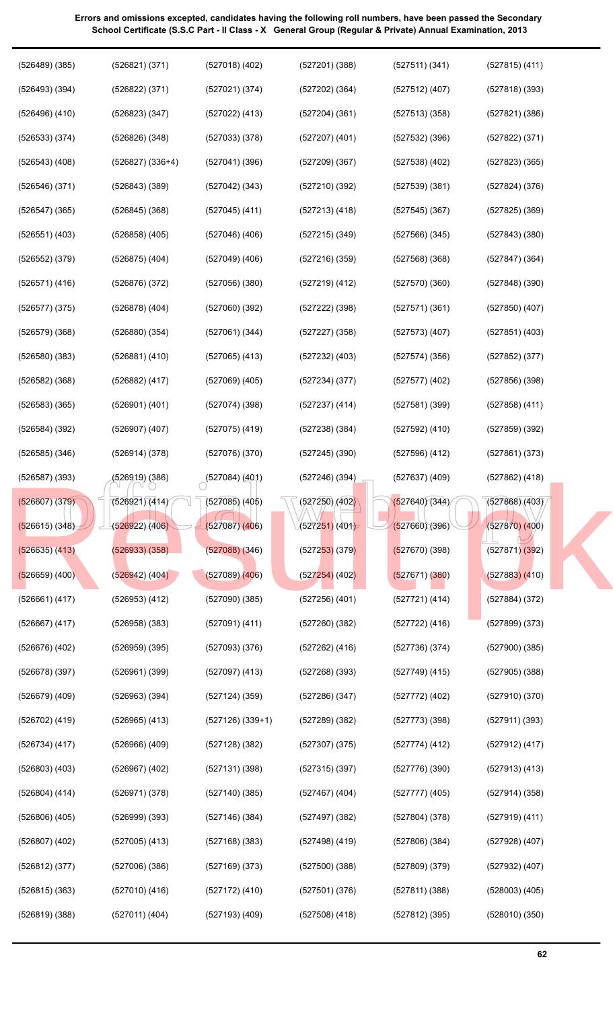| $(526489)$ $(385)$ | (526821)(371)        | $(527018)$ $(402)$        | (527201)(388)                | (527511)(341)      | $(527815)$ (411)   |
|--------------------|----------------------|---------------------------|------------------------------|--------------------|--------------------|
| (526493)(394)      | (526822) (371)       | (527021) (374)            | $(527202)$ (364)             | $(527512)$ $(407)$ | (527818)(393)      |
| $(526496)$ $(410)$ | (526823) (347)       | $(527022)$ $(413)$        | (527204)(361)                | (527513)(358)      | (527821)(386)      |
| (526533) (374)     | $(526826)$ $(348)$   | $(527033)$ $(378)$        | $(527207)$ $(401)$           | (527532)(396)      | (527822) (371)     |
| $(526543)$ $(408)$ | $(526827)$ $(336+4)$ | (527041)(396)             | (527209)(367)                | $(527538)$ $(402)$ | $(527823)$ $(365)$ |
| (526546)(371)      | $(526843)$ $(389)$   | $(527042)$ $(343)$        | (527210)(392)                | (527539)(381)      | $(527824)$ $(376)$ |
| $(526547)$ $(365)$ | $(526845)$ (368)     | $(527045)$ (411)          | $(527213)$ $(418)$           | (527545)(367)      | $(527825)$ $(369)$ |
| $(526551)$ $(403)$ | $(526858)$ $(405)$   | $(527046)$ (406)          | $(527215)$ $(349)$           | (527566)(345)      | $(527843)$ $(380)$ |
| $(526552)$ $(379)$ | $(526875)$ $(404)$   | $(527049)$ $(406)$        | (527216)(359)                | (527568)(368)      | $(527847)$ $(364)$ |
| (526571) (416)     | $(526876)$ $(372)$   | (527056)(380)             | $(527219)$ $(412)$           | (527570)(360)      | $(527848)$ $(390)$ |
| (526577)(375)      | $(526878)$ $(404)$   | $(527060)$ $(392)$        | $(527222)$ $(398)$           | (527571)(361)      | $(527850)$ $(407)$ |
| (526579)(368)      | $(526880)$ $(354)$   | $(527061)$ $(344)$        | $(527227)$ $(358)$           | $(527573)$ $(407)$ | $(527851)$ $(403)$ |
| $(526580)$ $(383)$ | $(526881)$ $(410)$   | $(527065)$ $(413)$        | $(527232)$ $(403)$           | (527574)(356)      | $(527852)$ $(377)$ |
| $(526582)$ $(368)$ | $(526882)$ $(417)$   | $(527069)$ $(405)$        | (527234)(377)                | $(527577)$ $(402)$ | (527856)(398)      |
| $(526583)$ $(365)$ | $(526901)$ $(401)$   | (527074)(398)             | $(527237)$ $(414)$           | (527581)(399)      | $(527858)$ $(411)$ |
| $(526584)$ $(392)$ | $(526907)$ $(407)$   | $(527075)$ $(419)$        | $(527238)$ $(384)$           | $(527592)$ $(410)$ | $(527859)$ $(392)$ |
| $(526585)$ $(346)$ | (526914) (378)       | (527076)(370)             | $(527245)$ $(390)$           | $(527596)$ $(412)$ | $(527861)$ $(373)$ |
| $(526587)$ $(393)$ | (526919) (386)       | $\bigcirc$ (527084) (401) | (527246)(394)                | $(527637)$ $(409)$ | $(527862)$ $(418)$ |
| (526607) (379)     | (526921)(414)        | $(527085)$ (405)          | $\sqrt{(527250)(402)}$       | (527640)(344)      | (527868)(403)      |
| (526615) (348)     | (526922)(406)        | $(527087)$ $(406)$        | (527251)(401)                | (527660)(396)      | $(527870)$ $(400)$ |
| (526635) (413)     | $(526933)$ $(358)$   | (527088)(346)             | (5272 <mark>53)</mark> (379) | $(527670)$ (398)   | $(527871)$ $(392)$ |
| $(526659)$ (400)   | (526942) (404)       | $(527089)$ $(406)$        | $(527254)$ (402)             | (527671) (380)     | $(527883)$ $(410)$ |
| (526661) (417)     | $(526953)$ $(412)$   | (527090)(385)             | $(527256)$ $(401)$           | (527721) (414)     | $(527884)$ $(372)$ |
| (526667) (417)     | $(526958)$ $(383)$   | $(527091)$ $(411)$        | (527260)(382)                | (527722) (416)     | $(527899)$ $(373)$ |
| $(526676)$ $(402)$ | $(526959)$ $(395)$   | (527093)(376)             | $(527262)$ (416)             | (527736)(374)      | (527900)(385)      |
| $(526678)$ (397)   | $(526961)$ $(399)$   | $(527097)$ $(413)$        | (527268)(393)                | $(527749)$ (415)   | $(527905)$ $(388)$ |
| $(526679)$ $(409)$ | $(526963)$ $(394)$   | $(527124)$ $(359)$        | $(527286)$ $(347)$           | $(527772)$ (402)   | (527910)(370)      |
| (526702) (419)     | $(526965)$ $(413)$   | $(527126)$ $(339+1)$      | (527289) (382)               | (527773)(398)      | (527911) (393)     |
| (526734) (417)     | $(526966)$ $(409)$   | (527128) (382)            | (527307)(375)                | (527774)(412)      | $(527912)$ $(417)$ |
| $(526803)$ $(403)$ | $(526967)$ $(402)$   | (527131)(398)             | (527315)(397)                | (527776)(390)      | $(527913)$ $(413)$ |
| (526804) (414)     | (526971)(378)        | (527140)(385)             | $(527467)$ (404)             | (527777)(405)      | $(527914)$ $(358)$ |
| $(526806)$ $(405)$ | $(526999)$ $(393)$   | (527146)(384)             | (527497)(382)                | (527804)(378)      | $(527919)$ $(411)$ |
| $(526807)$ $(402)$ | $(527005)$ $(413)$   | $(527168)$ $(383)$        | $(527498)$ (419)             | (527806)(384)      | $(527928)$ $(407)$ |
| (526812) (377)     | (527006)(386)        | $(527169)$ $(373)$        | (527500)(388)                | (527809)(379)      | $(527932)$ $(407)$ |
| $(526815)$ $(363)$ | $(527010)$ $(416)$   |                           | (527501)(376)                | (527811)(388)      | $(528003)$ $(405)$ |
|                    |                      | $(527172)$ $(410)$        |                              |                    |                    |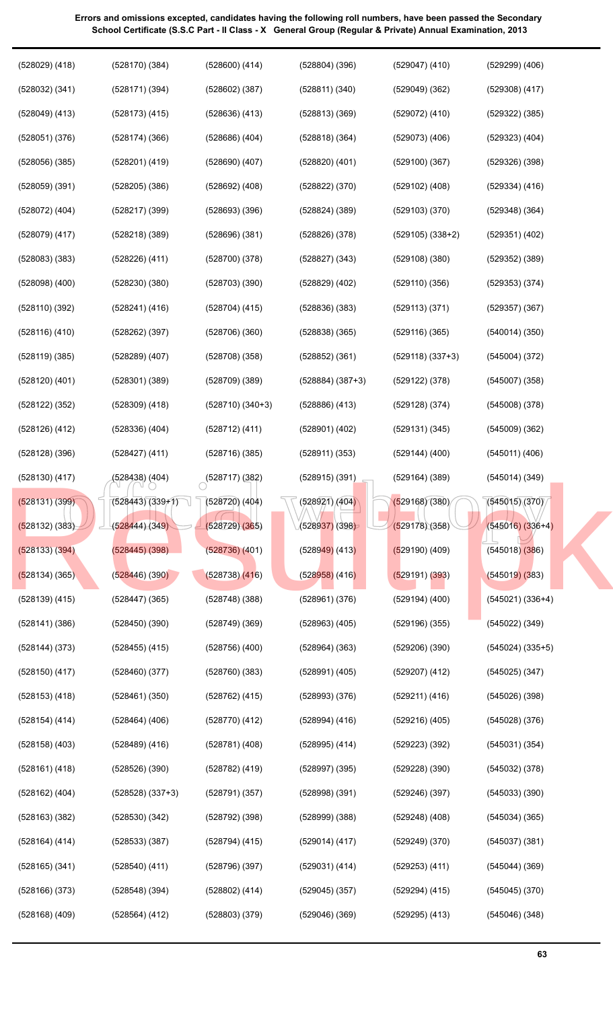| $(528029)$ $(418)$ | $(528170)$ $(384)$   | $(528600)$ $(414)$                | $(528804)$ $(396)$   | $(529047)$ $(410)$   | $(529299)$ $(406)$   |
|--------------------|----------------------|-----------------------------------|----------------------|----------------------|----------------------|
| $(528032)$ $(341)$ | (528171)(394)        | $(528602)$ $(387)$                | (528811)(340)        | (529049)(362)        | $(529308)$ $(417)$   |
| $(528049)$ $(413)$ | $(528173)$ $(415)$   | $(528636)$ $(413)$                | (528813)(369)        | $(529072)$ $(410)$   | $(529322)$ $(385)$   |
| (528051)(376)      | (528174)(366)        | $(528686)$ $(404)$                | (528818)(364)        | $(529073)$ $(406)$   | $(529323)$ $(404)$   |
| $(528056)$ $(385)$ | $(528201)$ $(419)$   | $(528690)$ $(407)$                | $(528820)$ $(401)$   | (529100)(367)        | $(529326)$ $(398)$   |
| $(528059)$ $(391)$ | $(528205)$ $(386)$   | $(528692)$ $(408)$                | $(528822)$ $(370)$   | $(529102)$ $(408)$   | $(529334)$ $(416)$   |
| $(528072)$ $(404)$ | $(528217)$ $(399)$   | (528693)(396)                     | $(528824)$ $(389)$   | (529103)(370)        | $(529348)$ $(364)$   |
| $(528079)$ $(417)$ | $(528218)$ $(389)$   | (528696)(381)                     | (528826)(378)        | $(529105)$ $(338+2)$ | $(529351)$ $(402)$   |
| $(528083)$ $(383)$ | $(528226)$ $(411)$   | (528700)(378)                     | $(528827)$ $(343)$   | $(529108)$ $(380)$   | $(529352)$ $(389)$   |
| $(528098)$ $(400)$ | (528230)(380)        | (528703)(390)                     | $(528829)$ $(402)$   | (529110)(356)        | $(529353)$ $(374)$   |
| (528110)(392)      | (528241) (416)       | $(528704)$ (415)                  | (528836)(383)        | (529113) (371)       | $(529357)$ $(367)$   |
| (528116) (410)     | $(528262)$ (397)     | (528706)(360)                     | $(528838)$ $(365)$   | $(529116)$ (365)     | $(540014)$ (350)     |
| $(528119)$ $(385)$ | $(528289)$ $(407)$   | (528708)(358)                     | $(528852)$ $(361)$   | $(529118)$ $(337+3)$ | $(545004)$ $(372)$   |
| $(528120)$ $(401)$ | $(528301)$ $(389)$   | (528709)(389)                     | $(528884)$ $(387+3)$ | $(529122)$ $(378)$   | $(545007)$ $(358)$   |
| $(528122)$ $(352)$ | $(528309)$ $(418)$   | $(528710)$ $(340+3)$              | $(528886)$ $(413)$   | $(529128)$ $(374)$   | $(545008)$ $(378)$   |
| $(528126)$ $(412)$ | $(528336)$ $(404)$   | (528712) (411)                    | $(528901)$ $(402)$   | (529131)(345)        | (545009)(362)        |
| $(528128)$ $(396)$ | $(528427)$ $(411)$   | (528716) (385)                    | (528911) (353)       | $(529144)$ $(400)$   | $(545011)$ $(406)$   |
| $(528130)$ $(417)$ | (528438) (404)       | $\circ$ <sup>(528717)</sup> (382) | $(528915)$ $(391)$   | (529164)(389)        | (545014)(349)        |
| (528131) (399)     | $(528443)(339+1)$    | $(528720)$ $(404)$                | (528921)/(404)       | (529168)(380)        | (545015)(370)        |
| (528132) (383)     | (528444)(349)        | (528729)(365)                     | (528937)(398)        | (529178)(358)        | $(545016) (336+4)$   |
| (528133) (394)     | $(528445)$ $(398)$   | $(528736)$ $(401)$                | $(528949)$ (413)     | $(529190)$ (409)     | $(545018)$ $(386)$   |
| $(528134)$ (365)   | (528446)(390)        | $(528738)$ $(416)$                | $(528958)$ (416)     | (529191) (393)       | (545019)(383)        |
| $(528139)$ $(415)$ | $(528447)$ $(365)$   | (528748)(388)                     | $(528961)$ $(376)$   | $(529194)$ $(400)$   | $(545021)$ $(336+4)$ |
| (528141)(386)      | (528450)(390)        | (528749)(369)                     | $(528963)$ $(405)$   | $(529196)$ $(355)$   | $(545022)$ $(349)$   |
| $(528144)$ $(373)$ | $(528455)$ $(415)$   | $(528756)$ $(400)$                | $(528964)$ $(363)$   | $(529206)$ $(390)$   | $(545024)$ $(335+5)$ |
| $(528150)$ $(417)$ | (528460)(377)        | $(528760)$ $(383)$                | $(528991)$ $(405)$   | $(529207)$ $(412)$   | $(545025)$ $(347)$   |
| $(528153)$ $(418)$ | (528461)(350)        | $(528762)$ $(415)$                | (528993)(376)        | (529211) (416)       | (545026)(398)        |
| $(528154)$ $(414)$ | $(528464)$ $(406)$   | (528770) (412)                    | $(528994)$ $(416)$   | $(529216)$ $(405)$   | $(545028)$ $(376)$   |
| $(528158)$ $(403)$ | $(528489)$ $(416)$   | (528781) (408)                    | $(528995)$ $(414)$   | $(529223)$ $(392)$   | (545031)(354)        |
| $(528161)$ $(418)$ | (528526)(390)        | (528782) (419)                    | $(528997)$ $(395)$   | $(529228)$ $(390)$   | $(545032)$ $(378)$   |
| $(528162)$ $(404)$ | $(528528)$ $(337+3)$ | (528791)(357)                     | $(528998)$ $(391)$   | (529246)(397)        | $(545033)$ $(390)$   |
| $(528163)$ $(382)$ | (528530)(342)        | $(528792)$ (398)                  | $(528999)$ $(388)$   | $(529248)$ $(408)$   | $(545034)$ $(365)$   |
| $(528164)$ $(414)$ | $(528533)$ $(387)$   | (528794) (415)                    | $(529014)$ $(417)$   | (529249)(370)        | (545037)(381)        |
| $(528165)$ $(341)$ | $(528540)$ $(411)$   | (528796)(397)                     | (529031) (414)       | $(529253)$ $(411)$   | $(545044)$ $(369)$   |
| $(528166)$ $(373)$ | $(528548)$ (394)     | $(528802)$ (414)                  | $(529045)$ $(357)$   | (529294) (415)       | $(545045)$ $(370)$   |
| $(528168)$ $(409)$ | $(528564)$ $(412)$   | $(528803)$ $(379)$                | $(529046)$ $(369)$   | $(529295)$ $(413)$   | (545046)(348)        |
|                    |                      |                                   |                      |                      |                      |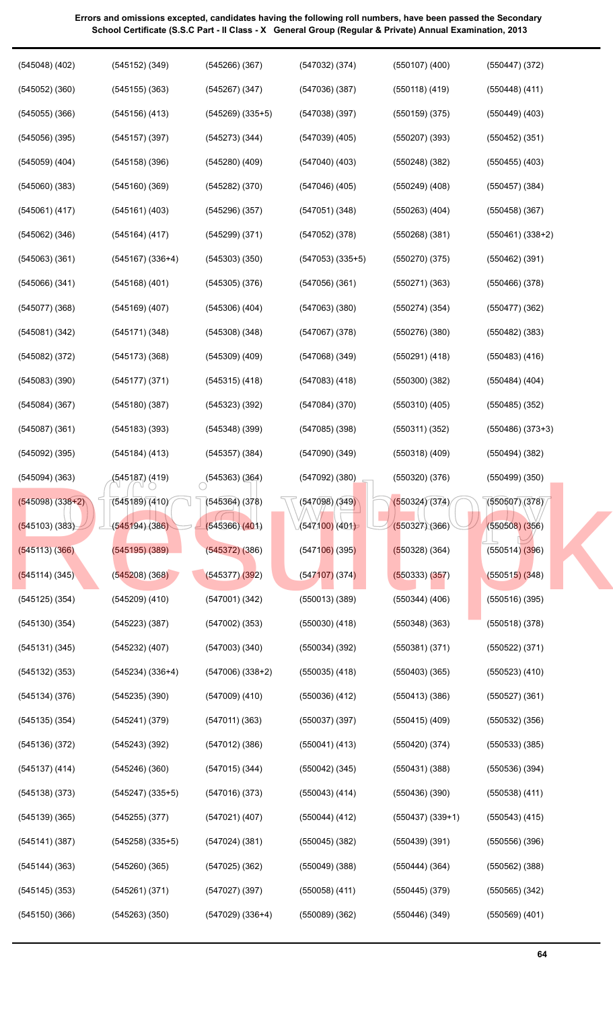| $(547032)$ (374)   | $(550107)$ (400)   | $(550447)$ (372)   |
|--------------------|--------------------|--------------------|
| (547036)(387)      | $(550118)$ (419)   | $(550448)$ (411)   |
| (547038)(397)      | $(550159)$ (375)   | $(550449)$ $(403)$ |
| $(547039)$ $(405)$ | $(550207)$ (393)   | $(550452)$ (351)   |
| $(547040)$ $(403)$ | $(550248)$ (382)   | $(550455)$ $(403)$ |
| $(547046)$ (405)   | $(550249)$ $(408)$ | $(550457)$ (384)   |
|                    |                    |                    |

(550263) (404)

(550458) (367)

(550462) (391)

(550466) (378)

(550477) (362)

(550482) (383)

(550483) (416)

(550484) (404)

(550485) (352)

(550486) (373+3)

(550494) (382)

(550499) (350)

(550507) (378)

(550508) (356)

(550514) (396)

(550515) (348)

(550516) (395)

(550518) (378)

(550522) (371)

(550523) (410)

(550527) (361)

(550532) (356)

(550533) (385)

(550536) (394)

(550538) (411)

(550543) (415)

(550556) (396)

(550562) (388)

(550565) (342)

(550569) (401)

(550461) (338+2)

(550268) (381)

(550270) (375)

(550271) (363)

(550274) (354)

(550276) (380)

(550291) (418)

(550300) (382)

(550310) (405)

(550311) (352)

(550318) (409)

(550320) (376)

(550324) (374)

(550327) (366)

(550328) (364)

(550333) (357)

(550344) (406)

(550348) (363)

(550381) (371)

(550403) (365)

(550413) (386)

(550415) (409)

(550420) (374)

(550431) (388)

(550436) (390)

(550439) (391)

(550444) (364)

(550445) (379)

(550446) (349)

(550437) (339+1)

**Errors and omissions excepted, candidates having the following roll numbers, have been passed the Secondary School Certificate (S.S.C Part - II Class - X General Group (Regular & Private) Annual Examination, 2013**

(545266) (367)

(545267) (347)

(545273) (344)

(545280) (409)

(545282) (370)

(545296) (357)

(545299) (371)

(545303) (350)

(545305) (376)

(545306) (404)

(545308) (348)

(545309) (409)

(545315) (418)

(545323) (392)

(545348) (399)

(545357) (384)

 $(545363)(364)$ 

(545364) (378)

(545366) (401)

(545372) (386)

(545377) (392)

(547001) (342)

(547002) (353)

(547003) (340)

(547009) (410)

(547011) (363)

(547012) (386)

(547015) (344)

(547016) (373)

(547021) (407)

(547024) (381)

(547025) (362)

(547027) (397)

(547029) (336+4)

(547006) (338+2)

(545269) (335+5)

(545048) (402)

(545152) (349)

(545155) (363)

(545156) (413)

(545157) (397)

(545158) (396)

(545160) (369)

(545161) (403)

(545164) (417)

(545167) (336+4)

(545168) (401)

(545169) (407)

(545171) (348)

(545173) (368)

(545177) (371)

(545180) (387)

(545183) (393)

(545184) (413)

(545187) (419)

(545189) (410)

(545194) (386)

(545195) (389)

(545208) (368)

(545209) (410)

(545223) (387)

(545232) (407)

(545235) (390)

(545241) (379)

(545243) (392)

(545246) (360)

(545247) (335+5)

(545258) (335+5)

(545260) (365)

(545261) (371)

(545263) (350)

(545255) (377)

(545234) (336+4)

(545052) (360)

(545055) (366)

(545056) (395)

(545059) (404)

(545060) (383)

(545061) (417)

(545062) (346)

(545063) (361)

(545066) (341)

(545077) (368)

(545081) (342)

(545082) (372)

(545083) (390)

(545084) (367)

(545087) (361)

(545092) (395)

(545094) (363)

(545098) (338+2)

(545103) (383)

(545113) (366)

(545114) (345)

(545125) (354)

(545130) (354)

(545131) (345)

(545132) (353)

(545134) (376)

(545135) (354)

(545136) (372)

(545137) (414)

(545138) (373)

(545139) (365)

(545141) (387)

(545144) (363)

(545145) (353)

(545150) (366)

 $\begin{array}{|l|l|l|l|l|}\n \hline\n (545181)(419) & (545363)(364) & (547092)(380) & (550320)(376) & (550499)(350)\n \hline\n (545189)(410) & (545364)(378) & (547098)(349) & (550324)(374) & (550507)(378)\n \hline\n (545194)(386) & (545366)(401) & (547100)(401) & (550327)(366) & (550508)($ 

[Result.pk](http://www.result.pk)

(547051) (348)

(547052) (378)

(547053) (335+5)

(547056) (361)

(547063) (380)

(547067) (378)

(547068) (349)

(547083) (418)

(547084) (370)

(547085) (398)

(547090) (349)

(547092) (380)

(547098) (349)

(547100) (401)

(547106) (395)

(547107) (374)

(550013) (389)

(550030) (418)

(550034) (392)

(550035) (418)

(550036) (412)

(550037) (397)

(550041) (413)

(550042) (345)

(550043) (414)

(550044) (412)

(550045) (382)

(550049) (388)

(550058) (411)

(550089) (362)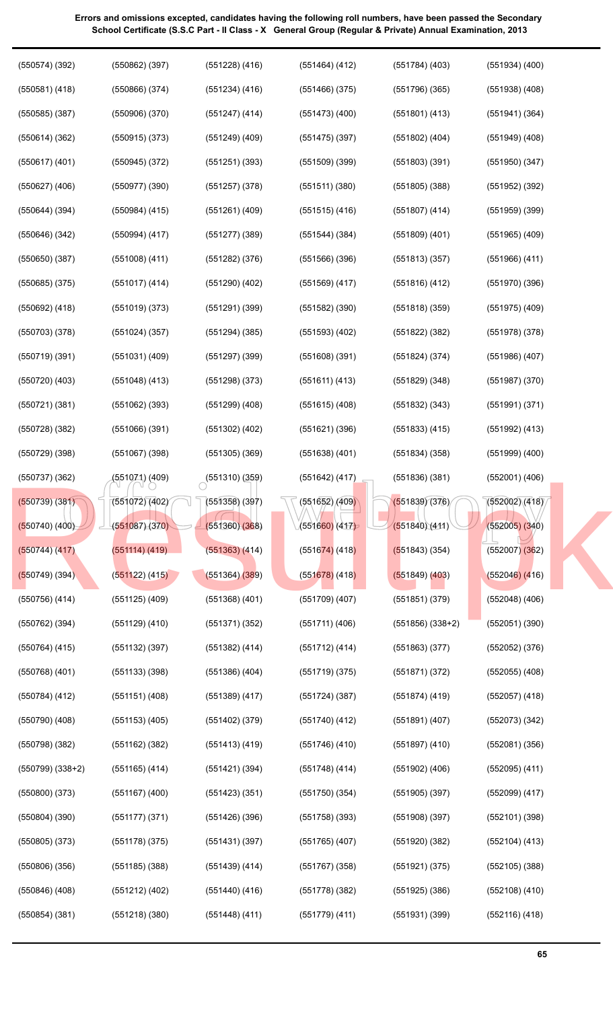official web copy (550574) (392) (550581) (418) (550585) (387) (550614) (362) (550617) (401) (550627) (406) (550644) (394) (550646) (342) (550650) (387) (550685) (375) (550692) (418) (550703) (378) (550719) (391) (550720) (403) (550721) (381) (550728) (382) (550729) (398) (550737) (362) (550739) (381) (550740) (400) (550744) (417) (550749) (394) (550756) (414) (550762) (394) (550764) (415) (550768) (401) (550784) (412) (550790) (408) (550798) (382) (550799) (338+2) (550800) (373) (550804) (390) (550805) (373) (550806) (356) (550846) (408) (550854) (381) (550862) (397) (550866) (374) (550906) (370) (550915) (373) (550945) (372) (550977) (390) (550984) (415) (550994) (417) (551008) (411) (551017) (414) (551019) (373) (551024) (357) (551031) (409) (551048) (413) (551062) (393) (551066) (391) (551067) (398) (551071) (409) (551072) (402) (551087) (370) (551114) (419) (551122) (415) (551125) (409) (551129) (410) (551132) (397) (551133) (398) (551151) (408) (551153) (405) (551162) (382) (551165) (414) (551167) (400) (551177) (371) (551178) (375) (551185) (388) (551212) (402) (551218) (380) (551228) (416) (551234) (416) (551247) (414) (551249) (409) (551251) (393) (551257) (378) (551261) (409) (551277) (389) (551282) (376) (551290) (402) (551291) (399) (551294) (385) (551297) (399) (551298) (373) (551299) (408) (551302) (402) (551305) (369)  $(551310)(359)$ (551358) (397) (551360) (368) (551363) (414) (551364) (389) (551368) (401) (551371) (352) (551382) (414) (551386) (404) (551389) (417) (551402) (379) (551413) (419) (551421) (394) (551423) (351) (551426) (396) (551431) (397) (551439) (414) (551440) (416) (551448) (411) (551464) (412) (551466) (375) (551473) (400) (551475) (397) (551509) (399) (551511) (380) (551515) (416) (551544) (384) (551566) (396) (551569) (417) (551582) (390) (551593) (402) (551608) (391) (551611) (413) (551615) (408) (551621) (396) (551638) (401) (551642) (417) (551652) (409) (551660) (417) (551674) (418) (551678) (418) (551709) (407) (551711) (406) (551712) (414) (551719) (375) (551724) (387) (551740) (412) (551746) (410) (551748) (414) (551750) (354) (551758) (393) (551765) (407) (551767) (358) (551778) (382) (551779) (411) (551784) (403) (551796) (365) (551801) (413) (551802) (404) (551803) (391) (551805) (388) (551807) (414) (551809) (401) (551813) (357) (551816) (412) (551818) (359) (551822) (382) (551824) (374) (551829) (348) (551832) (343) (551833) (415) (551834) (358) (551836) (381) (551839) (376) (551840) (411) (551843) (354) (551849) (403) (551851) (379) (551856) (338+2) (551863) (377) (551871) (372) (551874) (419) (551891) (407) (551897) (410) (551902) (406) (551905) (397) (551908) (397) (551920) (382) (551921) (375) (551925) (386) (551931) (399) (551934) (400) (551938) (408) (551941) (364) (551949) (408) (551950) (347) (551952) (392) (551959) (399) (551965) (409) (551966) (411) (551970) (396) (551975) (409) (551978) (378) (551986) (407) (551987) (370) (551991) (371) (551992) (413) (551999) (400) (552001) (406)  $(552002)(418)$ (552005) (340) (552007) (362) (552046) (416) (552048) (406) (552051) (390) (552052) (376) (552055) (408) (552057) (418) (552073) (342) (552081) (356) (552095) (411) (552099) (417) (552101) (398) (552104) (413) (552105) (388) (552108) (410) (552116) (418) [Result.pk](http://www.result.pk)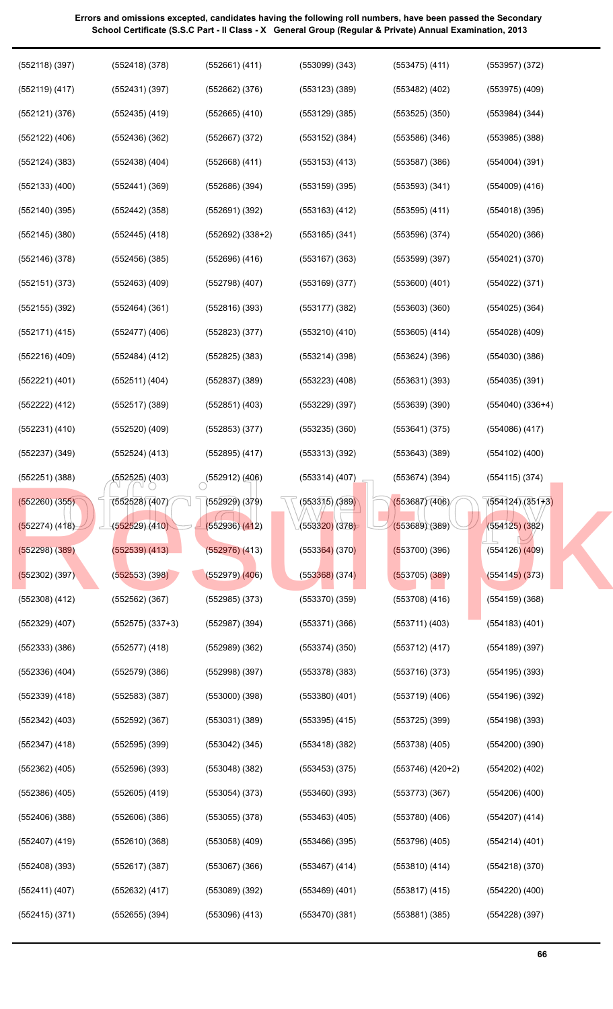| $(552118)$ (397)   | $(552418)$ $(378)$   | (552661) (411)     | $(553099)$ $(343)$         | $(553475)$ $(411)$   | $(553957)$ $(372)$   |
|--------------------|----------------------|--------------------|----------------------------|----------------------|----------------------|
| $(552119)$ $(417)$ | (552431)(397)        | $(552662)$ $(376)$ | $(553123)$ $(389)$         | $(553482)$ $(402)$   | $(553975)$ $(409)$   |
| (552121)(376)      | $(552435)$ $(419)$   | $(552665)$ $(410)$ | $(553129)$ $(385)$         | (553525)(350)        | $(553984)$ $(344)$   |
| $(552122)$ $(406)$ | (552436)(362)        | $(552667)$ $(372)$ | $(553152)$ $(384)$         | (553586)(346)        | $(553985)$ $(388)$   |
| $(552124)$ $(383)$ | $(552438)$ $(404)$   | $(552668)$ (411)   | $(553153)$ $(413)$         | (553587)(386)        | $(554004)$ $(391)$   |
| $(552133)$ $(400)$ | $(552441)$ (369)     | $(552686)$ $(394)$ | (553159)(395)              | (553593)(341)        | $(554009)$ $(416)$   |
| $(552140)$ (395)   | $(552442)$ (358)     | (552691)(392)      | $(553163)$ $(412)$         | $(553595)$ $(411)$   | $(554018)$ (395)     |
| $(552145)$ (380)   | $(552445)$ (418)     | $(552692) (338+2)$ | $(553165)$ $(341)$         | (553596)(374)        | $(554020)$ (366)     |
| (552146)(378)      | $(552456)$ (385)     | $(552696)$ $(416)$ | $(553167)$ (363)           | (553599)(397)        | (554021)(370)        |
| (552151)(373)      | $(552463)$ $(409)$   | (552798)(407)      | $(553169)$ $(377)$         | $(553600)$ $(401)$   | $(554022)$ $(371)$   |
| $(552155)$ $(392)$ | $(552464)$ $(361)$   | $(552816)$ (393)   | (553177)(382)              | (553603)(360)        | $(554025)$ $(364)$   |
| (552171) (415)     | $(552477)$ $(406)$   | $(552823)$ $(377)$ | $(553210)$ $(410)$         | $(553605)$ $(414)$   | $(554028)$ $(409)$   |
| $(552216)$ $(409)$ | (552484) (412)       | $(552825)$ $(383)$ | (553214)(398)              | (553624)(396)        | (554030)(386)        |
| (552221) (401)     | (552511) (404)       | $(552837)$ $(389)$ | $(553223)$ $(408)$         | (553631)(393)        | $(554035)$ $(391)$   |
| (552222) (412)     | $(552517)$ (389)     | $(552851)$ $(403)$ | $(553229)$ (397)           | (553639)(390)        | $(554040)$ $(336+4)$ |
| $(552231)$ $(410)$ | $(552520)$ $(409)$   | $(552853)$ $(377)$ | $(553235)$ $(360)$         | (553641)(375)        | $(554086)$ (417)     |
| $(552237)$ $(349)$ | (552524) (413)       | $(552895)$ (417)   | (553313)(392)              | (553643)(389)        | $(554102)$ $(400)$   |
| $(552251)$ $(388)$ | (552525) (403)       | $(552912)$ (406)   | $(553314)$ $(407)$         | (553674)(394)        | $(554115)$ $(374)$   |
| $(552260)$ $(355)$ | (552528)(407)        | $(552929)$ $(379)$ | (553315) <sub>(</sub> 389) | (553687)(406)        | $(554124)(351+3)$    |
| (552274) (418)     | (552529)(410)        | (552936)(412)      | (553320)(378)              | (553689)(389)        | $(554125)$ $(382)$   |
| $(552298)$ $(389)$ | $(552539)$ $(413)$   | $(552976)$ $(413)$ | $(553364)$ (370)           | $(553700)$ (396)     | $(554126)$ $(409)$   |
| $(552302)$ (397)   | $(552553)$ (398)     | $(552979)$ $(406)$ | $(553368)$ (374)           | $(553705)$ $(389)$   | (554145)(373)        |
| $(552308)$ $(412)$ | $(552562)$ $(367)$   | $(552985)$ $(373)$ | (553370)(359)              | $(553708)$ $(416)$   | (554159)(368)        |
| $(552329)$ $(407)$ | $(552575)$ $(337+3)$ | $(552987)$ $(394)$ | (553371)(366)              | $(553711)$ $(403)$   | $(554183)$ $(401)$   |
| $(552333)$ $(386)$ | $(552577)$ $(418)$   | (552989)(362)      | (553374)(350)              | $(553712)$ $(417)$   | $(554189)$ $(397)$   |
| $(552336)$ $(404)$ | (552579)(386)        | (552998)(397)      | $(553378)$ $(383)$         | (553716)(373)        | $(554195)$ $(393)$   |
| $(552339)$ $(418)$ | $(552583)$ $(387)$   | (553000)(398)      | $(553380)$ $(401)$         | $(553719)$ $(406)$   | $(554196)$ $(392)$   |
| $(552342)$ $(403)$ | $(552592)$ $(367)$   | (553031)(389)      | $(553395)$ $(415)$         | (553725)(399)        | $(554198)$ $(393)$   |
| $(552347)$ $(418)$ | $(552595)$ $(399)$   | $(553042)$ (345)   | (553418)(382)              | $(553738)$ $(405)$   | (554200)(390)        |
| $(552362)$ $(405)$ | $(552596)$ $(393)$   | (553048)(382)      | $(553453)$ $(375)$         | $(553746)$ $(420+2)$ | $(554202)$ $(402)$   |
| (552386) (405)     | $(552605)$ $(419)$   | $(553054)$ (373)   | $(553460)$ $(393)$         | (553773)(367)        | $(554206)$ $(400)$   |
| $(552406)$ $(388)$ | $(552606)$ $(386)$   | $(553055)$ $(378)$ | $(553463)$ $(405)$         | $(553780)$ $(406)$   | $(554207)$ $(414)$   |
| $(552407)$ (419)   | (552610)(368)        | $(553058)$ $(409)$ | (553466)(395)              | $(553796)$ $(405)$   | $(554214)$ $(401)$   |
| $(552408)$ $(393)$ | $(552617)$ (387)     | $(553067)$ $(366)$ | $(553467)$ (414)           | $(553810)$ (414)     | $(554218)$ $(370)$   |
| (552411) (407)     | (552632) (417)       | (553089)(392)      | $(553469)$ (401)           | $(553817)$ $(415)$   | $(554220)$ $(400)$   |
| $(552415)$ $(371)$ | $(552655)$ $(394)$   | $(553096)$ $(413)$ | (553470)(381)              | $(553881)$ $(385)$   | (554228)(397)        |
|                    |                      |                    |                            |                      |                      |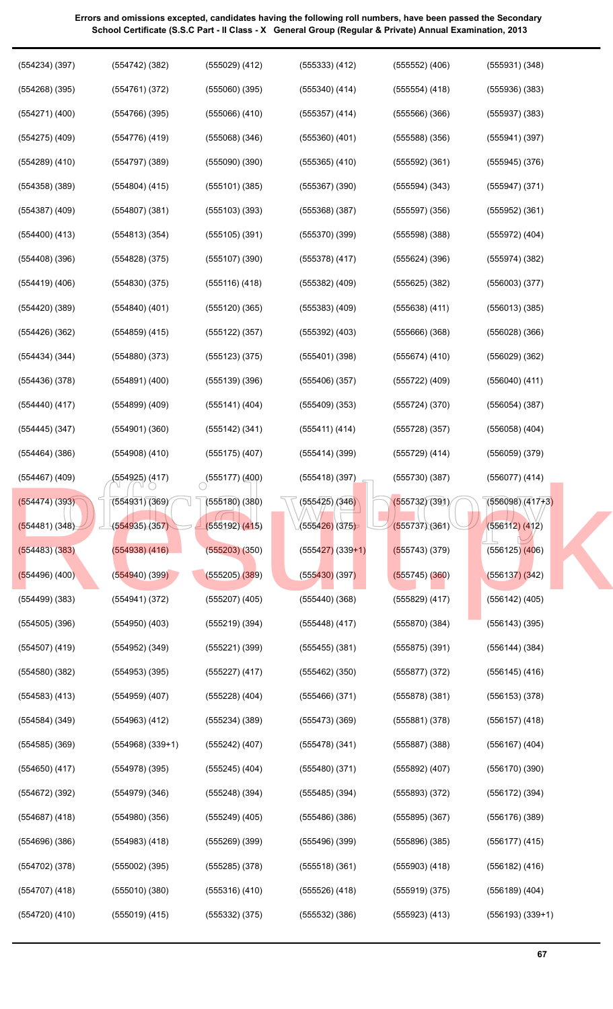| $(554234)$ $(397)$ | $(554742)$ (382)     | $(555029)$ $(412)$        | $(555333)$ $(412)$           | $(555552)$ $(406)$ | $(555931)$ $(348)$   |
|--------------------|----------------------|---------------------------|------------------------------|--------------------|----------------------|
| $(554268)$ $(395)$ | (554761)(372)        | $(555060)$ $(395)$        | $(555340)$ $(414)$           | $(555554)$ (418)   | (555936)(383)        |
| $(554271)$ $(400)$ | (554766)(395)        | $(555066)$ $(410)$        | $(555357)$ (414)             | (555566)(366)      | $(555937)$ $(383)$   |
| $(554275)$ $(409)$ | (554776) (419)       | $(555068)$ $(346)$        | $(555360)$ $(401)$           | (555588)(356)      | $(555941)$ $(397)$   |
| $(554289)$ $(410)$ | (554797)(389)        | $(555090)$ $(390)$        | $(555365)$ $(410)$           | $(555592)$ (361)   | $(555945)$ $(376)$   |
| $(554358)$ $(389)$ | $(554804)$ (415)     | (555101)(385)             | $(555367)$ $(390)$           | $(555594)$ $(343)$ | $(555947)$ $(371)$   |
| $(554387)$ $(409)$ | (554807)(381)        | (555103)(393)             | (555368)(387)                | (555597)(356)      | $(555952)$ $(361)$   |
| $(554400)$ $(413)$ | $(554813)$ $(354)$   | $(555105)$ (391)          | (555370)(399)                | (555598)(388)      | (555972) (404)       |
| $(554408)$ $(396)$ | $(554828)$ $(375)$   | (555107)(390)             | $(555378)$ $(417)$           | $(555624)$ (396)   | $(555974)$ $(382)$   |
| $(554419)$ $(406)$ | (554830)(375)        | (555116)(418)             | $(555382)$ $(409)$           | $(555625)$ $(382)$ | $(556003)$ $(377)$   |
| (554420)(389)      | $(554840)$ $(401)$   | (555120)(365)             | $(555383)$ $(409)$           | $(555638)$ $(411)$ | $(556013)$ $(385)$   |
| $(554426)$ $(362)$ | $(554859)$ $(415)$   | $(555122)$ $(357)$        | $(555392)$ $(403)$           | $(555666)$ $(368)$ | (556028)(366)        |
| $(554434)$ $(344)$ | $(554880)$ $(373)$   | $(555123)$ $(375)$        | (555401)(398)                | (555674)(410)      | $(556029)$ $(362)$   |
| (554436)(378)      | $(554891)$ $(400)$   | (555139)(396)             | (555406)(357)                | $(555722)$ (409)   | $(556040)$ $(411)$   |
| $(554440)$ $(417)$ | $(554899)$ $(409)$   | $(555141)$ (404)          | (555409)(353)                | (555724)(370)      | (556054)(387)        |
| $(554445)$ $(347)$ | $(554901)$ $(360)$   | $(555142)$ (341)          | (555411) (414)               | (555728)(357)      | $(556058)$ $(404)$   |
| $(554464)$ $(386)$ | $(554908)$ $(410)$   | $(555175)$ $(407)$        | (555414)(399)                | $(555729)$ $(414)$ | $(556059)$ $(379)$   |
| $(554467)$ (409)   | (554925) (417)       | $\bigcirc$ (555177) (400) | (555418)(397)                | (555730)(387)      | $(556077)$ $(414)$   |
| (554474) (393)     | (554931)(369)        | (555180)(380)             | $\sqrt{(555425)/(346)}$      | (555732)(391)      | $(556098)(417+3)$    |
| (554481) (348)     | (554935)(357)        | (555192) (415)            | (5554 <mark>26)</mark> (375) | (555737)(361)      | (556112) (412)       |
| $(554483)$ $(383)$ | $(554938)$ $(416)$   | (555203)(350)             | $(555427)$ (339+1)           | $(555743)$ (379)   | $(556125)$ $(406)$   |
| $(554496)$ (400)   | (554940)(399)        | $(555205)$ $(389)$        | (555430)(397)                | $(555745)$ (360)   | (556137)(342)        |
| (554499)(383)      | (554941) (372)       | $(555207)$ $(405)$        | (555440)(368)                | $(555829)$ $(417)$ | $(556142)$ $(405)$   |
| $(554505)$ (396)   | $(554950)$ $(403)$   | (555219)(394)             | $(555448)$ (417)             | (555870)(384)      | $(556143)$ $(395)$   |
| $(554507)$ (419)   | $(554952)$ $(349)$   | (555221)(399)             | $(555455)$ (381)             | (555875)(391)      | (556144) (384)       |
| $(554580)$ $(382)$ | $(554953)$ (395)     | $(555227)$ (417)          | $(555462)$ (350)             | (555877)(372)      | $(556145)$ $(416)$   |
| $(554583)$ $(413)$ | $(554959)$ $(407)$   | $(555228)$ $(404)$        | (555466)(371)                | (555878)(381)      | $(556153)$ $(378)$   |
| (554584) (349)     | $(554963)$ $(412)$   | $(555234)$ $(389)$        | (555473)(369)                | (555881)(378)      | $(556157)$ $(418)$   |
| $(554585)$ $(369)$ | $(554968)$ $(339+1)$ | $(555242)$ (407)          | (555478)(341)                | (555887)(388)      | $(556167)$ (404)     |
| $(554650)$ $(417)$ | (554978) (395)       | $(555245)$ $(404)$        | (555480)(371)                | $(555892)$ $(407)$ | (556170)(390)        |
| $(554672)$ $(392)$ | (554979) (346)       | $(555248)$ (394)          | $(555485)$ (394)             | (555893)(372)      | (556172) (394)       |
| $(554687)$ (418)   | $(554980)$ $(356)$   | $(555249)$ (405)          | (555486)(386)                | (555895)(367)      | (556176)(389)        |
| (554696) (386)     | $(554983)$ $(418)$   | $(555269)$ $(399)$        | (555496)(399)                | (555896)(385)      | $(556177)$ $(415)$   |
| $(554702)$ $(378)$ | $(555002)$ (395)     | $(555285)$ $(378)$        | (555518)(361)                | $(555903)$ $(418)$ | $(556182)$ $(416)$   |
| $(554707)$ (418)   | (555010)(380)        | $(555316)$ (410)          | $(555526)$ (418)             | (555919)(375)      | $(556189)$ $(404)$   |
|                    |                      |                           |                              |                    |                      |
| $(554720)$ $(410)$ | $(555019)$ $(415)$   | $(555332)$ $(375)$        | $(555532)$ $(386)$           | $(555923)$ $(413)$ | $(556193)$ $(339+1)$ |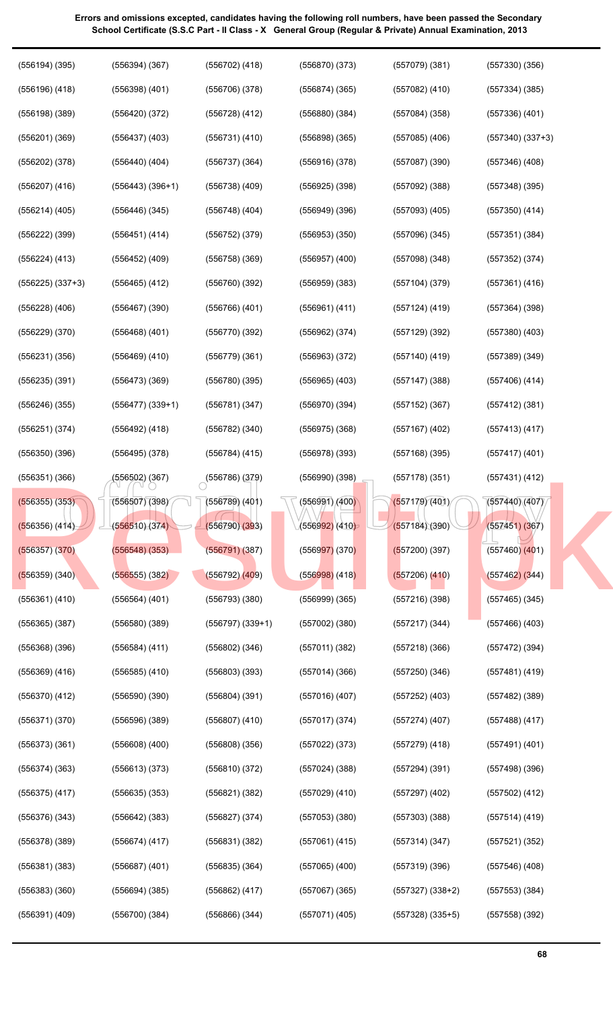(556502) (367) (556786) (379) (556990) (398) (557178) (351) (557431) (412)<br>
(556507) (398) (556789) (401) (556991) (400) (557179) (401) (557440) (407)<br>
(556510) (374) (556790) (393) (556992) (410) (557184) (390) (557451) ( (556194) (395) (556196) (418) (556198) (389) (556201) (369) (556202) (378) (556207) (416) (556214) (405) (556222) (399) (556224) (413) (556225) (337+3) (556228) (406) (556229) (370) (556231) (356) (556235) (391) (556246) (355) (556251) (374) (556350) (396) (556351) (366) (556355) (353) (556356) (414) (556357) (370) (556359) (340) (556361) (410) (556365) (387) (556368) (396) (556369) (416) (556370) (412) (556371) (370) (556373) (361) (556374) (363) (556375) (417) (556376) (343) (556378) (389) (556381) (383) (556383) (360) (556391) (409) (556394) (367) (556398) (401) (556420) (372) (556437) (403) (556440) (404) (556443) (396+1) (556446) (345) (556451) (414) (556452) (409) (556465) (412) (556467) (390) (556468) (401) (556469) (410) (556473) (369) (556477) (339+1) (556492) (418) (556495) (378) (556502) (367) (556507) (398) (556510) (374) (556548) (353) (556555) (382) (556564) (401) (556580) (389) (556584) (411) (556585) (410) (556590) (390) (556596) (389) (556608) (400) (556613) (373) (556635) (353) (556642) (383) (556674) (417) (556687) (401) (556694) (385) (556700) (384) (556702) (418) (556706) (378) (556728) (412) (556731) (410) (556737) (364) (556738) (409) (556748) (404) (556752) (379) (556758) (369) (556760) (392) (556766) (401) (556770) (392) (556779) (361) (556780) (395) (556781) (347) (556782) (340) (556784) (415)  $(556786)(379)$ (556789) (401) (556790) (393) (556791) (387) (556792) (409) (556793) (380) (556797) (339+1) (556802) (346) (556803) (393) (556804) (391) (556807) (410) (556808) (356) (556810) (372) (556821) (382) (556827) (374) (556831) (382) (556835) (364) (556862) (417) (556866) (344) (556870) (373) (556874) (365) (556880) (384) (556898) (365) (556916) (378) (556925) (398) (556949) (396) (556953) (350) (556957) (400) (556959) (383) (556961) (411) (556962) (374) (556963) (372) (556965) (403) (556970) (394) (556975) (368) (556978) (393) (556990) (398) (556991) (400) (556992) (410) (556997) (370) (556998) (418) (556999) (365) (557002) (380) (557011) (382) (557014) (366) (557016) (407) (557017) (374) (557022) (373) (557024) (388) (557029) (410) (557053) (380) (557061) (415) (557065) (400) (557067) (365) (557071) (405) (557079) (381) (557082) (410) (557084) (358) (557085) (406) (557087) (390) (557092) (388) (557093) (405) (557096) (345) (557098) (348) (557104) (379) (557124) (419) (557129) (392) (557140) (419) (557147) (388) (557152) (367) (557167) (402) (557168) (395) (557178) (351) (557179) (401) (557184) (390) (557200) (397) (557206) (410) (557216) (398) (557217) (344) (557218) (366) (557250) (346) (557252) (403) (557274) (407) (557279) (418) (557294) (391) (557297) (402) (557303) (388) (557314) (347) (557319) (396) (557327) (338+2) (557328) (335+5) (557330) (356) (557334) (385) (557336) (401) (557340) (337+3) (557346) (408) (557348) (395) (557350) (414) (557351) (384) (557352) (374) (557361) (416) (557364) (398) (557380) (403) (557389) (349) (557406) (414) (557412) (381) (557413) (417) (557417) (401) (557431) (412) (557440) (407) (557451) (367) (557460) (401) (557462) (344) (557465) (345) (557466) (403) (557472) (394) (557481) (419) (557482) (389) (557488) (417) (557491) (401) (557498) (396) (557502) (412) (557514) (419) (557521) (352) (557546) (408) (557553) (384) (557558) (392) [Result.pk](http://www.result.pk)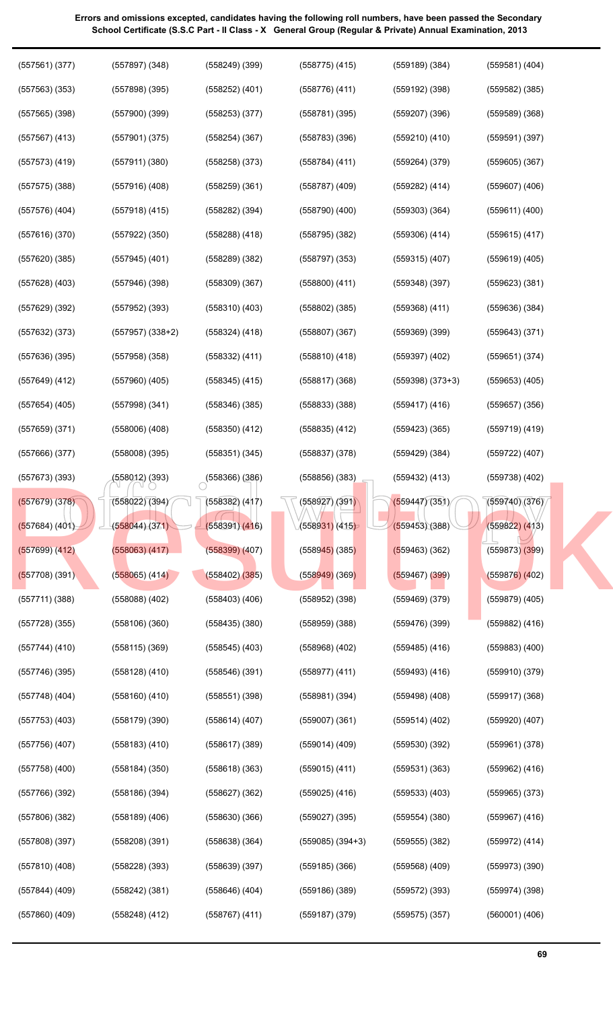official web copy (557561) (377) (557563) (353) (557565) (398) (557567) (413) (557573) (419) (557575) (388) (557576) (404) (557616) (370) (557620) (385) (557628) (403) (557629) (392) (557632) (373) (557636) (395) (557649) (412) (557654) (405) (557659) (371) (557666) (377) (557673) (393) (557679) (378) (557684) (401) (557699) (412) (557708) (391) (557711) (388) (557728) (355) (557744) (410) (557746) (395) (557748) (404) (557753) (403) (557756) (407) (557758) (400) (557766) (392) (557806) (382) (557808) (397) (557810) (408) (557844) (409) (557860) (409) (557897) (348) (557898) (395) (557900) (399) (557901) (375) (557911) (380) (557916) (408) (557918) (415) (557922) (350) (557945) (401) (557946) (398) (557952) (393) (557957) (338+2) (557958) (358) (557960) (405) (557998) (341) (558006) (408) (558008) (395) (558012) (393) (558022) (394) (558044) (371) (558063) (417) (558065) (414) (558088) (402) (558106) (360) (558115) (369) (558128) (410) (558160) (410) (558179) (390) (558183) (410) (558184) (350) (558186) (394) (558189) (406) (558208) (391) (558228) (393) (558242) (381) (558248) (412) (558249) (399) (558252) (401) (558253) (377) (558254) (367) (558258) (373) (558259) (361) (558282) (394) (558288) (418) (558289) (382) (558309) (367) (558310) (403) (558324) (418) (558332) (411) (558345) (415) (558346) (385) (558350) (412) (558351) (345)  $(558366)(386)$ (558382) (417) (558391) (416) (558399) (407) (558402) (385) (558403) (406) (558435) (380) (558545) (403) (558546) (391) (558551) (398) (558614) (407) (558617) (389) (558618) (363) (558627) (362) (558630) (366) (558638) (364) (558639) (397) (558646) (404) (558767) (411) (558775) (415) (558776) (411) (558781) (395) (558783) (396) (558784) (411) (558787) (409) (558790) (400) (558795) (382) (558797) (353) (558800) (411) (558802) (385) (558807) (367) (558810) (418) (558817) (368) (558833) (388) (558835) (412) (558837) (378) (558856) (383) (558927) (391) (558931) (415) (558945) (385) (558949) (369) (558952) (398) (558959) (388) (558968) (402) (558977) (411) (558981) (394) (559007) (361) (559014) (409) (559015) (411) (559025) (416) (559027) (395) (559085) (394+3) (559185) (366) (559186) (389) (559187) (379) (559189) (384) (559192) (398) (559207) (396) (559210) (410) (559264) (379) (559282) (414) (559303) (364) (559306) (414) (559315) (407) (559348) (397) (559368) (411) (559369) (399) (559397) (402) (559398) (373+3) (559417) (416) (559423) (365) (559429) (384) (559432) (413) (559447) (351) (559453) (388) (559463) (362) (559467) (399) (559469) (379) (559476) (399) (559485) (416) (559493) (416) (559498) (408) (559514) (402) (559530) (392) (559531) (363) (559533) (403) (559554) (380) (559555) (382) (559568) (409) (559572) (393) (559575) (357) (559581) (404) (559582) (385) (559589) (368) (559591) (397) (559605) (367) (559607) (406) (559611) (400) (559615) (417) (559619) (405) (559623) (381) (559636) (384) (559643) (371) (559651) (374) (559653) (405) (559657) (356) (559719) (419) (559722) (407) (559738) (402) (559740) (376) (559822) (413) (559873) (399) (559876) (402) (559879) (405) (559882) (416) (559883) (400) (559910) (379) (559917) (368) (559920) (407) (559961) (378) (559962) (416) (559965) (373) (559967) (416) (559972) (414) (559973) (390) (559974) (398) (560001) (406) [Result.pk](http://www.result.pk)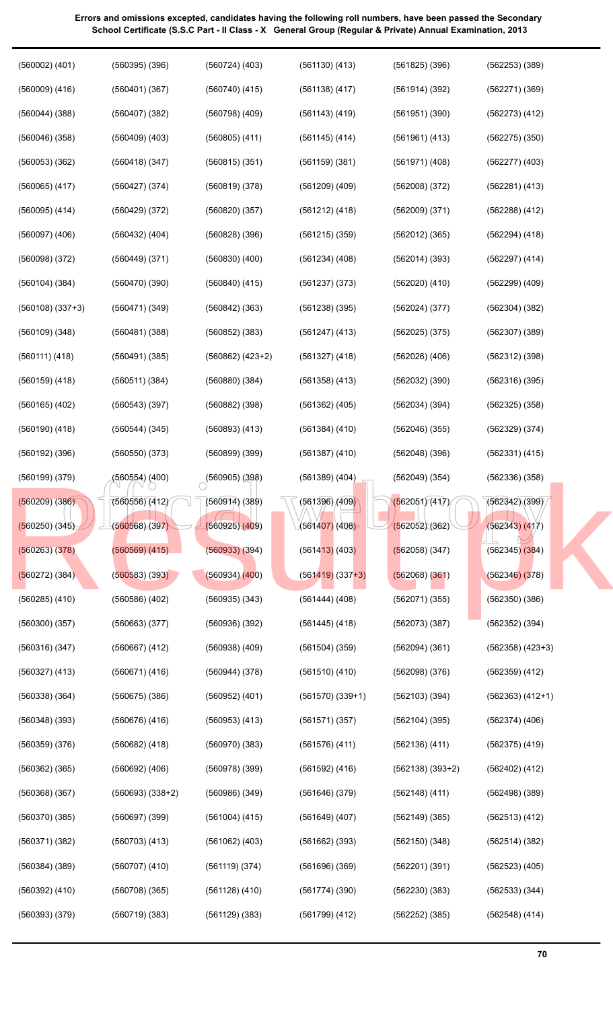| $(560002)$ $(401)$   | $(560395)$ $(396)$ | $(560724)$ $(403)$        | $(561130)$ $(413)$   | $(561825)$ $(396)$ | $(562253)$ $(389)$   |
|----------------------|--------------------|---------------------------|----------------------|--------------------|----------------------|
| $(560009)$ $(416)$   | (560401)(367)      | $(560740)$ $(415)$        | (561138)(417)        | (561914)(392)      | (562271) (369)       |
| $(560044)$ $(388)$   | $(560407)$ $(382)$ | $(560798)$ $(409)$        | $(561143)$ $(419)$   | (561951)(390)      | (562273) (412)       |
| (560046)(358)        | $(560409)$ $(403)$ | $(560805)$ $(411)$        | $(561145)$ (414)     | (561961) (413)     | $(562275)$ $(350)$   |
| $(560053)$ $(362)$   | (560418) (347)     | $(560815)$ $(351)$        | (561159)(381)        | $(561971)$ $(408)$ | $(562277)$ $(403)$   |
| $(560065)$ $(417)$   | $(560427)$ $(374)$ | (560819)(378)             | $(561209)$ $(409)$   | (562008)(372)      | (562281) (413)       |
| (560095) (414)       | $(560429)$ $(372)$ | (560820)(357)             | (561212) (418)       | (562009)(371)      | $(562288)$ $(412)$   |
| $(560097)$ $(406)$   | $(560432)$ $(404)$ | $(560828)$ $(396)$        | $(561215)$ (359)     | $(562012)$ (365)   | (562294) (418)       |
| $(560098)$ $(372)$   | (560449) (371)     | $(560830)$ $(400)$        | $(561234)$ $(408)$   | (562014)(393)      | $(562297)$ $(414)$   |
| $(560104)$ $(384)$   | (560470)(390)      | $(560840)$ $(415)$        | $(561237)$ $(373)$   | (562020) (410)     | $(562299)$ $(409)$   |
| $(560108)$ $(337+3)$ | (560471)(349)      | $(560842)$ $(363)$        | $(561238)$ (395)     | (562024)(377)      | $(562304)$ $(382)$   |
| $(560109)$ $(348)$   | (560481)(388)      | $(560852)$ $(383)$        | $(561247)$ (413)     | (562025)(375)      | $(562307)$ $(389)$   |
| (560111) (418)       | (560491)(385)      | $(560862) (423+2)$        | $(561327)$ (418)     | (562026)(406)      | $(562312)$ $(398)$   |
| $(560159)$ $(418)$   | (560511) (384)     | $(560880)$ $(384)$        | $(561358)$ $(413)$   | (562032)(390)      | (562316)(395)        |
| $(560165)$ $(402)$   | $(560543)$ (397)   | $(560882)$ $(398)$        | $(561362)$ $(405)$   | (562034)(394)      | $(562325)$ $(358)$   |
| $(560190)$ $(418)$   | $(560544)$ $(345)$ | $(560893)$ $(413)$        | $(561384)$ $(410)$   | (562046)(355)      | (562329) (374)       |
| $(560192)$ $(396)$   | $(560550)$ $(373)$ | $(560899)$ $(399)$        | $(561387)$ $(410)$   | (562048)(396)      | $(562331)$ $(415)$   |
| (560199) (379)       | (560554) (400)     | $\bigcirc$ (560905) (398) | $(561389)$ $(404)$   | (562049)(354)      | (562336)(358)        |
| $(560209)$ $(386)$   | (560556)(412)      | (560914) (389)            | (561396)/(409)       | (562051)(417)      | (562342)(399)        |
| $(560250)$ $(345)$   | (560568)(397)      | (560925)(409)             | (561407)(408)        | (562052)(362)      | (562343) (417)       |
| (560263)(378)        | $(560569)$ $(415)$ | $(560933)$ $(394)$        | $(561413)$ (403)     | $(562058)$ (347)   | $(562345)$ $(384)$   |
| $(560272)$ (384)     | $(560583)$ $(393)$ | $(560934)$ $(400)$        | $(561419)$ $(337+3)$ | $(562068)$ $(361)$ | (562346)(378)        |
| $(560285)$ $(410)$   | $(560586)$ $(402)$ | $(560935)$ $(343)$        | $(561444)$ $(408)$   | (562071)(355)      | (562350)(386)        |
| (560300)(357)        | $(560663)$ $(377)$ | (560936)(392)             | $(561445)$ (418)     | (562073)(387)      | $(562352)$ $(394)$   |
| (560316)(347)        | $(560667)$ $(412)$ | $(560938)$ $(409)$        | $(561504)$ $(359)$   | (562094)(361)      | $(562358)$ $(423+3)$ |
| $(560327)$ $(413)$   | (560671) (416)     | $(560944)$ $(378)$        | (561510)(410)        | (562098)(376)      | $(562359)$ $(412)$   |
| $(560338)$ $(364)$   | $(560675)$ $(386)$ | $(560952)$ $(401)$        | $(561570)(339+1)$    | (562103)(394)      | $(562363) (412+1)$   |
| $(560348)$ $(393)$   | $(560676)$ $(416)$ | $(560953)$ $(413)$        | (561571)(357)        | $(562104)$ (395)   | $(562374)$ $(406)$   |
| (560359)(376)        | $(560682)$ $(418)$ | $(560970)$ $(383)$        | $(561576)$ $(411)$   | (562136)(411)      | $(562375)$ $(419)$   |
| $(560362)$ $(365)$   | $(560692)$ $(406)$ | $(560978)$ $(399)$        | $(561592)$ $(416)$   | $(562138)(393+2)$  | $(562402)$ $(412)$   |
| (560368)(367)        | $(560693) (338+2)$ | $(560986)$ $(349)$        | (561646)(379)        | $(562148)$ (411)   | (562498)(389)        |
| (560370)(385)        | $(560697)$ $(399)$ | $(561004)$ (415)          | $(561649)$ $(407)$   | $(562149)$ $(385)$ | $(562513)$ $(412)$   |
| (560371)(382)        | $(560703)$ $(413)$ | $(561062)$ $(403)$        | $(561662)$ $(393)$   | (562150)(348)      | (562514)(382)        |
| $(560384)$ $(389)$   | $(560707)$ $(410)$ | (561119)(374)             | (561696)(369)        | (562201)(391)      | $(562523)$ $(405)$   |
| $(560392)$ $(410)$   | $(560708)$ (365)   | $(561128)$ $(410)$        | (561774)(390)        | (562230)(383)      | (562533) (344)       |
| (560393)(379)        | $(560719)$ $(383)$ | $(561129)$ $(383)$        | $(561799)$ $(412)$   | $(562252)$ $(385)$ | $(562548)$ $(414)$   |
|                      |                    |                           |                      |                    |                      |

**70**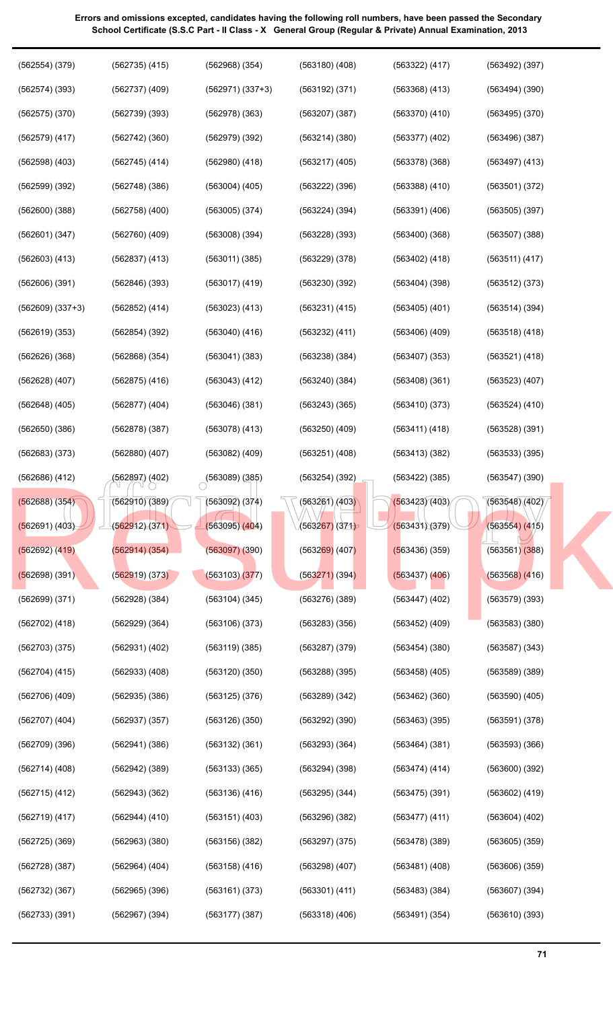official web copy (562554) (379) (562574) (393) (562575) (370) (562579) (417) (562598) (403) (562599) (392) (562600) (388) (562601) (347) (562603) (413) (562606) (391) (562609) (337+3) (562619) (353) (562626) (368) (562628) (407) (562648) (405) (562650) (386) (562683) (373) (562686) (412) (562688) (354) (562691) (403) (562692) (419) (562698) (391) (562699) (371) (562702) (418) (562703) (375) (562704) (415) (562706) (409) (562707) (404) (562709) (396) (562714) (408) (562715) (412) (562719) (417) (562725) (369) (562728) (387) (562732) (367) (562733) (391) (562735) (415) (562737) (409) (562739) (393) (562742) (360) (562745) (414) (562748) (386) (562758) (400) (562760) (409) (562837) (413) (562846) (393) (562852) (414) (562854) (392) (562868) (354) (562875) (416) (562877) (404) (562878) (387) (562880) (407) (562897) (402) (562910) (389) (562912) (371) (562914) (354) (562919) (373) (562928) (384) (562929) (364) (562931) (402) (562933) (408) (562935) (386) (562937) (357) (562941) (386) (562942) (389) (562943) (362) (562944) (410) (562963) (380) (562964) (404) (562965) (396) (562967) (394) (562968) (354) (562971) (337+3) (562978) (363) (562979) (392) (562980) (418) (563004) (405) (563005) (374) (563008) (394) (563011) (385) (563017) (419) (563023) (413) (563040) (416) (563041) (383) (563043) (412) (563046) (381) (563078) (413) (563082) (409)  $(563089)(385)$ (563092) (374) (563095) (404) (563097) (390) (563103) (377) (563104) (345) (563106) (373) (563119) (385) (563120) (350) (563125) (376) (563126) (350) (563132) (361) (563133) (365) (563136) (416) (563151) (403) (563156) (382) (563158) (416) (563161) (373) (563177) (387) (563180) (408) (563192) (371) (563207) (387) (563214) (380) (563217) (405) (563222) (396) (563224) (394) (563228) (393) (563229) (378) (563230) (392) (563231) (415) (563232) (411) (563238) (384) (563240) (384) (563243) (365) (563250) (409) (563251) (408) (563254) (392) (563261) (403) (563267) (371) (563269) (407) (563271) (394) (563276) (389) (563283) (356) (563287) (379) (563288) (395) (563289) (342) (563292) (390) (563293) (364) (563294) (398) (563295) (344) (563296) (382) (563297) (375) (563298) (407) (563301) (411) (563318) (406) (563322) (417) (563368) (413) (563370) (410) (563377) (402) (563378) (368) (563388) (410) (563391) (406) (563400) (368) (563402) (418) (563404) (398) (563405) (401) (563406) (409) (563407) (353) (563408) (361) (563410) (373) (563411) (418) (563413) (382) (563422) (385) (563423) (403) (563431) (379) (563436) (359) (563437) (406) (563447) (402) (563452) (409) (563454) (380) (563458) (405) (563462) (360) (563463) (395) (563464) (381) (563474) (414) (563475) (391) (563477) (411) (563478) (389) (563481) (408) (563483) (384) (563491) (354) (563492) (397) (563494) (390) (563495) (370) (563496) (387) (563497) (413) (563501) (372) (563505) (397) (563507) (388) (563511) (417) (563512) (373) (563514) (394) (563518) (418) (563521) (418) (563523) (407) (563524) (410) (563528) (391) (563533) (395) (563547) (390) (563548) (402) (563554) (415) (563561) (388) (563568) (416) (563579) (393) (563583) (380) (563587) (343) (563589) (389) (563590) (405) (563591) (378) (563593) (366) (563600) (392) (563602) (419) (563604) (402) (563605) (359) (563606) (359) (563607) (394) (563610) (393) [Result.pk](http://www.result.pk)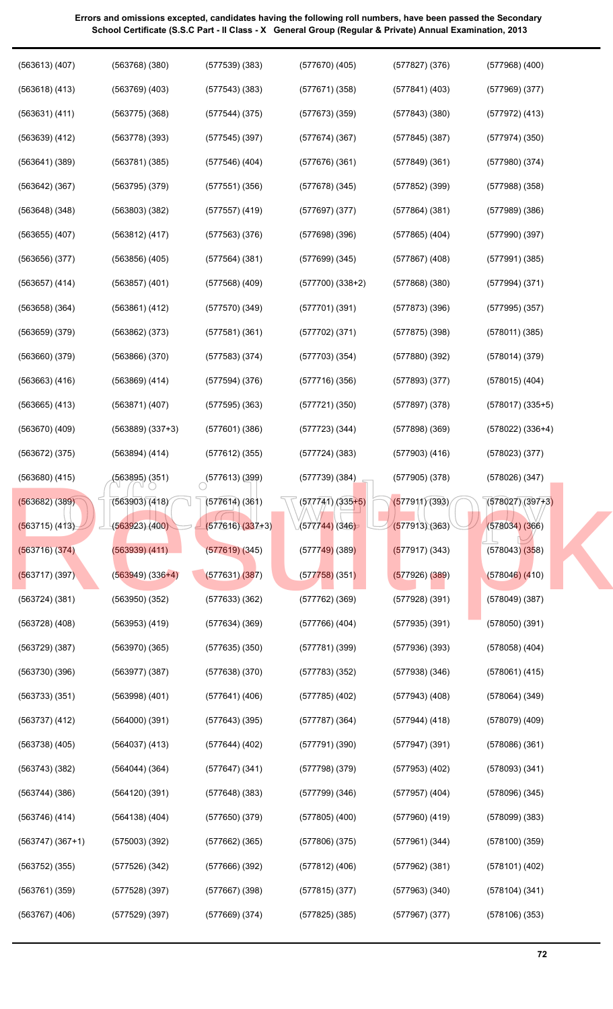| $(563613)$ $(407)$ | $(563768)$ $(380)$   | (577539)(383)             | $(577670)$ $(405)$      | (577827)(376)      | $(577968)$ $(400)$   |  |
|--------------------|----------------------|---------------------------|-------------------------|--------------------|----------------------|--|
| $(563618)$ $(413)$ | $(563769)$ $(403)$   | (577543)(383)             | (577671) (358)          | $(577841)$ (403)   | $(577969)$ $(377)$   |  |
| (563631) (411)     | $(563775)$ $(368)$   | $(577544)$ $(375)$        | $(577673)$ $(359)$      | (577843)(380)      | $(577972)$ $(413)$   |  |
| $(563639)$ $(412)$ | $(563778)$ (393)     | $(577545)$ (397)          | (577674)(367)           | $(577845)$ (387)   | (577974)(350)        |  |
| $(563641)$ $(389)$ | (563781)(385)        | (577546) (404)            | (577676)(361)           | (577849)(361)      | $(577980)$ $(374)$   |  |
| $(563642)$ $(367)$ | (563795)(379)        | (577551)(356)             | (577678)(345)           | $(577852)$ (399)   | $(577988)$ $(358)$   |  |
| $(563648)$ $(348)$ | $(563803)$ $(382)$   | $(577557)$ $(419)$        | (577697)(377)           | (577864)(381)      | (577989)(386)        |  |
| $(563655)$ $(407)$ | $(563812)$ (417)     | $(577563)$ $(376)$        | (577698)(396)           | $(577865)$ $(404)$ | (577990)(397)        |  |
| (563656)(377)      | $(563856)$ $(405)$   | (577564) (381)            | $(577699)$ $(345)$      | $(577867)$ $(408)$ | $(577991)$ $(385)$   |  |
| $(563657)$ $(414)$ | $(563857)$ $(401)$   | $(577568)$ $(409)$        | $(577700)(338+2)$       | (577868)(380)      | $(577994)$ $(371)$   |  |
| $(563658)$ $(364)$ | (563861) (412)       | (577570)(349)             | (577701)(391)           | (577873)(396)      | $(577995)$ $(357)$   |  |
| $(563659)$ $(379)$ | $(563862)$ $(373)$   | (577581)(361)             | $(577702)$ $(371)$      | (577875)(398)      | (578011)(385)        |  |
| $(563660)$ $(379)$ | (563866)(370)        | (577583)(374)             | (577703)(354)           | (577880)(392)      | (578014)(379)        |  |
| $(563663)$ $(416)$ | $(563869)$ $(414)$   | (577594)(376)             | (577716)(356)           | (577893)(377)      | $(578015)$ $(404)$   |  |
| $(563665)$ $(413)$ | (563871) (407)       | (577595)(363)             | (577721)(350)           | (577897)(378)      | $(578017)$ $(335+5)$ |  |
| $(563670)$ $(409)$ | $(563889)$ $(337+3)$ | $(577601)$ $(386)$        | (577723)(344)           | (577898)(369)      | $(578022)$ $(336+4)$ |  |
| $(563672)$ $(375)$ | (563894) (414)       | $(577612)$ (355)          | (577724)(383)           | $(577903)$ $(416)$ | $(578023)$ $(377)$   |  |
| $(563680)$ $(415)$ | (563895) (351)       | $\bigcirc$ (577613) (399) | (577739)(384)           | $(577905)$ $(378)$ | $(578026)$ $(347)$   |  |
|                    |                      |                           |                         |                    |                      |  |
| (563682) (389)     | (563903)(418)        | (577614)(361)             | $\sqrt{(577741)/335+5}$ | (577911)(393)      | (578027)(397)3       |  |
| (563715) (413)     | (563923)(400)        | $(577616)(337+3)$         | (577744) (346)          | (577913)(363)      | (578034)(366)        |  |
| $(563716)$ $(374)$ | (563939) (411)       | (577619)(345)             | $(577749)$ (389)        | $(577917)$ (343)   | $(578043)$ $(358)$   |  |
| $(563717)$ (397)   | $(563949)$ $(336+4)$ | (577631)(387)             | $(577758)$ (351)        | $(577926)$ (389)   | $(578046)$ $(410)$   |  |
| (563724)(381)      | (563950)(352)        | $(577633)$ $(362)$        | $(577762)$ $(369)$      | (577928)(391)      | (578049)(387)        |  |
| $(563728)$ $(408)$ | $(563953)$ $(419)$   | (577634)(369)             | $(577766)$ $(404)$      | (577935)(391)      | (578050)(391)        |  |
| (563729)(387)      | $(563970)$ $(365)$   | (577635)(350)             | (577781)(399)           | (577936)(393)      | $(578058)$ $(404)$   |  |
| (563730)(396)      | (563977)(387)        | $(577638)$ $(370)$        | (577783)(352)           | (577938)(346)      | $(578061)$ $(415)$   |  |
| $(563733)$ $(351)$ | $(563998)$ $(401)$   | $(577641)$ (406)          | $(577785)$ $(402)$      | $(577943)$ (408)   | (578064) (349)       |  |
| (563737)(412)      | (564000)(391)        | $(577643)$ (395)          | (577787)(364)           | $(577944)$ (418)   | $(578079)$ $(409)$   |  |
| $(563738)$ $(405)$ | $(564037)$ $(413)$   | (577644) (402)            | (577791)(390)           | $(577947)$ (391)   | (578086)(361)        |  |
| (563743)(382)      | $(564044)$ (364)     | (577647)(341)             | (577798)(379)           | $(577953)$ $(402)$ | $(578093)$ $(341)$   |  |
| $(563744)$ $(386)$ | (564120)(391)        | $(577648)$ (383)          | (577799)(346)           | $(577957)$ $(404)$ | (578096) (345)       |  |
| (563746) (414)     | $(564138)$ $(404)$   | (577650)(379)             | $(577805)$ $(400)$      | $(577960)$ $(419)$ | $(578099)$ $(383)$   |  |
| $(563747) (367+1)$ | (575003)(392)        | $(577662)$ (365)          | (577806)(375)           | $(577961)$ $(344)$ | (578100)(359)        |  |
| $(563752)$ $(355)$ | $(577526)$ $(342)$   | (577666)(392)             | $(577812)$ (406)        | $(577962)$ $(381)$ | $(578101)$ $(402)$   |  |
| (563761)(359)      | (577528)(397)        | $(577667)$ $(398)$        | $(577815)$ $(377)$      | $(577963)$ $(340)$ | $(578104)$ $(341)$   |  |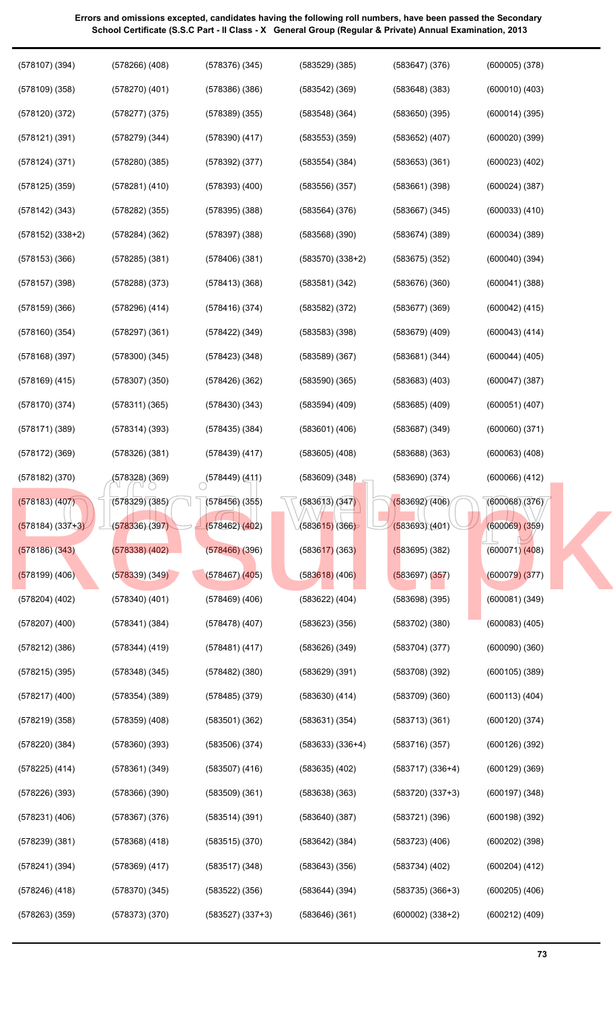| $(578107)$ $(394)$   | $(578266)$ $(408)$ | (578376)(345)      | $(583529)$ $(385)$   | (583647)(376)      | $(600005)$ $(378)$ |
|----------------------|--------------------|--------------------|----------------------|--------------------|--------------------|
| $(578109)$ $(358)$   | $(578270)$ $(401)$ | (578386)(386)      | $(583542)$ $(369)$   | (583648)(383)      | $(600010)$ $(403)$ |
| $(578120)$ $(372)$   | $(578277)$ $(375)$ | $(578389)$ $(355)$ | (583548)(364)        | (583650)(395)      | (600014)(395)      |
| (578121)(391)        | $(578279)$ $(344)$ | $(578390)$ $(417)$ | $(583553)$ $(359)$   | $(583652)$ $(407)$ | $(600020)$ $(399)$ |
| $(578124)$ $(371)$   | (578280)(385)      | $(578392)$ $(377)$ | $(583554)$ $(384)$   | (583653)(361)      | $(600023)$ $(402)$ |
| $(578125)$ $(359)$   | $(578281)$ $(410)$ | $(578393)$ $(400)$ | (583556)(357)        | $(583661)$ $(398)$ | $(600024)$ $(387)$ |
| $(578142)$ $(343)$   | $(578282)$ $(355)$ | $(578395)$ $(388)$ | $(583564)$ $(376)$   | $(583667)$ $(345)$ | $(600033)$ $(410)$ |
| $(578152)$ $(338+2)$ | $(578284)$ $(362)$ | (578397)(388)      | (583568)(390)        | (583674)(389)      | $(600034)$ $(389)$ |
| $(578153)$ $(366)$   | $(578285)$ $(381)$ | (578406)(381)      | $(583570)$ $(338+2)$ | $(583675)$ $(352)$ | $(600040)$ $(394)$ |
| (578157)(398)        | $(578288)$ $(373)$ | (578413)(368)      | $(583581)$ $(342)$   | (583676)(360)      | $(600041)$ $(388)$ |
| (578159)(366)        | (578296) (414)     | (578416)(374)      | $(583582)$ $(372)$   | (583677)(369)      | $(600042)$ $(415)$ |
| (578160)(354)        | (578297) (361)     | (578422) (349)     | (583583)(398)        | $(583679)$ $(409)$ | $(600043)$ $(414)$ |
| $(578168)$ $(397)$   | (578300) (345)     | (578423)(348)      | (583589)(367)        | (583681)(344)      | $(600044)$ $(405)$ |
| $(578169)$ $(415)$   | (578307) (350)     | (578426)(362)      | (583590)(365)        | $(583683)$ $(403)$ | (600047)(387)      |
| (578170)(374)        | (578311) (365)     | (578430)(343)      | $(583594)$ $(409)$   | $(583685)$ $(409)$ | $(600051)$ $(407)$ |
| (578171)(389)        | (578314) (393)     | $(578435)$ $(384)$ | $(583601)$ $(406)$   | $(583687)$ $(349)$ | $(600060)$ $(371)$ |
| $(578172)$ $(369)$   | (578326) (381)     | $(578439)$ $(417)$ | $(583605)$ $(408)$   | $(583688)$ $(363)$ | $(600063)$ $(408)$ |
| (578182) (370)       | (578328) (369)     | (578449) (411)     | (583609)(348)        | (583690)(374)      | $(600066)$ $(412)$ |
| $(578183)$ (407)     | (578329)(385)      | $(578456)$ $(355)$ | (583613)/(347)       | (583692)(406)      | (600068)(376)      |
| $(578184) (337+3)$   | (578336)(397)      | $(578462)$ (402)   | (583615)(366)        | (583693)(401)      | $(600069)$ $(359)$ |
| $(578186)$ $(343)$   | $(578338)$ $(402)$ | (578466)(396)      | $(583617)$ (363)     | $(583695)$ (382)   | $(600071)$ $(408)$ |
| $(578199)$ (406)     | (578339) (349)     | $(578467)$ $(405)$ | $(583618)$ (406)     | $(583697)$ $(357)$ | (600079)(377)      |
| $(578204)$ $(402)$   | $(578340)$ $(401)$ | $(578469)$ $(406)$ | $(583622)$ $(404)$   | (583698)(395)      | (600081)(349)      |
| (578207) (400)       | (578341)(384)      | (578478)(407)      | (583623)(356)        | $(583702)$ $(380)$ | $(600083)$ $(405)$ |
| (578212) (386)       | $(578344)$ $(419)$ | $(578481)$ $(417)$ | (583626)(349)        | (583704)(377)      | $(600090)$ $(360)$ |
| (578215) (395)       | $(578348)$ $(345)$ | $(578482)$ $(380)$ | $(583629)$ $(391)$   | (583708) (392)     | $(600105)$ $(389)$ |
| $(578217)$ $(400)$   | $(578354)$ $(389)$ | $(578485)$ $(379)$ | $(583630)$ $(414)$   | (583709)(360)      | (600113)(404)      |
| (578219)(358)        | $(578359)$ $(408)$ | (583501)(362)      | (583631)(354)        | (583713)(361)      | (600120)(374)      |
| (578220) (384)       | $(578360)$ $(393)$ | $(583506)$ $(374)$ | $(583633)$ $(336+4)$ | (583716)(357)      | (600126)(392)      |
| (578225) (414)       | $(578361)$ $(349)$ | $(583507)$ $(416)$ | $(583635)$ $(402)$   | $(583717)(336+4)$  | $(600129)$ $(369)$ |
| (578226) (393)       | (578366)(390)      | (583509)(361)      | (583638)(363)        | $(583720)(337+3)$  | $(600197)$ $(348)$ |

(578231) (406)

(578367) (376)

(583514) (391)

(583640) (387)

(583721) (396)

(583723) (406)

(583734) (402)

(583735) (366+3)

(600002) (338+2)

(583642) (384)

(583643) (356)

(583644) (394)

(583646) (361)

(583515) (370)

(583517) (348)

(583522) (356)

(583527) (337+3)

(578368) (418)

(578369) (417)

(578370) (345)

(578373) (370)

(578239) (381)

(578241) (394)

(578246) (418)

(578263) (359)

**Errors and omissions excepted, candidates having the following roll numbers, have been passed the Secondary School Certificate (S.S.C Part - II Class - X General Group (Regular & Private) Annual Examination, 2013**

(600198) (392)

(600202) (398)

(600204) (412)

(600205) (406)

(600212) (409)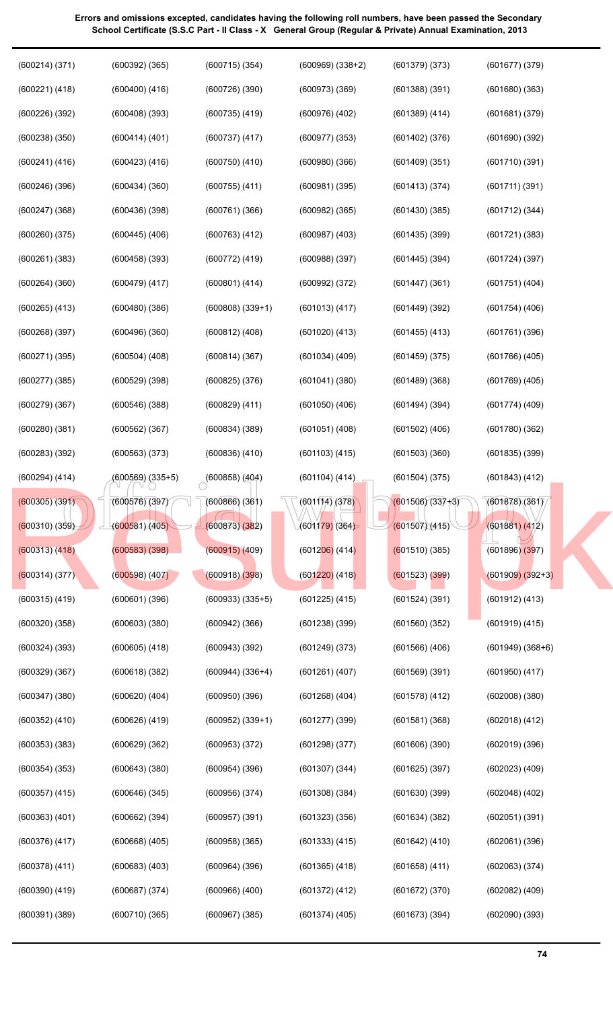| (600214)(371)      | $(600392)$ $(365)$ | (600715)(354)        | $(600969)$ $(338+2)$ | (601379)(373)      | (601677)(379)        |
|--------------------|--------------------|----------------------|----------------------|--------------------|----------------------|
| (600221) (418)     | $(600400)$ $(416)$ | (600726)(390)        | $(600973)$ $(369)$   | (601388)(391)      | $(601680)$ $(363)$   |
| (600226)(392)      | $(600408)$ $(393)$ | $(600735)$ $(419)$   | $(600976)$ $(402)$   | $(601389)$ $(414)$ | (601681)(379)        |
| $(600238)$ $(350)$ | (600414) (401)     | $(600737)$ $(417)$   | $(600977)$ $(353)$   | $(601402)$ $(376)$ | $(601690)$ $(392)$   |
| $(600241)$ $(416)$ | $(600423)$ $(416)$ | $(600750)$ $(410)$   | $(600980)$ $(366)$   | (601409)(351)      | (601710)(391)        |
| $(600246)$ $(396)$ | (600434)(360)      | $(600755)$ $(411)$   | $(600981)$ $(395)$   | (601413)(374)      | (601711)(391)        |
| $(600247)$ $(368)$ | (600436)(398)      | $(600761)$ $(366)$   | $(600982)$ $(365)$   | (601430)(385)      | $(601712)$ $(344)$   |
| $(600260)$ $(375)$ | $(600445)$ $(406)$ | $(600763)$ $(412)$   | $(600987)$ $(403)$   | (601435)(399)      | $(601721)$ $(383)$   |
| $(600261)$ $(383)$ | (600458)(393)      | (600772) (419)       | $(600988)$ $(397)$   | $(601445)$ $(394)$ | (601724)(397)        |
| $(600264)$ $(360)$ | $(600479)$ $(417)$ | $(600801)$ $(414)$   | (600992) (372)       | $(601447)$ $(361)$ | $(601751)$ $(404)$   |
| $(600265)$ $(413)$ | (600480)(386)      | $(600808)$ $(339+1)$ | $(601013)$ $(417)$   | $(601449)$ $(392)$ | $(601754)$ $(406)$   |
| $(600268)$ $(397)$ | (600496)(360)      | $(600812)$ $(408)$   | $(601020)$ $(413)$   | $(601455)$ $(413)$ | $(601761)$ $(396)$   |
| $(600271)$ $(395)$ | $(600504)$ $(408)$ | (600814)(367)        | $(601034)$ $(409)$   | (601459)(375)      | $(601766)$ $(405)$   |
| (600277)(385)      | (600529)(398)      | $(600825)$ $(376)$   | (601041)(380)        | (601489)(368)      | $(601769)$ $(405)$   |
| (600279)(367)      | (600546)(388)      | $(600829)$ $(411)$   | $(601050)$ $(406)$   | (601494)(394)      | $(601774)$ $(409)$   |
| (600280)(381)      | $(600562)$ $(367)$ | $(600834)$ $(389)$   | $(601051)$ $(408)$   | $(601502)$ $(406)$ | (601780)(362)        |
| $(600283)$ $(392)$ | $(600563)$ $(373)$ | $(600836)$ $(410)$   | $(601103)$ $(415)$   | $(601503)$ $(360)$ | $(601835)$ $(399)$   |
| $(600294)$ $(414)$ | (600569) (335+5)   | $(600858)$ $(404)$   | (601104)(414)        | (601504)(375)      | $(601843)$ $(412)$   |
| $(600305)$ $(391)$ | (600576)(397)      | $(600866)$ $(361)$   | (601114) (378)       | $(601506)(337+3)$  | (601878)(361)        |
| (600310)(359)      | (600581)(405)      | (600873)(382)        | (601179)(364)        | (601507)(415)      | (601881) (412)       |
| (600313)(418)      | $(600583)$ $(398)$ | (600915)(409)        | $(601206)$ (414)     | (601510)(385)      | $(601896)$ $(397)$   |
| (600314) (377)     | (600598)(407)      | (600918)(398)        | $(601220)$ $(418)$   | (601523) (399)     | $(601909) (392+3)$   |
| $(600315)$ $(419)$ | $(600601)$ $(396)$ | $(600933)$ $(335+5)$ | $(601225)$ $(415)$   | (601524)(391)      | $(601912)$ $(413)$   |
| $(600320)$ $(358)$ | $(600603)$ $(380)$ | $(600942)$ $(366)$   | $(601238)$ $(399)$   | (601560)(352)      | $(601919)$ $(415)$   |
| $(600324)$ $(393)$ | $(600605)$ $(418)$ | $(600943)$ $(392)$   | $(601249)$ $(373)$   | $(601566)$ $(406)$ | $(601949)$ $(368+6)$ |
| $(600329)$ $(367)$ | (600618)(382)      | $(600944)$ $(336+4)$ | $(601261)$ $(407)$   | $(601569)$ $(391)$ | $(601950)$ $(417)$   |
| (600347)(380)      | $(600620)$ $(404)$ | $(600950)$ $(396)$   | $(601268)$ $(404)$   | $(601578)$ $(412)$ | $(602008)$ $(380)$   |
| $(600352)$ $(410)$ | $(600626)$ $(419)$ | $(600952)$ $(339+1)$ | $(601277)$ $(399)$   | (601581)(368)      | $(602018)$ $(412)$   |

(600353) (383)

(600629) (362)

(600953) (372)

(601298) (377)

(601606) (390)

(601625) (397)

(601630) (399)

(601634) (382)

(601642) (410)

(601658) (411)

(601672) (370)

(601673) (394)

(601307) (344)

(601308) (384)

(601323) (356)

(601333) (415)

(601365) (418)

(601372) (412)

(601374) (405)

(600954) (396)

(600956) (374)

(600957) (391)

(600958) (365)

(600964) (396)

(600966) (400)

(600967) (385)

(600643) (380)

(600646) (345)

(600662) (394)

(600668) (405)

(600683) (403)

(600687) (374)

(600710) (365)

(600354) (353)

(600357) (415)

(600363) (401)

(600376) (417)

(600378) (411)

(600390) (419)

(600391) (389)

**Errors and omissions excepted, candidates having the following roll numbers, have been passed the Secondary School Certificate (S.S.C Part - II Class - X General Group (Regular & Private) Annual Examination, 2013**

(602019) (396)

(602023) (409)

(602048) (402)

(602051) (391)

(602061) (396)

(602063) (374)

(602082) (409)

(602090) (393)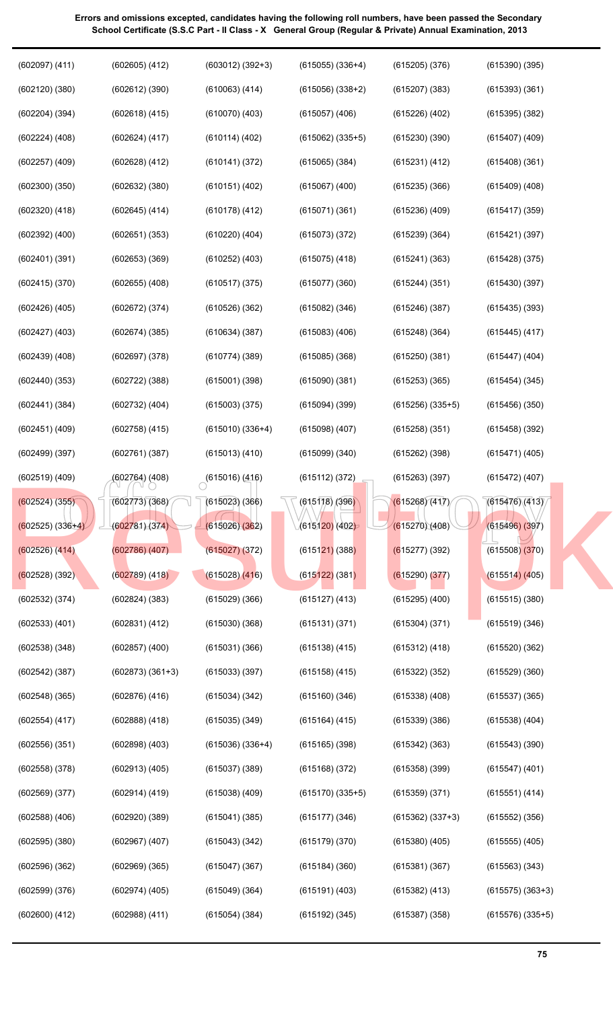| $(602097)$ $(411)$ | $(602605)$ $(412)$   | $(603012)$ $(392+3)$ | $(615055)$ $(336+4)$  | $(615205)$ $(376)$ | $(615390)$ $(395)$   |
|--------------------|----------------------|----------------------|-----------------------|--------------------|----------------------|
| (602120)(380)      | $(602612)$ $(390)$   | (610063) (414)       | $(615056)$ $(338+2)$  | (615207)(383)      | (615393)(361)        |
| $(602204)$ $(394)$ | (602618) (415)       | $(610070)$ $(403)$   | $(615057)$ $(406)$    | (615226)(402)      | $(615395)$ $(382)$   |
| $(602224)$ $(408)$ | (602624) (417)       | $(610114)$ $(402)$   | $(615062)$ $(335+5)$  | (615230)(390)      | $(615407)$ $(409)$   |
| $(602257)$ $(409)$ | $(602628)$ $(412)$   | (610141) (372)       | $(615065)$ $(384)$    | (615231) (412)     | $(615408)$ $(361)$   |
| (602300)(350)      | $(602632)$ $(380)$   | $(610151)$ $(402)$   | $(615067)$ $(400)$    | (615235)(366)      | $(615409)$ $(408)$   |
| $(602320)$ $(418)$ | $(602645)$ $(414)$   | $(610178)$ $(412)$   | $(615071)$ $(361)$    | $(615236)$ $(409)$ | $(615417)$ $(359)$   |
| $(602392)$ $(400)$ | $(602651)$ $(353)$   | $(610220)$ $(404)$   | $(615073)$ $(372)$    | (615239)(364)      | $(615421)$ $(397)$   |
| (602401)(391)      | $(602653)$ $(369)$   | $(610252)$ $(403)$   | $(615075)$ $(418)$    | $(615241)$ $(363)$ | $(615428)$ $(375)$   |
| (602415)(370)      | $(602655)$ $(408)$   | $(610517)$ $(375)$   | (615077)(360)         | (615244)(351)      | (615430)(397)        |
| $(602426)$ $(405)$ | (602672) (374)       | $(610526)$ $(362)$   | $(615082)$ $(346)$    | (615246)(387)      | $(615435)$ $(393)$   |
| $(602427)$ $(403)$ | (602674)(385)        | $(610634)$ $(387)$   | $(615083)$ $(406)$    | $(615248)$ $(364)$ | $(615445)$ $(417)$   |
| $(602439)$ $(408)$ | $(602697)$ $(378)$   | (610774)(389)        | $(615085)$ $(368)$    | (615250)(381)      | $(615447)$ $(404)$   |
| (602440)(353)      | $(602722)$ $(388)$   | $(615001)$ $(398)$   | (615090)(381)         | $(615253)$ $(365)$ | $(615454)$ $(345)$   |
| (602441)(384)      | $(602732)$ $(404)$   | $(615003)$ $(375)$   | $(615094)$ (399)      | $(615256)(335+5)$  | (615456)(350)        |
| $(602451)$ $(409)$ | $(602758)$ $(415)$   | $(615010)(336+4)$    | $(615098)$ $(407)$    | (615258)(351)      | $(615458)$ $(392)$   |
| (602499)(397)      | (602761)(387)        | $(615013)$ $(410)$   | $(615099)$ $(340)$    | $(615262)$ (398)   | (615471) (405)       |
| $(602519)$ $(409)$ | (602764) (408)       | $(615016)$ (416)     | (615112) (372)        | (615263)(397)      | $(615472)$ $(407)$   |
| (602524) (355)     | (602773)(368)        | (615023)(366)        | $\sqrt{615178}$ (396) | (615268)(417)      | (615476)(413)        |
| $(602525) (336+4)$ | (602781)(374)        | (615026)(362)        | (615120) (402)        | (615270)(408)      | (615496)(397)        |
| $(602526)$ $(414)$ | $(602786)$ $(407)$   | (615027)(372)        | $(615121)$ (388)      | (615277) (392)     | $(615508)$ $(370)$   |
| $(602528)$ (392)   | $(602789)$ $(418)$   | $(615028)$ $(416)$   | $(615122)$ (381)      | $(615290)$ $(377)$ | (615514) (405)       |
| $(602532)$ $(374)$ | $(602824)$ $(383)$   | $(615029)$ $(366)$   | $(615127)$ $(413)$    | $(615295)$ $(400)$ | (615515)(380)        |
| $(602533)$ $(401)$ | (602831) (412)       | $(615030)$ $(368)$   | (615131)(371)         | (615304)(371)      | (615519)(346)        |
| $(602538)$ $(348)$ | $(602857)$ $(400)$   | $(615031)$ $(366)$   | $(615138)$ $(415)$    | (615312) (418)     | (615520)(362)        |
| $(602542)$ $(387)$ | $(602873)$ $(361+3)$ | (615033)(397)        | $(615158)$ $(415)$    | (615322)(352)      | $(615529)$ $(360)$   |
| $(602548)$ $(365)$ | $(602876)$ $(416)$   | $(615034)$ $(342)$   | $(615160)$ $(346)$    | $(615338)$ $(408)$ | $(615537)$ $(365)$   |
| (602554) (417)     | $(602888)$ $(418)$   | $(615035)$ $(349)$   | $(615164)$ $(415)$    | (615339)(386)      | $(615538)$ $(404)$   |
| (602556)(351)      | $(602898)$ $(403)$   | $(615036)(336+4)$    | $(615165)$ $(398)$    | $(615342)$ $(363)$ | $(615543)$ $(390)$   |
| $(602558)$ $(378)$ | $(602913)$ $(405)$   | $(615037)$ $(389)$   | $(615168)$ $(372)$    | $(615358)$ $(399)$ | $(615547)$ $(401)$   |
| $(602569)$ $(377)$ | $(602914)$ $(419)$   | $(615038)$ $(409)$   | $(615170)$ $(335+5)$  | (615359)(371)      | (615551) (414)       |
| $(602588)$ $(406)$ | $(602920)$ $(389)$   | $(615041)$ $(385)$   | (615177)(346)         | $(615362) (337+3)$ | $(615552)$ $(356)$   |
| (602595)(380)      | $(602967)$ $(407)$   | $(615043)$ $(342)$   | (615179)(370)         | $(615380)$ $(405)$ | $(615555)$ $(405)$   |
| $(602596)$ $(362)$ | $(602969)$ $(365)$   | $(615047)$ $(367)$   | $(615184)$ (360)      | (615381)(367)      | $(615563)$ $(343)$   |
|                    |                      |                      |                       |                    |                      |
| $(602599)$ $(376)$ | $(602974)$ $(405)$   | (615049)(364)        | $(615191)$ $(403)$    | $(615382)$ $(413)$ | $(615575)$ $(363+3)$ |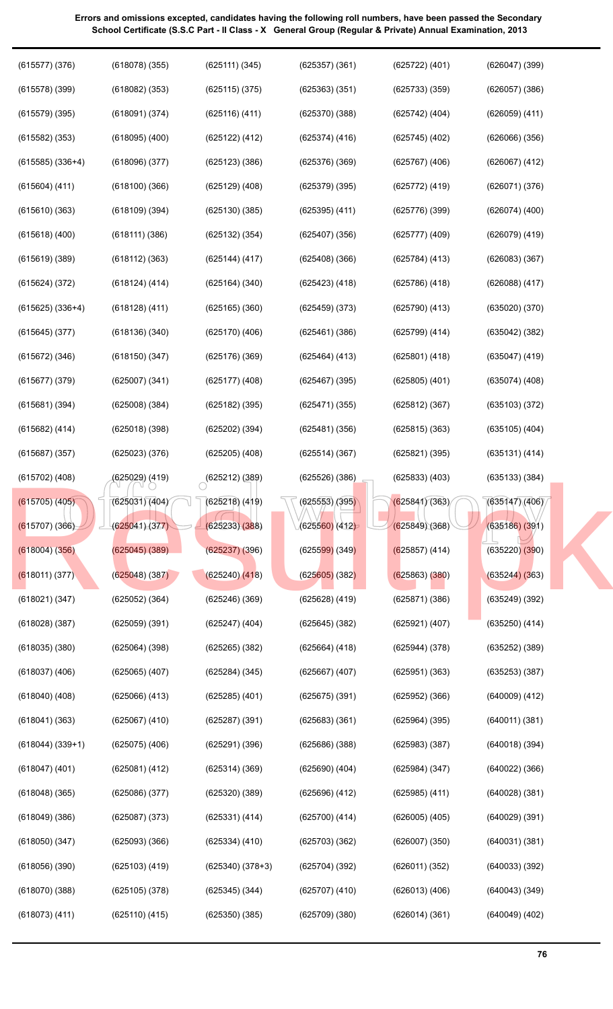$\begin{array}{|l|l|l|l|l|}\n \hline\n (625031)(404) & (625212)(389) & (625526)(386) & (625833)(403) & (635133)(384)\n \hline\n (625031)(404) & (625218)(419) & (625553)(395) & (625841)(363) & (635147)(406)\n \hline\n (625041)(377) & (625233)(388) & (625560)(412 & 625849)(368) & (635186)(3$ (615578) (399) (615579) (395) (615582) (353) (615585) (336+4) (615604) (411) (615610) (363) (615618) (400) (615619) (389) (615624) (372) (615625) (336+4) (615645) (377) (615672) (346) (615677) (379) (615681) (394) (615682) (414) (615687) (357) (615702) (408) (615705) (405) (615707) (366) (618004) (356) (618011) (377) (618021) (347) (618028) (387) (618035) (380) (618037) (406) (618040) (408) (618041) (363) (618044) (339+1) (618047) (401) (618048) (365) (618049) (386) (618050) (347) (618056) (390) (618070) (388) (618073) (411) (618082) (353) (618091) (374) (618095) (400) (618096) (377) (618100) (366) (618109) (394) (618111) (386) (618112) (363) (618124) (414) (618128) (411) (618136) (340) (618150) (347) (625007) (341) (625008) (384) (625018) (398) (625023) (376) (625029) (419) (625031) (404) (625041) (377) (625045) (389) (625048) (387) (625052) (364) (625059) (391) (625064) (398) (625065) (407) (625066) (413) (625067) (410) (625075) (406) (625081) (412) (625086) (377) (625087) (373) (625093) (366) (625103) (419) (625105) (378) (625110) (415) (625115) (375) (625116) (411) (625122) (412) (625123) (386) (625129) (408) (625130) (385) (625132) (354) (625144) (417) (625164) (340) (625165) (360) (625170) (406) (625176) (369) (625177) (408) (625182) (395) (625202) (394) (625205) (408)  $(625212)(389)$ (625218) (419) (625233) (388) (625237) (396) (625240) (418) (625246) (369) (625247) (404) (625265) (382) (625284) (345) (625285) (401) (625287) (391) (625291) (396) (625314) (369) (625320) (389) (625331) (414) (625334) (410) (625340) (378+3) (625345) (344) (625350) (385) (625363) (351) (625370) (388) (625374) (416) (625376) (369) (625379) (395) (625395) (411) (625407) (356) (625408) (366) (625423) (418) (625459) (373) (625461) (386) (625464) (413) (625467) (395) (625471) (355) (625481) (356) (625514) (367) (625526) (386) (625553) (395) (625560) (412) (625599) (349) (625605) (382) (625628) (419) (625645) (382) (625664) (418) (625667) (407) (625675) (391) (625683) (361) (625686) (388) (625690) (404) (625696) (412) (625700) (414) (625703) (362) (625704) (392) (625707) (410) (625709) (380) (625733) (359) (625742) (404) (625745) (402) (625767) (406) (625772) (419) (625776) (399) (625777) (409) (625784) (413) (625786) (418) (625790) (413) (625799) (414) (625801) (418) (625805) (401) (625812) (367) (625815) (363) (625821) (395) (625833) (403) (625841) (363) (625849) (368) (625857) (414) (625863) (380) (625871) (386) (625921) (407) (625944) (378) (625951) (363) (625952) (366) (625964) (395) (625983) (387) (625984) (347) (625985) (411) (626005) (405) (626007) (350) (626011) (352) (626013) (406) (626014) (361) (626057) (386) (626059) (411) (626066) (356) (626067) (412) (626071) (376) (626074) (400) (626079) (419) (626083) (367) (626088) (417) (635020) (370) (635042) (382) (635047) (419) (635074) (408) (635103) (372) (635105) (404) (635131) (414) (635133) (384) (635147) (406) (635186) (391) (635220) (390) (635244) (363) (635249) (392) (635250) (414) (635252) (389) (635253) (387) (640009) (412) (640011) (381) (640018) (394) (640022) (366) (640028) (381) (640029) (391) (640031) (381) (640033) (392) (640043) (349) (640049) (402) (615705) (408) (625029) (419) (625212) (389) (625528) (386) (625833) (403) (635133) (384)<br>
(615707) (366) (625031) (404) (625233) (388) (625535) (386) (625841) (363) (635133) (384)<br>
(618004) (625045) (625045) (389) (62523

**Errors and omissions excepted, candidates having the following roll numbers, have been passed the Secondary School Certificate (S.S.C Part - II Class - X General Group (Regular & Private) Annual Examination, 2013**

(625357) (361)

(625722) (401)

(626047) (399)

(625111) (345)

(615577) (376)

(618078) (355)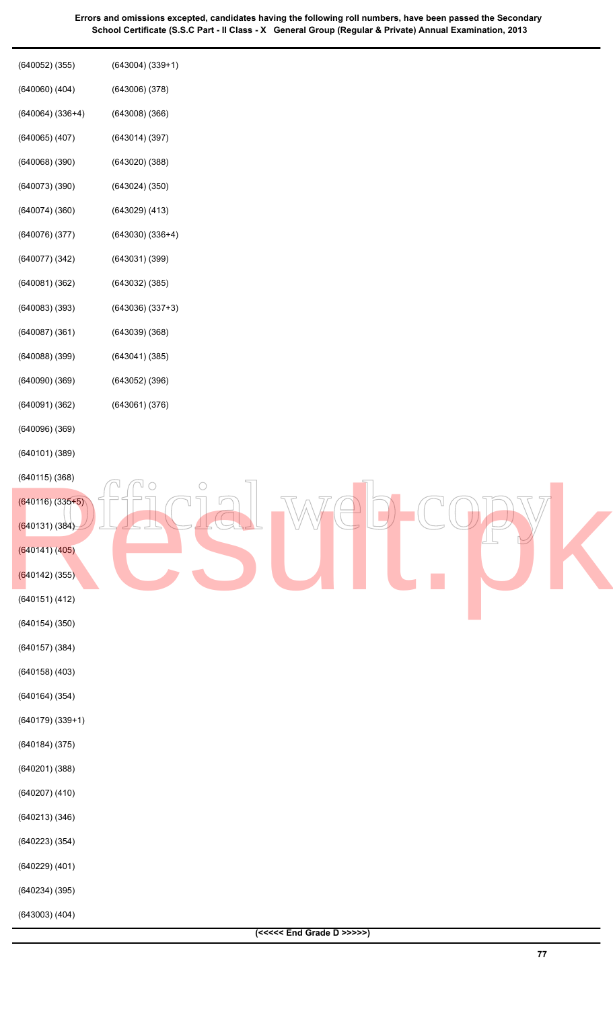| $(640052)$ $(355)$   | $(643004) (339+1)$ |
|----------------------|--------------------|
| $(640060)$ $(404)$   | (643006)(378)      |
| $(640064)$ $(336+4)$ | (643008)(366)      |
| $(640065)$ $(407)$   | (643014)(397)      |
| (640068)(390)        | (643020)(388)      |
| (640073)(390)        | (643024)(350)      |
| (640074)(360)        | $(643029)$ $(413)$ |
| (640076)(377)        | $(643030)(336+4)$  |
| (640077)(342)        | (643031)(399)      |
| (640081)(362)        | (643032)(385)      |
| (640083)(393)        | $(643036)(337+3)$  |
| (640087)(361)        | (643039)(368)      |
| (640088)(399)        | (643041)(385)      |
| (640090)(369)        | (643052)(396)      |
| (640091)(362)        | (643061)(376)      |
| (640096)(369)        |                    |
| (640101)(389)        |                    |
| (640115)(368)        | ∩                  |
| $(640116) (335 + 5)$ |                    |
| (640131)(384)        |                    |
| (640141)(405)        |                    |
| $(640142)$ (355)     |                    |
| (640151)(412)        |                    |
| (640154)(350)        |                    |
| (640157)(384)        |                    |
| $(640158)$ $(403)$   |                    |
| (640164)(354)        |                    |
| $(640179)$ $(339+1)$ |                    |
| (640184)(375)        |                    |
| (640201)(388)        |                    |
| $(640207)$ $(410)$   |                    |
| (640213)(346)        |                    |
| $(640223)$ $(354)$   |                    |
| $(640229)$ $(401)$   |                    |
| (640234)(395)        |                    |
| $(643003)$ $(404)$   |                    |
|                      |                    |

**77**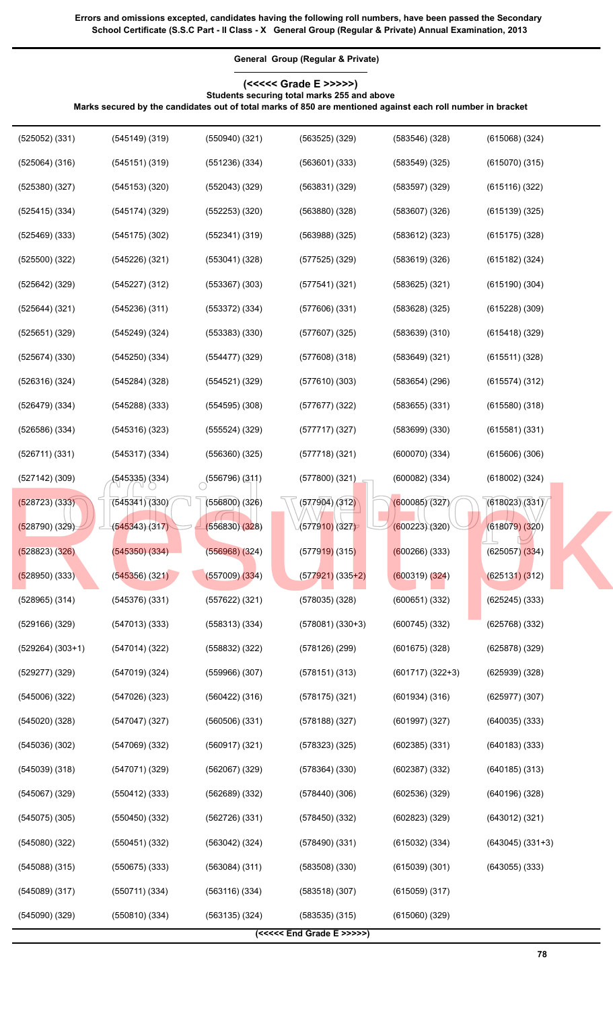**General Group (Regular & Private)**

#### **(<<<<< Grade E >>>>>) Students securing total marks 255 and above**

**Marks secured by the candidates out of total marks of 850 are mentioned against each roll number in bracket**

| $(525052)$ $(331)$   | $(545149)$ $(319)$ | $(550940)$ $(321)$     | $(563525)$ $(329)$   | (583546)(328)      | $(615068)$ $(324)$   |  |
|----------------------|--------------------|------------------------|----------------------|--------------------|----------------------|--|
| $(525064)$ $(316)$   | (545151)(319)      | (551236)(334)          | $(563601)$ $(333)$   | (583549)(325)      | (615070)(315)        |  |
| (525380)(327)        | (545153)(320)      | $(552043)$ $(329)$     | (563831)(329)        | (583597)(329)      | (615116)(322)        |  |
| $(525415)$ $(334)$   | (545174)(329)      | $(552253)$ $(320)$     | (563880)(328)        | (583607)(326)      | (615139)(325)        |  |
| $(525469)$ $(333)$   | $(545175)$ $(302)$ | $(552341)$ $(319)$     | $(563988)$ $(325)$   | $(583612)$ $(323)$ | $(615175)$ $(328)$   |  |
| (525500)(322)        | (545226)(321)      | $(553041)$ $(328)$     | $(577525)$ $(329)$   | (583619)(326)      | $(615182)$ $(324)$   |  |
| $(525642)$ $(329)$   | $(545227)$ $(312)$ | $(553367)$ $(303)$     | (577541)(321)        | $(583625)$ $(321)$ | $(615190)$ $(304)$   |  |
| $(525644)$ $(321)$   | (545236)(311)      | $(553372)$ $(334)$     | (577606)(331)        | (583628)(325)      | $(615228)$ $(309)$   |  |
| $(525651)$ $(329)$   | $(545249)$ $(324)$ | $(553383)$ $(330)$     | $(577607)$ $(325)$   | (583639)(310)      | $(615418)$ $(329)$   |  |
| (525674)(330)        | (545250)(334)      | (554477)(329)          | (577608)(318)        | $(583649)$ $(321)$ | (615511)(328)        |  |
| (526316)(324)        | $(545284)$ $(328)$ | $(554521)$ $(329)$     | (577610)(303)        | $(583654)$ $(296)$ | (615574)(312)        |  |
| (526479)(334)        | $(545288)$ $(333)$ | $(554595)$ $(308)$     | (577677)(322)        | $(583655)$ $(331)$ | $(615580)$ $(318)$   |  |
| $(526586)$ $(334)$   | (545316)(323)      | $(555524)$ $(329)$     | (577717)(327)        | (583699)(330)      | (615581)(331)        |  |
| (526711)(331)        | $(545317)$ $(334)$ | $(556360)$ $(325)$     | (577718)(321)        | (600070)(334)      | $(615606)$ $(306)$   |  |
| $(527142)$ $(309)$   | (545335) (334)     | $\circ$ (556796) (311) | (577800) (321)       | $(600082)$ $(334)$ | $(618002)$ $(324)$   |  |
| $(528723)$ $(333)$   | (545341)(330)      | $(556800)$ $(326)$     | (577904)/(312)       | (600085)(327)      | (618023)(331)        |  |
| $(528790)$ $(329)$   | (545343)(317)      | (556830)(328)          | (577910) (327)       | (600223)(320)      | (618079)(320)        |  |
| (528823)(326)        | (545350)(334)      | $(556968)$ $(324)$     | $(577919)$ (315)     | $(600266)$ (333)   | $(625057)$ $(334)$   |  |
| $(528950)$ $(333)$   | (545356) (321)     | (557009)(334)          | $(577921)$ $(335+2)$ | (600319) (324)     | (625131)(312)        |  |
| $(528965)$ $(314)$   | (545376)(331)      | $(557622)$ $(321)$     | $(578035)$ $(328)$   | (600651)(332)      | $(625245)$ $(333)$   |  |
| (529166) (329)       | (547013)(333)      | (558313)(334)          | $(578081) (330+3)$   | $(600745)$ $(332)$ | $(625768)$ $(332)$   |  |
| $(529264)$ $(303+1)$ | (547014)(322)      | (558832) (322)         | $(578126)$ (299)     | $(601675)$ $(328)$ | (625878) (329)       |  |
| (529277) (329)       | (547019)(324)      | $(559966)$ $(307)$     | (578151)(313)        | $(601717)(322+3)$  | $(625939)$ $(328)$   |  |
| (545006)(322)        | (547026)(323)      | (560422) (316)         | $(578175)$ $(321)$   | (601934)(316)      | (625977)(307)        |  |
| (545020)(328)        | (547047)(327)      | (560506)(331)          | $(578188)$ $(327)$   | $(601997)$ $(327)$ | $(640035)$ $(333)$   |  |
| (545036)(302)        | $(547069)$ $(332)$ | (560917)(321)          | (578323)(325)        | $(602385)$ $(331)$ | $(640183)$ $(333)$   |  |
| (545039)(318)        | (547071)(329)      | (562067) (329)         | $(578364)$ $(330)$   | $(602387)$ $(332)$ | $(640185)$ $(313)$   |  |
| $(545067)$ $(329)$   | $(550412)$ $(333)$ | (562689) (332)         | (578440)(306)        | (602536)(329)      | $(640196)$ $(328)$   |  |
| $(545075)$ $(305)$   | (550450)(332)      | (562726) (331)         | (578450)(332)        | $(602823)$ $(329)$ | $(643012)$ $(321)$   |  |
| (545080)(322)        | (550451)(332)      | $(563042)$ $(324)$     | (578490)(331)        | $(615032)$ $(334)$ | $(643045)$ $(331+3)$ |  |
| $(545088)$ $(315)$   | $(550675)$ $(333)$ | $(563084)$ $(311)$     | (583508)(330)        | (615039)(301)      | $(643055)$ $(333)$   |  |
| (545089)(317)        | (550711)(334)      | (563116)(334)          | (583518)(307)        | $(615059)$ $(317)$ |                      |  |
| $(545090)$ $(329)$   | (550810)(334)      | (563135)(324)          | $(583535)$ $(315)$   | $(615060)$ $(329)$ |                      |  |
|                      |                    |                        | $(<< Grade E >>>>>)$ |                    |                      |  |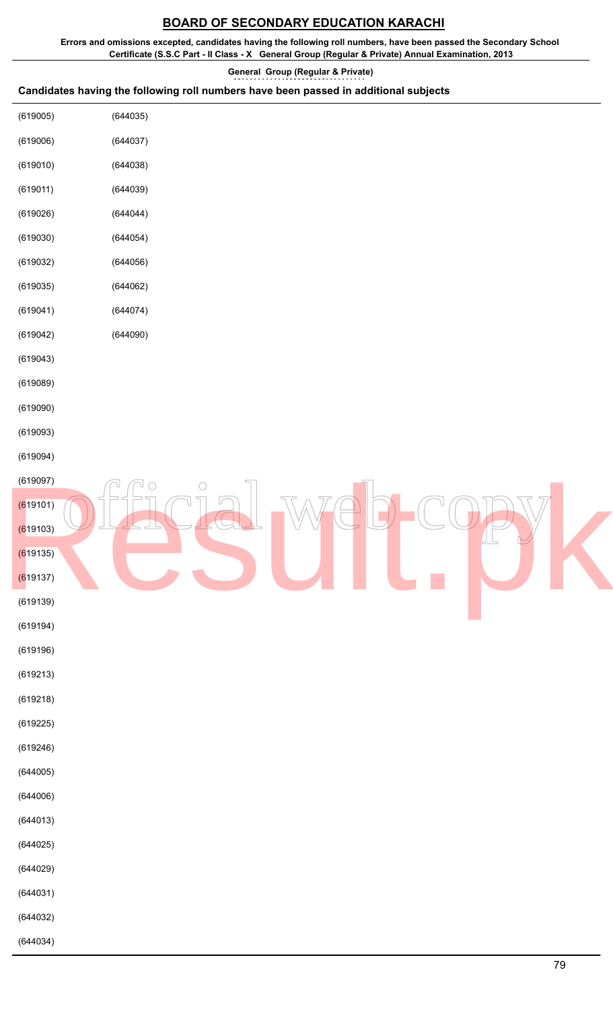# **BOARD OF SECONDARY EDUCATION KARACHI**

**Errors and omissions excepted, candidates having the following roll numbers, have been passed the Secondary School Certificate (S.S.C Part - II Class - X General Group (Regular & Private) Annual Examination, 2013**

#### **General Group (Regular & Private)**

#### **Candidates having the following roll numbers have been passed in additional subjects**

| (619005) | (644035)   |
|----------|------------|
| (619006) | (644037)   |
| (619010) | (644038)   |
| (619011) | (644039)   |
| (619026) | (644044)   |
| (619030) | (644054)   |
| (619032) | (644056)   |
| (619035) | (644062)   |
| (619041) | (644074)   |
| (619042) | (644090)   |
| (619043) |            |
| (619089) |            |
| (619090) |            |
| (619093) |            |
| (619094) |            |
| (619097) | $\bigcirc$ |
| (619101) |            |
| (619103) |            |
| (619135) |            |
| (619137) |            |
| (619139) |            |
| (619194) |            |
| (619196) |            |
| (619213) |            |
| (619218) |            |
| (619225) |            |
| (619246) |            |
| (644005) |            |
| (644006) |            |
| (644013) |            |
| (644025) |            |
| (644029) |            |
| (644031) |            |
| (644032) |            |
| (644034) |            |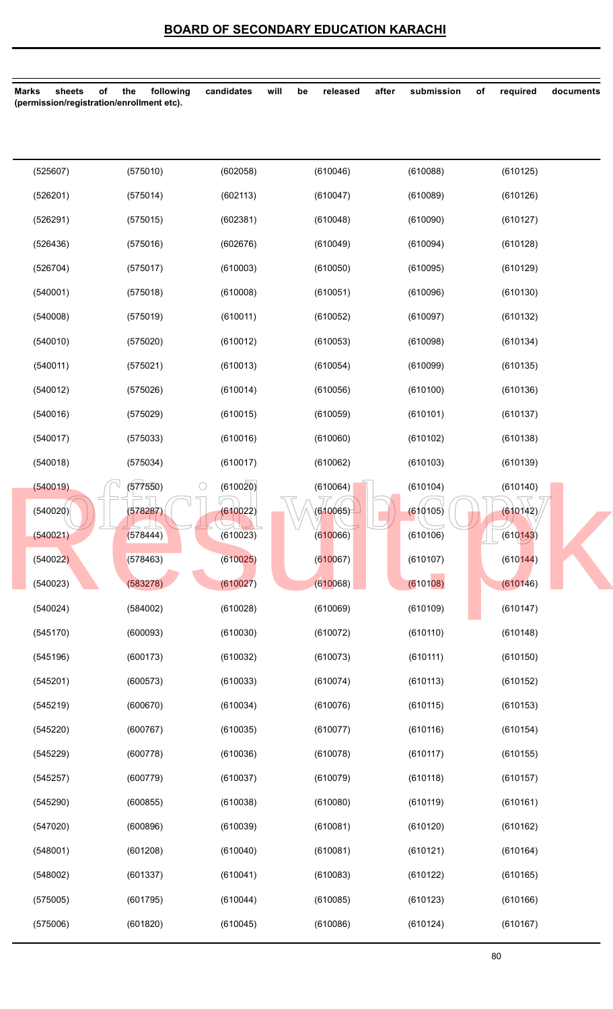| sheets<br><b>Marks</b> | following<br>of<br>the<br>(permission/registration/enrollment etc). | will<br>candidates              | released<br>be | after<br>submission | of<br>required     | documents |
|------------------------|---------------------------------------------------------------------|---------------------------------|----------------|---------------------|--------------------|-----------|
|                        |                                                                     |                                 |                |                     |                    |           |
| (525607)               | (575010)                                                            | (602058)                        | (610046)       | (610088)            | (610125)           |           |
| (526201)               | (575014)                                                            | (602113)                        | (610047)       | (610089)            | (610126)           |           |
| (526291)               | (575015)                                                            | (602381)                        | (610048)       | (610090)            | (610127)           |           |
| (526436)               | (575016)                                                            | (602676)                        | (610049)       | (610094)            | (610128)           |           |
| (526704)               | (575017)                                                            | (610003)                        | (610050)       | (610095)            | (610129)           |           |
| (540001)               | (575018)                                                            | (610008)                        | (610051)       | (610096)            | (610130)           |           |
| (540008)               | (575019)                                                            | (610011)                        | (610052)       | (610097)            | (610132)           |           |
| (540010)               | (575020)                                                            | (610012)                        | (610053)       | (610098)            | (610134)           |           |
| (540011)               | (575021)                                                            | (610013)                        | (610054)       | (610099)            | (610135)           |           |
| (540012)               | (575026)                                                            | (610014)                        | (610056)       | (610100)            | (610136)           |           |
| (540016)               | (575029)                                                            | (610015)                        | (610059)       | (610101)            | (610137)           |           |
| (540017)               | (575033)                                                            | (610016)                        | (610060)       | (610102)            | (610138)           |           |
| (540018)               | (575034)                                                            | (610017)                        | (610062)       | (610103)            | (610139)           |           |
| (540019)               | (577550)                                                            | $\circlearrowright$<br>(610020) | (610064)       | (610104)            | (610140)           |           |
| (540020)               | (578287)                                                            | (610022)                        | (610065)       | (610105)            | (610142)           |           |
| (540021)               | (578444)                                                            | (610023)                        | (610066)       | (610106)            | $\bigcup$ (610143) |           |
| (540022)               | (578463)                                                            | (610025)                        | (610067)       | (610107)            | (610144)           |           |
| (540023)               | (583278)                                                            | (610027)                        | (610068)       | (610108)            | (610146)           |           |
| (540024)               | (584002)                                                            | (610028)                        | (610069)       | (610109)            | (610147)           |           |
| (545170)               | (600093)                                                            | (610030)                        | (610072)       | (610110)            | (610148)           |           |
| (545196)               | (600173)                                                            | (610032)                        | (610073)       | (610111)            | (610150)           |           |
| (545201)               | (600573)                                                            | (610033)                        | (610074)       | (610113)            | (610152)           |           |
| (545219)               | (600670)                                                            | (610034)                        | (610076)       | (610115)            | (610153)           |           |
| (545220)               | (600767)                                                            | (610035)                        | (610077)       | (610116)            | (610154)           |           |
| (545229)               | (600778)                                                            | (610036)                        | (610078)       | (610117)            | (610155)           |           |
| (545257)               | (600779)                                                            | (610037)                        | (610079)       | (610118)            | (610157)           |           |
| (545290)               | (600855)                                                            | (610038)                        | (610080)       | (610119)            | (610161)           |           |
| (547020)               | (600896)                                                            | (610039)                        | (610081)       | (610120)            | (610162)           |           |
| (548001)               | (601208)                                                            | (610040)                        | (610081)       | (610121)            | (610164)           |           |
| (548002)               | (601337)                                                            | (610041)                        | (610083)       | (610122)            | (610165)           |           |
| (575005)               | (601795)                                                            | (610044)                        | (610085)       | (610123)            | (610166)           |           |
| (575006)               | (601820)                                                            | (610045)                        | (610086)       | (610124)            | (610167)           |           |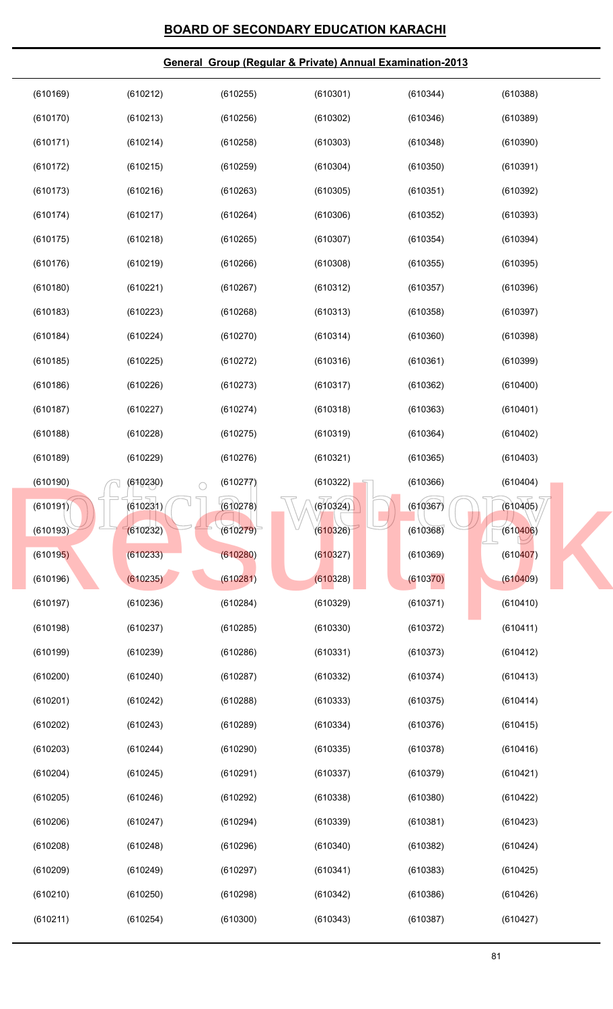| (610169) | (610212)               | (610255) | (610301) | (610344) | (610388) |
|----------|------------------------|----------|----------|----------|----------|
| (610170) | (610213)               | (610256) | (610302) | (610346) | (610389) |
| (610171) | (610214)               | (610258) | (610303) | (610348) | (610390) |
| (610172) | (610215)               | (610259) | (610304) | (610350) | (610391) |
| (610173) | (610216)               | (610263) | (610305) | (610351) | (610392) |
| (610174) | (610217)               | (610264) | (610306) | (610352) | (610393) |
| (610175) | (610218)               | (610265) | (610307) | (610354) | (610394) |
| (610176) | (610219)               | (610266) | (610308) | (610355) | (610395) |
| (610180) | (610221)               | (610267) | (610312) | (610357) | (610396) |
| (610183) | (610223)               | (610268) | (610313) | (610358) | (610397) |
| (610184) | (610224)               | (610270) | (610314) | (610360) | (610398) |
| (610185) | (610225)               | (610272) | (610316) | (610361) | (610399) |
| (610186) | (610226)               | (610273) | (610317) | (610362) | (610400) |
| (610187) | (610227)               | (610274) | (610318) | (610363) | (610401) |
| (610188) | (610228)               | (610275) | (610319) | (610364) | (610402) |
| (610189) | (610229)               | (610276) | (610321) | (610365) | (610403) |
| (610190) | (610230)<br>$\bigcirc$ | (610277) | (610322) | (610366) | (610404) |
| (610191) | (610231)               | (610278) | (610324) | (610367) | (610405) |
| (610193) | (610232)               | (610279) | (610326) | (610368) | (610406) |
| (610195) | (610233)               | (610280) | (610327) | (610369) | (610407) |
| (610196) | (610235)               | (610281) | (610328) | (610370) | (610409) |
| (610197) | (610236)               | (610284) | (610329) | (610371) | (610410) |
| (610198) | (610237)               | (610285) | (610330) | (610372) | (610411) |
| (610199) | (610239)               | (610286) | (610331) | (610373) | (610412) |
| (610200) | (610240)               | (610287) | (610332) | (610374) | (610413) |
| (610201) | (610242)               | (610288) | (610333) | (610375) | (610414) |
| (610202) | (610243)               | (610289) | (610334) | (610376) | (610415) |
| (610203) | (610244)               | (610290) | (610335) | (610378) | (610416) |
| (610204) | (610245)               | (610291) | (610337) | (610379) | (610421) |
| (610205) | (610246)               | (610292) | (610338) | (610380) | (610422) |
| (610206) | (610247)               | (610294) | (610339) | (610381) | (610423) |
| (610208) | (610248)               | (610296) | (610340) | (610382) | (610424) |
| (610209) | (610249)               | (610297) | (610341) | (610383) | (610425) |
| (610210) | (610250)               | (610298) | (610342) | (610386) | (610426) |
| (610211) | (610254)               | (610300) | (610343) | (610387) | (610427) |
|          |                        |          |          |          |          |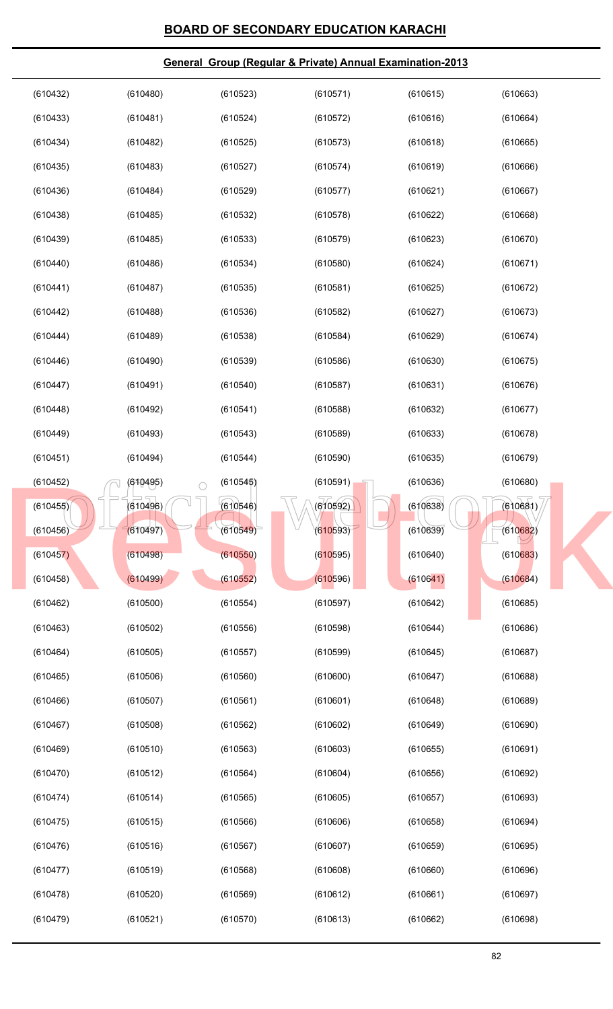| (610432) | (610480)               | (610523) | (610571) | (610615) | (610663) |
|----------|------------------------|----------|----------|----------|----------|
| (610433) | (610481)               | (610524) | (610572) | (610616) | (610664) |
| (610434) | (610482)               | (610525) | (610573) | (610618) | (610665) |
| (610435) | (610483)               | (610527) | (610574) | (610619) | (610666) |
| (610436) | (610484)               | (610529) | (610577) | (610621) | (610667) |
| (610438) | (610485)               | (610532) | (610578) | (610622) | (610668) |
| (610439) | (610485)               | (610533) | (610579) | (610623) | (610670) |
| (610440) | (610486)               | (610534) | (610580) | (610624) | (610671) |
| (610441) | (610487)               | (610535) | (610581) | (610625) | (610672) |
| (610442) | (610488)               | (610536) | (610582) | (610627) | (610673) |
| (610444) | (610489)               | (610538) | (610584) | (610629) | (610674) |
| (610446) | (610490)               | (610539) | (610586) | (610630) | (610675) |
| (610447) | (610491)               | (610540) | (610587) | (610631) | (610676) |
| (610448) | (610492)               | (610541) | (610588) | (610632) | (610677) |
| (610449) | (610493)               | (610543) | (610589) | (610633) | (610678) |
| (610451) | (610494)               | (610544) | (610590) | (610635) | (610679) |
| (610452) | (610495)<br>$\bigcirc$ | (610545) | (610591) | (610636) | (610680) |
| (610455) | (610496)               | (610546) | (610592) | (610638) | (610681) |
| (610456) | (610497)               | (610549) | (610593) | (610639) | (610682) |
| (610457) | (610498)               | (610550) | (610595) | (610640) | (610683) |
| (610458) | (610499)               | (610552) | (610596) | (610641) | (610684) |
| (610462) | (610500)               | (610554) | (610597) | (610642) | (610685) |
| (610463) | (610502)               | (610556) | (610598) | (610644) | (610686) |
| (610464) | (610505)               | (610557) | (610599) | (610645) | (610687) |
| (610465) | (610506)               | (610560) | (610600) | (610647) | (610688) |
| (610466) | (610507)               | (610561) | (610601) | (610648) | (610689) |
| (610467) | (610508)               | (610562) | (610602) | (610649) | (610690) |
| (610469) | (610510)               | (610563) | (610603) | (610655) | (610691) |
| (610470) | (610512)               | (610564) | (610604) | (610656) | (610692) |
| (610474) | (610514)               | (610565) | (610605) | (610657) | (610693) |
| (610475) | (610515)               | (610566) | (610606) | (610658) | (610694) |
| (610476) | (610516)               | (610567) | (610607) | (610659) | (610695) |
| (610477) | (610519)               | (610568) | (610608) | (610660) | (610696) |
| (610478) | (610520)               | (610569) | (610612) | (610661) | (610697) |
| (610479) | (610521)               | (610570) | (610613) | (610662) | (610698) |
|          |                        |          |          |          |          |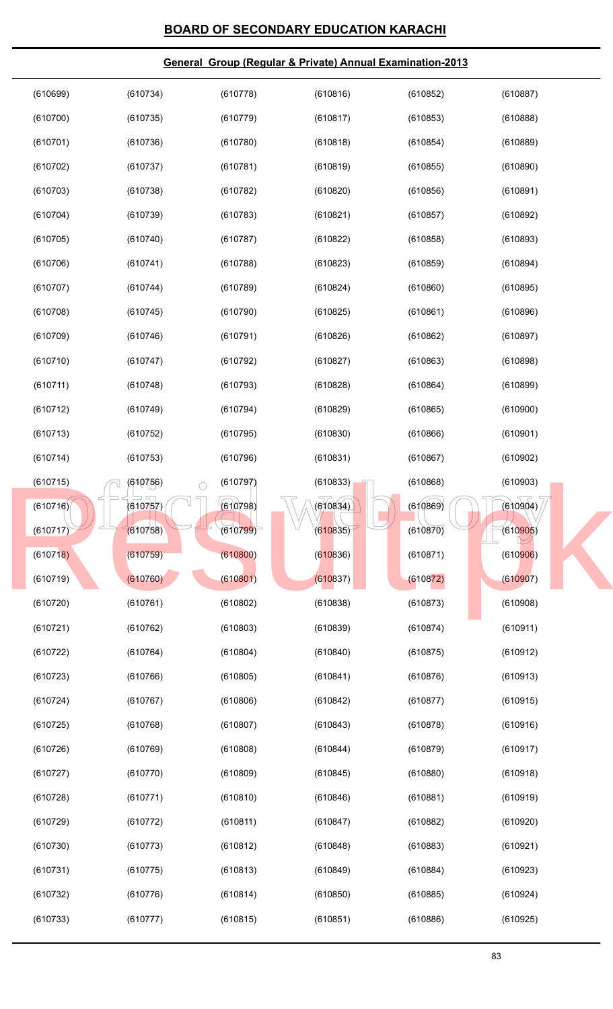| (610699) | (610734)               | (610778) | (610816) | (610852) | (610887) |
|----------|------------------------|----------|----------|----------|----------|
| (610700) | (610735)               | (610779) | (610817) | (610853) | (610888) |
| (610701) | (610736)               | (610780) | (610818) | (610854) | (610889) |
| (610702) | (610737)               | (610781) | (610819) | (610855) | (610890) |
| (610703) | (610738)               | (610782) | (610820) | (610856) | (610891) |
| (610704) | (610739)               | (610783) | (610821) | (610857) | (610892) |
| (610705) | (610740)               | (610787) | (610822) | (610858) | (610893) |
| (610706) | (610741)               | (610788) | (610823) | (610859) | (610894) |
| (610707) | (610744)               | (610789) | (610824) | (610860) | (610895) |
| (610708) | (610745)               | (610790) | (610825) | (610861) | (610896) |
| (610709) | (610746)               | (610791) | (610826) | (610862) | (610897) |
| (610710) | (610747)               | (610792) | (610827) | (610863) | (610898) |
| (610711) | (610748)               | (610793) | (610828) | (610864) | (610899) |
| (610712) | (610749)               | (610794) | (610829) | (610865) | (610900) |
| (610713) | (610752)               | (610795) | (610830) | (610866) | (610901) |
| (610714) | (610753)               | (610796) | (610831) | (610867) | (610902) |
| (610715) | (610756)<br>$\bigcirc$ | (610797) | (610833) | (610868) | (610903) |
| (610716) | (610757)               | (610798) | (610834) | (610869) | (610904) |
| (610717) | (610758)               | (610799) | (610835) | (610870) | (610905) |
| (610718) | (610759)               | (610800) | (610836) | (610871) | (610906) |
| (610719) | (610760)               | (610801) | (610837) | (610872) | (610907) |
| (610720) | (610761)               | (610802) | (610838) | (610873) | (610908) |
| (610721) | (610762)               | (610803) | (610839) | (610874) | (610911) |
| (610722) | (610764)               | (610804) | (610840) | (610875) | (610912) |
| (610723) | (610766)               | (610805) | (610841) | (610876) | (610913) |
| (610724) | (610767)               | (610806) | (610842) | (610877) | (610915) |
| (610725) | (610768)               | (610807) | (610843) | (610878) | (610916) |
| (610726) | (610769)               | (610808) | (610844) | (610879) | (610917) |
| (610727) | (610770)               | (610809) | (610845) | (610880) | (610918) |
| (610728) | (610771)               | (610810) | (610846) | (610881) | (610919) |
| (610729) | (610772)               | (610811) | (610847) | (610882) | (610920) |
| (610730) | (610773)               | (610812) | (610848) | (610883) | (610921) |
| (610731) | (610775)               | (610813) | (610849) | (610884) | (610923) |
| (610732) | (610776)               | (610814) | (610850) | (610885) | (610924) |
| (610733) | (610777)               | (610815) | (610851) | (610886) | (610925) |
|          |                        |          |          |          |          |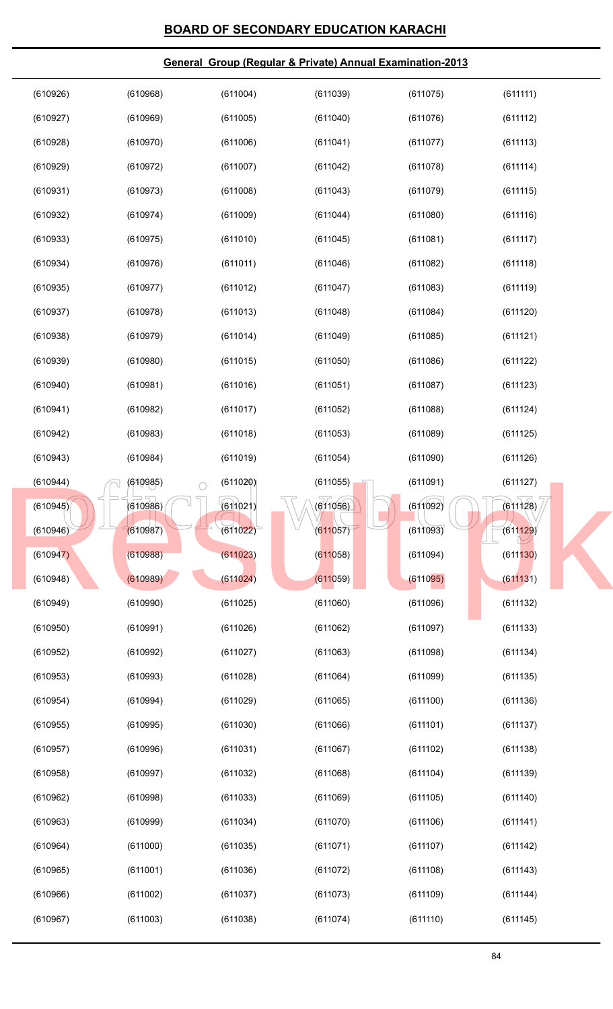| (610926) | (610968)               | (611004) | (611039) | (611075) | (611111) |
|----------|------------------------|----------|----------|----------|----------|
| (610927) | (610969)               | (611005) | (611040) | (611076) | (611112) |
| (610928) | (610970)               | (611006) | (611041) | (611077) | (611113) |
| (610929) | (610972)               | (611007) | (611042) | (611078) | (611114) |
| (610931) | (610973)               | (611008) | (611043) | (611079) | (611115) |
| (610932) | (610974)               | (611009) | (611044) | (611080) | (611116) |
| (610933) | (610975)               | (611010) | (611045) | (611081) | (611117) |
| (610934) | (610976)               | (611011) | (611046) | (611082) | (611118) |
| (610935) | (610977)               | (611012) | (611047) | (611083) | (611119) |
| (610937) | (610978)               | (611013) | (611048) | (611084) | (611120) |
| (610938) | (610979)               | (611014) | (611049) | (611085) | (611121) |
| (610939) | (610980)               | (611015) | (611050) | (611086) | (611122) |
| (610940) | (610981)               | (611016) | (611051) | (611087) | (611123) |
| (610941) | (610982)               | (611017) | (611052) | (611088) | (611124) |
| (610942) | (610983)               | (611018) | (611053) | (611089) | (611125) |
| (610943) | (610984)               | (611019) | (611054) | (611090) | (611126) |
| (610944) | (610985)<br>$\bigcirc$ | (611020) | (611055) | (611091) | (611127) |
| (610945) | (610986)               | (611021) | (611056) | (611092) | (611128) |
| (610946) | (610987)               | (611022) | (611057) | (611093) | (611129) |
| (610947) | (610988)               | (611023) | (611058) | (611094) | (611130) |
| (610948) | (610989)               | (611024) | (611059) | (611095) | (611131) |
| (610949) | (610990)               | (611025) | (611060) | (611096) | (611132) |
| (610950) | (610991)               | (611026) | (611062) | (611097) | (611133) |
| (610952) | (610992)               | (611027) | (611063) | (611098) | (611134) |
| (610953) | (610993)               | (611028) | (611064) | (611099) | (611135) |
| (610954) | (610994)               | (611029) | (611065) | (611100) | (611136) |
| (610955) | (610995)               | (611030) | (611066) | (611101) | (611137) |
| (610957) | (610996)               | (611031) | (611067) | (611102) | (611138) |
| (610958) | (610997)               | (611032) | (611068) | (611104) | (611139) |
| (610962) | (610998)               | (611033) | (611069) | (611105) | (611140) |
| (610963) | (610999)               | (611034) | (611070) | (611106) | (611141) |
| (610964) | (611000)               | (611035) | (611071) | (611107) | (611142) |
| (610965) | (611001)               | (611036) | (611072) | (611108) | (611143) |
| (610966) | (611002)               | (611037) | (611073) | (611109) | (611144) |
| (610967) | (611003)               | (611038) | (611074) | (611110) | (611145) |
|          |                        |          |          |          |          |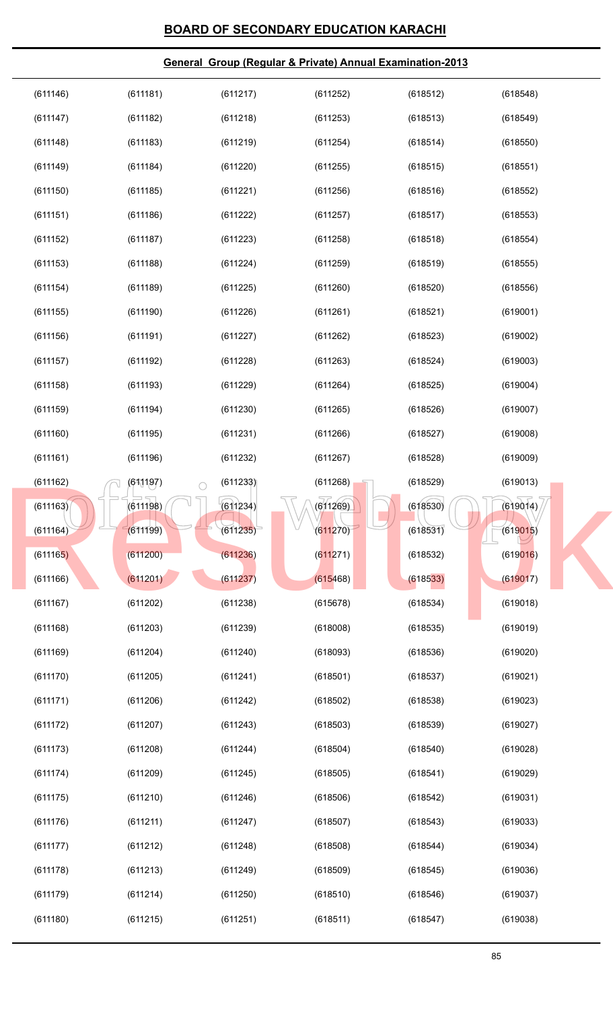#### (611197) (611233) (611268) (618529) (61861128)<br>
(619014)<br>
(611199) (611234) (611270) (618530) (618631) (619014)<br>
(619015) **General Group (Regular & Private) Annual Examination-2013** (611146) (611147) (611148) (611149) (611150) (611151) (611152) (611153) (611154) (611155) (611156) (611157) (611158) (611159) (611160) (611161) (611162) (611163) (611164) (611165) (611166) (611167) (611168) (611169) (611170) (611171) (611172) (611173) (611174) (611175) (611176) (611177) (611178) (611179) (611180) (611181) (611182) (611183) (611184) (611185) (611186) (611187) (611188) (611189) (611190) (611191) (611192) (611193) (611194) (611195) (611196) (611197) (611198) (611199) (611200) (611201) (611202) (611203) (611204) (611205) (611206) (611207) (611208) (611209) (611210) (611211) (611212) (611213) (611214) (611215) (611217) (611218) (611219) (611220) (611221) (611222) (611223) (611224) (611225) (611226) (611227) (611228) (611229) (611230) (611231) (611232) (611233) (611234) (611235) (611236) (611237) (611238) (611239) (611240) (611241) (611242) (611243) (611244) (611245) (611246) (611247) (611248) (611249) (611250) (611251) (611252) (611253) (611254) (611255) (611256) (611257) (611258) (611259) (611260) (611261) (611262) (611263) (611264) (611265) (611266) (611267) (611268) (611269)  $(611270)$ (611271) (615468) (615678) (618008) (618093) (618501) (618502) (618503) (618504) (618505) (618506) (618507) (618508) (618509) (618510) (618511) (618512) (618513) (618514) (618515) (618516) (618517) (618518) (618519) (618520) (618521) (618523) (618524) (618525) (618526) (618527) (618528) (618529) (618530) (618531) (618532) (618533) (618534) (618535) (618536) (618537) (618538) (618539) (618540) (618541) (618542) (618543) (618544) (618545) (618546) (618547) (618548) (618549) (618550) (618551) (618552) (618553) (618554) (618555) (618556) (619001) (619002) (619003) (619004) (619007) (619008) (619009) (619013) (619014) (619015) (619016) (619017) (619018) (619019) (619020) (619021) (619023) (619027) (619028) (619029) (619031) (619033) (619034) (619036) (619037) (619038) (611163)<br>
(611163)<br>
(611163)<br>
(611163)<br>
(611163)<br>
(611163)<br>
(611198)<br>
(611204)<br>
(611205)<br>
(611200)<br>
(611201)<br>
(611201)<br>
(611237)<br>
(611237)<br>
(611237)<br>
(613531)<br>
(613633)<br>
(613633)<br>
(619014)<br>
(619014)<br>
(619014)<br>
(619014)<br>
(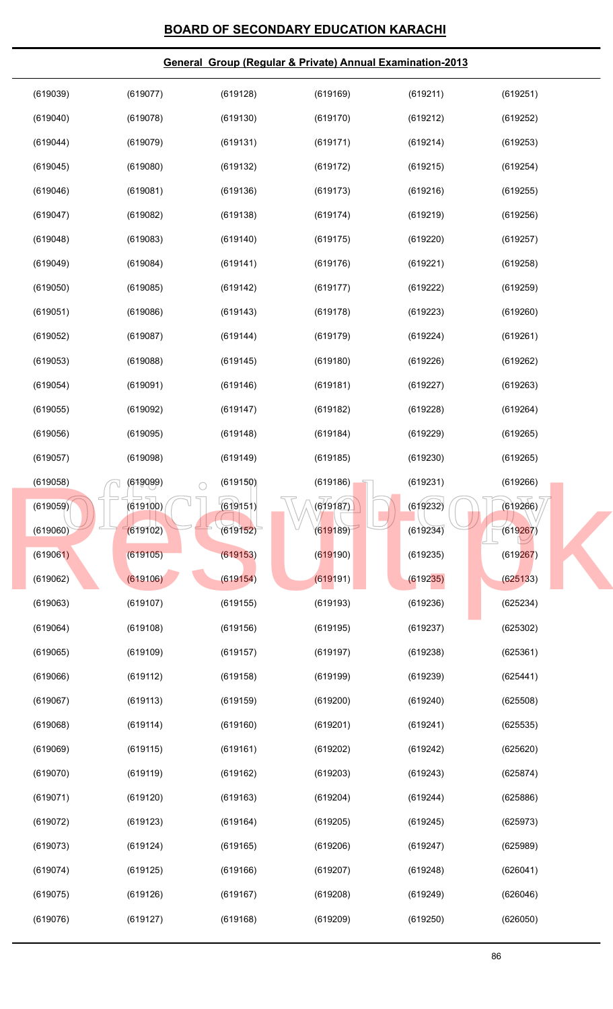| (619039) | (619077)               | (619128) | (619169) | (619211) | (619251) |  |
|----------|------------------------|----------|----------|----------|----------|--|
| (619040) | (619078)               | (619130) | (619170) | (619212) | (619252) |  |
| (619044) | (619079)               | (619131) | (619171) | (619214) | (619253) |  |
| (619045) | (619080)               | (619132) | (619172) | (619215) | (619254) |  |
| (619046) | (619081)               | (619136) | (619173) | (619216) | (619255) |  |
| (619047) | (619082)               | (619138) | (619174) | (619219) | (619256) |  |
| (619048) | (619083)               | (619140) | (619175) | (619220) | (619257) |  |
| (619049) | (619084)               | (619141) | (619176) | (619221) | (619258) |  |
| (619050) | (619085)               | (619142) | (619177) | (619222) | (619259) |  |
| (619051) | (619086)               | (619143) | (619178) | (619223) | (619260) |  |
| (619052) | (619087)               | (619144) | (619179) | (619224) | (619261) |  |
| (619053) | (619088)               | (619145) | (619180) | (619226) | (619262) |  |
| (619054) | (619091)               | (619146) | (619181) | (619227) | (619263) |  |
| (619055) | (619092)               | (619147) | (619182) | (619228) | (619264) |  |
| (619056) | (619095)               | (619148) | (619184) | (619229) | (619265) |  |
| (619057) | (619098)               | (619149) | (619185) | (619230) | (619265) |  |
| (619058) | (619099)<br>$\bigcirc$ | (619150) | (619186) | (619231) | (619266) |  |
| (619059) | (619100)               | (619151) | (619187) | (619232) | (619266) |  |
| (619060) | (619102)               | (619152) | (619189) | (619234) | (619267) |  |
| (619061) | (619105)               | (619153) | (619190) | (619235) | (619267) |  |
| (619062) | (619106)               | (619154) | (619191) | (619235) | (625133) |  |
| (619063) | (619107)               | (619155) | (619193) | (619236) | (625234) |  |
| (619064) | (619108)               | (619156) | (619195) | (619237) | (625302) |  |
| (619065) | (619109)               | (619157) | (619197) | (619238) | (625361) |  |
| (619066) | (619112)               | (619158) | (619199) | (619239) | (625441) |  |
| (619067) | (619113)               | (619159) | (619200) | (619240) | (625508) |  |
| (619068) | (619114)               | (619160) | (619201) | (619241) | (625535) |  |
| (619069) | (619115)               | (619161) | (619202) | (619242) | (625620) |  |
| (619070) | (619119)               | (619162) | (619203) | (619243) | (625874) |  |
| (619071) | (619120)               | (619163) | (619204) | (619244) | (625886) |  |
| (619072) | (619123)               | (619164) | (619205) | (619245) | (625973) |  |
| (619073) | (619124)               | (619165) | (619206) | (619247) | (625989) |  |
| (619074) | (619125)               | (619166) | (619207) | (619248) | (626041) |  |
| (619075) | (619126)               | (619167) | (619208) | (619249) | (626046) |  |
| (619076) | (619127)               | (619168) | (619209) | (619250) | (626050) |  |
|          |                        |          |          |          |          |  |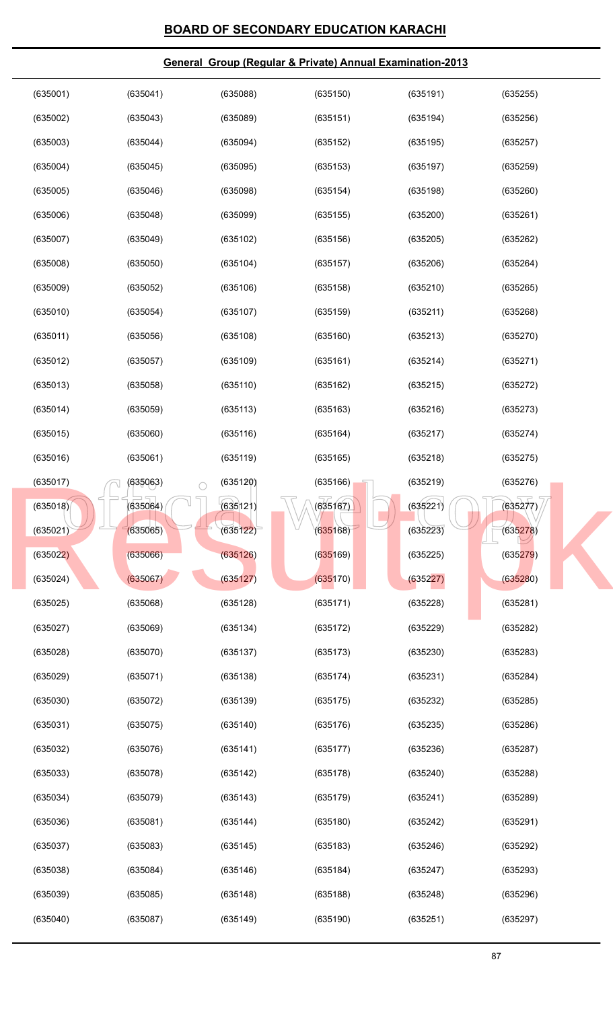| (635001) | (635041)               | (635088) | (635150) | (635191) | (635255) |
|----------|------------------------|----------|----------|----------|----------|
| (635002) | (635043)               | (635089) | (635151) | (635194) | (635256) |
| (635003) | (635044)               | (635094) | (635152) | (635195) | (635257) |
| (635004) | (635045)               | (635095) | (635153) | (635197) | (635259) |
| (635005) | (635046)               | (635098) | (635154) | (635198) | (635260) |
| (635006) | (635048)               | (635099) | (635155) | (635200) | (635261) |
| (635007) | (635049)               | (635102) | (635156) | (635205) | (635262) |
| (635008) | (635050)               | (635104) | (635157) | (635206) | (635264) |
| (635009) | (635052)               | (635106) | (635158) | (635210) | (635265) |
| (635010) | (635054)               | (635107) | (635159) | (635211) | (635268) |
| (635011) | (635056)               | (635108) | (635160) | (635213) | (635270) |
| (635012) | (635057)               | (635109) | (635161) | (635214) | (635271) |
| (635013) | (635058)               | (635110) | (635162) | (635215) | (635272) |
| (635014) | (635059)               | (635113) | (635163) | (635216) | (635273) |
| (635015) | (635060)               | (635116) | (635164) | (635217) | (635274) |
| (635016) | (635061)               | (635119) | (635165) | (635218) | (635275) |
| (635017) | (635063)<br>$\bigcirc$ | (635120) | (635166) | (635219) | (635276) |
| (635018) | (635064)               | (635121) | (635167) | (635221) | (635277) |
| (635021) | (635065)               | (635122) | (635168) | (635223) | (635278) |
| (635022) | (635066)               | (635126) | (635169) | (635225) | (635279) |
| (635024) | (635067)               | (635127) | (635170) | (635227) | (635280) |
| (635025) | (635068)               | (635128) | (635171) | (635228) | (635281) |
| (635027) | (635069)               | (635134) | (635172) | (635229) | (635282) |
| (635028) | (635070)               | (635137) | (635173) | (635230) | (635283) |
| (635029) | (635071)               | (635138) | (635174) | (635231) | (635284) |
| (635030) | (635072)               | (635139) | (635175) | (635232) | (635285) |
| (635031) | (635075)               | (635140) | (635176) | (635235) | (635286) |
| (635032) | (635076)               | (635141) | (635177) | (635236) | (635287) |
| (635033) | (635078)               | (635142) | (635178) | (635240) | (635288) |
| (635034) | (635079)               | (635143) | (635179) | (635241) | (635289) |
| (635036) | (635081)               | (635144) | (635180) | (635242) | (635291) |
| (635037) | (635083)               | (635145) | (635183) | (635246) | (635292) |
| (635038) | (635084)               | (635146) | (635184) | (635247) | (635293) |
| (635039) | (635085)               | (635148) | (635188) | (635248) | (635296) |
| (635040) | (635087)               | (635149) | (635190) | (635251) | (635297) |
|          |                        |          |          |          |          |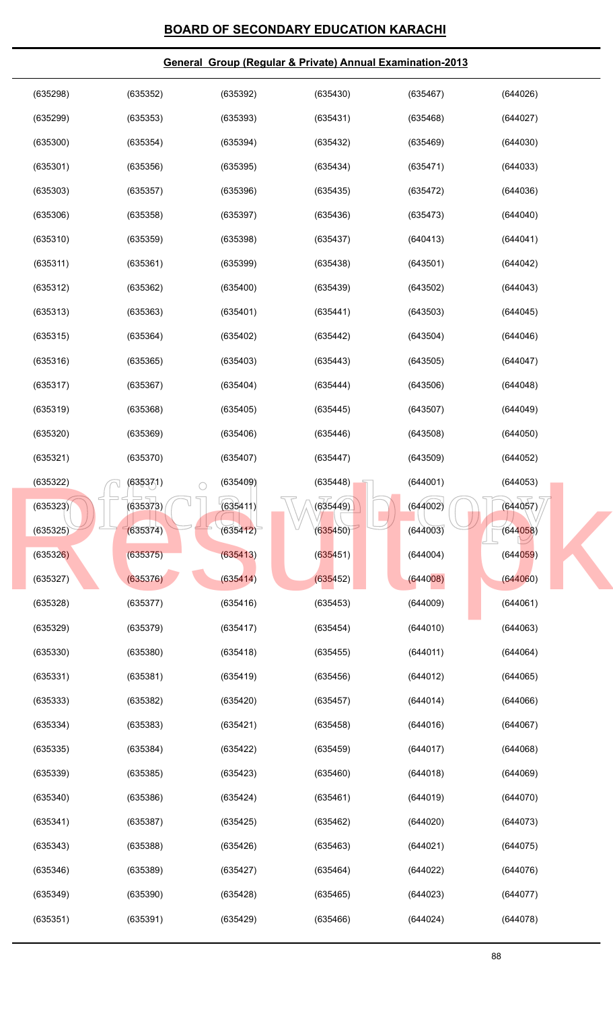| (635298) | (635352)               | (635392) | (635430) | (635467) | (644026) |
|----------|------------------------|----------|----------|----------|----------|
| (635299) | (635353)               | (635393) | (635431) | (635468) | (644027) |
| (635300) | (635354)               | (635394) | (635432) | (635469) | (644030) |
| (635301) | (635356)               | (635395) | (635434) | (635471) | (644033) |
| (635303) | (635357)               | (635396) | (635435) | (635472) | (644036) |
| (635306) | (635358)               | (635397) | (635436) | (635473) | (644040) |
| (635310) | (635359)               | (635398) | (635437) | (640413) | (644041) |
| (635311) | (635361)               | (635399) | (635438) | (643501) | (644042) |
| (635312) | (635362)               | (635400) | (635439) | (643502) | (644043) |
| (635313) | (635363)               | (635401) | (635441) | (643503) | (644045) |
| (635315) | (635364)               | (635402) | (635442) | (643504) | (644046) |
| (635316) | (635365)               | (635403) | (635443) | (643505) | (644047) |
| (635317) | (635367)               | (635404) | (635444) | (643506) | (644048) |
| (635319) | (635368)               | (635405) | (635445) | (643507) | (644049) |
| (635320) | (635369)               | (635406) | (635446) | (643508) | (644050) |
| (635321) | (635370)               | (635407) | (635447) | (643509) | (644052) |
| (635322) | (635371)<br>$\bigcirc$ | (635409) | (635448) | (644001) | (644053) |
| (635323) | (635373)               | (635411) | (635449) | (644002) | (644057) |
| (635325) | (635374)               | (635412) | (635450) | (644003) | (644058) |
| (635326) | (635375)               | (635413) | (635451) | (644004) | (644059) |
| (635327) | (635376)               | (635414) | (635452) | (644008) | (644060) |
| (635328) | (635377)               | (635416) | (635453) | (644009) | (644061) |
| (635329) | (635379)               | (635417) | (635454) | (644010) | (644063) |
| (635330) | (635380)               | (635418) | (635455) | (644011) | (644064) |
| (635331) | (635381)               | (635419) | (635456) | (644012) | (644065) |
| (635333) | (635382)               | (635420) | (635457) | (644014) | (644066) |
| (635334) | (635383)               | (635421) | (635458) | (644016) | (644067) |
| (635335) | (635384)               | (635422) | (635459) | (644017) | (644068) |
| (635339) | (635385)               | (635423) | (635460) | (644018) | (644069) |
| (635340) | (635386)               | (635424) | (635461) | (644019) | (644070) |
| (635341) | (635387)               | (635425) | (635462) | (644020) | (644073) |
| (635343) | (635388)               | (635426) | (635463) | (644021) | (644075) |
| (635346) | (635389)               | (635427) | (635464) | (644022) | (644076) |
| (635349) | (635390)               | (635428) | (635465) | (644023) | (644077) |
| (635351) | (635391)               | (635429) | (635466) | (644024) | (644078) |
|          |                        |          |          |          |          |